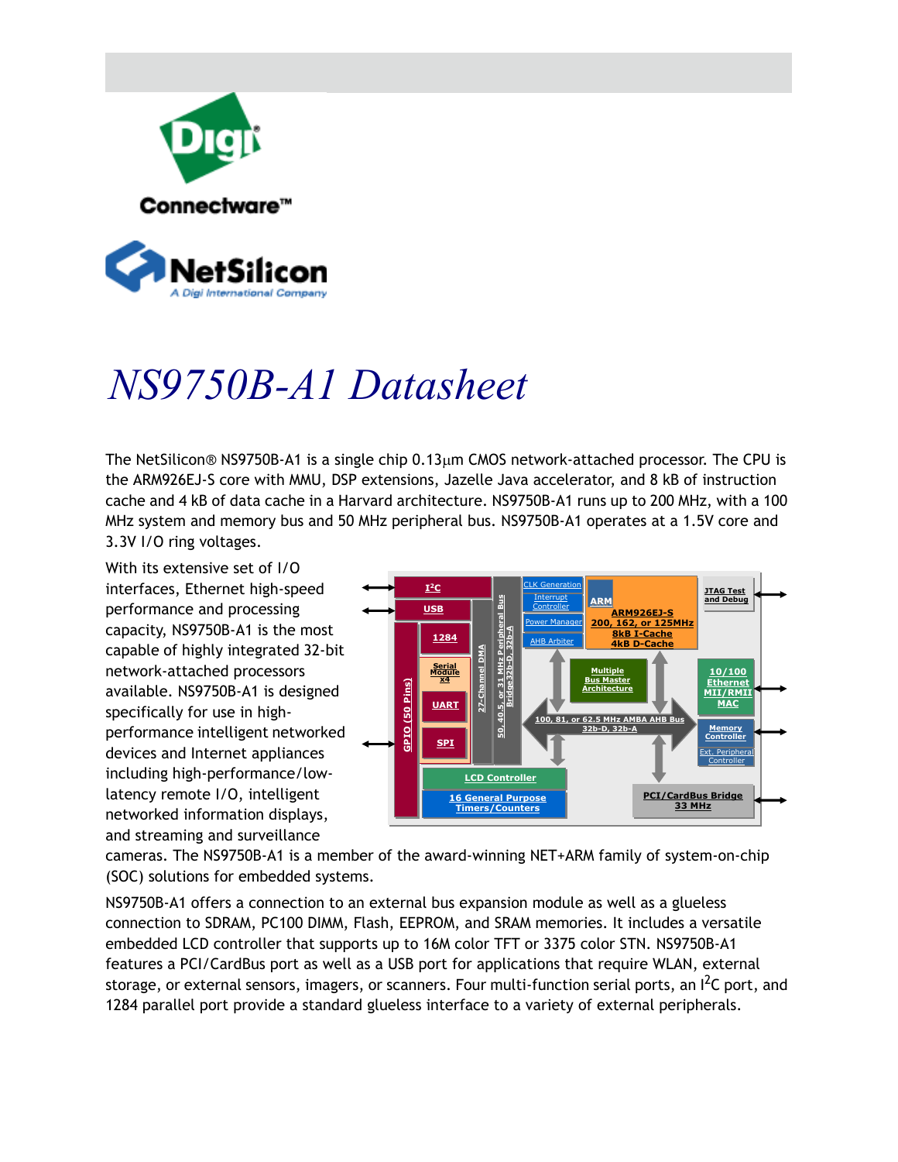

# *NS9750B-A1 Datasheet*

The NetSilicon<sup>®</sup> NS9750B-A1 is a single chip  $0.13 \mu m$  CMOS network-attached processor. The CPU is the ARM926EJ-S core with MMU, DSP extensions, Jazelle Java accelerator, and 8 kB of instruction cache and 4 kB of data cache in a Harvard architecture. NS9750B-A1 runs up to 200 MHz, with a 100 MHz system and memory bus and 50 MHz peripheral bus. NS9750B-A1 operates at a 1.5V core and 3.3V I/O ring voltages.

With its extensive set of I/O interfaces, Ethernet high-speed performance and processing capacity, NS9750B-A1 is the most capable of highly integrated 32-bit network-attached processors available. NS9750B-A1 is designed specifically for use in highperformance intelligent networked devices and Internet appliances including high-performance/lowlatency remote I/O, intelligent networked information displays, and streaming and surveillance



cameras. The NS9750B-A1 is a member of the award-winning NET+ARM family of system-on-chip (SOC) solutions for embedded systems.

NS9750B-A1 offers a connection to an external bus expansion module as well as a glueless connection to SDRAM, PC100 DIMM, Flash, EEPROM, and SRAM memories. It includes a versatile embedded LCD controller that supports up to 16M color TFT or 3375 color STN. NS9750B-A1 features a PCI/CardBus port as well as a USB port for applications that require WLAN, external storage, or external sensors, imagers, or scanners. Four multi-function serial ports, an I<sup>2</sup>C port, and 1284 parallel port provide a standard glueless interface to a variety of external peripherals.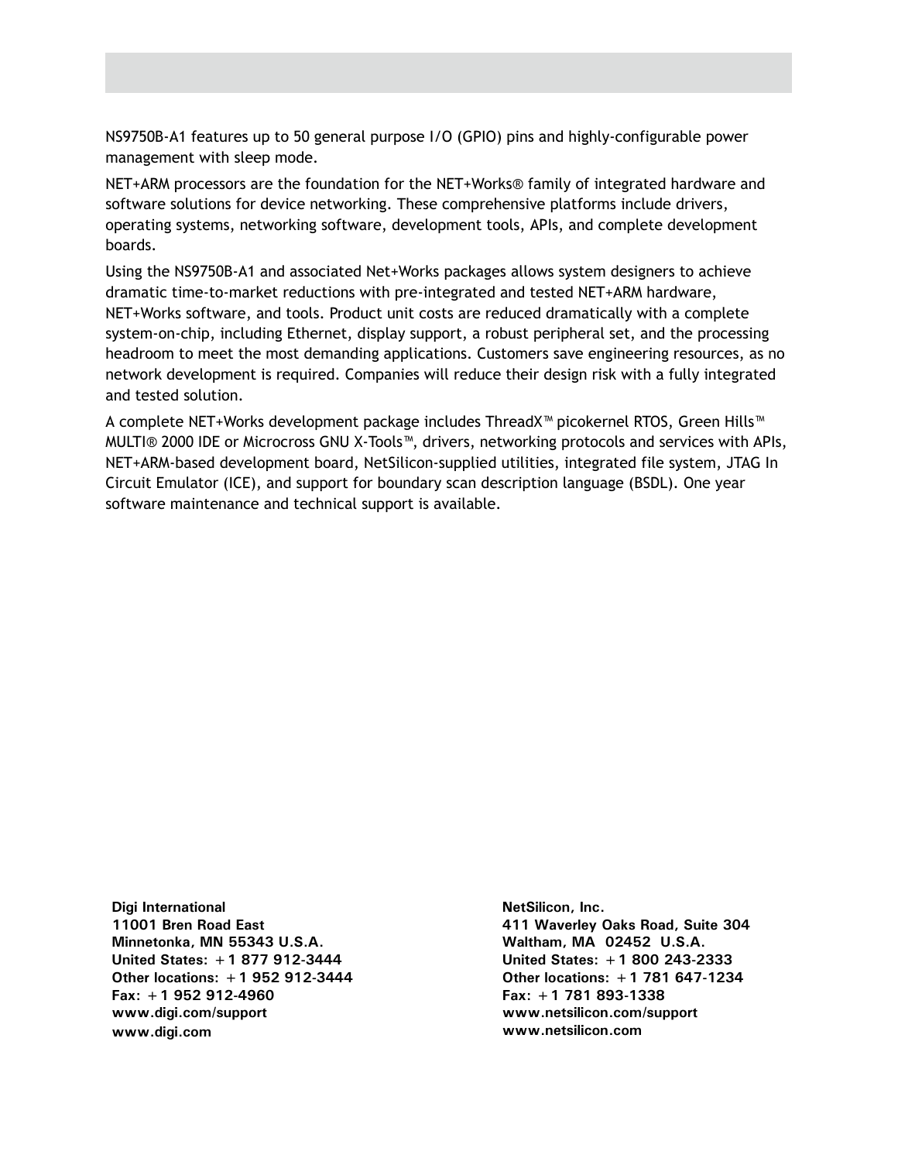NS9750B-A1 features up to 50 general purpose I/O (GPIO) pins and highly-configurable power management with sleep mode.

NET+ARM processors are the foundation for the NET+Works® family of integrated hardware and software solutions for device networking. These comprehensive platforms include drivers, operating systems, networking software, development tools, APIs, and complete development boards.

Using the NS9750B-A1 and associated Net+Works packages allows system designers to achieve dramatic time-to-market reductions with pre-integrated and tested NET+ARM hardware, NET+Works software, and tools. Product unit costs are reduced dramatically with a complete system-on-chip, including Ethernet, display support, a robust peripheral set, and the processing headroom to meet the most demanding applications. Customers save engineering resources, as no network development is required. Companies will reduce their design risk with a fully integrated and tested solution.

A complete NET+Works development package includes ThreadX™ picokernel RTOS, Green Hills™ MULTI® 2000 IDE or Microcross GNU X-Tools™, drivers, networking protocols and services with APIs, NET+ARM-based development board, NetSilicon-supplied utilities, integrated file system, JTAG In Circuit Emulator (ICE), and support for boundary scan description language (BSDL). One year software maintenance and technical support is available.

**Digi International 11001 Bren Road East Minnetonka, MN 55343 U.S.A. United States: +1 877 912-3444 Other locations: +1 952 912-3444 Fax: +1 952 912-4960 www.digi.com/support www.digi.com**

**NetSilicon, Inc. 411 Waverley Oaks Road, Suite 304 Waltham, MA 02452 U.S.A. United States: +1 800 243-2333 Other locations: +1 781 647-1234 Fax: +1 781 893-1338 www.netsilicon.com/support www.netsilicon.com**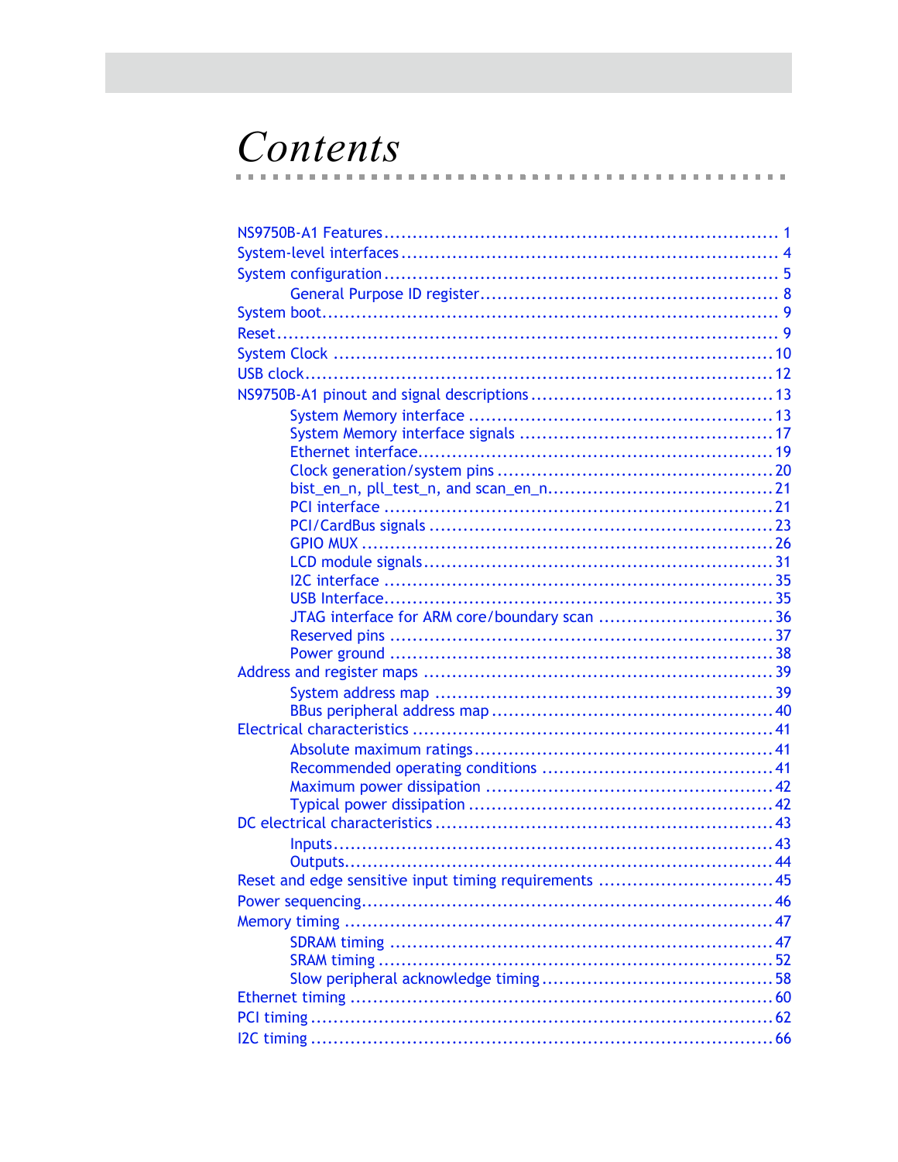### Contents  $\sim$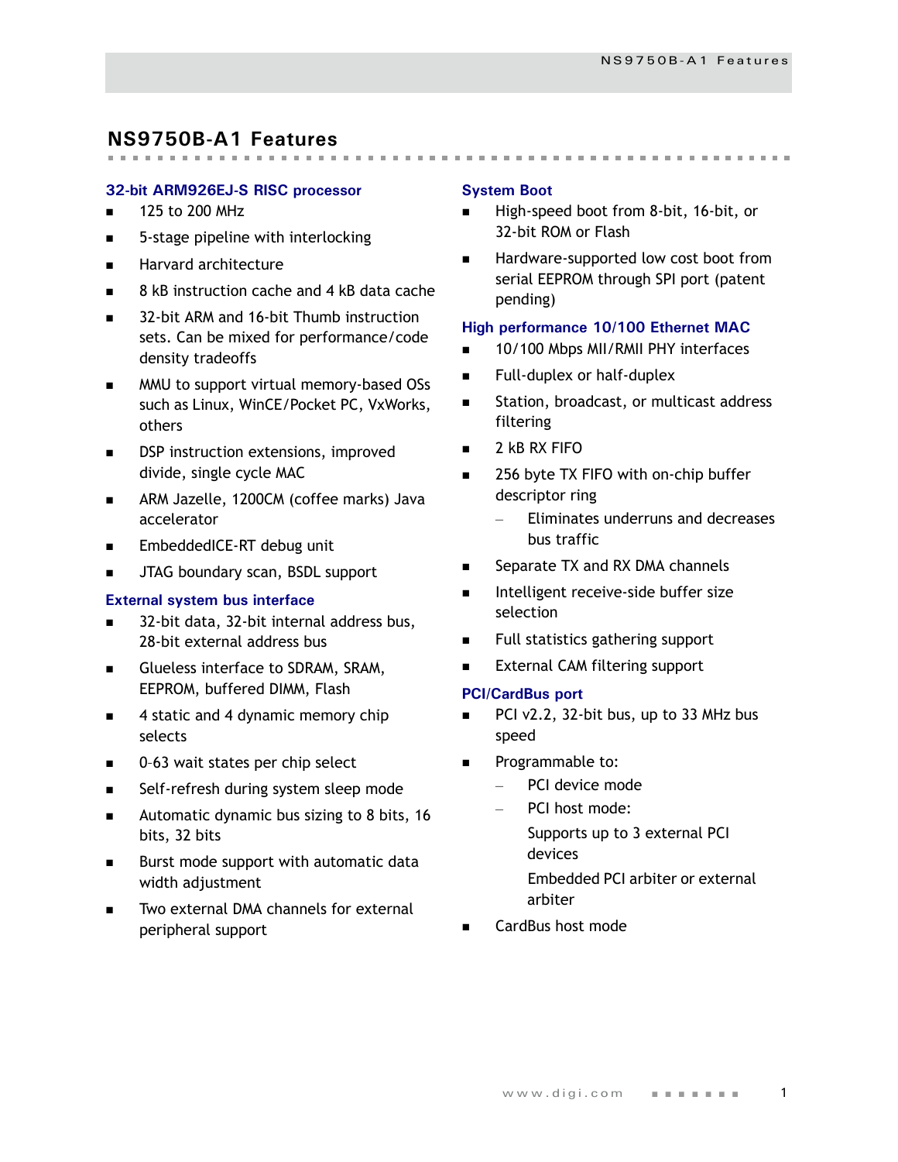### <span id="page-4-0"></span>**NS9750B-A1 Features**

#### **32-bit ARM926EJ-S RISC processor**

- $\blacksquare$  125 to 200 MHz
- 5-stage pipeline with interlocking
- **Harvard architecture**
- 8 kB instruction cache and 4 kB data cache
- 32-bit ARM and 16-bit Thumb instruction sets. Can be mixed for performance/code density tradeoffs
- MMU to support virtual memory-based OSs such as Linux, WinCE/Pocket PC, VxWorks, others
- DSP instruction extensions, improved divide, single cycle MAC
- **ARM Jazelle, 1200CM (coffee marks) Java** accelerator
- EmbeddedICE-RT debug unit
- JTAG boundary scan, BSDL support

#### **External system bus interface**

- 32-bit data, 32-bit internal address bus, 28-bit external address bus
- Glueless interface to SDRAM, SRAM, EEPROM, buffered DIMM, Flash
- 4 static and 4 dynamic memory chip selects
- 0-63 wait states per chip select
- Self-refresh during system sleep mode
- **Automatic dynamic bus sizing to 8 bits, 16** bits, 32 bits
- **Burst mode support with automatic data** width adjustment
- Two external DMA channels for external peripheral support

#### **System Boot**

High-speed boot from 8-bit, 16-bit, or 32-bit ROM or Flash

 Hardware-supported low cost boot from serial EEPROM through SPI port (patent pending)

#### **High performance 10/100 Ethernet MAC**

- 10/100 Mbps MII/RMII PHY interfaces
- Full-duplex or half-duplex
- **Station, broadcast, or multicast address** filtering
- $\blacksquare$  2 kB RX FIFO
- 256 byte TX FIFO with on-chip buffer descriptor ring
	- Eliminates underruns and decreases bus traffic
- Separate TX and RX DMA channels
- Intelligent receive-side buffer size selection
- Full statistics gathering support
- External CAM filtering support

#### **PCI/CardBus port**

- PCI v2.2, 32-bit bus, up to 33 MHz bus speed
- Programmable to:
	- PCI device mode
	- PCI host mode:
		- Supports up to 3 external PCI devices
		- Embedded PCI arbiter or external arbiter
- CardBus host mode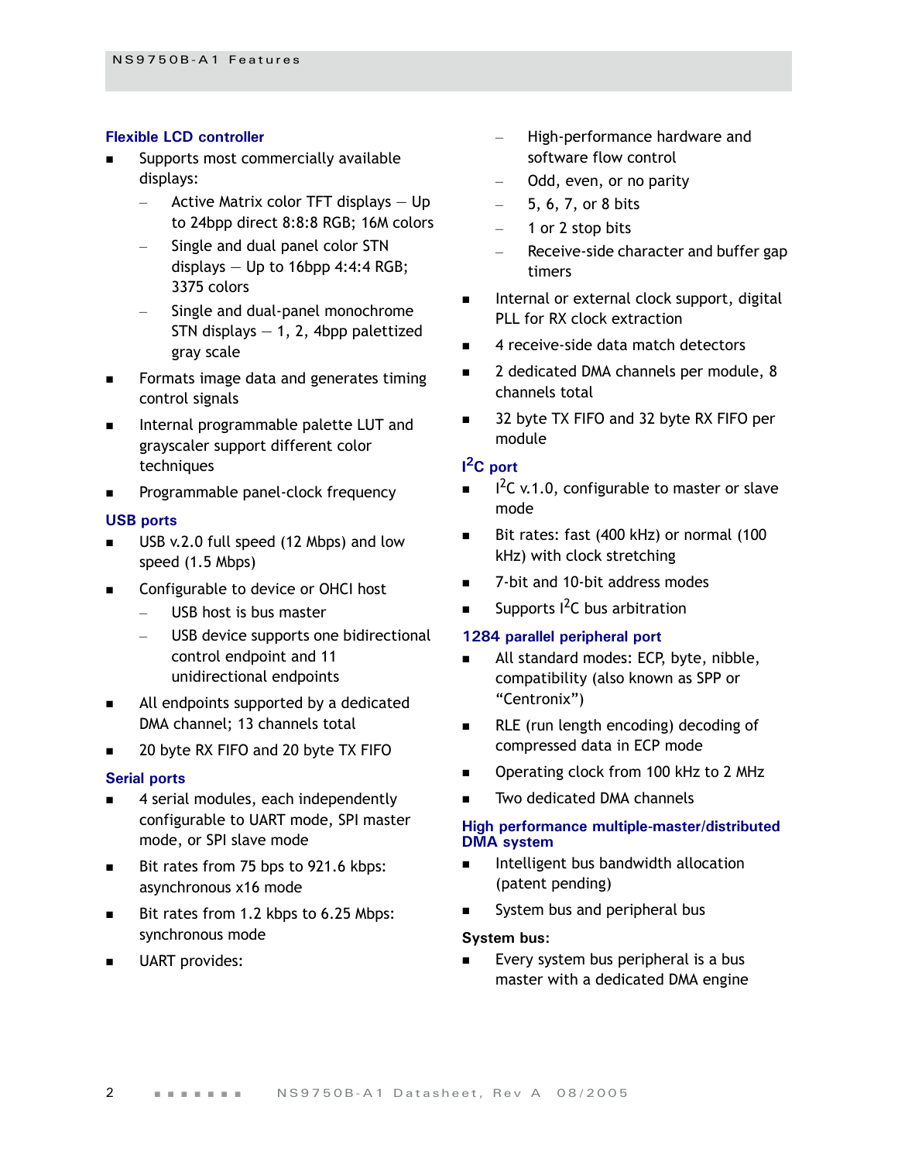#### **Flexible LCD controller**

- Supports most commercially available displays:
	- Active Matrix color TFT displays  $-$  Up to 24bpp direct 8:8:8 RGB; 16M colors
	- Single and dual panel color STN displays  $-$  Up to 16bpp 4:4:4 RGB; 3375 colors
	- Single and dual-panel monochrome STN displays  $-1$ , 2, 4bpp palettized gray scale
- Formats image data and generates timing control signals
- **Internal programmable palette LUT and** grayscaler support different color techniques
- Programmable panel-clock frequency

#### **USB ports**

- USB v.2.0 full speed (12 Mbps) and low speed (1.5 Mbps)
- Configurable to device or OHCI host
	- USB host is bus master
	- USB device supports one bidirectional control endpoint and 11 unidirectional endpoints
- All endpoints supported by a dedicated DMA channel; 13 channels total
- 20 byte RX FIFO and 20 byte TX FIFO

#### **Serial ports**

- 4 serial modules, each independently configurable to UART mode, SPI master mode, or SPI slave mode
- Bit rates from 75 bps to 921.6 kbps: asynchronous x16 mode
- Bit rates from 1.2 kbps to 6.25 Mbps: synchronous mode
- UART provides:
- High-performance hardware and software flow control
- Odd, even, or no parity
- $-$  5, 6, 7, or 8 bits
- 1 or 2 stop bits
- Receive-side character and buffer gap timers
- Internal or external clock support, digital PLL for RX clock extraction
- 4 receive-side data match detectors
- 2 dedicated DMA channels per module, 8 channels total
- 32 byte TX FIFO and 32 byte RX FIFO per module

#### **I 2C port**

- $I^2C$  v.1.0, configurable to master or slave mode
- Bit rates: fast (400 kHz) or normal (100 kHz) with clock stretching
- 7-bit and 10-bit address modes
- Supports <sup>2</sup>C bus arbitration

#### **1284 parallel peripheral port**

- All standard modes: ECP, byte, nibble, compatibility (also known as SPP or "Centronix")
- RLE (run length encoding) decoding of compressed data in ECP mode
- Operating clock from 100 kHz to 2 MHz
- Two dedicated DMA channels

#### **High performance multiple-master/distributed DMA system**

- Intelligent bus bandwidth allocation (patent pending)
- System bus and peripheral bus

#### **System bus:**

 Every system bus peripheral is a bus master with a dedicated DMA engine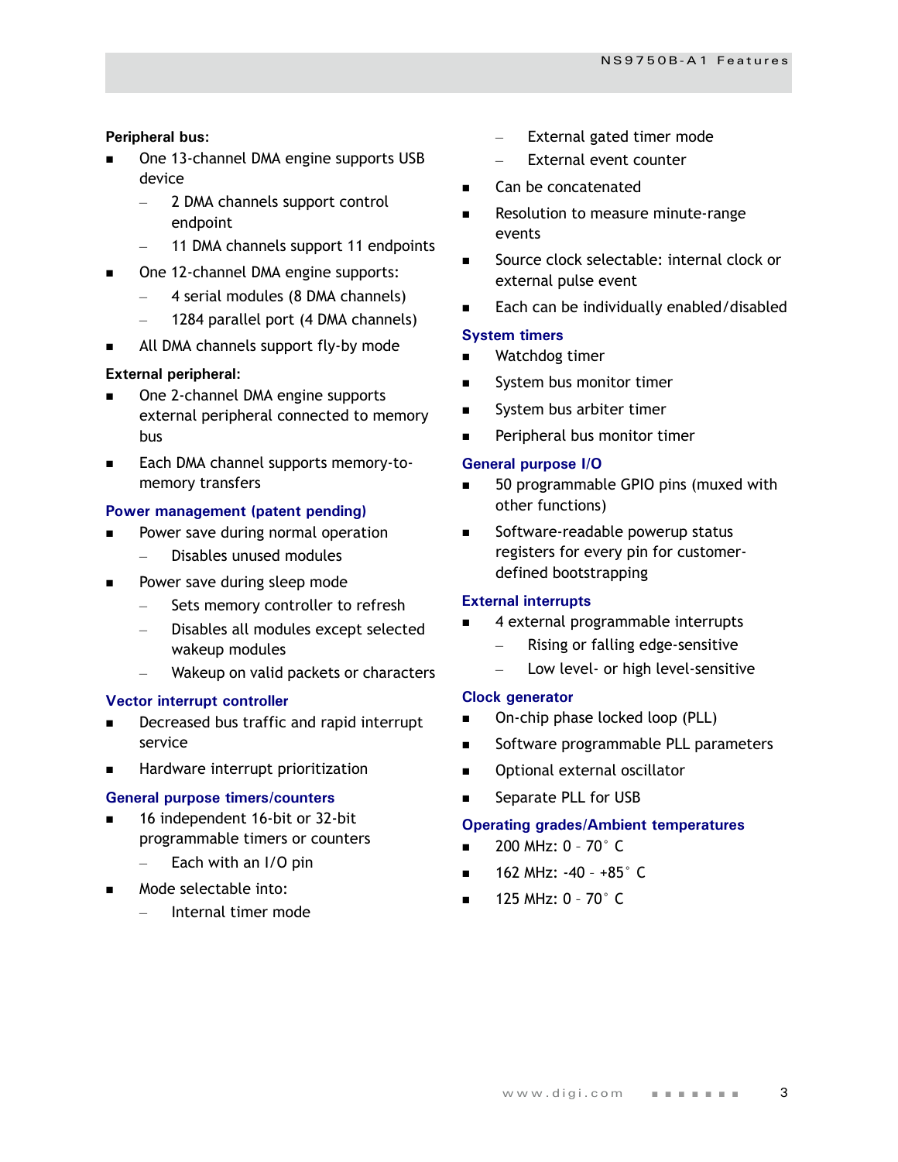#### **Peripheral bus:**

- One 13-channel DMA engine supports USB device
	- 2 DMA channels support control endpoint
	- 11 DMA channels support 11 endpoints
- One 12-channel DMA engine supports:
	- 4 serial modules (8 DMA channels)
	- 1284 parallel port (4 DMA channels)
- All DMA channels support fly-by mode

#### **External peripheral:**

- One 2-channel DMA engine supports external peripheral connected to memory bus
- Each DMA channel supports memory-tomemory transfers

#### **Power management (patent pending)**

- Power save during normal operation
	- Disables unused modules
- **Power save during sleep mode** 
	- Sets memory controller to refresh
	- Disables all modules except selected wakeup modules
	- Wakeup on valid packets or characters

#### **Vector interrupt controller**

- Decreased bus traffic and rapid interrupt service
- **Hardware interrupt prioritization**

#### **General purpose timers/counters**

- 16 independent 16-bit or 32-bit programmable timers or counters
	- $-$  Each with an I/O pin
- Mode selectable into:
	- Internal timer mode
- External gated timer mode
- External event counter
- Can be concatenated
- Resolution to measure minute-range events
- Source clock selectable: internal clock or external pulse event
- Each can be individually enabled/disabled

#### **System timers**

- Watchdog timer
- System bus monitor timer
- System bus arbiter timer
- Peripheral bus monitor timer

#### **General purpose I/O**

- 50 programmable GPIO pins (muxed with other functions)
- Software-readable powerup status registers for every pin for customerdefined bootstrapping

#### **External interrupts**

- 4 external programmable interrupts
	- Rising or falling edge-sensitive
	- Low level- or high level-sensitive

#### **Clock generator**

- On-chip phase locked loop (PLL)
- Software programmable PLL parameters
- Optional external oscillator
- Separate PLL for USB

#### **Operating grades/Ambient temperatures**

- 200 MHz: 0 70° C
- 162 MHz: -40 +85° C
- 125 MHz: 0 70° C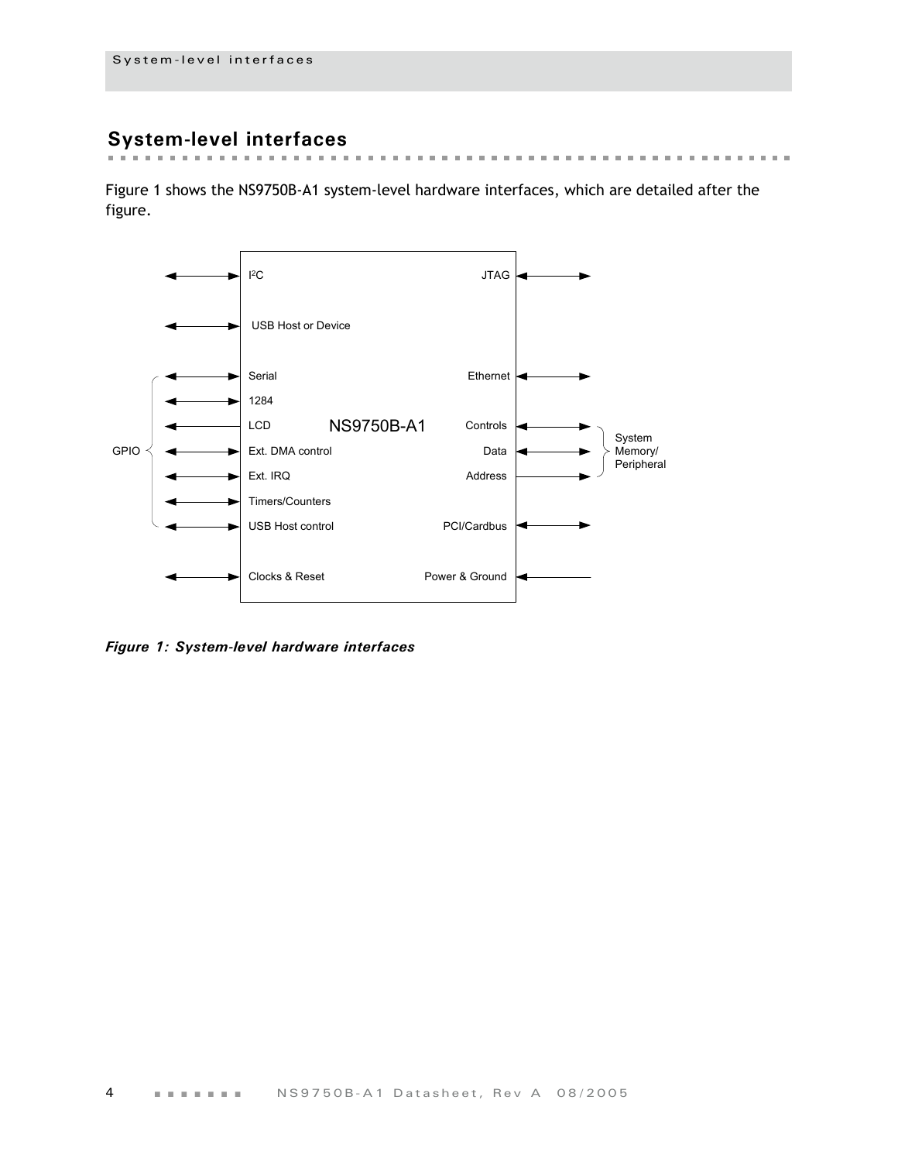### <span id="page-7-0"></span>**System-level interfaces**

[Figure 1](#page-7-1) shows the NS9750B-A1 system-level hardware interfaces, which are detailed after the figure.

 $\sim$ 



<span id="page-7-1"></span>*Figure 1: System-level hardware interfaces*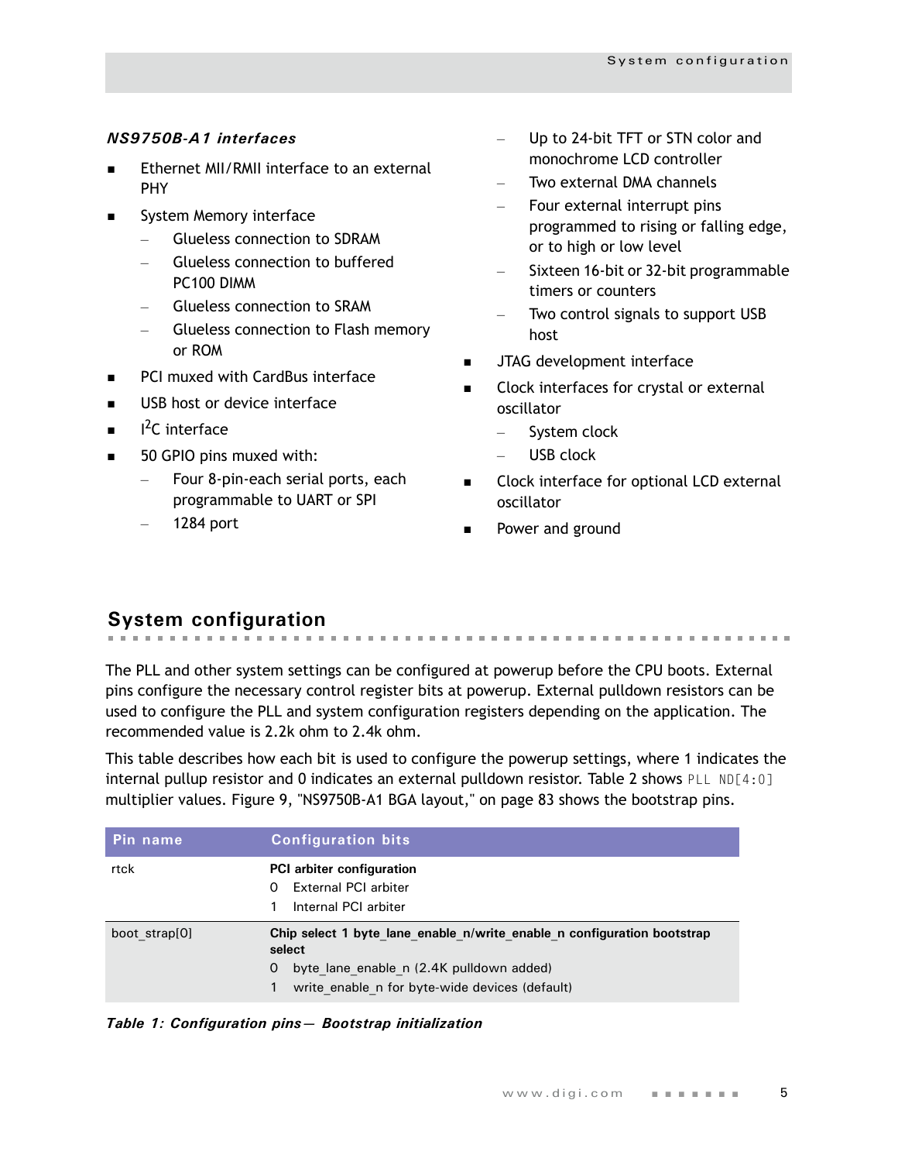#### *NS9750B-A1 interfaces*

- Ethernet MII/RMII interface to an external PHY
- **System Memory interface** 
	- Glueless connection to SDRAM
	- Glueless connection to buffered PC100 DIMM
	- Glueless connection to SRAM
	- Glueless connection to Flash memory or ROM
- **PCI muxed with CardBus interface**
- USB host or device interface
- $\blacksquare$  $I<sup>2</sup>C$  interface
- 50 GPIO pins muxed with:
	- Four 8-pin-each serial ports, each programmable to UART or SPI
	- 1284 port
- Up to 24-bit TFT or STN color and monochrome LCD controller
- Two external DMA channels
- Four external interrupt pins programmed to rising or falling edge, or to high or low level
- Sixteen 16-bit or 32-bit programmable timers or counters
- Two control signals to support USB host
- JTAG development interface
- Clock interfaces for crystal or external oscillator
	- System clock
	- USB clock
- Clock interface for optional LCD external oscillator

Power and ground

### <span id="page-8-0"></span>**System configuration**

The PLL and other system settings can be configured at powerup before the CPU boots. External pins configure the necessary control register bits at powerup. External pulldown resistors can be used to configure the PLL and system configuration registers depending on the application. The recommended value is 2.2k ohm to 2.4k ohm.

This table describes how each bit is used to configure the powerup settings, where 1 indicates the internal pullup resistor and 0 indicates an external pulldown resistor. [Table 2](#page-9-0) shows PLL ND[4:0] multiplier values. Figure 9, "NS9750B-A1 BGA layout," on page 83 shows the bootstrap pins.

| Pin name      | <b>Configuration bits</b>                                                                                                                                                            |
|---------------|--------------------------------------------------------------------------------------------------------------------------------------------------------------------------------------|
| rtck          | <b>PCI</b> arbiter configuration<br>External PCI arbiter<br>0<br>Internal PCI arbiter                                                                                                |
| boot strap[0] | Chip select 1 byte lane enable n/write enable n configuration bootstrap<br>select<br>byte lane enable n (2.4K pulldown added)<br>0<br>write enable n for byte-wide devices (default) |

*Table 1: Configuration pins— Bootstrap initialization*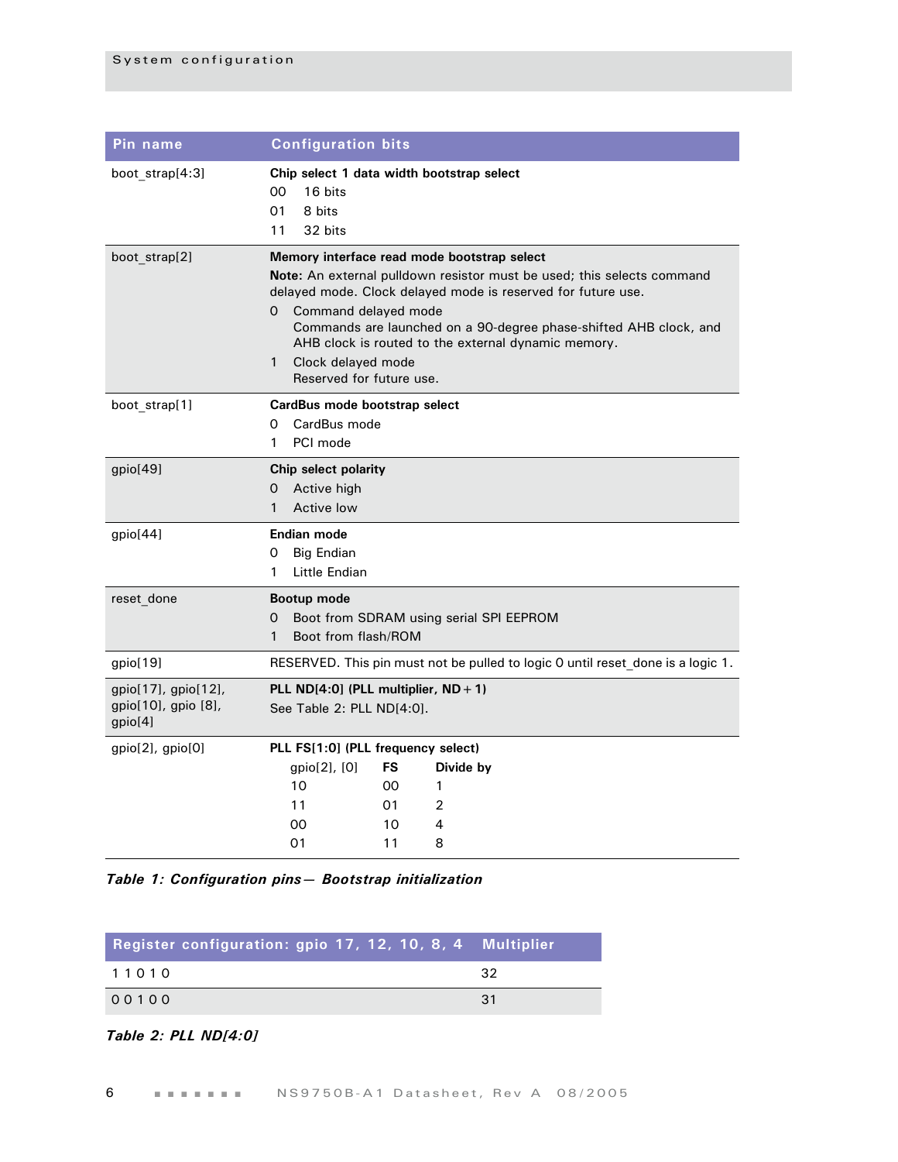| Pin name                                              | <b>Configuration bits</b>                                                                                                                                                                                                                                                                                                                                                                                               |  |  |  |  |  |  |  |  |
|-------------------------------------------------------|-------------------------------------------------------------------------------------------------------------------------------------------------------------------------------------------------------------------------------------------------------------------------------------------------------------------------------------------------------------------------------------------------------------------------|--|--|--|--|--|--|--|--|
| boot_strap[4:3]                                       | Chip select 1 data width bootstrap select<br>00<br>16 bits<br>01<br>8 bits<br>11<br>32 bits                                                                                                                                                                                                                                                                                                                             |  |  |  |  |  |  |  |  |
| boot_strap[2]                                         | Memory interface read mode bootstrap select<br><b>Note:</b> An external pulldown resistor must be used; this selects command<br>delayed mode. Clock delayed mode is reserved for future use.<br>Command delayed mode<br>0<br>Commands are launched on a 90-degree phase-shifted AHB clock, and<br>AHB clock is routed to the external dynamic memory.<br>$\mathbf{1}$<br>Clock delayed mode<br>Reserved for future use. |  |  |  |  |  |  |  |  |
| boot strap[1]                                         | CardBus mode bootstrap select<br>CardBus mode<br>0<br>PCI mode<br>1                                                                                                                                                                                                                                                                                                                                                     |  |  |  |  |  |  |  |  |
| gpio[49]                                              | Chip select polarity<br>Active high<br>0<br>$\mathbf{1}$<br>Active low                                                                                                                                                                                                                                                                                                                                                  |  |  |  |  |  |  |  |  |
| gpio[44]                                              | Endian mode<br>Big Endian<br>0<br>Little Endian<br>1                                                                                                                                                                                                                                                                                                                                                                    |  |  |  |  |  |  |  |  |
| reset done                                            | <b>Bootup mode</b><br>Boot from SDRAM using serial SPI EEPROM<br>0<br>Boot from flash/ROM<br>1                                                                                                                                                                                                                                                                                                                          |  |  |  |  |  |  |  |  |
| gpio[19]                                              | RESERVED. This pin must not be pulled to logic 0 until reset done is a logic 1.                                                                                                                                                                                                                                                                                                                                         |  |  |  |  |  |  |  |  |
| gpio[17], gpio[12],<br>gpio[10], gpio [8],<br>gpio[4] | PLL ND $[4:0]$ (PLL multiplier, ND + 1)<br>See Table 2: PLL ND[4:0].                                                                                                                                                                                                                                                                                                                                                    |  |  |  |  |  |  |  |  |
| $gpio[2]$ , $gpio[0]$                                 | PLL FS[1:0] (PLL frequency select)                                                                                                                                                                                                                                                                                                                                                                                      |  |  |  |  |  |  |  |  |
|                                                       | gpio[2], [0]<br>FS<br>Divide by                                                                                                                                                                                                                                                                                                                                                                                         |  |  |  |  |  |  |  |  |
|                                                       | 10<br>00<br>1                                                                                                                                                                                                                                                                                                                                                                                                           |  |  |  |  |  |  |  |  |
|                                                       | 2<br>11<br>01                                                                                                                                                                                                                                                                                                                                                                                                           |  |  |  |  |  |  |  |  |
|                                                       | 00<br>10<br>4<br>11<br>8<br>01                                                                                                                                                                                                                                                                                                                                                                                          |  |  |  |  |  |  |  |  |
|                                                       |                                                                                                                                                                                                                                                                                                                                                                                                                         |  |  |  |  |  |  |  |  |

*Table 1: Configuration pins— Bootstrap initialization*

| Register configuration: gpio 17, 12, 10, 8, 4 Multiplier |     |
|----------------------------------------------------------|-----|
| 11010                                                    | -32 |
| 00100                                                    | -31 |

<span id="page-9-0"></span>*Table 2: PLL ND[4:0]*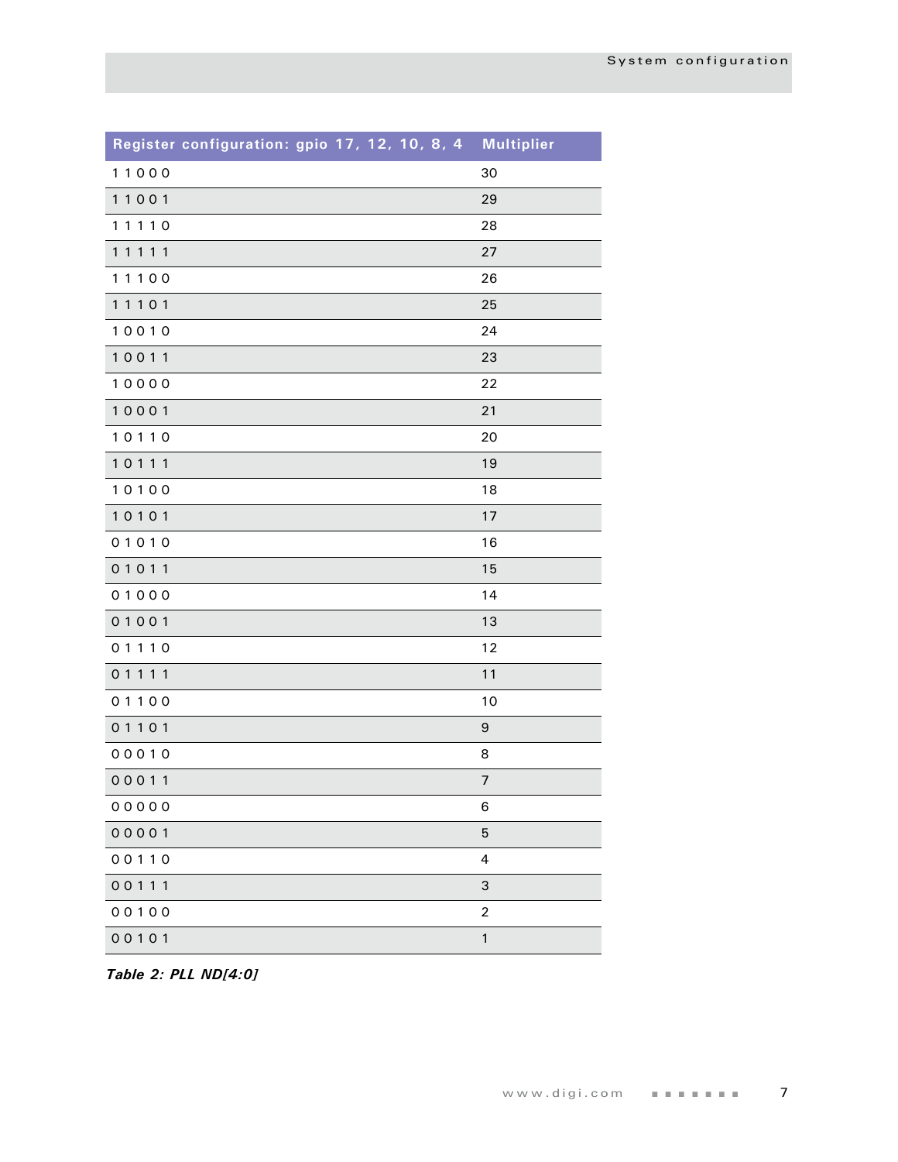| Register configuration: gpio 17, 12, 10, 8, 4 | <b>Multiplier</b>        |
|-----------------------------------------------|--------------------------|
| 11000                                         | 30                       |
| 11001                                         | 29                       |
| 11110                                         | 28                       |
| 11111                                         | 27                       |
| 11100                                         | 26                       |
| 11101                                         | 25                       |
| 10010                                         | 24                       |
| 10011                                         | 23                       |
| 10000                                         | 22                       |
| 10001                                         | 21                       |
| 10110                                         | 20                       |
| 10111                                         | 19                       |
| 10100                                         | 18                       |
| 10101                                         | 17                       |
| 01010                                         | 16                       |
| 01011                                         | 15                       |
| 01000                                         | 14                       |
| 01001                                         | 13                       |
| 01110                                         | 12                       |
| 01111                                         | 11                       |
| 01100                                         | 10                       |
| 01101                                         | $\boldsymbol{9}$         |
| 00010                                         | 8                        |
| 00011                                         | $\overline{\phantom{a}}$ |
| 00000                                         | 6                        |
| 00001                                         | 5                        |
| 00110                                         | 4                        |
| 00111                                         | 3                        |
| 00100                                         | $\overline{c}$           |
| 00101                                         | $\mathbf{1}$             |

*Table 2: PLL ND[4:0]*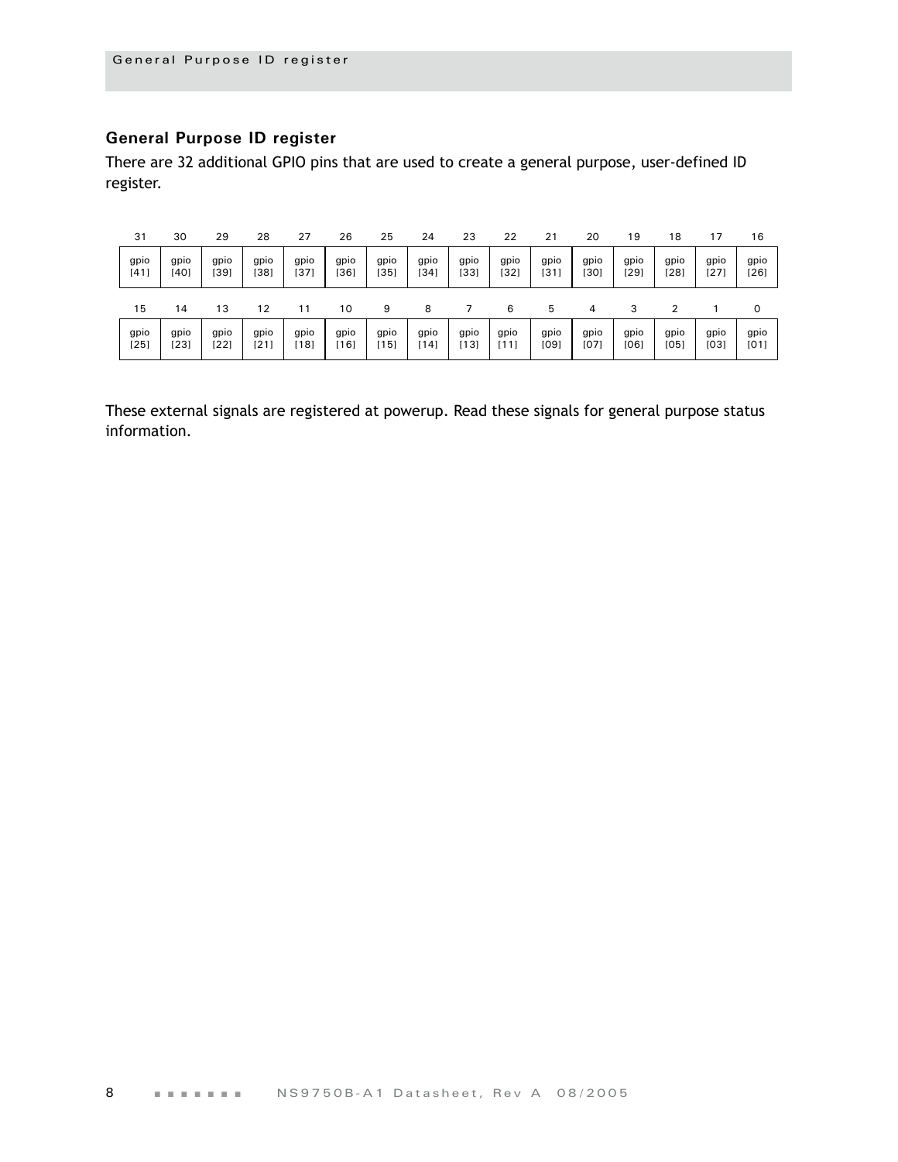#### <span id="page-11-0"></span>**General Purpose ID register**

There are 32 additional GPIO pins that are used to create a general purpose, user-defined ID register.

| 31   | 30   | 29   | 28   | 27   | 26     | 25     | 24   | 23   | 22   | 21   | 20   | 19   | 18   | 17   | 16     |
|------|------|------|------|------|--------|--------|------|------|------|------|------|------|------|------|--------|
| gpio | gpio | gpio | gpio | gpio | gpio   | gpio   | gpio | gpio | gpio | gpio | gpio | gpio | gpio | gpio | gpio   |
| [41] | [40] | [39] | [38] | [37  | $[36]$ | [35]   | [34] | [33] | [32] | [31] | [30] | [29] | [28] | [27] | $[26]$ |
| 15   | 14   | 13   | 12   | 11   | 10     | 9      | 8    |      | 6    | 5    | 4    | 3    | າ    |      | 0      |
| gpio | gpio | gpio | gpio | gpio | gpio   | gpio   | gpio | gpio | gpio | gpio | gpio | gpio | gpio | gpio | gpio   |
| [25] | [23] | [22] | [21] | 18]  | [16]   | $[15]$ | [14] | [13] | [11] | [09] | [07] | [06] | [05] | [03] | [01]   |

These external signals are registered at powerup. Read these signals for general purpose status information.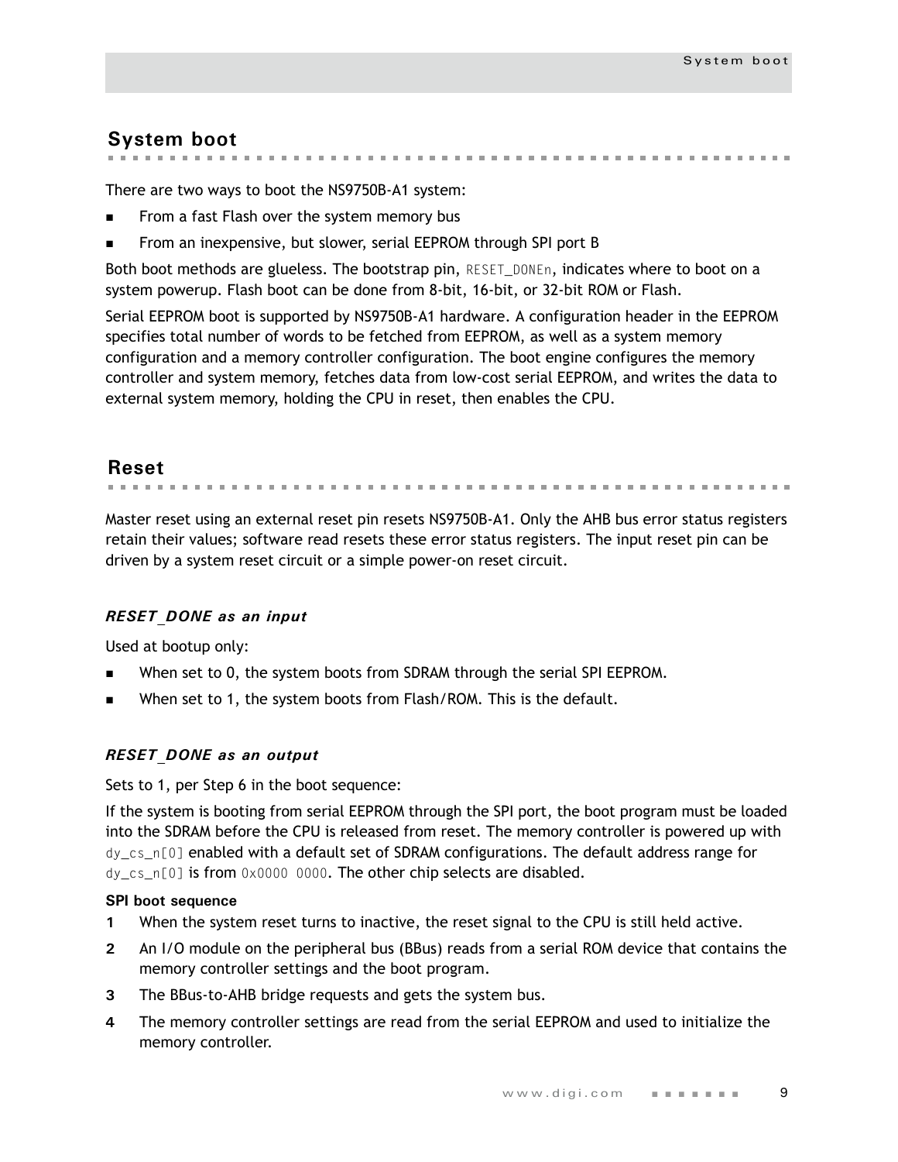### <span id="page-12-0"></span>**System boot**

the contract of the contract of the con- $\mathbf{m}$  . 

There are two ways to boot the NS9750B-A1 system:

- From a fast Flash over the system memory bus
- From an inexpensive, but slower, serial EEPROM through SPI port B

Both boot methods are glueless. The bootstrap pin, RESET\_DONEn, indicates where to boot on a system powerup. Flash boot can be done from 8-bit, 16-bit, or 32-bit ROM or Flash.

Serial EEPROM boot is supported by NS9750B-A1 hardware. A configuration header in the EEPROM specifies total number of words to be fetched from EEPROM, as well as a system memory configuration and a memory controller configuration. The boot engine configures the memory controller and system memory, fetches data from low-cost serial EEPROM, and writes the data to external system memory, holding the CPU in reset, then enables the CPU.

<span id="page-12-1"></span>**Reset**

Master reset using an external reset pin resets NS9750B-A1. Only the AHB bus error status registers retain their values; software read resets these error status registers. The input reset pin can be driven by a system reset circuit or a simple power-on reset circuit.

#### *RESET\_DONE as an input*

Used at bootup only:

- When set to 0, the system boots from SDRAM through the serial SPI EEPROM.
- When set to 1, the system boots from Flash/ROM. This is the default.

#### *RESET\_DONE as an output*

Sets to 1, per Step 6 in the boot sequence:

If the system is booting from serial EEPROM through the SPI port, the boot program must be loaded into the SDRAM before the CPU is released from reset. The memory controller is powered up with dy\_cs\_n[0] enabled with a default set of SDRAM configurations. The default address range for dy\_cs\_n[0] is from 0x0000 0000. The other chip selects are disabled.

#### **SPI boot sequence**

- **1** When the system reset turns to inactive, the reset signal to the CPU is still held active.
- **2** An I/O module on the peripheral bus (BBus) reads from a serial ROM device that contains the memory controller settings and the boot program.
- **3** The BBus-to-AHB bridge requests and gets the system bus.
- **4** The memory controller settings are read from the serial EEPROM and used to initialize the memory controller.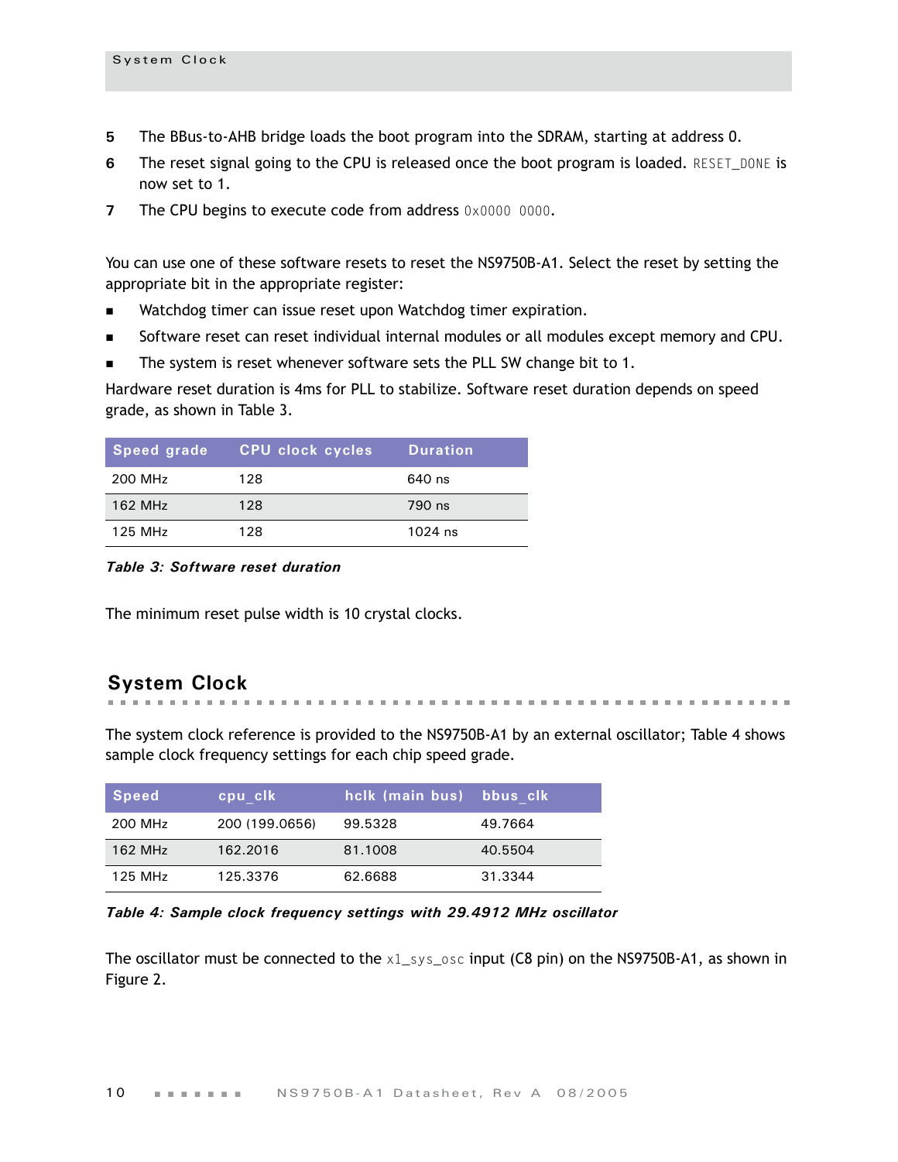- **5** The BBus-to-AHB bridge loads the boot program into the SDRAM, starting at address 0.
- **6** The reset signal going to the CPU is released once the boot program is loaded. RESET DONE is now set to 1.
- **7** The CPU begins to execute code from address 0x0000 0000.

You can use one of these software resets to reset the NS9750B-A1. Select the reset by setting the appropriate bit in the appropriate register:

- **Natchdog timer can issue reset upon Watchdog timer expiration.**
- Software reset can reset individual internal modules or all modules except memory and CPU.
- The system is reset whenever software sets the PLL SW change bit to 1.

Hardware reset duration is 4ms for PLL to stabilize. Software reset duration depends on speed grade, as shown in [Table 3](#page-13-1).

| Speed grade | <b>CPU clock cycles</b> | <b>Duration</b> |
|-------------|-------------------------|-----------------|
| 200 MHz     | 128                     | 640 ns          |
| 162 MHz     | 128                     | 790 ns          |
| 125 MHz     | 128                     | $1024$ ns       |

<span id="page-13-1"></span>*Table 3: Software reset duration*

The minimum reset pulse width is 10 crystal clocks.

#### <span id="page-13-0"></span>**System Clock**

. . . . . . . . . . . . . . . . . . . . **. . . . . . . . . . . . . . . . . .** .

The system clock reference is provided to the NS9750B-A1 by an external oscillator; [Table 4](#page-13-2) shows sample clock frequency settings for each chip speed grade.

| Speed   | cpu clk        | hclk (main bus) bbus clk' |         |
|---------|----------------|---------------------------|---------|
| 200 MHz | 200 (199.0656) | 99.5328                   | 49.7664 |
| 162 MHz | 162.2016       | 81.1008                   | 40.5504 |
| 125 MHz | 125.3376       | 62.6688                   | 31.3344 |

<span id="page-13-2"></span>*Table 4: Sample clock frequency settings with 29.4912 MHz oscillator*

The oscillator must be connected to the  $x1$ \_sys\_osc input (C8 pin) on the NS9750B-A1, as shown in [Figure 2.](#page-14-0)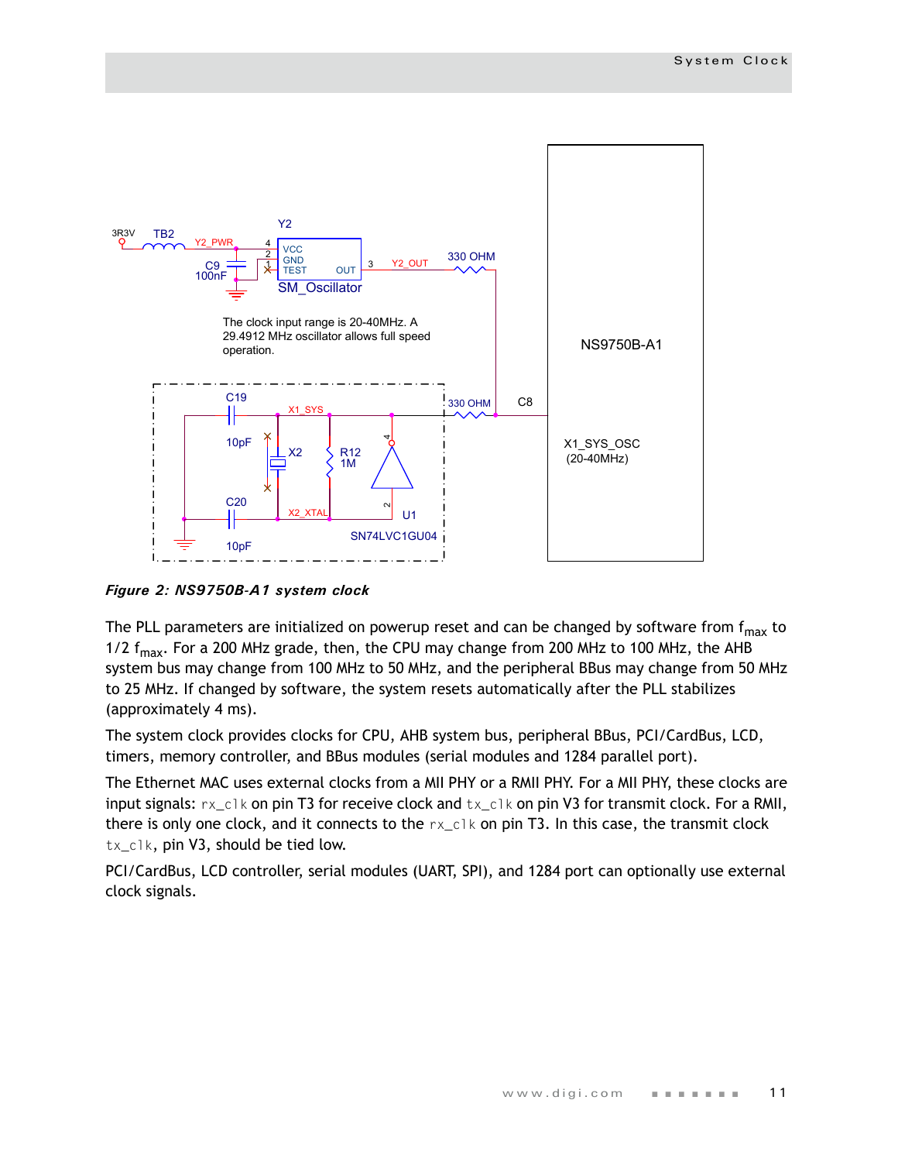

<span id="page-14-0"></span>*Figure 2: NS9750B-A1 system clock*

The PLL parameters are initialized on powerup reset and can be changed by software from  $f_{max}$  to 1/2  $f_{\text{max}}$ . For a 200 MHz grade, then, the CPU may change from 200 MHz to 100 MHz, the AHB system bus may change from 100 MHz to 50 MHz, and the peripheral BBus may change from 50 MHz to 25 MHz. If changed by software, the system resets automatically after the PLL stabilizes (approximately 4 ms).

The system clock provides clocks for CPU, AHB system bus, peripheral BBus, PCI/CardBus, LCD, timers, memory controller, and BBus modules (serial modules and 1284 parallel port).

The Ethernet MAC uses external clocks from a MII PHY or a RMII PHY. For a MII PHY, these clocks are input signals:  $rx\_c1k$  on pin T3 for receive clock and  $tx\_c1k$  on pin V3 for transmit clock. For a RMII, there is only one clock, and it connects to the  $rx\_c1k$  on pin T3. In this case, the transmit clock tx\_clk, pin V3, should be tied low.

PCI/CardBus, LCD controller, serial modules (UART, SPI), and 1284 port can optionally use external clock signals.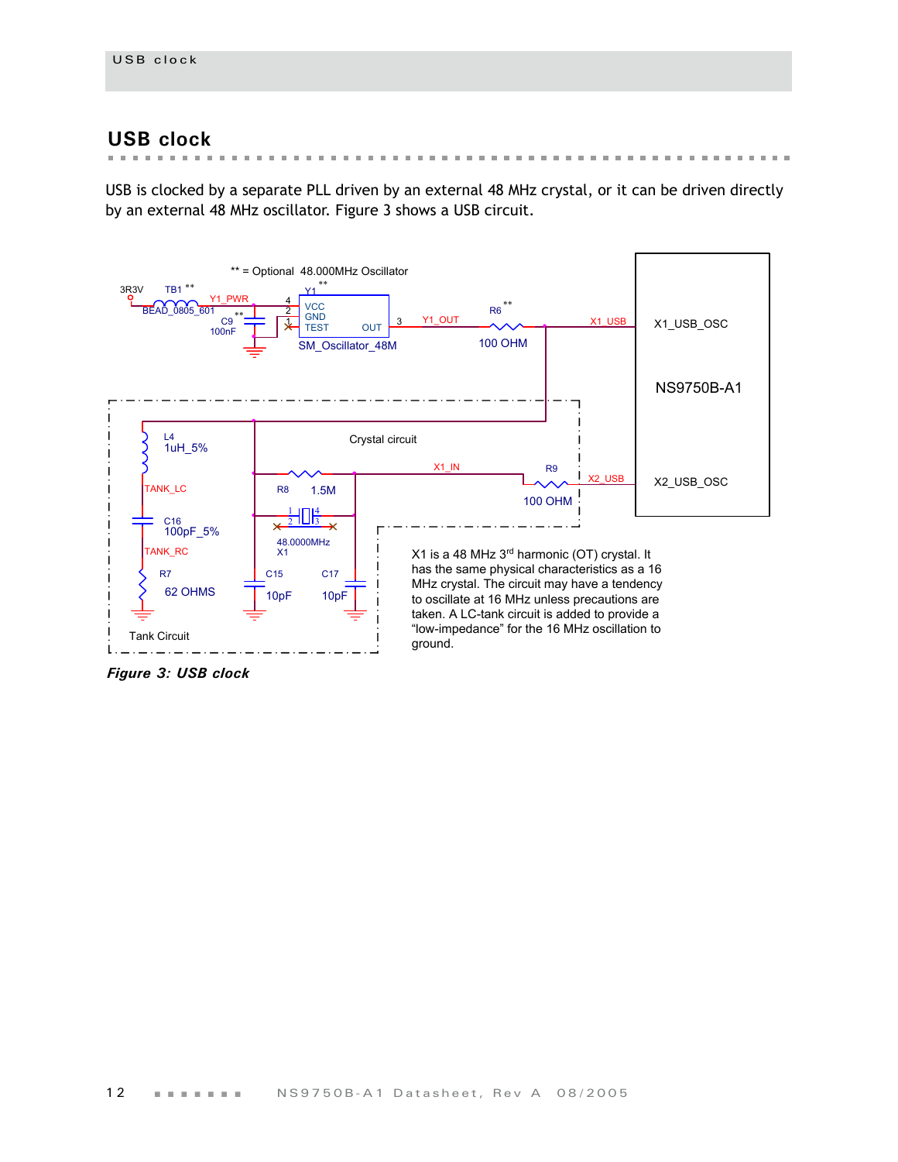#### <span id="page-15-0"></span>**USB clock**

 $\mathbf{m}$  ,  $\mathbf{m}$  $\mathbf{u}$  , and  $\mathbf{u}$  , and  $\mathbf{u}$ in the  $\mathbb{R}^n$  . In

USB is clocked by a separate PLL driven by an external 48 MHz crystal, or it can be driven directly by an external 48 MHz oscillator. [Figure 3](#page-15-1) shows a USB circuit.



<span id="page-15-1"></span>*Figure 3: USB clock*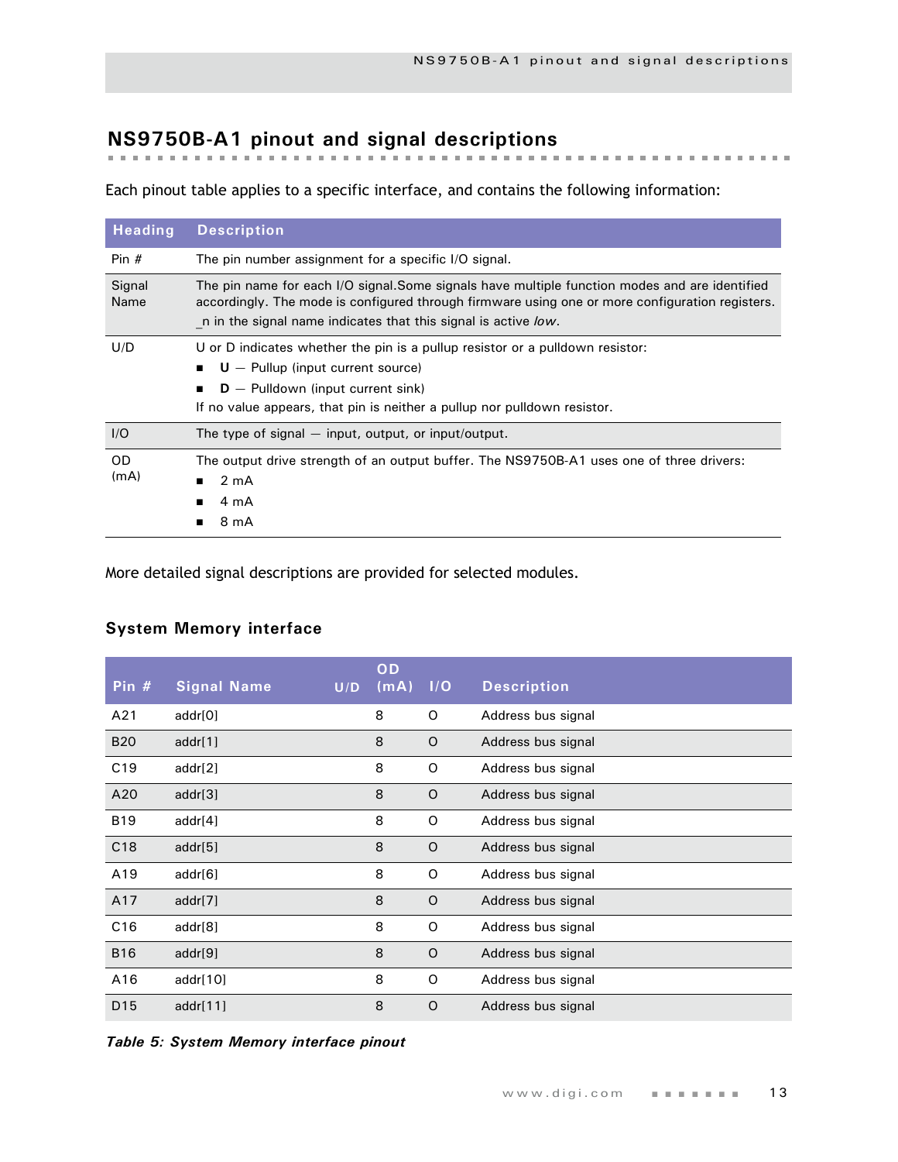## <span id="page-16-0"></span>**NS9750B-A1 pinout and signal descriptions**

Each pinout table applies to a specific interface, and contains the following information:

| <b>Heading</b>    | <b>Description</b>                                                                                                                                                                                                                                                 |
|-------------------|--------------------------------------------------------------------------------------------------------------------------------------------------------------------------------------------------------------------------------------------------------------------|
| Pin $#$           | The pin number assignment for a specific I/O signal.                                                                                                                                                                                                               |
| Signal<br>Name    | The pin name for each I/O signal.Some signals have multiple function modes and are identified<br>accordingly. The mode is configured through firmware using one or more configuration registers.<br>n in the signal name indicates that this signal is active low. |
| U/D               | U or D indicates whether the pin is a pullup resistor or a pulldown resistor:<br>$U -$ Pullup (input current source)<br>$D -$ Pulldown (input current sink)<br>If no value appears, that pin is neither a pullup nor pulldown resistor.                            |
| I/O               | The type of signal $-$ input, output, or input/output.                                                                                                                                                                                                             |
| <b>OD</b><br>(mA) | The output drive strength of an output buffer. The NS9750B-A1 uses one of three drivers:<br>2 <sub>m</sub> A<br>$\blacksquare$<br>4 mA<br>8 mA                                                                                                                     |

More detailed signal descriptions are provided for selected modules.

#### <span id="page-16-1"></span>**System Memory interface**

| Pin $#$         | <b>Signal Name</b> | U/D | OD<br>$(m\overline{A})$ | I/O     | <b>Description</b> |
|-----------------|--------------------|-----|-------------------------|---------|--------------------|
| A21             | addr[0]            |     | 8                       | O       | Address bus signal |
| <b>B20</b>      | addr[1]            |     | 8                       | $\circ$ | Address bus signal |
| C <sub>19</sub> | addr[2]            |     | 8                       | O       | Address bus signal |
| A20             | addr[3]            |     | 8                       | $\circ$ | Address bus signal |
| <b>B19</b>      | addr[4]            |     | 8                       | O       | Address bus signal |
| C18             | addr[5]            |     | 8                       | $\circ$ | Address bus signal |
| A19             | addr[6]            |     | 8                       | O       | Address bus signal |
| A17             | addr[7]            |     | 8                       | $\circ$ | Address bus signal |
| C16             | addr[8]            |     | 8                       | O       | Address bus signal |
| <b>B16</b>      | addr[9]            |     | 8                       | $\circ$ | Address bus signal |
| A16             | addr[10]           |     | 8                       | O       | Address bus signal |
| D <sub>15</sub> | addr[11]           |     | 8                       | O       | Address bus signal |

*Table 5: System Memory interface pinout*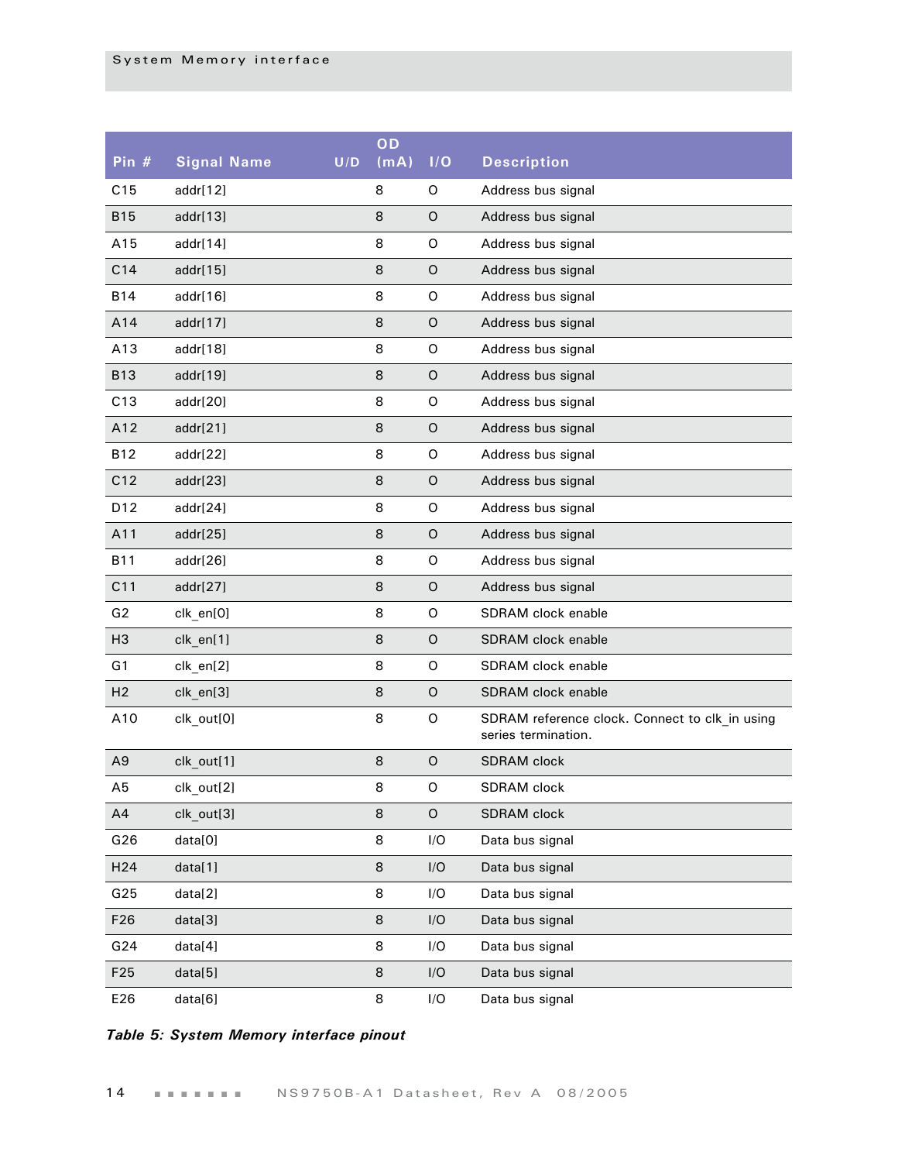| Pin #           | <b>Signal Name</b> | U/D | OD<br>(mA) | I/O         | <b>Description</b>                                                    |
|-----------------|--------------------|-----|------------|-------------|-----------------------------------------------------------------------|
| C15             | addr[12]           |     | 8          | O           | Address bus signal                                                    |
| <b>B15</b>      | addr[13]           |     | 8          | O           | Address bus signal                                                    |
| A15             | addr[14]           |     | 8          | $\mathsf O$ | Address bus signal                                                    |
| C14             | addr[15]           |     | 8          | O           | Address bus signal                                                    |
| <b>B14</b>      | addr[16]           |     | 8          | $\mathsf O$ | Address bus signal                                                    |
| A14             | addr[17]           |     | 8          | O           | Address bus signal                                                    |
| A13             | addr[18]           |     | 8          | $\mathsf O$ | Address bus signal                                                    |
| <b>B13</b>      | addr[19]           |     | 8          | O           | Address bus signal                                                    |
| C13             | addr[20]           |     | 8          | $\mathsf O$ | Address bus signal                                                    |
| A12             | addr[21]           |     | 8          | O           | Address bus signal                                                    |
| <b>B12</b>      | addr[22]           |     | 8          | $\mathsf O$ | Address bus signal                                                    |
| C12             | addr[23]           |     | 8          | O           | Address bus signal                                                    |
| D12             | addr[24]           |     | 8          | $\mathsf O$ | Address bus signal                                                    |
| A11             | addr[25]           |     | 8          | O           | Address bus signal                                                    |
| <b>B11</b>      | addr[26]           |     | 8          | $\mathsf O$ | Address bus signal                                                    |
| C11             | addr[27]           |     | 8          | O           | Address bus signal                                                    |
| G2              | clk_en[0]          |     | 8          | $\mathsf O$ | SDRAM clock enable                                                    |
| H <sub>3</sub>  | clk_en[1]          |     | 8          | O           | SDRAM clock enable                                                    |
| G1              | clk_en[2]          |     | 8          | $\mathsf O$ | SDRAM clock enable                                                    |
| H <sub>2</sub>  | clk_en[3]          |     | 8          | O           | SDRAM clock enable                                                    |
| A10             | clk_out[0]         |     | 8          | O           | SDRAM reference clock. Connect to clk_in using<br>series termination. |
| A <sub>9</sub>  | clk_out[1]         |     | 8          | O           | <b>SDRAM</b> clock                                                    |
| A5              | clk_out[2]         |     | 8          | O           | SDRAM clock                                                           |
| A4              | clk_out[3]         |     | 8          | $\mathsf O$ | SDRAM clock                                                           |
| G26             | data[0]            |     | 8          | I/O         | Data bus signal                                                       |
| H <sub>24</sub> | data[1]            |     | 8          | I/O         | Data bus signal                                                       |
| G25             | data[2]            |     | 8          | I/O         | Data bus signal                                                       |
| F <sub>26</sub> | data[3]            |     | 8          | I/O         | Data bus signal                                                       |
| G24             | data[4]            |     | 8          | I/O         | Data bus signal                                                       |
| F25             | data[5]            |     | 8          | I/O         | Data bus signal                                                       |
| E26             | data[6]            |     | 8          | I/O         | Data bus signal                                                       |

#### *Table 5: System Memory interface pinout*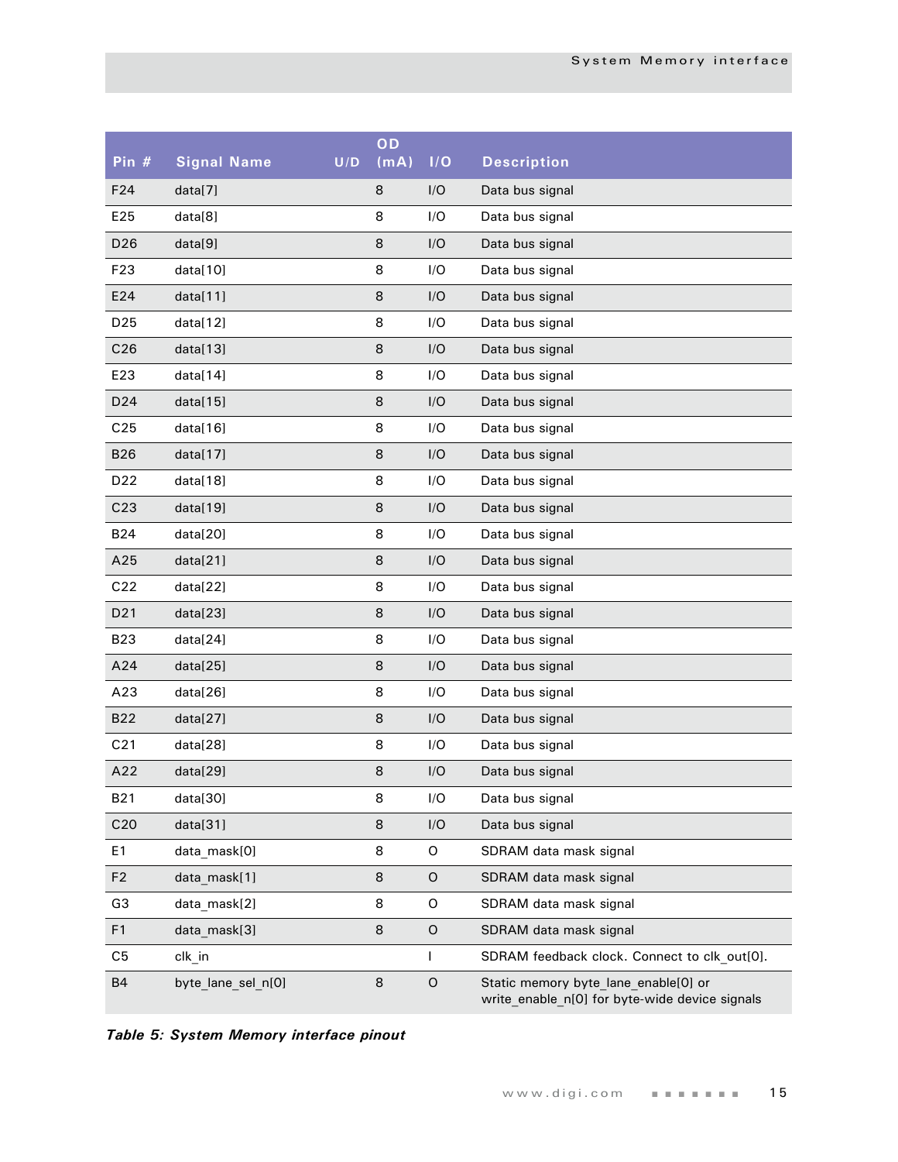| Pin #           | <b>Signal Name</b> | U/D | OD<br>(mA) | I/O          | <b>Description</b>                                                                     |
|-----------------|--------------------|-----|------------|--------------|----------------------------------------------------------------------------------------|
| F <sub>24</sub> | data[7]            |     | 8          | I/O          | Data bus signal                                                                        |
| E25             | data[8]            |     | 8          | I/O          | Data bus signal                                                                        |
| D <sub>26</sub> | data[9]            |     | 8          | I/O          | Data bus signal                                                                        |
| F <sub>23</sub> | data[10]           |     | 8          | I/O          | Data bus signal                                                                        |
| E24             | data[11]           |     | 8          | I/O          | Data bus signal                                                                        |
| D <sub>25</sub> | data[12]           |     | 8          | I/O          | Data bus signal                                                                        |
| C <sub>26</sub> | data[13]           |     | 8          | I/O          | Data bus signal                                                                        |
| E23             | data[14]           |     | 8          | I/O          | Data bus signal                                                                        |
| D <sub>24</sub> | data[15]           |     | 8          | I/O          | Data bus signal                                                                        |
| C <sub>25</sub> | data[16]           |     | 8          | I/O          | Data bus signal                                                                        |
| <b>B26</b>      | data[17]           |     | 8          | I/O          | Data bus signal                                                                        |
| D <sub>22</sub> | data[18]           |     | 8          | I/O          | Data bus signal                                                                        |
| C <sub>23</sub> | data[19]           |     | 8          | I/O          | Data bus signal                                                                        |
| <b>B24</b>      | data[20]           |     | 8          | I/O          | Data bus signal                                                                        |
| A25             | data[21]           |     | 8          | I/O          | Data bus signal                                                                        |
| C <sub>22</sub> | data[22]           |     | 8          | I/O          | Data bus signal                                                                        |
| D <sub>21</sub> | data[23]           |     | 8          | I/O          | Data bus signal                                                                        |
| <b>B23</b>      | data[24]           |     | 8          | I/O          | Data bus signal                                                                        |
| A24             | data[25]           |     | 8          | I/O          | Data bus signal                                                                        |
| A23             | data[26]           |     | 8          | I/O          | Data bus signal                                                                        |
| <b>B22</b>      | data[27]           |     | 8          | I/O          | Data bus signal                                                                        |
| C <sub>21</sub> | data[28]           |     | 8          | I/O          | Data bus signal                                                                        |
| A22             | data[29]           |     | 8          | I/O          | Data bus signal                                                                        |
| B <sub>21</sub> | data[30]           |     | 8          | I/O          | Data bus signal                                                                        |
| C <sub>20</sub> | data[31]           |     | 8          | I/O          | Data bus signal                                                                        |
| E1              | data_mask[0]       |     | 8          | O            | SDRAM data mask signal                                                                 |
| F <sub>2</sub>  | data mask[1]       |     | 8          | O            | SDRAM data mask signal                                                                 |
| G <sub>3</sub>  | data_mask[2]       |     | 8          | O            | SDRAM data mask signal                                                                 |
| F <sub>1</sub>  | data mask[3]       |     | 8          | O            | SDRAM data mask signal                                                                 |
| C <sub>5</sub>  | clk_in             |     |            | $\mathsf{I}$ | SDRAM feedback clock. Connect to clk out[0].                                           |
| <b>B4</b>       | byte lane sel n[0] |     | 8          | $\mathsf O$  | Static memory byte lane enable[0] or<br>write enable n[0] for byte-wide device signals |

*Table 5: System Memory interface pinout*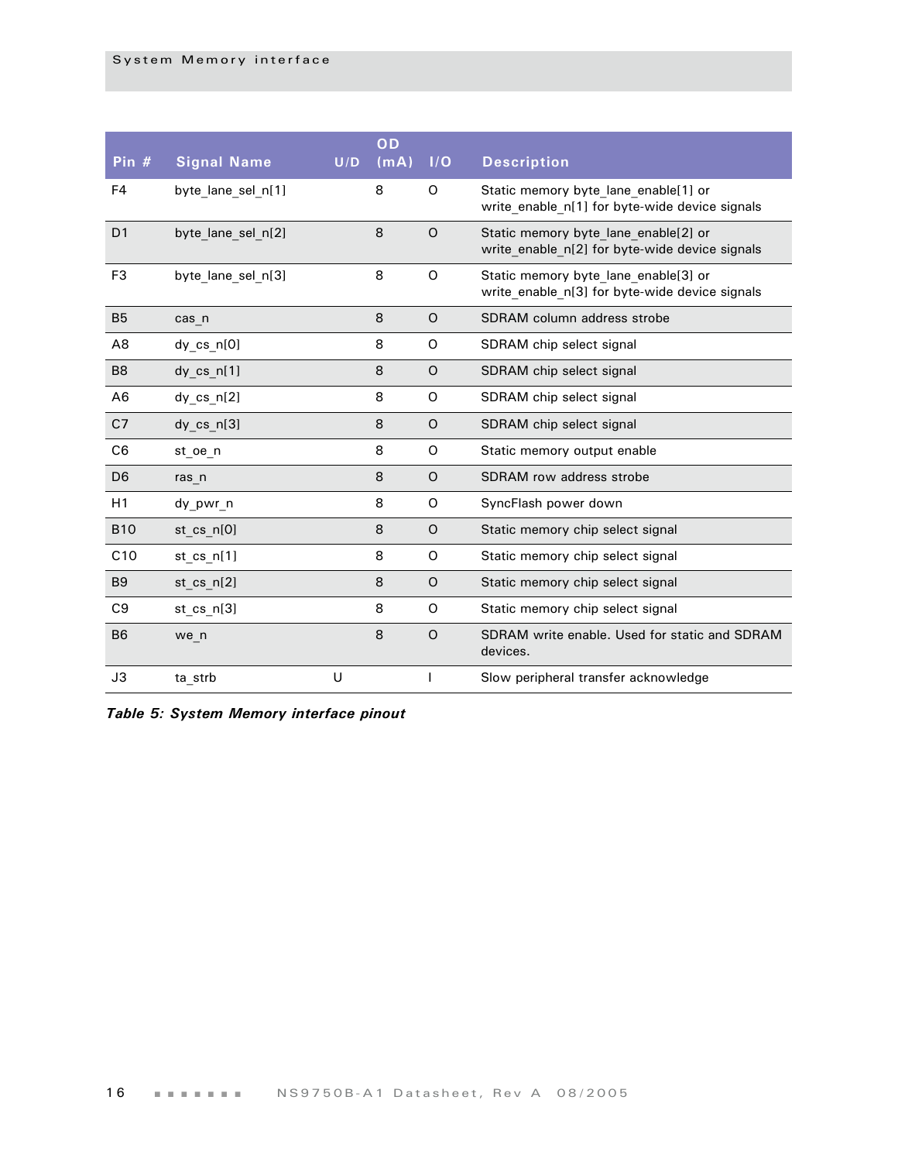| Pin $#$        | <b>Signal Name</b> | U/D | OD<br>(mA) | 1/O         | <b>Description</b>                                                                     |
|----------------|--------------------|-----|------------|-------------|----------------------------------------------------------------------------------------|
| F <sub>4</sub> | byte_lane_sel_n[1] |     | 8          | O           | Static memory byte lane enable[1] or<br>write enable n[1] for byte-wide device signals |
| D <sub>1</sub> | byte lane sel n[2] |     | 8          | $\circ$     | Static memory byte lane enable[2] or<br>write_enable_n[2] for byte-wide device signals |
| F <sub>3</sub> | byte lane sel n[3] |     | 8          | $\Omega$    | Static memory byte lane enable[3] or<br>write_enable_n[3] for byte-wide device signals |
| <b>B5</b>      | cas n              |     | 8          | $\circ$     | SDRAM column address strobe                                                            |
| A <sub>8</sub> | dy cs n[0]         |     | 8          | O           | SDRAM chip select signal                                                               |
| B <sub>8</sub> | dy $cs$ $n[1]$     |     | 8          | $\circ$     | SDRAM chip select signal                                                               |
| A <sub>6</sub> | $dy$ cs $n[2]$     |     | 8          | O           | SDRAM chip select signal                                                               |
| C <sub>7</sub> | dy $cs$ $n[3]$     |     | 8          | $\circ$     | SDRAM chip select signal                                                               |
| C <sub>6</sub> | st oe n            |     | 8          | O           | Static memory output enable                                                            |
| D <sub>6</sub> | ras n              |     | 8          | $\circ$     | SDRAM row address strobe                                                               |
| H1             | dy pwr n           |     | 8          | O           | SyncFlash power down                                                                   |
| <b>B10</b>     | st cs $n[0]$       |     | 8          | $\circ$     | Static memory chip select signal                                                       |
| C10            | st cs $n[1]$       |     | 8          | O           | Static memory chip select signal                                                       |
| B <sub>9</sub> | st $cs$ $n[2]$     |     | 8          | $\mathsf O$ | Static memory chip select signal                                                       |
| C <sub>9</sub> | st cs $n[3]$       |     | 8          | O           | Static memory chip select signal                                                       |
| <b>B6</b>      | we n               |     | 8          | $\Omega$    | SDRAM write enable. Used for static and SDRAM<br>devices.                              |
| J3             | ta_strb            | U   |            |             | Slow peripheral transfer acknowledge                                                   |

*Table 5: System Memory interface pinout*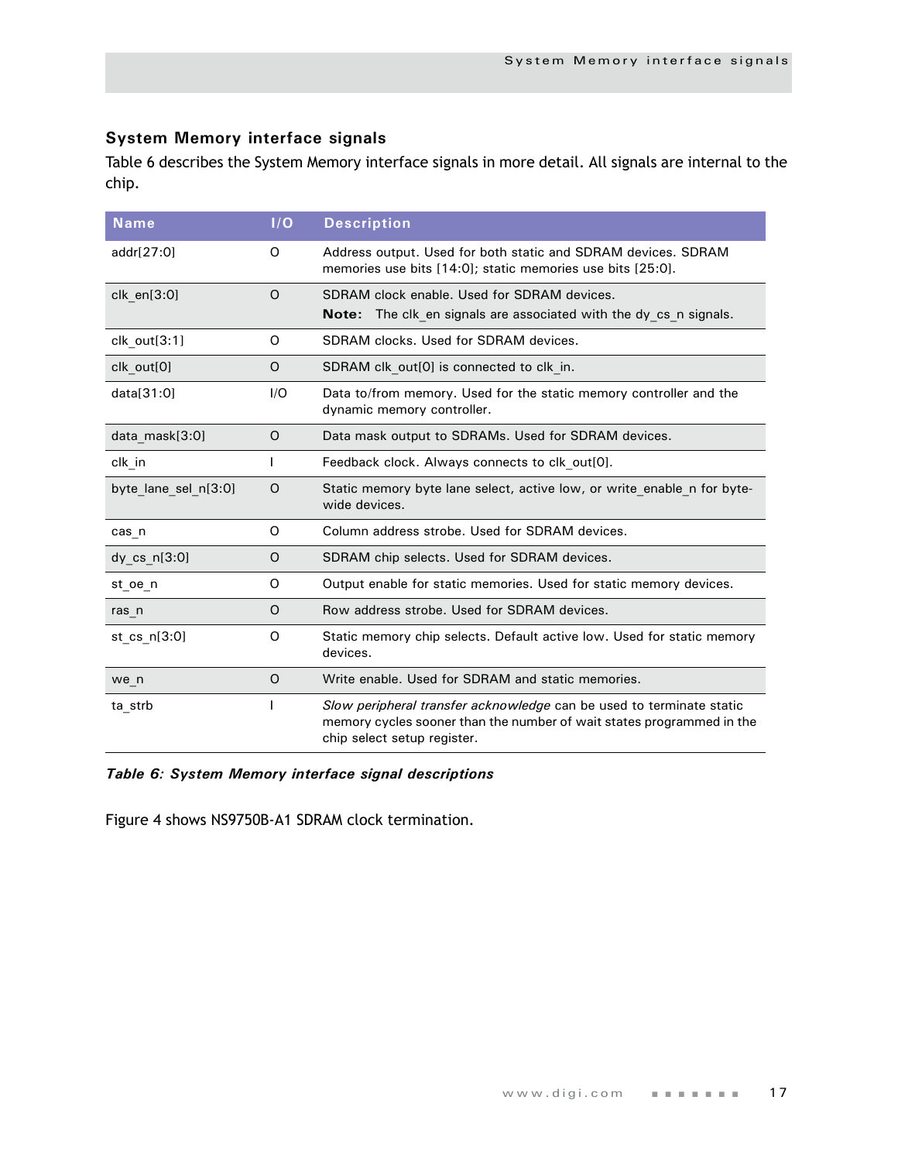#### <span id="page-20-0"></span>**System Memory interface signals**

Table 6 describes the System Memory interface signals in more detail. All signals are internal to the chip.

| <b>Name</b>          | I/O     | <b>Description</b>                                                                                                                                                           |
|----------------------|---------|------------------------------------------------------------------------------------------------------------------------------------------------------------------------------|
| addr[27:0]           | 0       | Address output. Used for both static and SDRAM devices. SDRAM<br>memories use bits [14:0]; static memories use bits [25:0].                                                  |
| clk en[3:0]          | $\circ$ | SDRAM clock enable. Used for SDRAM devices.<br>The clk en signals are associated with the dy cs n signals.<br>Note:                                                          |
| clk out[3:1]         | 0       | SDRAM clocks. Used for SDRAM devices.                                                                                                                                        |
| clk out[0]           | O       | SDRAM clk out[0] is connected to clk in.                                                                                                                                     |
| data[31:0]           | I/O     | Data to/from memory. Used for the static memory controller and the<br>dynamic memory controller.                                                                             |
| data mask[3:0]       | O       | Data mask output to SDRAMs. Used for SDRAM devices.                                                                                                                          |
| clk in               |         | Feedback clock. Always connects to clk_out[0].                                                                                                                               |
| byte lane sel n[3:0] | O       | Static memory byte lane select, active low, or write enable n for byte-<br>wide devices.                                                                                     |
| $cas_n$              | O       | Column address strobe. Used for SDRAM devices.                                                                                                                               |
| $dy_{cs}$ n[3:0]     | O       | SDRAM chip selects. Used for SDRAM devices.                                                                                                                                  |
| st oe n              | 0       | Output enable for static memories. Used for static memory devices.                                                                                                           |
| ras n                | $\circ$ | Row address strobe. Used for SDRAM devices.                                                                                                                                  |
| st_cs_n[3:0]         | O       | Static memory chip selects. Default active low. Used for static memory<br>devices.                                                                                           |
| we n                 | O       | Write enable, Used for SDRAM and static memories.                                                                                                                            |
| ta_strb              |         | Slow peripheral transfer acknowledge can be used to terminate static<br>memory cycles sooner than the number of wait states programmed in the<br>chip select setup register. |

#### *Table 6: System Memory interface signal descriptions*

Figure 4 shows NS9750B-A1 SDRAM clock termination.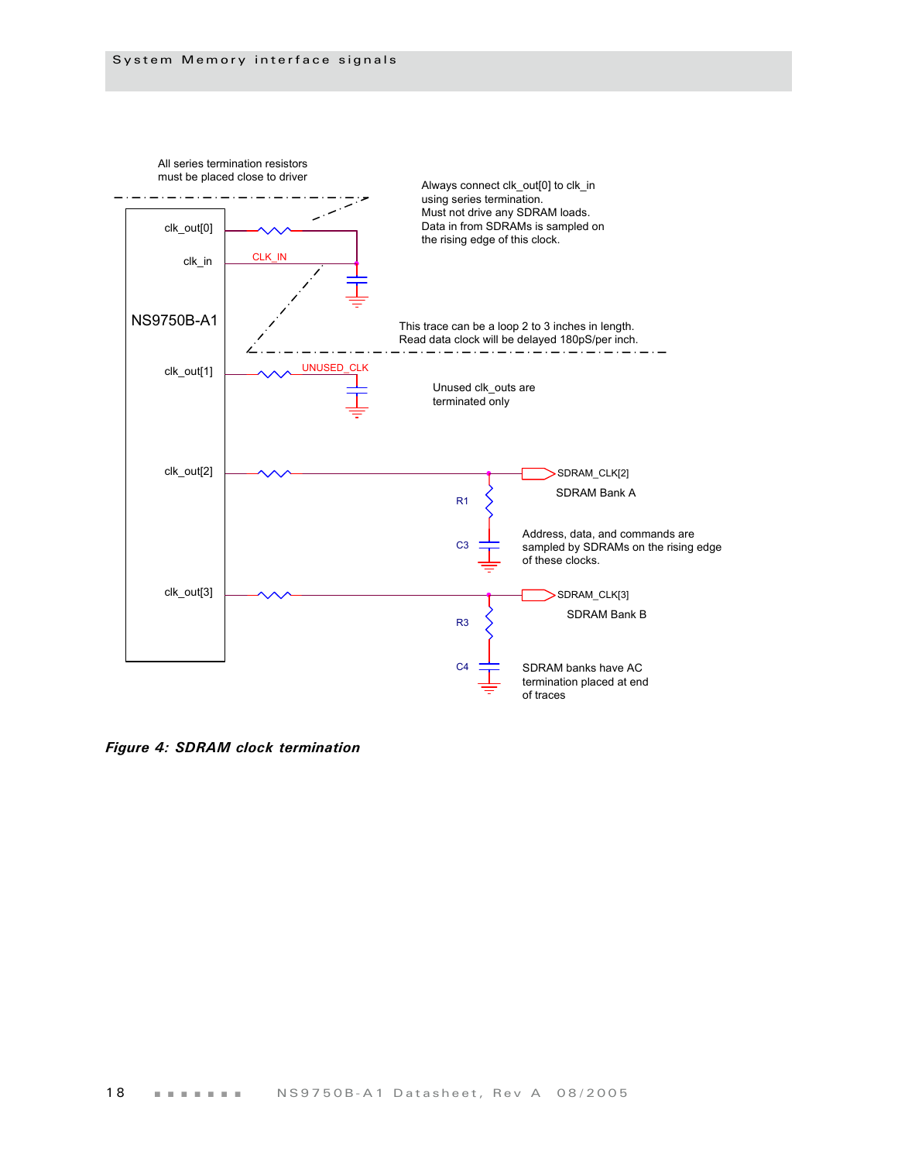

*Figure 4: SDRAM clock termination*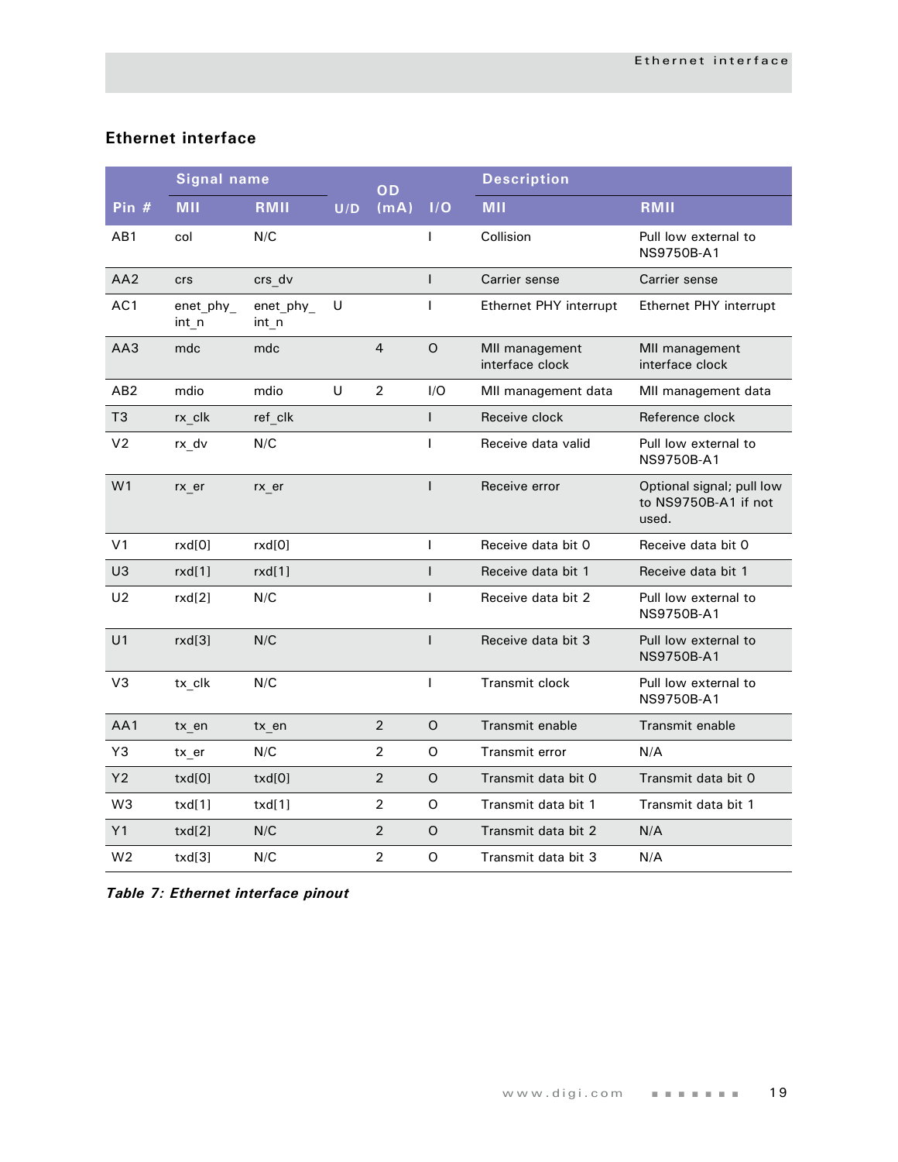#### <span id="page-22-0"></span>**Ethernet interface**

|                 | <b>Signal name</b> |                    |        | OD             |              | <b>Description</b>                |                                                            |
|-----------------|--------------------|--------------------|--------|----------------|--------------|-----------------------------------|------------------------------------------------------------|
| Pin $#$         | <b>MII</b>         | RMII               | U/D    | (mA)           | I/O          | <b>MII</b>                        | RMII                                                       |
| AB1             | col                | N/C                |        |                | $\mathsf{I}$ | Collision                         | Pull low external to<br>NS9750B-A1                         |
| AA2             | <b>crs</b>         | crs dv             |        |                | $\mathsf{I}$ | Carrier sense                     | Carrier sense                                              |
| AC <sub>1</sub> | enet_phy_<br>int_n | enet_phy_<br>int_n | $\cup$ |                | $\mathbf{I}$ | Ethernet PHY interrupt            | Ethernet PHY interrupt                                     |
| AA3             | mdc                | mdc                |        | $\overline{4}$ | O            | MII management<br>interface clock | MII management<br>interface clock                          |
| AB2             | mdio               | mdio               | U      | $\overline{2}$ | I/O          | MII management data               | MII management data                                        |
| T <sub>3</sub>  | rx clk             | ref clk            |        |                | $\mathsf{I}$ | Receive clock                     | Reference clock                                            |
| V <sub>2</sub>  | rx dv              | N/C                |        |                | T            | Receive data valid                | Pull low external to<br>NS9750B-A1                         |
| W <sub>1</sub>  | rx er              | rx er              |        |                | $\mathsf{I}$ | Receive error                     | Optional signal; pull low<br>to NS9750B-A1 if not<br>used. |
| V <sub>1</sub>  | rxd[0]             | rxd[0]             |        |                | L            | Receive data bit 0                | Receive data bit 0                                         |
| U3              | rxd[1]             | rxd[1]             |        |                | $\mathbf{I}$ | Receive data bit 1                | Receive data bit 1                                         |
| U <sub>2</sub>  | rxd[2]             | N/C                |        |                | L            | Receive data bit 2                | Pull low external to<br>NS9750B-A1                         |
| U1              | rxd[3]             | N/C                |        |                | $\mathbf{I}$ | Receive data bit 3                | Pull low external to<br>NS9750B-A1                         |
| V3              | tx clk             | N/C                |        |                | $\mathbf{I}$ | <b>Transmit clock</b>             | Pull low external to<br>NS9750B-A1                         |
| AA1             | tx en              | tx_en              |        | $\overline{2}$ | O            | Transmit enable                   | Transmit enable                                            |
| Y3              | tx_er              | N/C                |        | $\overline{2}$ | O            | Transmit error                    | N/A                                                        |
| Y <sub>2</sub>  | txd[0]             | txd[0]             |        | $\overline{2}$ | O            | Transmit data bit 0               | Transmit data bit 0                                        |
| W <sub>3</sub>  | txd[1]             | txd[1]             |        | $\overline{2}$ | O            | Transmit data bit 1               | Transmit data bit 1                                        |
| Y1              | txd[2]             | N/C                |        | $\overline{2}$ | $\mathsf O$  | Transmit data bit 2               | N/A                                                        |
| W <sub>2</sub>  | txd[3]             | N/C                |        | $\overline{2}$ | O            | Transmit data bit 3               | N/A                                                        |

*Table 7: Ethernet interface pinout*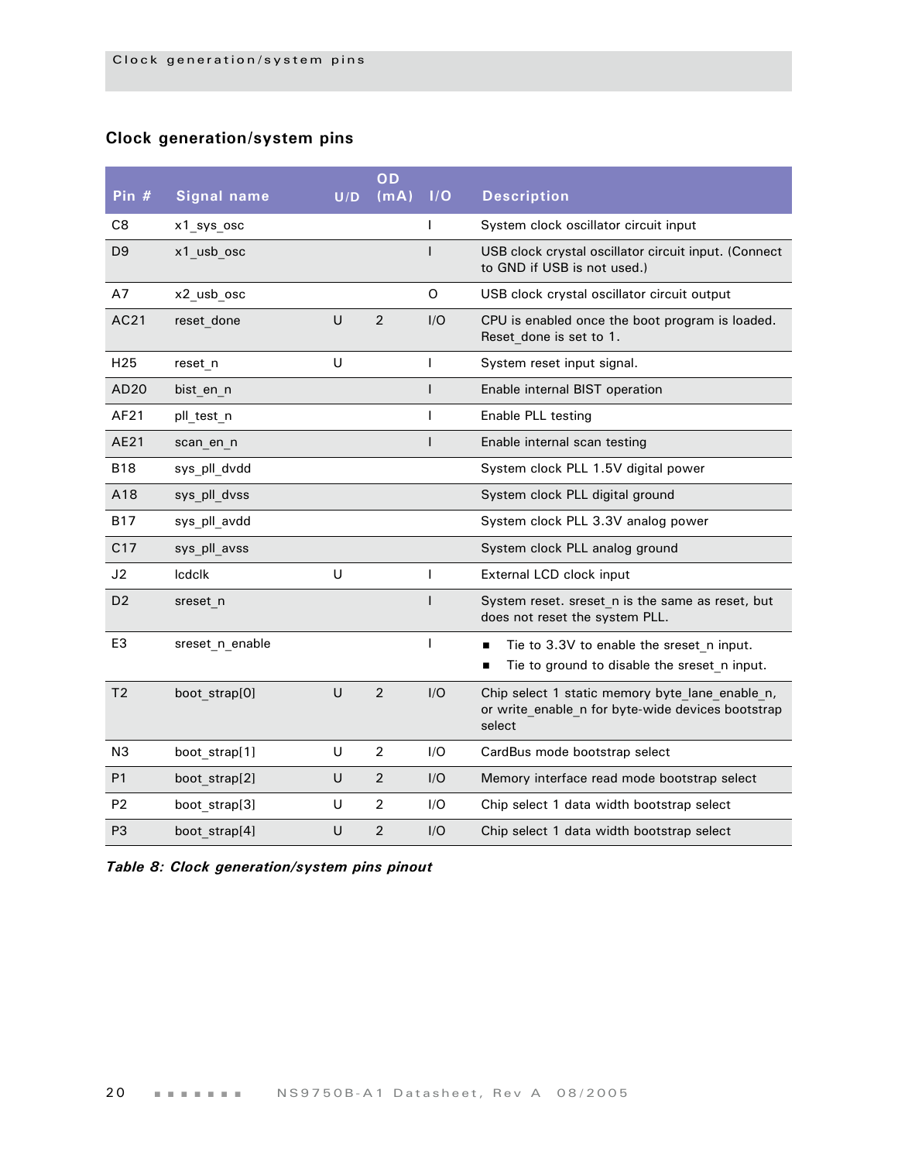#### <span id="page-23-0"></span>**Clock generation/system pins**

| Pin $#$         | <b>Signal name</b> | U/D    | OD<br>(mA)     | I/O          | <b>Description</b>                                                                                             |
|-----------------|--------------------|--------|----------------|--------------|----------------------------------------------------------------------------------------------------------------|
|                 |                    |        |                |              |                                                                                                                |
| C8              | x1_sys_osc         |        |                | T            | System clock oscillator circuit input                                                                          |
| D <sub>9</sub>  | x1 usb osc         |        |                |              | USB clock crystal oscillator circuit input. (Connect<br>to GND if USB is not used.)                            |
| A7              | x2_usb_osc         |        |                | O            | USB clock crystal oscillator circuit output                                                                    |
| AC21            | reset done         | $\cup$ | $\overline{2}$ | I/O          | CPU is enabled once the boot program is loaded.<br>Reset done is set to 1.                                     |
| H <sub>25</sub> | reset_n            | U      |                | $\mathbf{I}$ | System reset input signal.                                                                                     |
| AD20            | bist en n          |        |                | $\mathsf{I}$ | Enable internal BIST operation                                                                                 |
| AF21            | pll test n         |        |                | ı            | Enable PLL testing                                                                                             |
| AE21            | scan en n          |        |                | ı            | Enable internal scan testing                                                                                   |
| <b>B18</b>      | sys pll dvdd       |        |                |              | System clock PLL 1.5V digital power                                                                            |
| A18             | sys pll dvss       |        |                |              | System clock PLL digital ground                                                                                |
| <b>B17</b>      | sys pll avdd       |        |                |              | System clock PLL 3.3V analog power                                                                             |
| C17             | sys pll avss       |        |                |              | System clock PLL analog ground                                                                                 |
| J2              | <b>Icdclk</b>      | U      |                | $\mathbf{I}$ | External LCD clock input                                                                                       |
| D <sub>2</sub>  | sreset n           |        |                | $\mathbf{I}$ | System reset. sreset n is the same as reset, but<br>does not reset the system PLL.                             |
| E <sub>3</sub>  | sreset n enable    |        |                | $\mathbf{I}$ | Tie to 3.3V to enable the sreset n input.<br>$\blacksquare$<br>Tie to ground to disable the sreset n input.    |
| T <sub>2</sub>  | boot strap[0]      | $\cup$ | $\overline{2}$ | I/O          | Chip select 1 static memory byte lane enable n,<br>or write enable n for byte-wide devices bootstrap<br>select |
| N <sub>3</sub>  | boot strap[1]      | U      | $\overline{2}$ | I/O          | CardBus mode bootstrap select                                                                                  |
| P <sub>1</sub>  | boot strap[2]      | U      | $\overline{2}$ | I/O          | Memory interface read mode bootstrap select                                                                    |
| P <sub>2</sub>  | boot strap[3]      | U      | $\overline{2}$ | 1/O          | Chip select 1 data width bootstrap select                                                                      |
| P <sub>3</sub>  | boot strap[4]      | U      | $\overline{2}$ | I/O          | Chip select 1 data width bootstrap select                                                                      |

*Table 8: Clock generation/system pins pinout*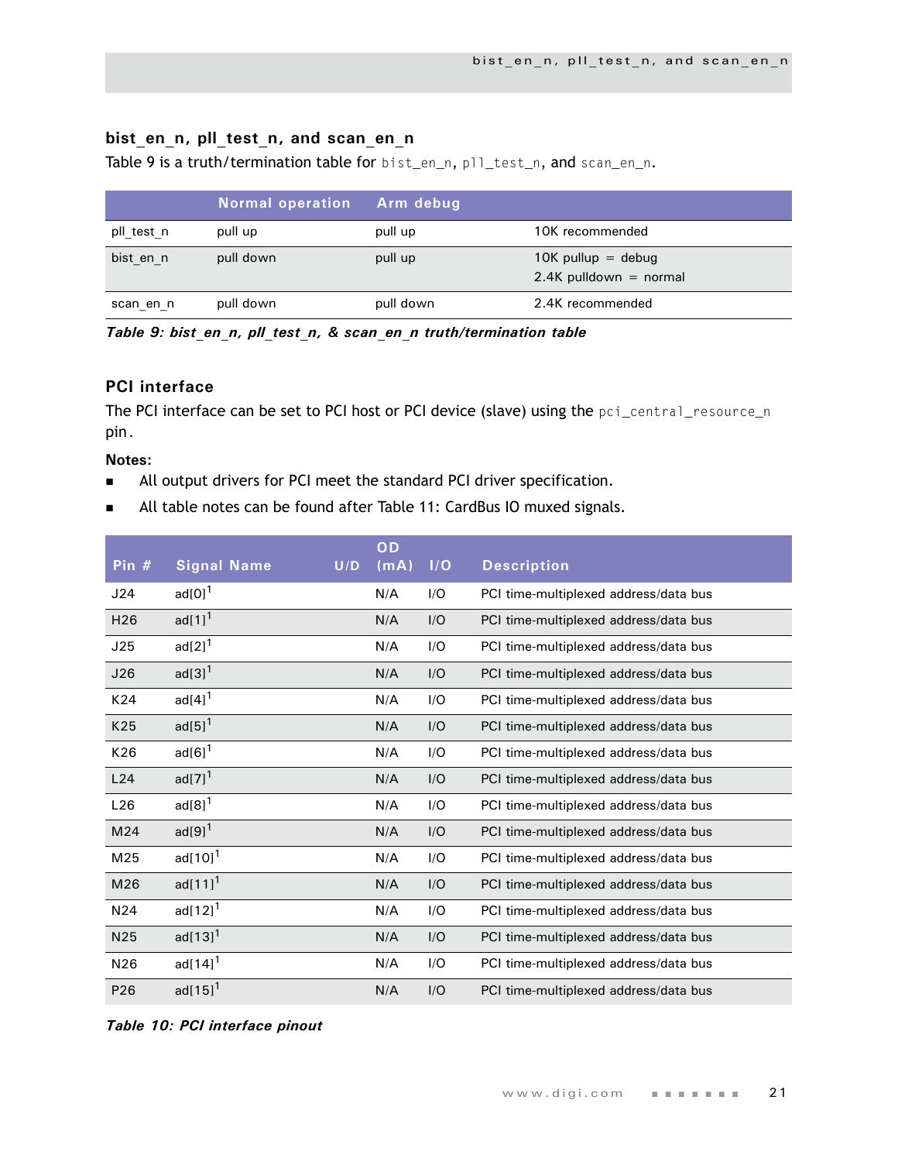#### <span id="page-24-0"></span>bist en n, pll test n, and scan en n

[Table 9 i](#page-24-2)s a truth/termination table for bist\_en\_n, pll\_test\_n, and scan\_en\_n.

|            | <b>Normal operation</b> | <b>Arm debug</b> |                                                  |
|------------|-------------------------|------------------|--------------------------------------------------|
| pll_test_n | pull up                 | pull up          | 10K recommended                                  |
| bist en n  | pull down               | pull up          | $10K$ pullup = debug<br>$2.4K$ pulldown = normal |
| scan en n  | pull down               | pull down        | 2.4K recommended                                 |

<span id="page-24-2"></span>*Table 9: bist\_en\_n, pll\_test\_n, & scan\_en\_n truth/termination table*

#### <span id="page-24-1"></span>**PCI interface**

The PCI interface can be set to PCI host or PCI device (slave) using the pci\_central\_resource\_n pin.

#### **Notes:**

- All output drivers for PCI meet the standard PCI driver specification.
- All table notes can be found after [Table 11: CardBus IO muxed signals](#page-26-1).

| Pin #           | <b>Signal Name</b>     | U/D | OD<br>(mA) | I/O | <b>Description</b>                    |
|-----------------|------------------------|-----|------------|-----|---------------------------------------|
| J24             | $ad[0]$ <sup>1</sup>   |     | N/A        | I/O | PCI time-multiplexed address/data bus |
| H <sub>26</sub> | ad $[1]$ <sup>1</sup>  |     | N/A        | I/O | PCI time-multiplexed address/data bus |
| J25             | $ad[2]$ <sup>1</sup>   |     | N/A        | I/O | PCI time-multiplexed address/data bus |
| J26             | $ad[3]$ <sup>1</sup>   |     | N/A        | I/O | PCI time-multiplexed address/data bus |
| K24             | $ad[4]$ <sup>1</sup>   |     | N/A        | I/O | PCI time-multiplexed address/data bus |
| K25             | $ad[5]$ <sup>1</sup>   |     | N/A        | I/O | PCI time-multiplexed address/data bus |
| K26             | $ad[6]$ <sup>1</sup>   |     | N/A        | I/O | PCI time-multiplexed address/data bus |
| L24             | $ad[7]$ <sup>1</sup>   |     | N/A        | I/O | PCI time-multiplexed address/data bus |
| L26             | $ad[8]$ <sup>1</sup>   |     | N/A        | I/O | PCI time-multiplexed address/data bus |
| M24             | $ad[9]$ <sup>1</sup>   |     | N/A        | I/O | PCI time-multiplexed address/data bus |
| M25             | ad $[10]$ <sup>1</sup> |     | N/A        | I/O | PCI time-multiplexed address/data bus |
| M26             | $ad[11]^{1}$           |     | N/A        | I/O | PCI time-multiplexed address/data bus |
| N <sub>24</sub> | $ad[12]^{1}$           |     | N/A        | I/O | PCI time-multiplexed address/data bus |
| N <sub>25</sub> | $ad[13]^{1}$           |     | N/A        | I/O | PCI time-multiplexed address/data bus |
| N26             | ad $[14]$ <sup>1</sup> |     | N/A        | I/O | PCI time-multiplexed address/data bus |
| P <sub>26</sub> | $ad[15]^{1}$           |     | N/A        | I/O | PCI time-multiplexed address/data bus |

*Table 10: PCI interface pinout*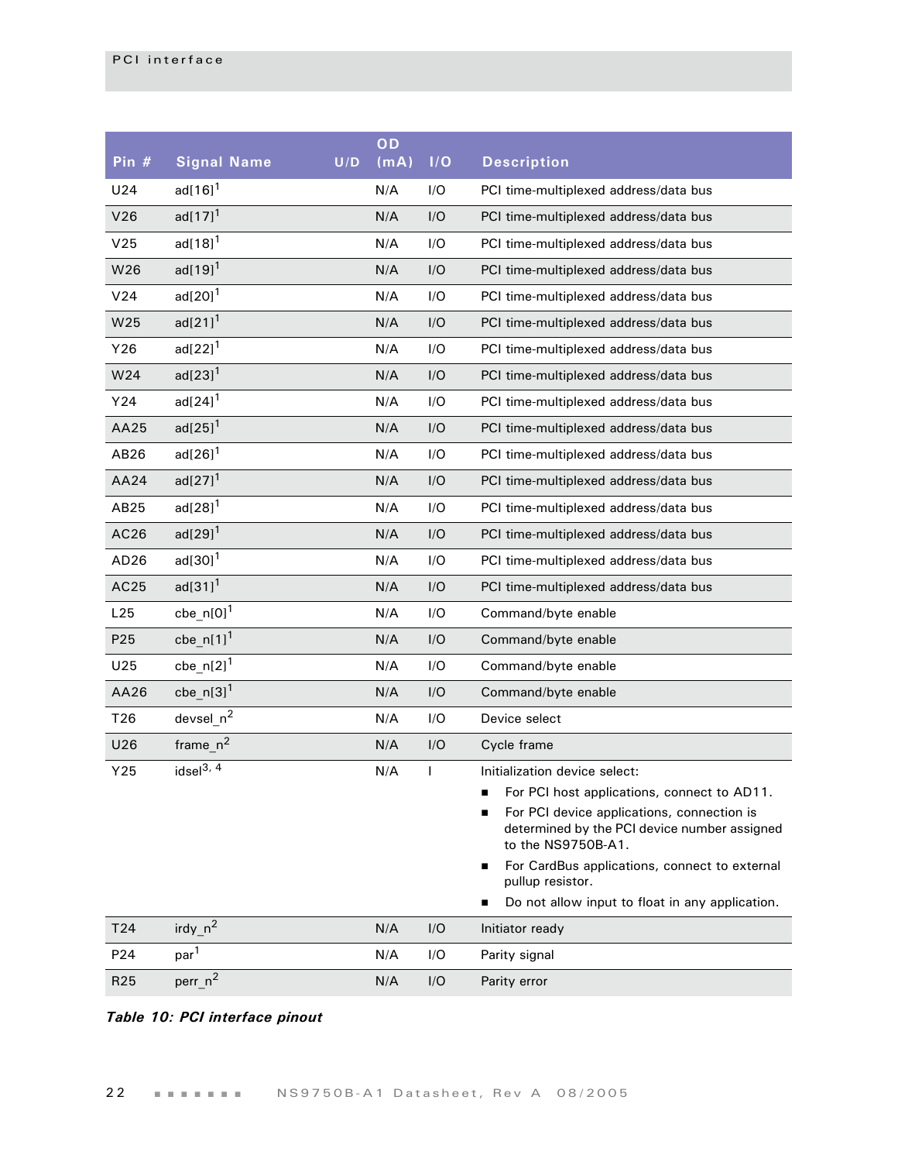| Pin $#$          | <b>Signal Name</b>     | U/D | OD<br>(mA) | 1/O | <b>Description</b>                                                                                                                                                                                                                                                                                                                                   |
|------------------|------------------------|-----|------------|-----|------------------------------------------------------------------------------------------------------------------------------------------------------------------------------------------------------------------------------------------------------------------------------------------------------------------------------------------------------|
| U24              | ad $[16]$ <sup>1</sup> |     | N/A        | I/O | PCI time-multiplexed address/data bus                                                                                                                                                                                                                                                                                                                |
| V26              | $ad[17]$ <sup>1</sup>  |     | N/A        | I/O | PCI time-multiplexed address/data bus                                                                                                                                                                                                                                                                                                                |
| V <sub>25</sub>  | $ad[18]$ <sup>1</sup>  |     | N/A        | I/O | PCI time-multiplexed address/data bus                                                                                                                                                                                                                                                                                                                |
| W26              | $ad[19]$ <sup>1</sup>  |     | N/A        | I/O | PCI time-multiplexed address/data bus                                                                                                                                                                                                                                                                                                                |
| V24              | $ad[20]$ <sup>1</sup>  |     | N/A        | I/O | PCI time-multiplexed address/data bus                                                                                                                                                                                                                                                                                                                |
| W25              | $ad[21]$ <sup>1</sup>  |     | N/A        | I/O | PCI time-multiplexed address/data bus                                                                                                                                                                                                                                                                                                                |
| Y26              | $ad[22]$ <sup>1</sup>  |     | N/A        | I/O | PCI time-multiplexed address/data bus                                                                                                                                                                                                                                                                                                                |
| W24              | $ad[23]$ <sup>1</sup>  |     | N/A        | I/O | PCI time-multiplexed address/data bus                                                                                                                                                                                                                                                                                                                |
| Y24              | $ad[24]$ <sup>1</sup>  |     | N/A        | I/O | PCI time-multiplexed address/data bus                                                                                                                                                                                                                                                                                                                |
| AA25             | $ad[25]$ <sup>1</sup>  |     | N/A        | I/O | PCI time-multiplexed address/data bus                                                                                                                                                                                                                                                                                                                |
| AB26             | $ad[26]$ <sup>1</sup>  |     | N/A        | I/O | PCI time-multiplexed address/data bus                                                                                                                                                                                                                                                                                                                |
| AA24             | $ad[27]$ <sup>1</sup>  |     | N/A        | I/O | PCI time-multiplexed address/data bus                                                                                                                                                                                                                                                                                                                |
| AB25             | $ad[28]$ <sup>1</sup>  |     | N/A        | I/O | PCI time-multiplexed address/data bus                                                                                                                                                                                                                                                                                                                |
| AC <sub>26</sub> | $ad[29]$ <sup>1</sup>  |     | N/A        | I/O | PCI time-multiplexed address/data bus                                                                                                                                                                                                                                                                                                                |
| AD <sub>26</sub> | $ad[30]$ <sup>1</sup>  |     | N/A        | I/O | PCI time-multiplexed address/data bus                                                                                                                                                                                                                                                                                                                |
| AC25             | $ad[31]$ <sup>1</sup>  |     | N/A        | I/O | PCI time-multiplexed address/data bus                                                                                                                                                                                                                                                                                                                |
| L25              | cbe_n[0] $1$           |     | N/A        | I/O | Command/byte enable                                                                                                                                                                                                                                                                                                                                  |
| P <sub>25</sub>  | cbe_n[1] <sup>1</sup>  |     | N/A        | I/O | Command/byte enable                                                                                                                                                                                                                                                                                                                                  |
| U25              | cbe_n[2] <sup>1</sup>  |     | N/A        | I/O | Command/byte enable                                                                                                                                                                                                                                                                                                                                  |
| AA26             | cbe_n[3] $1$           |     | N/A        | I/O | Command/byte enable                                                                                                                                                                                                                                                                                                                                  |
| T <sub>26</sub>  | $devsel_n^2$           |     | N/A        | I/O | Device select                                                                                                                                                                                                                                                                                                                                        |
| U26              | $frame_n^2$            |     | N/A        | I/O | Cycle frame                                                                                                                                                                                                                                                                                                                                          |
| Y25              | idsel $3, 4$           |     | N/A        | I   | Initialization device select:<br>For PCI host applications, connect to AD11.<br>For PCI device applications, connection is<br>$\blacksquare$<br>determined by the PCI device number assigned<br>to the NS9750B-A1.<br>For CardBus applications, connect to external<br>٠<br>pullup resistor.<br>Do not allow input to float in any application.<br>■ |
| T <sub>24</sub>  | irdy $n^2$             |     | N/A        | I/O | Initiator ready                                                                                                                                                                                                                                                                                                                                      |
| P24              | par <sup>1</sup>       |     | N/A        | I/O | Parity signal                                                                                                                                                                                                                                                                                                                                        |
| R <sub>25</sub>  | perr <sub>n</sub> 2    |     | N/A        | I/O | Parity error                                                                                                                                                                                                                                                                                                                                         |

#### *Table 10: PCI interface pinout*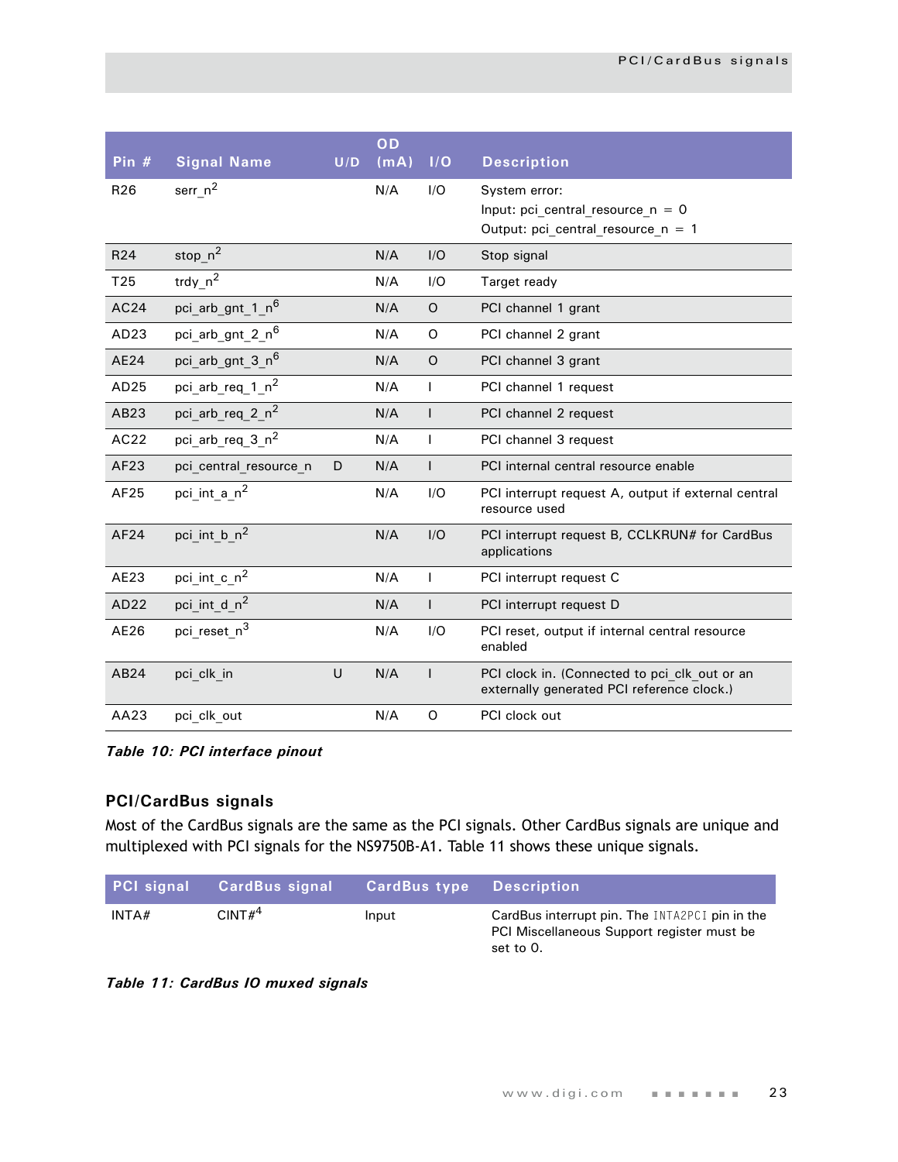| Pin $#$          | <b>Signal Name</b>           | U/D | OD<br>(mA) | I/O          | <b>Description</b>                                                                           |
|------------------|------------------------------|-----|------------|--------------|----------------------------------------------------------------------------------------------|
| R <sub>26</sub>  | serr_ $n^2$                  |     | N/A        | I/O          | System error:<br>Input: pci_central_resource_n = $0$<br>Output: pci_central_resource_n = $1$ |
| R <sub>24</sub>  | stop_ $n^2$                  |     | N/A        | I/O          | Stop signal                                                                                  |
| T <sub>25</sub>  | trdy_ $n^2$                  |     | N/A        | I/O          | Target ready                                                                                 |
| AC24             | pci arb gnt 1 n <sup>6</sup> |     | N/A        | $\circ$      | PCI channel 1 grant                                                                          |
| AD <sub>23</sub> | pci_arb_gnt_2_n <sup>6</sup> |     | N/A        | O            | PCI channel 2 grant                                                                          |
| <b>AE24</b>      | pci arb gnt 3 n <sup>6</sup> |     | N/A        | $\circ$      | PCI channel 3 grant                                                                          |
| AD25             | pci arb req 1 $n^2$          |     | N/A        | $\mathbf{I}$ | PCI channel 1 request                                                                        |
| AB23             | pci_arb_req_2_n <sup>2</sup> |     | N/A        | $\mathsf{I}$ | PCI channel 2 request                                                                        |
| AC22             | pci arb req 3 n <sup>2</sup> |     | N/A        | $\mathbf{I}$ | PCI channel 3 request                                                                        |
| AF23             | pci central resource n       | D   | N/A        | $\mathsf{I}$ | PCI internal central resource enable                                                         |
| AF25             | pci int a n <sup>2</sup>     |     | N/A        | I/O          | PCI interrupt request A, output if external central<br>resource used                         |
| AF24             | pci int b n <sup>2</sup>     |     | N/A        | I/O          | PCI interrupt request B, CCLKRUN# for CardBus<br>applications                                |
| AE23             | pci_int_c_n <sup>2</sup>     |     | N/A        | $\mathbf{I}$ | PCI interrupt request C                                                                      |
| AD22             | pci_int_d_n <sup>2</sup>     |     | N/A        | $\mathsf{I}$ | PCI interrupt request D                                                                      |
| AE26             | pci reset n <sup>3</sup>     |     | N/A        | I/O          | PCI reset, output if internal central resource<br>enabled                                    |
| AB24             | pci clk in                   | U   | N/A        | $\mathbf{I}$ | PCI clock in. (Connected to pci clk out or an<br>externally generated PCI reference clock.)  |
| AA23             | pci clk out                  |     | N/A        | $\Omega$     | PCI clock out                                                                                |

*Table 10: PCI interface pinout*

#### <span id="page-26-0"></span>**PCI/CardBus signals**

Most of the CardBus signals are the same as the PCI signals. Other CardBus signals are unique and multiplexed with PCI signals for the NS9750B-A1. [Table 11 s](#page-26-1)hows these unique signals.

| PCI signal | CardBus signal     | <b>CardBus type</b> Description |                                                                                                           |
|------------|--------------------|---------------------------------|-----------------------------------------------------------------------------------------------------------|
| INTA#      | CINT# <sup>4</sup> | Input                           | CardBus interrupt pin. The INTA2PCI pin in the<br>PCI Miscellaneous Support register must be<br>set to 0. |

<span id="page-26-1"></span>*Table 11: CardBus IO muxed signals*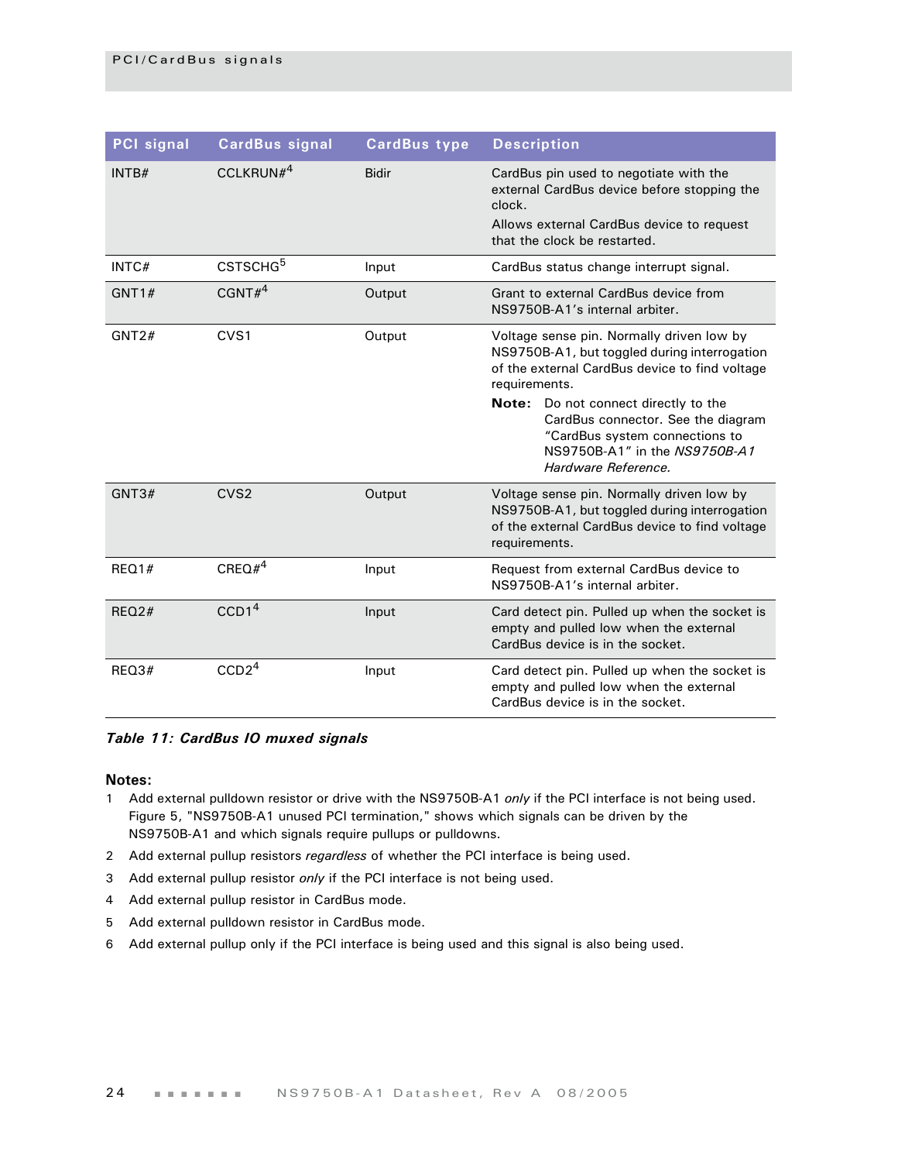| <b>PCI</b> signal | <b>CardBus signal</b> | <b>CardBus type</b> | <b>Description</b>                                                                                                                                                                                                                                                                                                                   |
|-------------------|-----------------------|---------------------|--------------------------------------------------------------------------------------------------------------------------------------------------------------------------------------------------------------------------------------------------------------------------------------------------------------------------------------|
| INTB#             | CCLKRUN $#^4$         | <b>Bidir</b>        | CardBus pin used to negotiate with the<br>external CardBus device before stopping the<br>clock.<br>Allows external CardBus device to request<br>that the clock be restarted.                                                                                                                                                         |
| INTC#             | CSTSCHG <sup>5</sup>  | Input               | CardBus status change interrupt signal.                                                                                                                                                                                                                                                                                              |
| GNT1#             | CGNT# <sup>4</sup>    | Output              | Grant to external CardBus device from<br>NS9750B-A1's internal arbiter.                                                                                                                                                                                                                                                              |
| GNT2#             | CVS1                  | Output              | Voltage sense pin. Normally driven low by<br>NS9750B-A1, but toggled during interrogation<br>of the external CardBus device to find voltage<br>requirements.<br>Note: Do not connect directly to the<br>CardBus connector. See the diagram<br>"CardBus system connections to<br>NS9750B-A1" in the NS9750B-A1<br>Hardware Reference. |
| GNT3#             | CVS <sub>2</sub>      | Output              | Voltage sense pin. Normally driven low by<br>NS9750B-A1, but toggled during interrogation<br>of the external CardBus device to find voltage<br>requirements.                                                                                                                                                                         |
| REQ1#             | CREQ# <sup>4</sup>    | Input               | Request from external CardBus device to<br>NS9750B-A1's internal arbiter.                                                                                                                                                                                                                                                            |
| REO2#             | CCD1 <sup>4</sup>     | Input               | Card detect pin. Pulled up when the socket is<br>empty and pulled low when the external<br>CardBus device is in the socket.                                                                                                                                                                                                          |
| REQ3#             | CCD2 <sup>4</sup>     | Input               | Card detect pin. Pulled up when the socket is<br>empty and pulled low when the external<br>CardBus device is in the socket.                                                                                                                                                                                                          |

#### *Table 11: CardBus IO muxed signals*

#### **Notes:**

- 1 Add external pulldown resistor or drive with the NS9750B-A1 *only* if the PCI interface is not being used. Figure 5, "NS9750B-A1 unused PCI termination," shows which signals can be driven by the NS9750B-A1 and which signals require pullups or pulldowns.
- 2 Add external pullup resistors *regardless* of whether the PCI interface is being used.
- 3 Add external pullup resistor *only* if the PCI interface is not being used.
- 4 Add external pullup resistor in CardBus mode.
- 5 Add external pulldown resistor in CardBus mode.
- 6 Add external pullup only if the PCI interface is being used and this signal is also being used.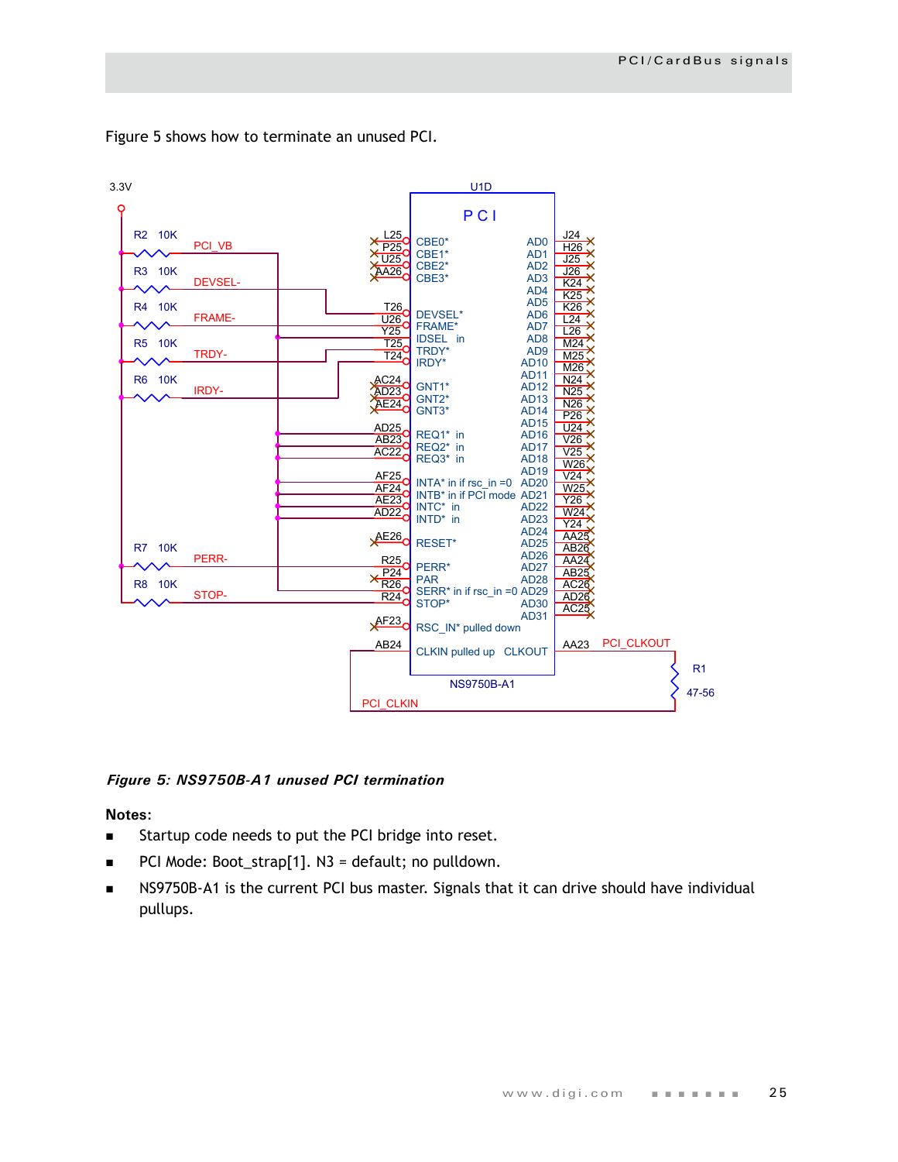

Figure 5 shows how to terminate an unused PCI.

#### *Figure 5: NS9750B-A1 unused PCI termination*

**Notes:**

- **Startup code needs to put the PCI bridge into reset.**
- PCI Mode: Boot\_strap[1]. N3 = default; no pulldown.
- NS9750B-A1 is the current PCI bus master. Signals that it can drive should have individual pullups.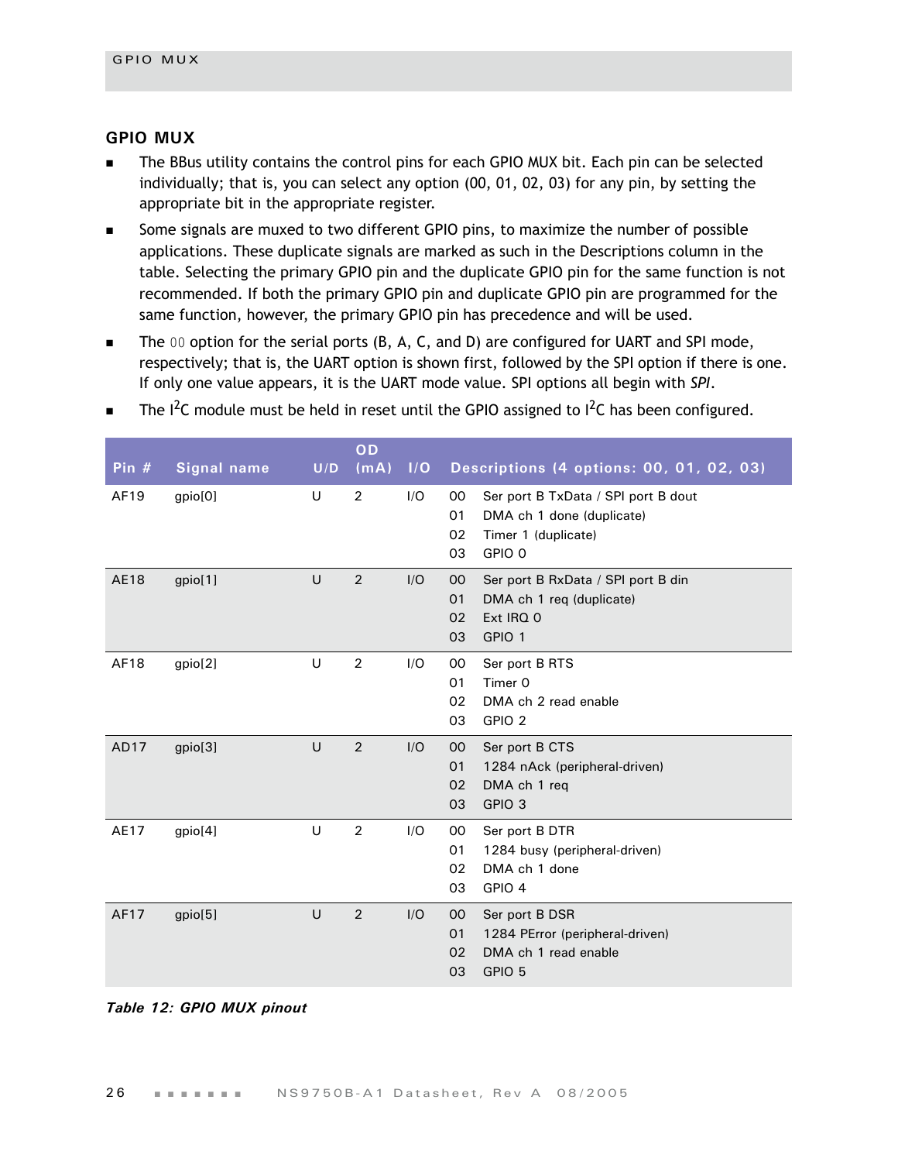#### <span id="page-29-0"></span>**GPIO MUX**

- The BBus utility contains the control pins for each GPIO MUX bit. Each pin can be selected individually; that is, you can select any option (00, 01, 02, 03) for any pin, by setting the appropriate bit in the appropriate register.
- Some signals are muxed to two different GPIO pins, to maximize the number of possible applications. These duplicate signals are marked as such in the Descriptions column in the table. Selecting the primary GPIO pin and the duplicate GPIO pin for the same function is not recommended. If both the primary GPIO pin and duplicate GPIO pin are programmed for the same function, however, the primary GPIO pin has precedence and will be used.
- The 00 option for the serial ports (B, A, C, and D) are configured for UART and SPI mode, respectively; that is, the UART option is shown first, followed by the SPI option if there is one. If only one value appears, it is the UART mode value. SPI options all begin with *SPI*.

| Pin $#$     | <b>Signal name</b> | U/D | OD<br>(mA)     | I/O | Descriptions (4 options: 00, 01, 02, 03)                   |
|-------------|--------------------|-----|----------------|-----|------------------------------------------------------------|
| AF19        | gpio[0]            | U   | $\overline{2}$ | I/O | 00<br>Ser port B TxData / SPI port B dout                  |
|             |                    |     |                |     | 01<br>DMA ch 1 done (duplicate)                            |
|             |                    |     |                |     | 02<br>Timer 1 (duplicate)                                  |
|             |                    |     |                |     | GPIO 0<br>03                                               |
| <b>AE18</b> | gpio[1]            | U   | $\overline{2}$ | I/O | $00\,$<br>Ser port B RxData / SPI port B din               |
|             |                    |     |                |     | 01<br>DMA ch 1 req (duplicate)                             |
|             |                    |     |                |     | Ext IRQ 0<br>02<br>03<br>GPIO 1                            |
|             |                    |     |                |     |                                                            |
| AF18        | gpio[2]            | U   | $\overline{2}$ | I/O | 00<br>Ser port B RTS                                       |
|             |                    |     |                |     | Timer 0<br>O <sub>1</sub>                                  |
|             |                    |     |                |     | 02<br>DMA ch 2 read enable<br>GPIO <sub>2</sub><br>03      |
|             |                    |     |                |     |                                                            |
| AD17        | gpio[3]            | U   | $\overline{2}$ | I/O | 00<br>Ser port B CTS                                       |
|             |                    |     |                |     | 01<br>1284 nAck (peripheral-driven)                        |
|             |                    |     |                |     | 02<br>DMA ch 1 reg<br>GPIO <sub>3</sub><br>03              |
|             |                    |     |                |     |                                                            |
| AE17        | gpio[4]            | U   | $\overline{2}$ | I/O | 00<br>Ser port B DTR                                       |
|             |                    |     |                |     | 01<br>1284 busy (peripheral-driven)<br>DMA ch 1 done<br>02 |
|             |                    |     |                |     | GPIO 4<br>03                                               |
|             |                    |     |                |     |                                                            |
| AF17        | gpio[5]            | U   | $\overline{2}$ | I/O | 00<br>Ser port B DSR                                       |
|             |                    |     |                |     | 1284 PError (peripheral-driven)<br>01                      |
|             |                    |     |                |     | DMA ch 1 read enable<br>02<br>03<br>GPIO 5                 |
|             |                    |     |                |     |                                                            |

The  $I^2C$  module must be held in reset until the GPIO assigned to  $I^2C$  has been configured.

#### *Table 12: GPIO MUX pinout*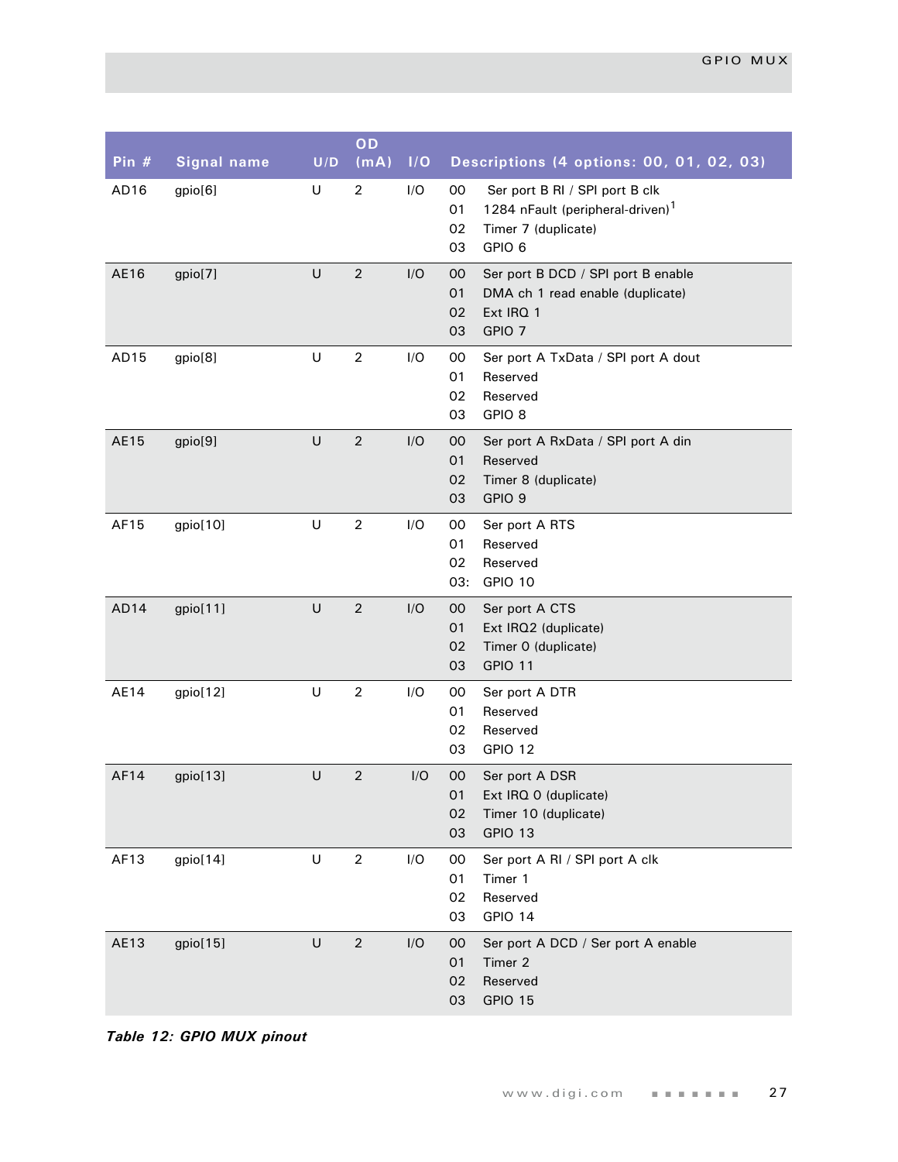| Pin $#$ | <b>Signal name</b> | U/D | OD<br>(mA)     | I/O | Descriptions (4 options: 00, 01, 02, 03)                                                                                                           |
|---------|--------------------|-----|----------------|-----|----------------------------------------------------------------------------------------------------------------------------------------------------|
| AD16    | gpio[6]            | U   | $\overline{2}$ | I/O | Ser port B RI / SPI port B clk<br>00<br>1284 nFault (peripheral-driven) <sup>1</sup><br>01<br>02<br>Timer 7 (duplicate)<br>GPIO <sub>6</sub><br>03 |
| AE16    | gpio[7]            | U   | $\overline{2}$ | I/O | Ser port B DCD / SPI port B enable<br>00<br>01<br>DMA ch 1 read enable (duplicate)<br>Ext IRQ 1<br>02<br>GPIO <sub>7</sub><br>03                   |
| AD15    | gpio[8]            | U   | $\overline{2}$ | I/O | Ser port A TxData / SPI port A dout<br>00<br>01<br>Reserved<br>02<br>Reserved<br>GPIO <sub>8</sub><br>03                                           |
| AE15    | gpio[9]            | U   | $\overline{2}$ | I/O | 00<br>Ser port A RxData / SPI port A din<br>Reserved<br>01<br>Timer 8 (duplicate)<br>02<br>GPIO <sub>9</sub><br>03                                 |
| AF15    | gpio[10]           | U   | $\overline{2}$ | I/O | 00<br>Ser port A RTS<br>01<br>Reserved<br>02<br>Reserved<br>GPIO 10<br>03:                                                                         |
| AD14    | gpio[11]           | U   | $\overline{2}$ | I/O | 00<br>Ser port A CTS<br>01<br>Ext IRQ2 (duplicate)<br>Timer 0 (duplicate)<br>02<br>GPIO 11<br>03                                                   |
| AE14    | gpio[12]           | U   | $\overline{2}$ | I/O | Ser port A DTR<br>00<br>01<br>Reserved<br>02<br>Reserved<br>GPIO 12<br>03                                                                          |
| AF14    | gpio[13]           | U   | $\overline{2}$ | I/O | 00<br>Ser port A DSR<br>01<br>Ext IRQ 0 (duplicate)<br>02<br>Timer 10 (duplicate)<br>GPIO 13<br>03                                                 |
| AF13    | gpio[14]           | U   | $\overline{2}$ | I/O | 00<br>Ser port A RI / SPI port A clk<br>01<br>Timer 1<br>Reserved<br>02<br>GPIO 14<br>03                                                           |
| AE13    | gpio[15]           | U   | $\sqrt{2}$     | I/O | 00<br>Ser port A DCD / Ser port A enable<br>Timer 2<br>01<br>Reserved<br>02<br>GPIO 15<br>03                                                       |

*Table 12: GPIO MUX pinout*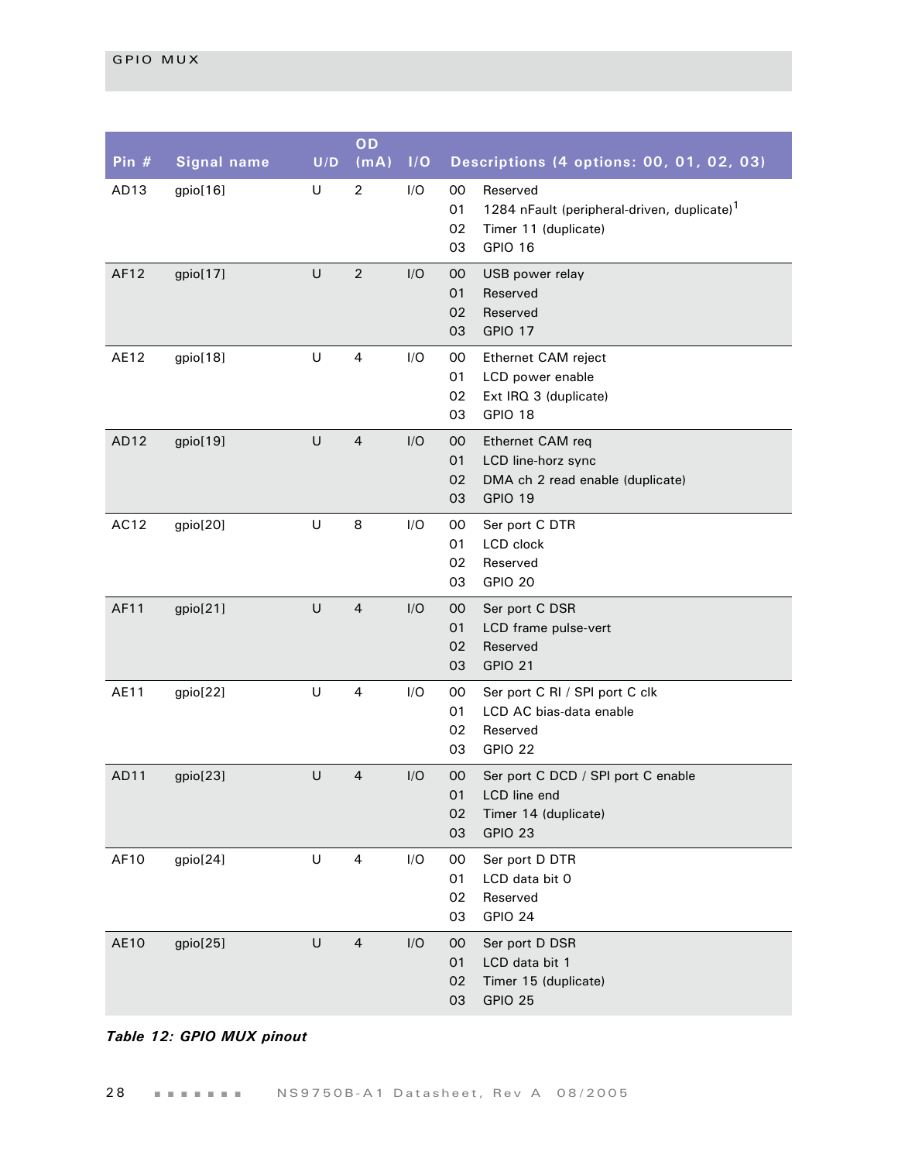| Pin $#$          | <b>Signal name</b> | U/D     | OD<br>(mA)     | 1/O | Descriptions (4 options: 00, 01, 02, 03)                                                                                           |
|------------------|--------------------|---------|----------------|-----|------------------------------------------------------------------------------------------------------------------------------------|
| AD <sub>13</sub> | gpio[16]           | $\cup$  | $\overline{2}$ | I/O | $00\,$<br>Reserved<br>01<br>1284 nFault (peripheral-driven, duplicate) <sup>1</sup><br>02<br>Timer 11 (duplicate)<br>GPIO 16<br>03 |
| AF12             | gpio[17]           | $\cup$  | $\overline{2}$ | I/O | 00<br>USB power relay<br>01<br>Reserved<br>02<br>Reserved<br>GPIO 17<br>03                                                         |
| AE12             | gpio[18]           | $\sf U$ | 4              | I/O | 00<br>Ethernet CAM reject<br>01<br>LCD power enable<br>02<br>Ext IRQ 3 (duplicate)<br>03<br>GPIO 18                                |
| AD <sub>12</sub> | gpio[19]           | U       | $\overline{4}$ | I/O | 00<br>Ethernet CAM req<br>01<br>LCD line-horz sync<br>02<br>DMA ch 2 read enable (duplicate)<br>GPIO 19<br>03                      |
| AC12             | gpio[20]           | U       | 8              | I/O | 00<br>Ser port C DTR<br>01<br>LCD clock<br>02<br>Reserved<br>GPIO 20<br>03                                                         |
| AF11             | gpio[21]           | $\cup$  | $\overline{4}$ | I/O | 00<br>Ser port C DSR<br>01<br>LCD frame pulse-vert<br>Reserved<br>02<br><b>GPIO 21</b><br>03                                       |
| <b>AE11</b>      | gpio[22]           | $\sf U$ | 4              | I/O | 00<br>Ser port C RI / SPI port C clk<br>01<br>LCD AC bias-data enable<br>02<br>Reserved<br>03<br>GPIO 22                           |
| AD11             | gpio[23]           | U       | $\overline{4}$ | I/O | Ser port C DCD / SPI port C enable<br>$00\,$<br>01<br>LCD line end<br>02<br>Timer 14 (duplicate)<br>03<br>GPIO 23                  |
| AF10             | gpio[24]           | $\sf U$ | 4              | I/O | 00<br>Ser port D DTR<br>01<br>LCD data bit 0<br>02<br>Reserved<br>03<br>GPIO 24                                                    |
| <b>AE10</b>      | gpio[25]           | U       | $\overline{4}$ | I/O | Ser port D DSR<br>$00\,$<br>LCD data bit 1<br>01<br>Timer 15 (duplicate)<br>02<br>03<br><b>GPIO 25</b>                             |

#### *Table 12: GPIO MUX pinout*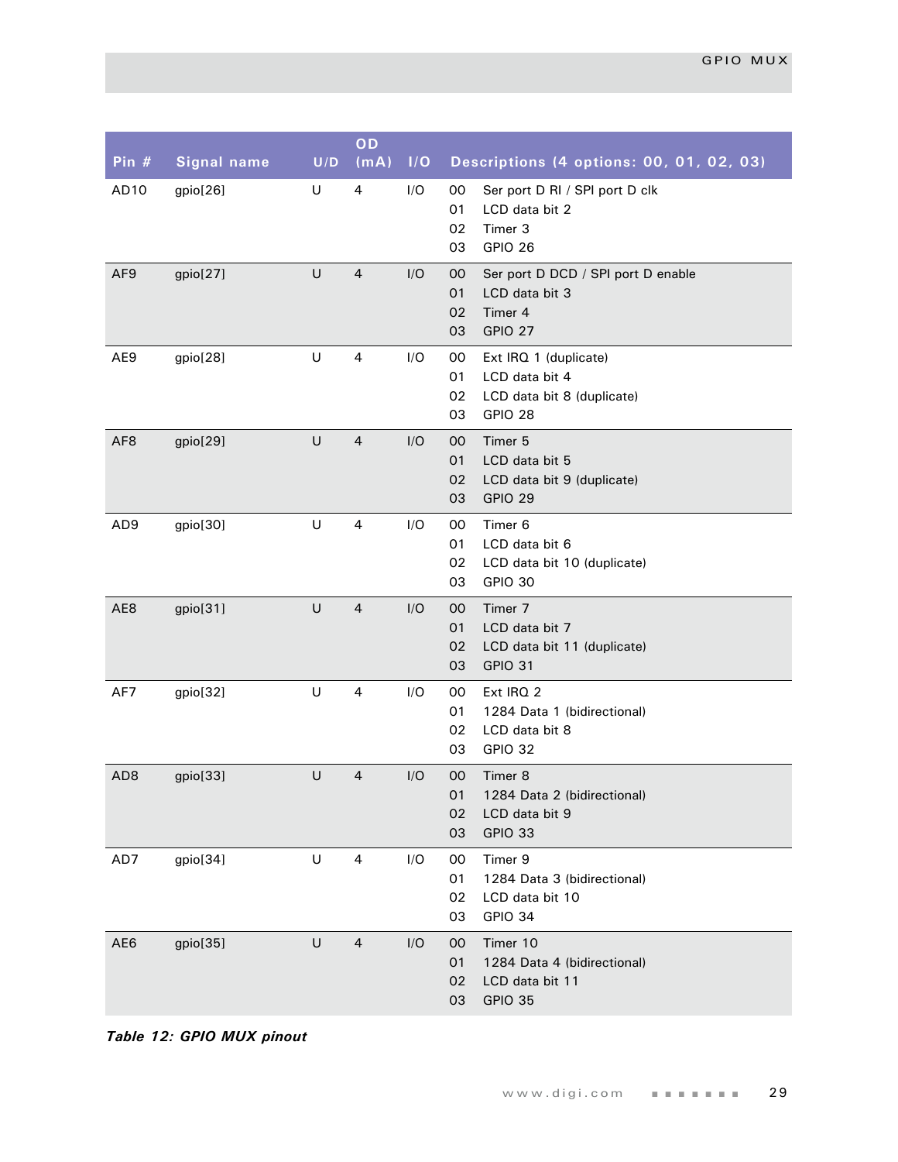| Pin #           | <b>Signal name</b> | U/D | OD<br>(mA)     | I/O | Descriptions (4 options: 00, 01, 02, 03)                                                                 |
|-----------------|--------------------|-----|----------------|-----|----------------------------------------------------------------------------------------------------------|
| AD10            | gpio[26]           | U   | 4              | I/O | Ser port D RI / SPI port D clk<br>00<br>LCD data bit 2<br>01<br>Timer 3<br>02<br>GPIO 26<br>03           |
| AF9             | gpio[27]           | U   | $\overline{4}$ | I/O | Ser port D DCD / SPI port D enable<br>00<br>01<br>LCD data bit 3<br>02<br>Timer 4<br>GPIO 27<br>03       |
| AE9             | gpio[28]           | U   | 4              | I/O | 00<br>Ext IRQ 1 (duplicate)<br>01<br>LCD data bit 4<br>02<br>LCD data bit 8 (duplicate)<br>03<br>GPIO 28 |
| AF <sub>8</sub> | gpio[29]           | U   | $\overline{4}$ | I/O | Timer 5<br>00<br>01<br>LCD data bit 5<br>02<br>LCD data bit 9 (duplicate)<br><b>GPIO 29</b><br>03        |
| AD <sub>9</sub> | gpio[30]           | U   | $\overline{4}$ | I/O | Timer <sub>6</sub><br>00<br>LCD data bit 6<br>01<br>02<br>LCD data bit 10 (duplicate)<br>GPIO 30<br>03   |
| AE8             | gpio[31]           | U   | $\overline{4}$ | I/O | Timer 7<br>00<br>01<br>LCD data bit 7<br>02<br>LCD data bit 11 (duplicate)<br>GPIO 31<br>03              |
| AF7             | gpio[32]           | U   | 4              | I/O | Ext IRQ 2<br>00<br>01<br>1284 Data 1 (bidirectional)<br>02<br>LCD data bit 8<br>GPIO 32<br>03            |
| AD <sub>8</sub> | gpio[33]           | U   | $\overline{4}$ | I/O | 00<br>Timer 8<br>01<br>1284 Data 2 (bidirectional)<br>02<br>LCD data bit 9<br>03<br>GPIO 33              |
| AD7             | gpio[34]           | U   | $\overline{4}$ | I/O | Timer 9<br>00<br>01<br>1284 Data 3 (bidirectional)<br>02<br>LCD data bit 10<br>03<br>GPIO 34             |
| AE6             | gpio[35]           | U   | $\overline{4}$ | I/O | Timer 10<br>00<br>01<br>1284 Data 4 (bidirectional)<br>02<br>LCD data bit 11<br>03<br>GPIO 35            |

*Table 12: GPIO MUX pinout*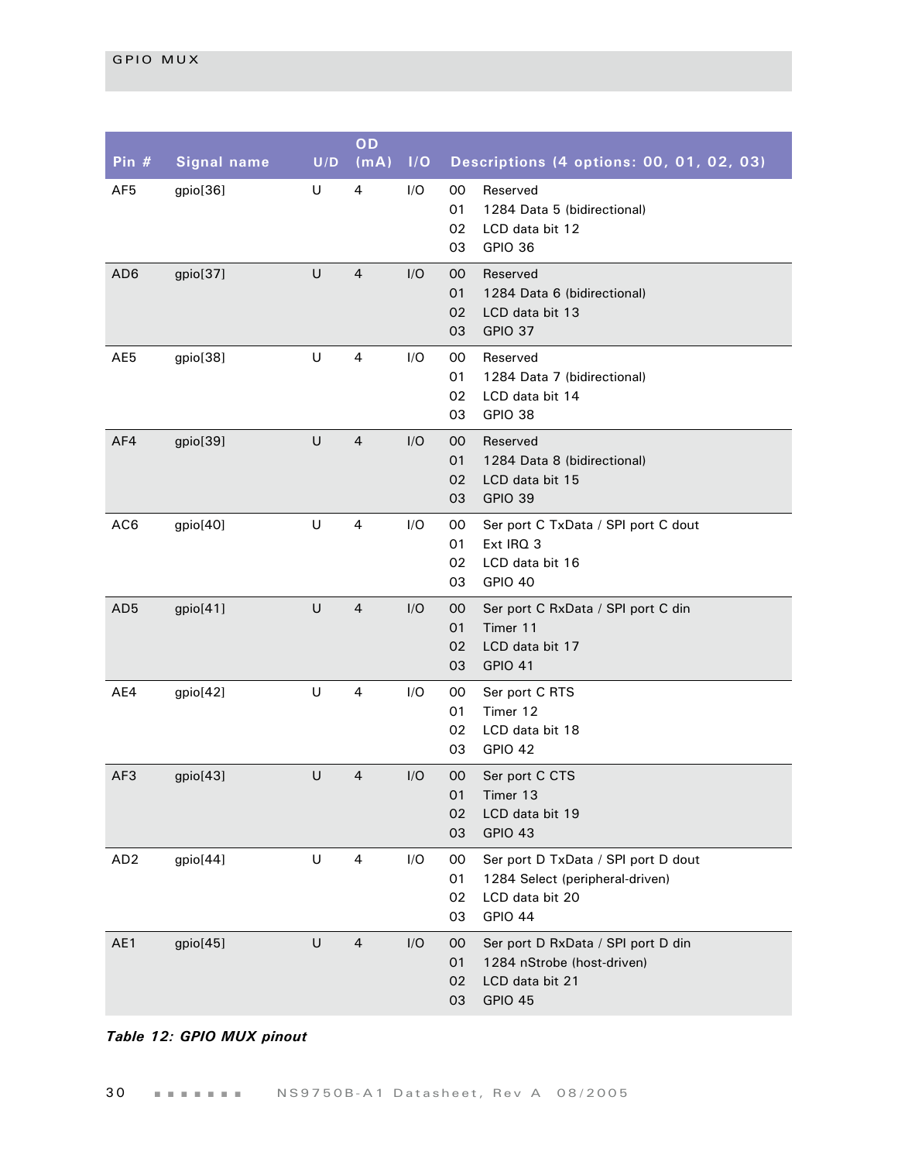| Pin $#$         | <b>Signal name</b> | U/D | OD<br>(mA)     | I/O | Descriptions (4 options: 00, 01, 02, 03)                                                                                     |
|-----------------|--------------------|-----|----------------|-----|------------------------------------------------------------------------------------------------------------------------------|
| AF <sub>5</sub> | gpio[36]           | U   | 4              | I/O | 00<br>Reserved<br>01<br>1284 Data 5 (bidirectional)<br>02<br>LCD data bit 12<br>03<br>GPIO 36                                |
| AD <sub>6</sub> | gpio[37]           | U   | $\overline{4}$ | I/O | 00<br>Reserved<br>01<br>1284 Data 6 (bidirectional)<br>02<br>LCD data bit 13<br>GPIO 37<br>03                                |
| AE5             | gpio[38]           | U   | 4              | I/O | 00<br>Reserved<br>01<br>1284 Data 7 (bidirectional)<br>02<br>LCD data bit 14<br>GPIO 38<br>03                                |
| AF4             | gpio[39]           | U   | $\overline{4}$ | I/O | Reserved<br>00<br>01<br>1284 Data 8 (bidirectional)<br>LCD data bit 15<br>02<br>GPIO 39<br>03                                |
| AC <sub>6</sub> | gpio[40]           | U   | 4              | I/O | 00<br>Ser port C TxData / SPI port C dout<br>01<br>Ext IRQ 3<br>LCD data bit 16<br>02<br>GPIO 40<br>03                       |
| AD <sub>5</sub> | gpio[41]           | U   | $\overline{4}$ | I/O | Ser port C RxData / SPI port C din<br>00<br>Timer 11<br>01<br>LCD data bit 17<br>02<br>03<br><b>GPIO 41</b>                  |
| AE4             | gpio[42]           | U   | 4              | I/O | 00<br>Ser port C RTS<br>Timer 12<br>01<br>02<br>LCD data bit 18<br>03<br>GPIO 42                                             |
| AF3             | gpio[43]           | U   | 4              | I/O | $00\,$<br>Ser port C CTS<br>Timer 13<br>01<br>02<br>LCD data bit 19<br>03<br>GPIO 43                                         |
| AD <sub>2</sub> | gpio[44]           | U   | 4              | I/O | 00<br>Ser port D TxData / SPI port D dout<br>01<br>1284 Select (peripheral-driven)<br>02<br>LCD data bit 20<br>03<br>GPIO 44 |
| AE1             | gpio[45]           | U   | $\overline{4}$ | I/O | $00\,$<br>Ser port D RxData / SPI port D din<br>01<br>1284 nStrobe (host-driven)<br>LCD data bit 21<br>02<br>GPIO 45<br>03   |

#### *Table 12: GPIO MUX pinout*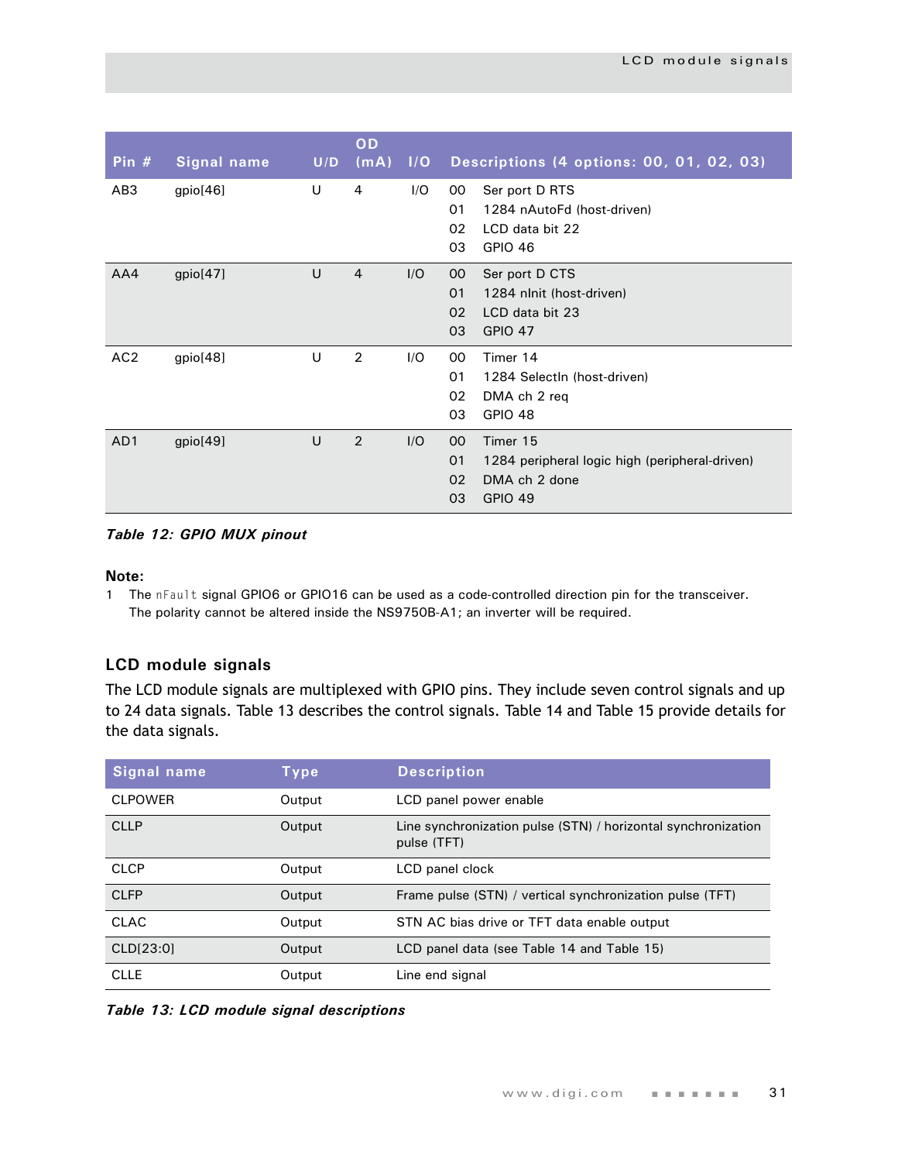| Pin $#$         | <b>Signal name</b> | U/D    | OD<br>(mA)     | 1/O | Descriptions (4 options: 00, 01, 02, 03)                                                                                           |
|-----------------|--------------------|--------|----------------|-----|------------------------------------------------------------------------------------------------------------------------------------|
| AB <sub>3</sub> | gpio[46]           | U      | 4              | I/O | 00<br>Ser port D RTS<br>01<br>1284 nAutoFd (host-driven)<br>02<br>LCD data bit 22<br>03<br><b>GPIO 46</b>                          |
| AA4             | gpio[47]           | U      | $\overline{4}$ | I/O | 00 <sub>o</sub><br>Ser port D CTS<br>01<br>1284 nlnit (host-driven)<br>02<br>LCD data bit 23<br>03<br><b>GPIO 47</b>               |
| AC <sub>2</sub> | gpio[48]           | U      | 2              | 1/O | 00<br>Timer 14<br>01<br>1284 SelectIn (host-driven)<br>02<br>DMA ch 2 req<br>03<br><b>GPIO 48</b>                                  |
| AD1             | gpio[49]           | $\cup$ | 2              | I/O | 00 <sup>°</sup><br>Timer 15<br>01<br>1284 peripheral logic high (peripheral-driven)<br>02<br>DMA ch 2 done<br><b>GPIO 49</b><br>03 |

*Table 12: GPIO MUX pinout*

#### **Note:**

1 The nFault signal GPIO6 or GPIO16 can be used as a code-controlled direction pin for the transceiver. The polarity cannot be altered inside the NS9750B-A1; an inverter will be required.

#### <span id="page-34-0"></span>**LCD module signals**

The LCD module signals are multiplexed with GPIO pins. They include seven control signals and up to 24 data signals. [Table 13](#page-34-1) describes the control signals. [Table 14](#page-35-0) and Table 15 provide details for the data signals.

| Signal name    | Type   | <b>Description</b>                                                           |
|----------------|--------|------------------------------------------------------------------------------|
| <b>CLPOWER</b> | Output | LCD panel power enable                                                       |
| <b>CLLP</b>    | Output | Line synchronization pulse (STN) / horizontal synchronization<br>pulse (TFT) |
| <b>CLCP</b>    | Output | LCD panel clock                                                              |
| <b>CLFP</b>    | Output | Frame pulse (STN) / vertical synchronization pulse (TFT)                     |
| <b>CLAC</b>    | Output | STN AC bias drive or TFT data enable output                                  |
| CLD[23:0]      | Output | LCD panel data (see Table 14 and Table 15)                                   |
| <b>CLLE</b>    | Output | Line end signal                                                              |

<span id="page-34-1"></span>*Table 13: LCD module signal descriptions*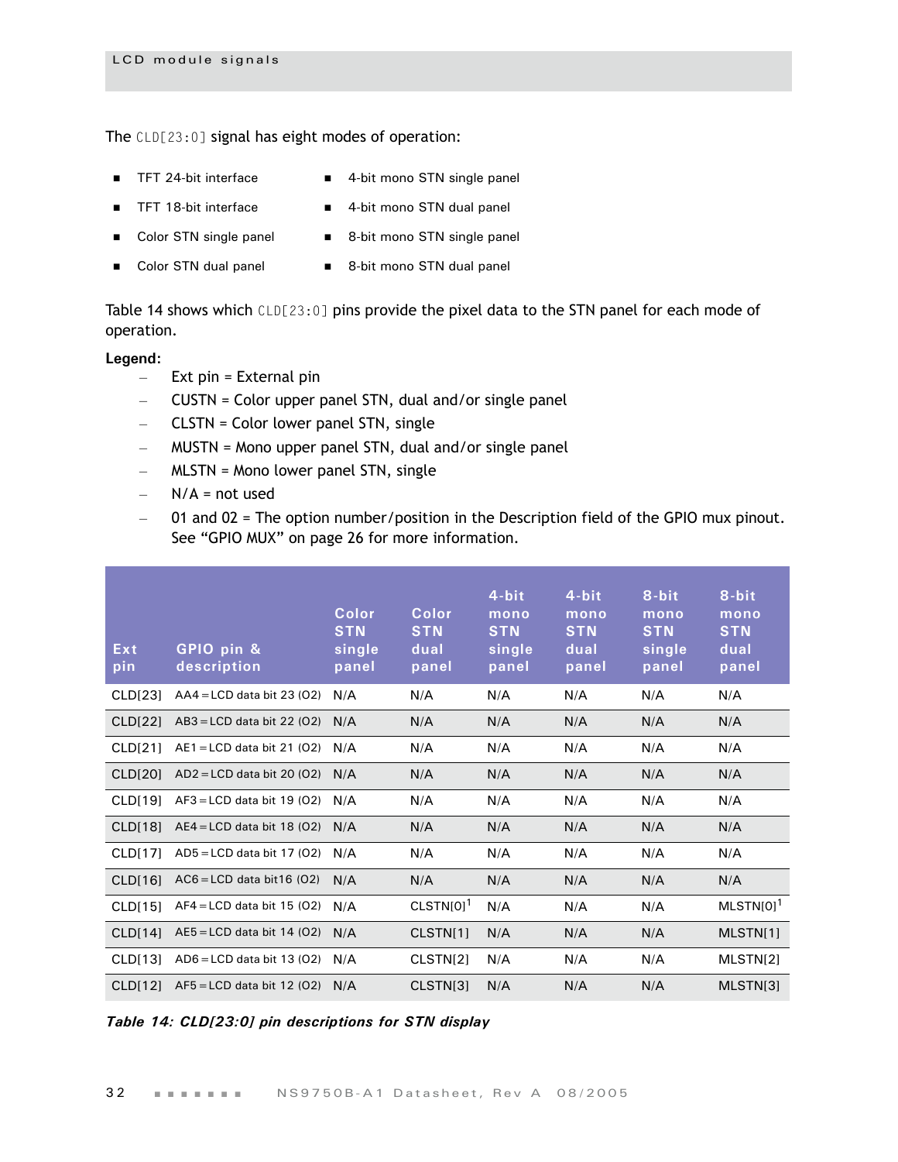The CLD[23:0] signal has eight modes of operation:

- 
- TFT 24-bit interface 4-bit mono STN single panel
- TFT 18-bit interface 4-bit mono STN dual panel
- 
- 
- Color STN single panel 8-bit mono STN single panel
- Color STN dual panel 8-bit mono STN dual panel

[Table 14](#page-35-0) shows which CLD[23:0] pins provide the pixel data to the STN panel for each mode of operation.

#### **Legend:**

- $-$  Ext pin = External pin
- CUSTN = Color upper panel STN, dual and/or single panel
- CLSTN = Color lower panel STN, single
- MUSTN = Mono upper panel STN, dual and/or single panel
- MLSTN = Mono lower panel STN, single
- $N/A$  = not used
- 01 and 02 = The option number/position in the Description field of the GPIO mux pinout. See ["GPIO MUX" on page 26](#page-29-0) for more information.

| Ext<br>pin          | GPIO pin &<br>description    | Color<br><b>STN</b><br>single<br>panel | Color<br><b>STN</b><br>dual<br>panel | 4-bit<br>mono<br><b>STN</b><br>single<br>panel | 4-bit<br>mono<br><b>STN</b><br>dual<br>panel | 8-bit<br>mono<br><b>STN</b><br>single<br>panel | 8-bit<br>mono<br><b>STN</b><br>dual<br>panel |
|---------------------|------------------------------|----------------------------------------|--------------------------------------|------------------------------------------------|----------------------------------------------|------------------------------------------------|----------------------------------------------|
| CLD <sub>[23]</sub> | $AAA = LCD$ data bit 23 (O2) | N/A                                    | N/A                                  | N/A                                            | N/A                                          | N/A                                            | N/A                                          |
| CLD[22]             | $AB3 = LCD$ data bit 22 (O2) | N/A                                    | N/A                                  | N/A                                            | N/A                                          | N/A                                            | N/A                                          |
| CLD[21]             | $AE1 = LCD$ data bit 21 (02) | N/A                                    | N/A                                  | N/A                                            | N/A                                          | N/A                                            | N/A                                          |
| <b>CLD[20]</b>      | $AD2 = LCD$ data bit 20 (O2) | N/A                                    | N/A                                  | N/A                                            | N/A                                          | N/A                                            | N/A                                          |
| CLD[19]             | $AF3 = LCD$ data bit 19 (O2) | N/A                                    | N/A                                  | N/A                                            | N/A                                          | N/A                                            | N/A                                          |
| CLD[18]             | $AE4 = LCD$ data bit 18 (O2) | N/A                                    | N/A                                  | N/A                                            | N/A                                          | N/A                                            | N/A                                          |
| <b>CLD[17]</b>      | $AD5 = LCD$ data bit 17 (O2) | N/A                                    | N/A                                  | N/A                                            | N/A                                          | N/A                                            | N/A                                          |
| CLD[16]             | $AC6 = LCD$ data bit 16 (02) | N/A                                    | N/A                                  | N/A                                            | N/A                                          | N/A                                            | N/A                                          |
| <b>CLD[15]</b>      | $AF4 = LCD$ data bit 15 (O2) | N/A                                    | $CLSTN[0]$ <sup>1</sup>              | N/A                                            | N/A                                          | N/A                                            | $MLSTM[0]$ <sup>1</sup>                      |
| CLD[14]             | $AE5 = LCD$ data bit 14 (O2) | N/A                                    | CLSTN[1]                             | N/A                                            | N/A                                          | N/A                                            | MLSTN[1]                                     |
| CLD[13]             | $AD6 = LCD$ data bit 13 (02) | N/A                                    | CLSTN[2]                             | N/A                                            | N/A                                          | N/A                                            | MLSTN[2]                                     |
| CLD[12]             | $AF5 = LCD$ data bit 12 (O2) | N/A                                    | CLSTN[3]                             | N/A                                            | N/A                                          | N/A                                            | MLSTN[3]                                     |

<span id="page-35-0"></span>*Table 14: CLD[23:0] pin descriptions for STN display*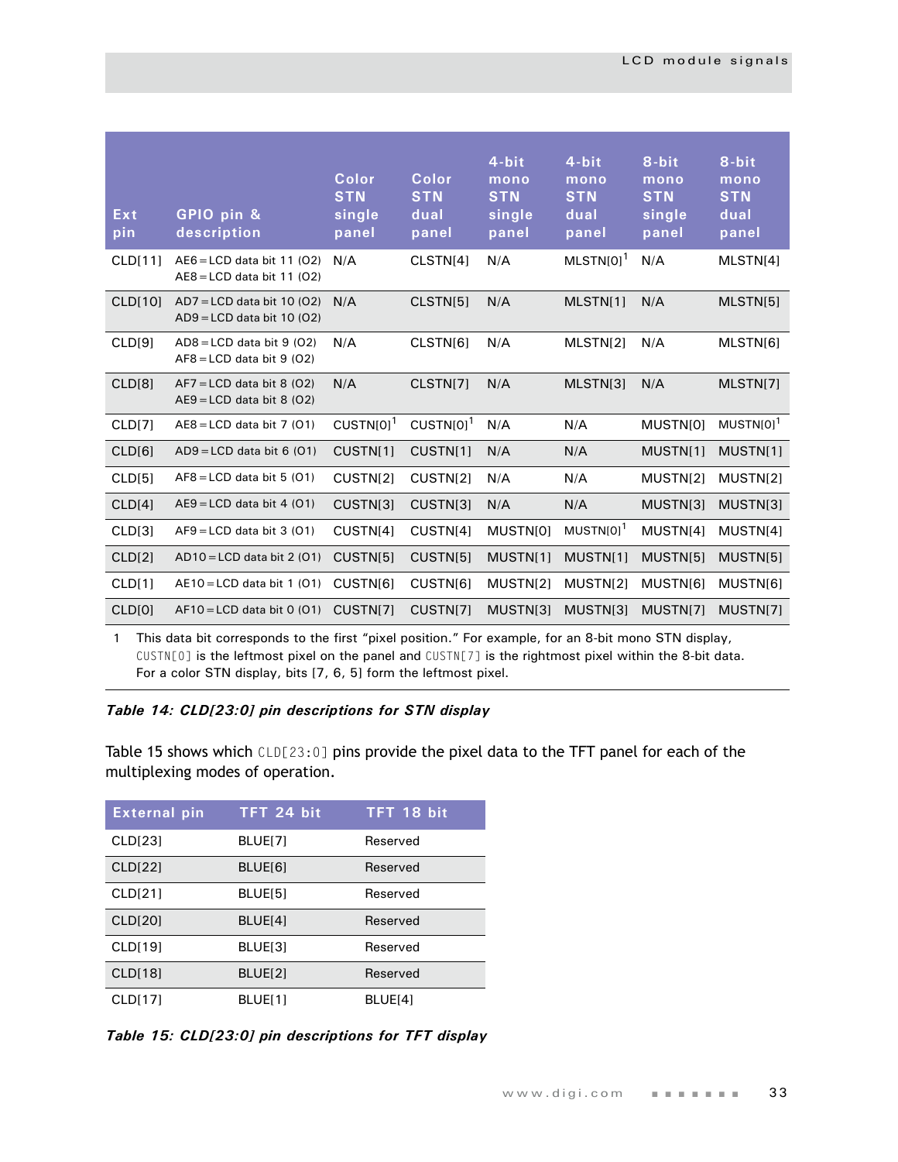| Ext<br>pin         | GPIO pin &<br>description                                    | Color<br><b>STN</b><br>single<br>panel | Color<br><b>STN</b><br>dual<br>panel | 4-bit<br>mono<br><b>STN</b><br>single<br>panel | 4-bit<br>mono<br><b>STN</b><br>dual<br>panel | 8-bit<br>mono<br><b>STN</b><br>single<br>panel | 8-bit<br>mono<br><b>STN</b><br>dual<br>panel |
|--------------------|--------------------------------------------------------------|----------------------------------------|--------------------------------------|------------------------------------------------|----------------------------------------------|------------------------------------------------|----------------------------------------------|
| <b>CLD[11]</b>     | $AEG = LCD$ data bit 11 (O2)<br>$AEB = LCD$ data bit 11 (O2) | N/A                                    | CLSTN[4]                             | N/A                                            | $MLSTN[0]$ <sup>1</sup>                      | N/A                                            | MLSTN[4]                                     |
| <b>CLD[10]</b>     | $AD7 = LCD$ data bit 10 (O2)<br>$AD9 = LCD$ data bit 10 (O2) | N/A                                    | CLSTN[5]                             | N/A                                            | MLSTN[1]                                     | N/A                                            | MLSTN[5]                                     |
| CLD[9]             | $AD8 = LCD$ data bit 9 (02)<br>$AF8 = LCD$ data bit 9 (O2)   | N/A                                    | CLSTN[6]                             | N/A                                            | MLSTN[2]                                     | N/A                                            | MLSTN[6]                                     |
| CLD <sub>[8]</sub> | $AF7 = LCD$ data bit 8 (O2)<br>$AE9 = LCD$ data bit 8 (02)   | N/A                                    | CLSTN[7]                             | N/A                                            | MLSTN[3]                                     | N/A                                            | MLSTN[7]                                     |
| CLD[7]             | $AEB = LCD$ data bit 7 (01)                                  | $CUSTN[0]$ <sup>1</sup>                | $CUSTN[0]$ <sup>1</sup>              | N/A                                            | N/A                                          | MUSTN[0]                                       | MUSTN[0] <sup>1</sup>                        |
| CLD[6]             | $AD9 = LCD$ data bit 6 (01)                                  | CUSTN[1]                               | CUSTN[1]                             | N/A                                            | N/A                                          | MUSTN[1]                                       | MUSTN[1]                                     |
| CLD[5]             | $AF8 = LCD$ data bit 5 (01)                                  | CUSTN[2]                               | CUSTN[2]                             | N/A                                            | N/A                                          | MUSTN[2]                                       | MUSTN[2]                                     |
| CLD[4]             | $AE9 = LCD$ data bit 4 (01)                                  | CUSTN[3]                               | CUSTN[3]                             | N/A                                            | N/A                                          | MUSTN[3]                                       | MUSTN[3]                                     |
| CLD[3]             | $AF9 = LCD$ data bit 3 (01)                                  | CUSTN[4]                               | CUSTN[4]                             | MUSTN[0]                                       | $MUSTN[0]$ <sup>1</sup>                      | MUSTN[4]                                       | MUSTN[4]                                     |
| CLD[2]             | $AD10 = LCD$ data bit 2 (O1)                                 | CUSTN[5]                               | CUSTN[5]                             | MUSTN[1]                                       | MUSTN[1]                                     | MUSTN[5]                                       | MUSTN[5]                                     |
| CLD[1]             | $AE10 = LCD$ data bit 1 (01)                                 | CUSTN[6]                               | CUSTN[6]                             | MUSTN[2]                                       | MUSTN[2]                                     | MUSTN[6]                                       | MUSTN[6]                                     |
| CLD[0]             | $AF10 = LCD$ data bit 0 (01)                                 | CUSTN[7]                               | CUSTN[7]                             | MUSTN[3]                                       | MUSTN[3]                                     | MUSTN[7]                                       | MUSTN[7]                                     |
|                    |                                                              |                                        |                                      |                                                |                                              |                                                |                                              |

1 This data bit corresponds to the first "pixel position." For example, for an 8-bit mono STN display, CUSTN[0] is the leftmost pixel on the panel and CUSTN[7] is the rightmost pixel within the 8-bit data. For a color STN display, bits [7, 6, 5] form the leftmost pixel.

### *Table 14: CLD[23:0] pin descriptions for STN display*

Table 15 shows which CLD[23:0] pins provide the pixel data to the TFT panel for each of the multiplexing modes of operation.

| <b>External pin</b> | TFT 24 bit | TFT 18 bit |
|---------------------|------------|------------|
| CLD[23]             | BLUE[7]    | Reserved   |
| <b>CLD[22]</b>      | BLUE[6]    | Reserved   |
| CLD[21]             | BLUE[5]    | Reserved   |
| <b>CLD[20]</b>      | BLUE[4]    | Reserved   |
| <b>CLD[19]</b>      | BLUE[3]    | Reserved   |
| <b>CLD[18]</b>      | BLUE[2]    | Reserved   |
| CLD[17]             | BLUE[1]    | BLUE[4]    |

*Table 15: CLD[23:0] pin descriptions for TFT display*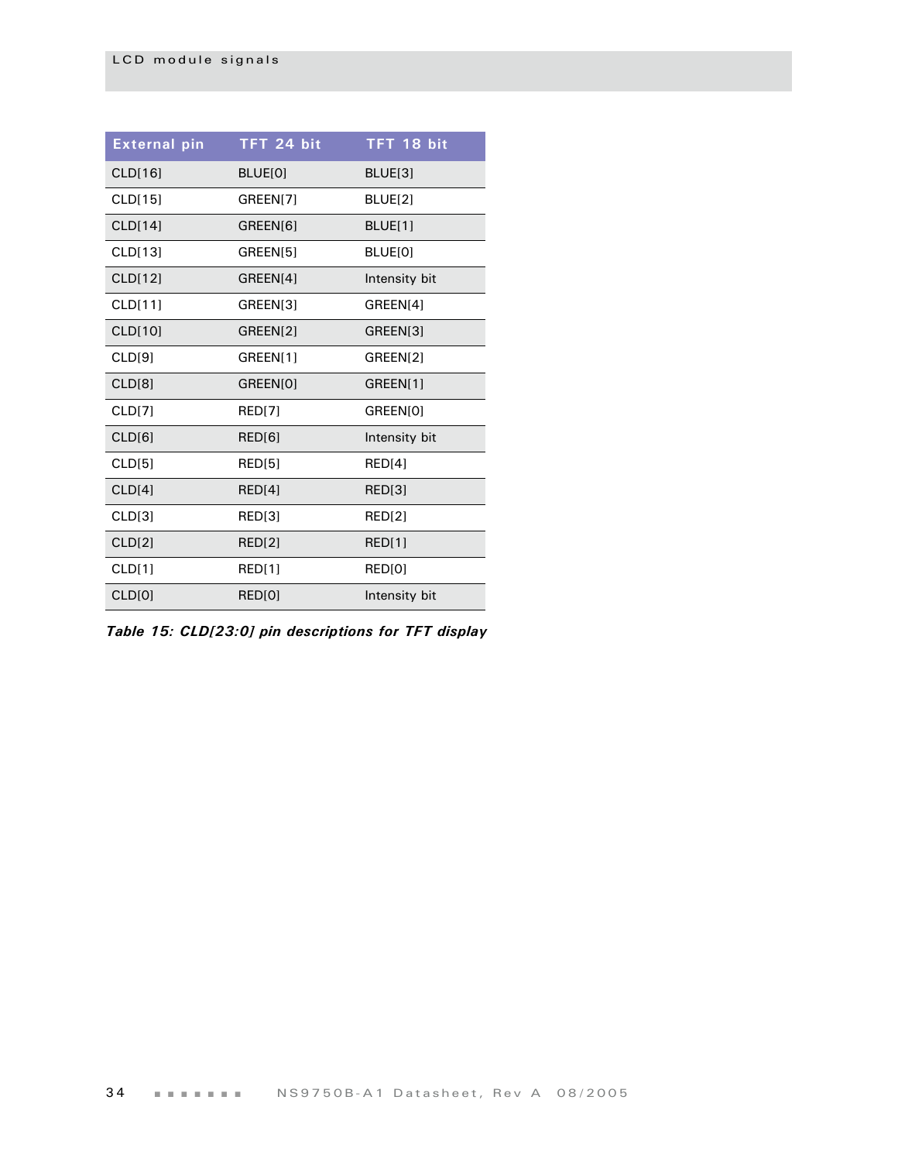| <b>External pin</b> | TFT 24 bit    | TFT 18 bit     |
|---------------------|---------------|----------------|
| CLD[16]             | BLUE[0]       | BLUE[3]        |
| CLD[15]             | GREEN[7]      | BLUE[2]        |
| CLD[14]             | GREEN[6]      | <b>BLUE[1]</b> |
| CLD[13]             | GREEN[5]      | BLUE[0]        |
| CLD[12]             | GREEN[4]      | Intensity bit  |
| CLD[11]             | GREEN[3]      | GREEN[4]       |
| CLD[10]             | GREEN[2]      | GREEN[3]       |
| CLD[9]              | GREEN[1]      | GREEN[2]       |
| CLD[8]              | GREEN[0]      | GREEN[1]       |
| CLD[7]              | <b>RED[7]</b> | GREEN[0]       |
| CLD[6]              | RED[6]        | Intensity bit  |
| CLD[5]              | RED[5]        | RED[4]         |
| CLD[4]              | RED[4]        | RED[3]         |
| CLD[3]              | RED[3]        | <b>RED[2]</b>  |
| CLD[2]              | <b>RED[2]</b> | <b>RED[1]</b>  |
| CLD[1]              | RED[1]        | RED[0]         |
| <b>CLD[0]</b>       | RED[0]        | Intensity bit  |

*Table 15: CLD[23:0] pin descriptions for TFT display*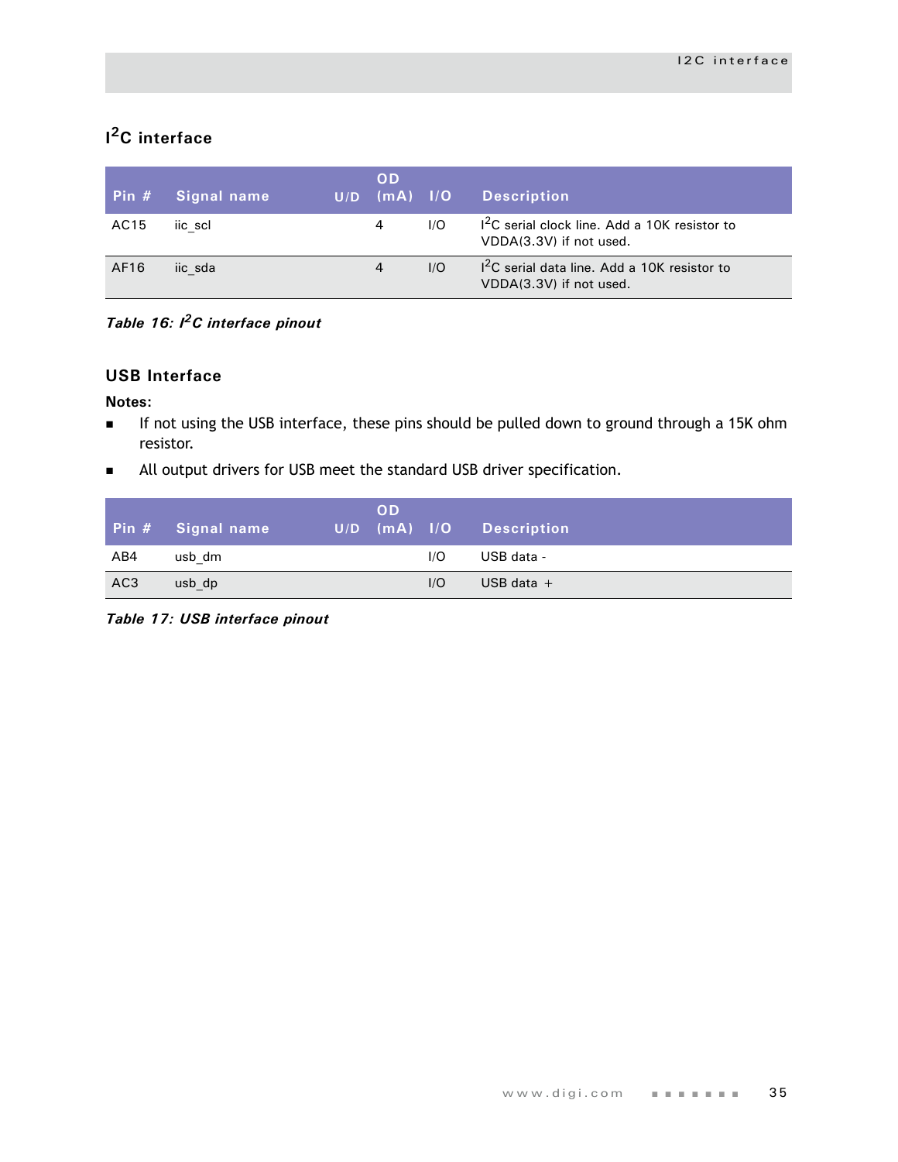# **I 2C interface**

| Pin $#$ | Signal name | U/D | <b>OD</b><br>$\lceil$ (mA) $\lceil$ 1/0 |     | <b>Description</b>                                                        |
|---------|-------------|-----|-----------------------------------------|-----|---------------------------------------------------------------------------|
| AC15    | iic scl     |     | 4                                       | 1/O | $12C$ serial clock line. Add a 10K resistor to<br>VDDA(3.3V) if not used. |
| AF16    | iic sda     |     | 4                                       | 1/O | $12C$ serial data line. Add a 10K resistor to<br>VDDA(3.3V) if not used.  |

*Table 16: I2C interface pinout*

## **USB Interface**

#### **Notes:**

- If not using the USB interface, these pins should be pulled down to ground through a 15K ohm resistor.
- **All output drivers for USB meet the standard USB driver specification.**

|                 | Pin # Signal name | <b>OD</b><br> U/D (mA)  /O |     | Description  |
|-----------------|-------------------|----------------------------|-----|--------------|
| AB4             | usb dm            |                            | 1/O | USB data -   |
| AC <sub>3</sub> | usb dp            |                            | 1/O | USB data $+$ |

*Table 17: USB interface pinout*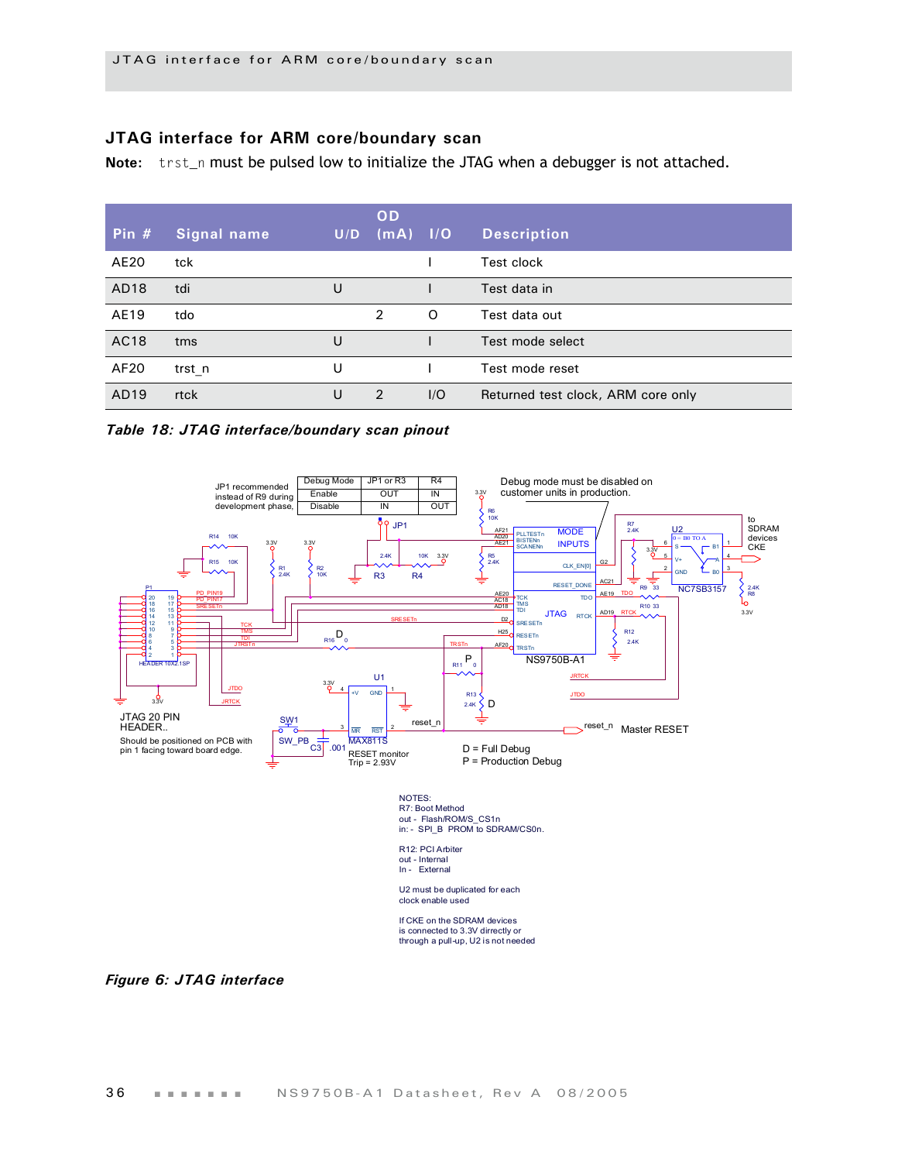#### **JTAG interface for ARM core/boundary scan**

Note: trst\_n must be pulsed low to initialize the JTAG when a debugger is not attached.

| Pin $#$ | <b>Signal name</b> | U/D | <b>OD</b><br>$(mA)$ $1/O$ |          | <b>Description</b>                 |
|---------|--------------------|-----|---------------------------|----------|------------------------------------|
| AE20    | tck                |     |                           |          | Test clock                         |
| AD18    | tdi                | U   |                           |          | Test data in                       |
| AE19    | tdo                |     | 2                         | $\Omega$ | Test data out                      |
| AC18    | tms                | U   |                           |          | Test mode select                   |
| AF20    | trst n             | U   |                           |          | Test mode reset                    |
| AD19    | rtck               | U   | 2                         | 1/O      | Returned test clock, ARM core only |

#### *Table 18: JTAG interface/boundary scan pinout*



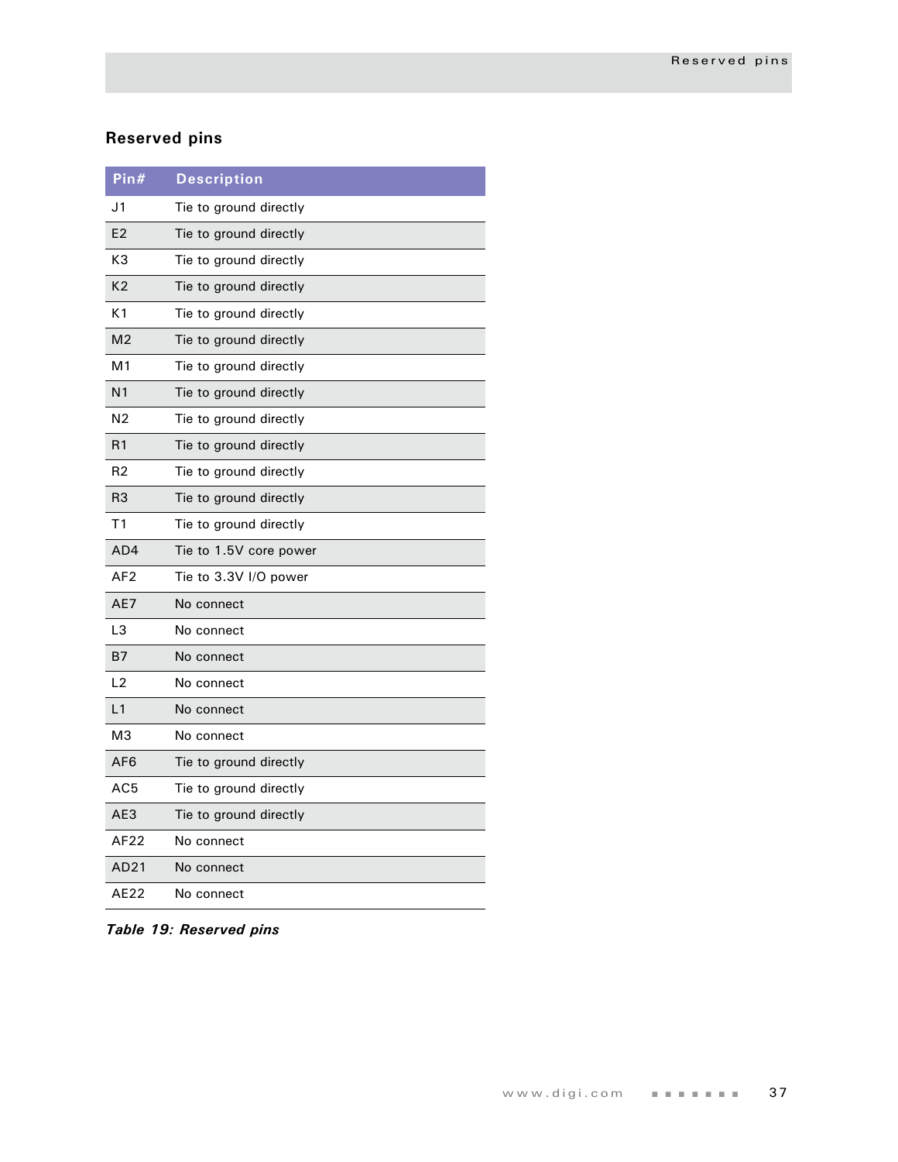# **Reserved pins**

| Pin#            | <b>Description</b>     |
|-----------------|------------------------|
| J1              | Tie to ground directly |
| E <sub>2</sub>  | Tie to ground directly |
| K3              | Tie to ground directly |
| K <sub>2</sub>  | Tie to ground directly |
| K <sub>1</sub>  | Tie to ground directly |
| M <sub>2</sub>  | Tie to ground directly |
| M1              | Tie to ground directly |
| N <sub>1</sub>  | Tie to ground directly |
| N2              | Tie to ground directly |
| R1              | Tie to ground directly |
| R2              | Tie to ground directly |
| R <sub>3</sub>  | Tie to ground directly |
| Τ1              | Tie to ground directly |
| AD4             | Tie to 1.5V core power |
| AF <sub>2</sub> | Tie to 3.3V I/O power  |
| AE7             | No connect             |
| L3              | No connect             |
| B7              | No connect             |
| L2              | No connect             |
| L1              | No connect             |
| MЗ              | No connect             |
| AF <sub>6</sub> | Tie to ground directly |
| AC5             | Tie to ground directly |
| AE3             | Tie to ground directly |
| AF22            | No connect             |
| AD21            | No connect             |
| AE22            | No connect             |

*Table 19: Reserved pins*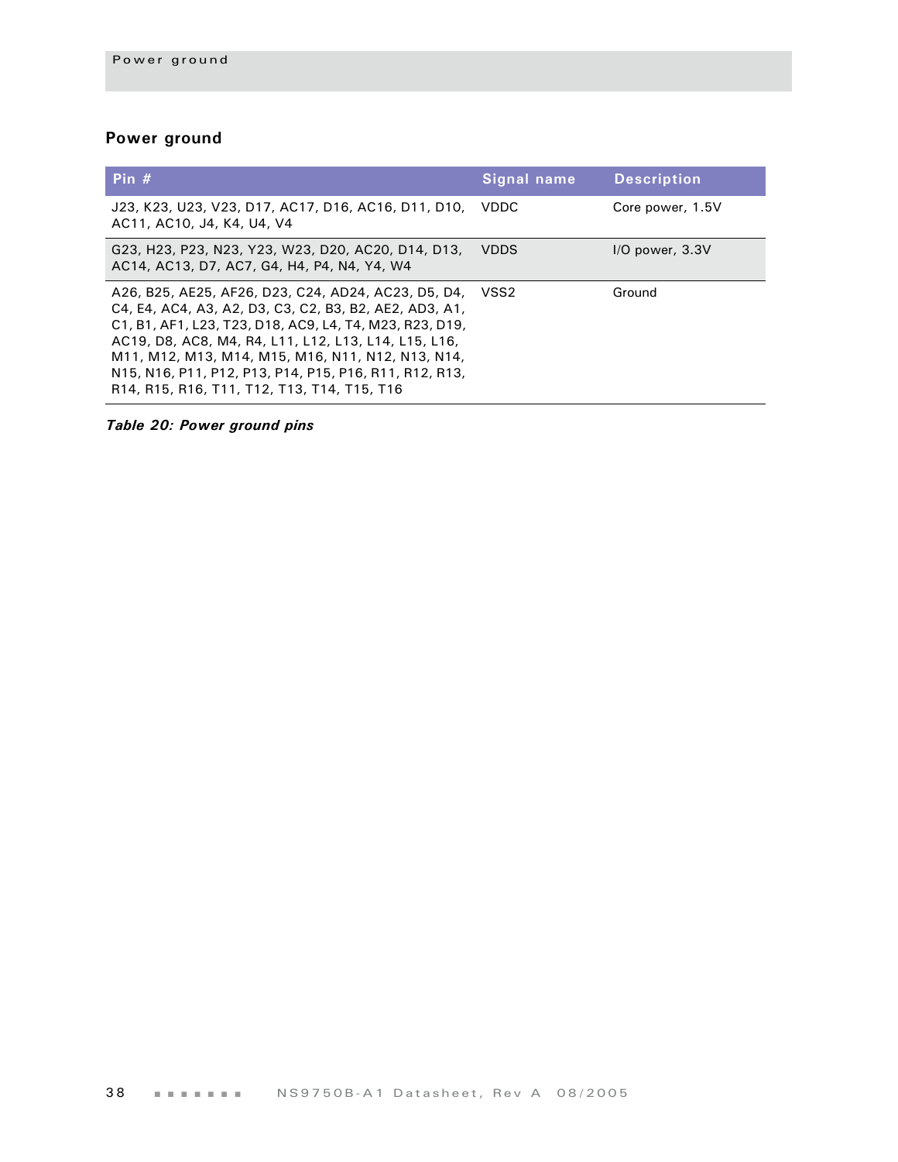# **Power ground**

| Pin $#$                                                                                                                                                                                                                                                                                                                                                                                             | Signal name | <b>Description</b>  |
|-----------------------------------------------------------------------------------------------------------------------------------------------------------------------------------------------------------------------------------------------------------------------------------------------------------------------------------------------------------------------------------------------------|-------------|---------------------|
| J23, K23, U23, V23, D17, AC17, D16, AC16, D11, D10, VDDC<br>AC11, AC10, J4, K4, U4, V4                                                                                                                                                                                                                                                                                                              |             | Core power, 1.5V    |
| G23, H23, P23, N23, Y23, W23, D20, AC20, D14, D13,<br>AC14, AC13, D7, AC7, G4, H4, P4, N4, Y4, W4                                                                                                                                                                                                                                                                                                   | <b>VDDS</b> | $I/O$ power, $3.3V$ |
| A26, B25, AE25, AF26, D23, C24, AD24, AC23, D5, D4, VSS2<br>C4, E4, AC4, A3, A2, D3, C3, C2, B3, B2, AE2, AD3, A1,<br>C1, B1, AF1, L23, T23, D18, AC9, L4, T4, M23, R23, D19,<br>AC19, D8, AC8, M4, R4, L11, L12, L13, L14, L15, L16,<br>M11, M12, M13, M14, M15, M16, N11, N12, N13, N14,<br>N15, N16, P11, P12, P13, P14, P15, P16, R11, R12, R13,<br>R14, R15, R16, T11, T12, T13, T14, T15, T16 |             | Ground              |

*Table 20: Power ground pins*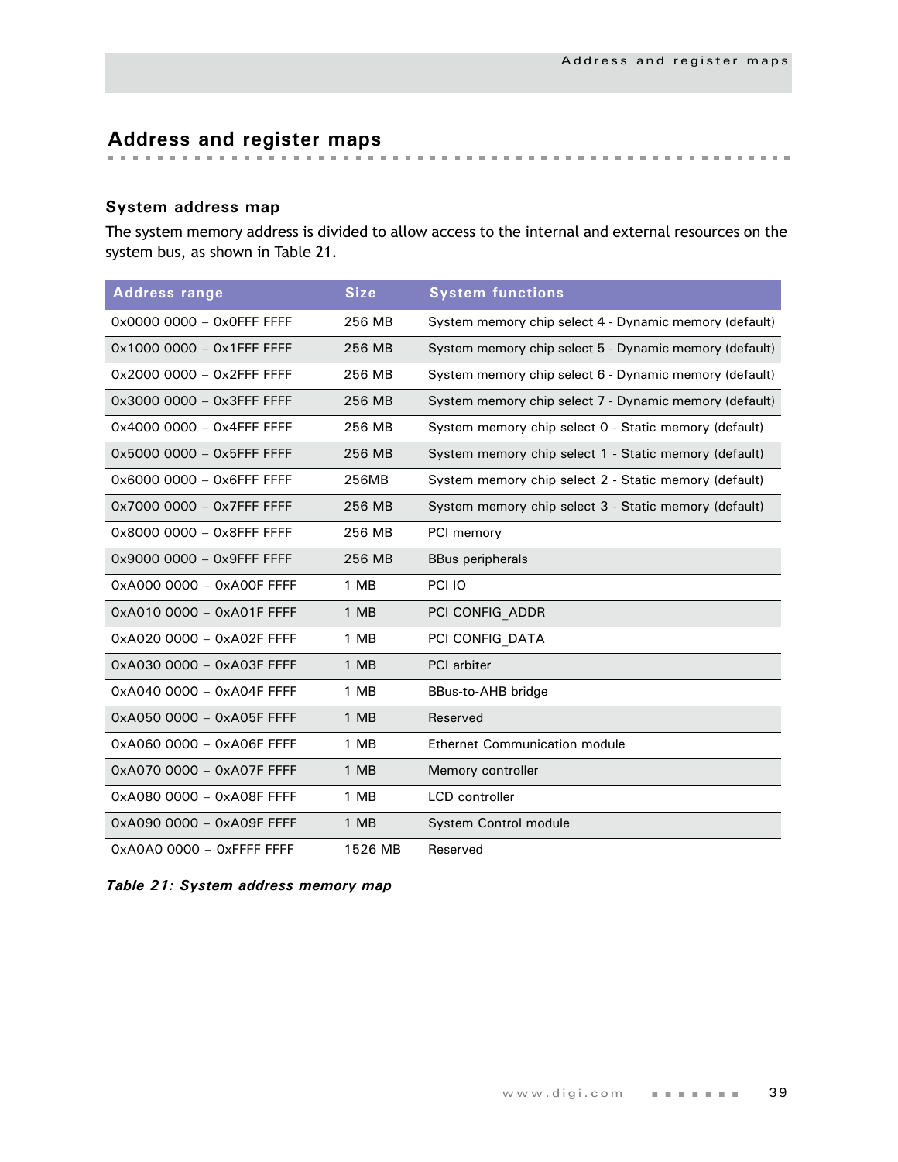# **Address and register maps**

## **System address map**

The system memory address is divided to allow access to the internal and external resources on the system bus, as shown in [Table 21](#page-42-0).

| <b>Address range</b>       | <b>Size</b> | <b>System functions</b>                                |
|----------------------------|-------------|--------------------------------------------------------|
| 0x0000 0000 - 0x0FFF FFFF  | 256 MB      | System memory chip select 4 - Dynamic memory (default) |
| 0x1000 0000 - 0x1FFF FFFF  | 256 MB      | System memory chip select 5 - Dynamic memory (default) |
| 0x2000 0000 - 0x2FFF FFFF  | 256 MB      | System memory chip select 6 - Dynamic memory (default) |
| 0x3000 0000 - 0x3FFF FFFF  | 256 MB      | System memory chip select 7 - Dynamic memory (default) |
| 0x4000 0000 - 0x4FFF FFFF  | 256 MB      | System memory chip select 0 - Static memory (default)  |
| 0x5000 0000 - 0x5FFF FFFF  | 256 MB      | System memory chip select 1 - Static memory (default)  |
| 0x6000 0000 - 0x6FFF FFFF  | 256MB       | System memory chip select 2 - Static memory (default)  |
| 0x7000 0000 - 0x7FFF FFFF  | 256 MB      | System memory chip select 3 - Static memory (default)  |
| 0x8000 0000 - 0x8FFF FFFF  | 256 MB      | PCI memory                                             |
| 0x9000 0000 - 0x9FFF FFFF  | 256 MB      | <b>BBus peripherals</b>                                |
| 0xA000 0000 - 0xA00F FFFF  | 1 MB        | PCI IO                                                 |
| 0xA010 0000 - 0xA01F FFFF  | 1 MB        | PCI CONFIG ADDR                                        |
| 0xA020 0000 - 0xA02F FFFF  | 1 MB        | PCI CONFIG DATA                                        |
| 0xA030 0000 - 0xA03F FFFF  | 1 MB        | PCI arbiter                                            |
| 0xA040 0000 - 0xA04F FFFF  | 1 MB        | BBus-to-AHB bridge                                     |
| 0xA050 0000 - 0xA05F FFFF  | 1 MB        | Reserved                                               |
| 0xA060 0000 - 0xA06F FFFF  | 1 MB        | <b>Ethernet Communication module</b>                   |
| 0xA070 0000 - 0xA07F FFFF  | 1 MB        | Memory controller                                      |
| 0xA080 0000 - 0xA08F FFFF  | 1 MB        | <b>LCD</b> controller                                  |
| 0xA090 0000 - 0xA09F FFFF  | 1 MB        | System Control module                                  |
| $0xA0A0000 - 0x$ FFFF FFFF | 1526 MB     | Reserved                                               |

<span id="page-42-0"></span>*Table 21: System address memory map*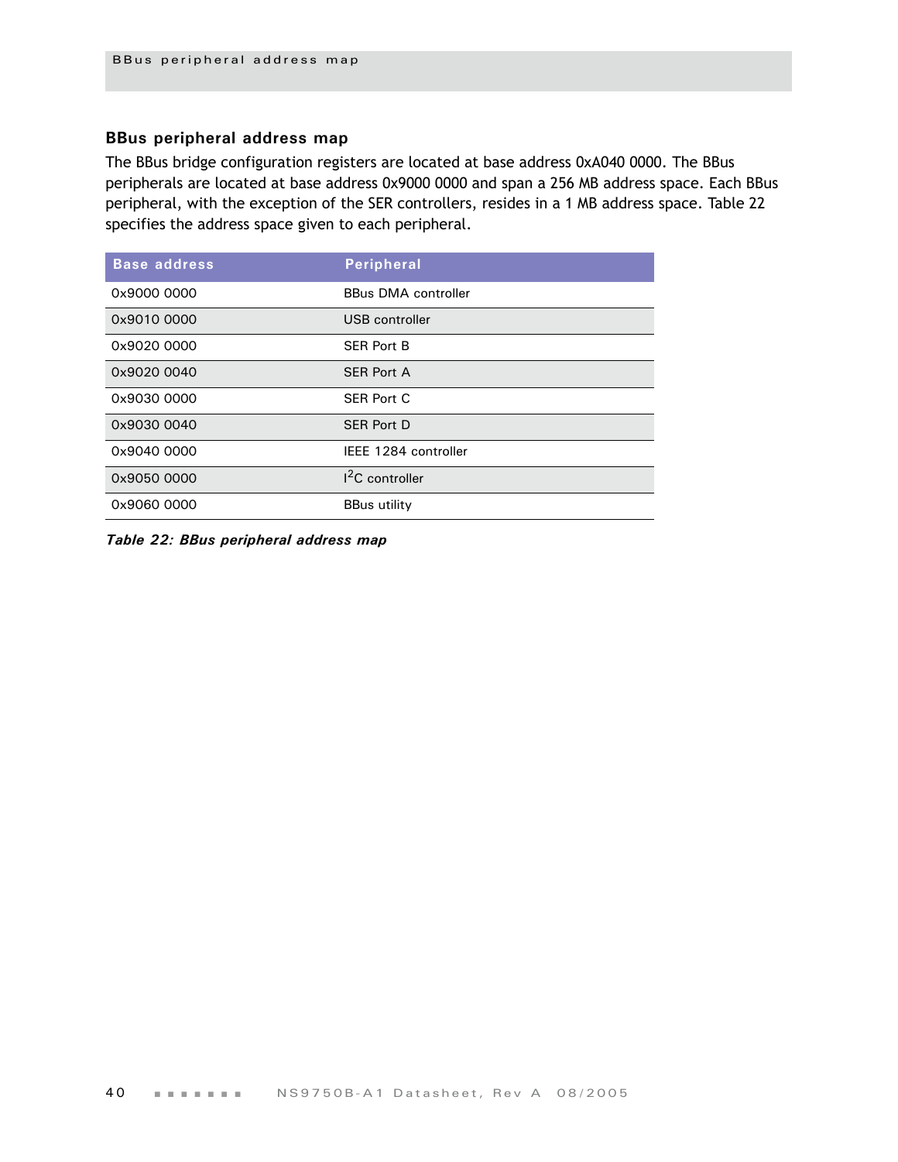### **BBus peripheral address map**

The BBus bridge configuration registers are located at base address 0xA040 0000. The BBus peripherals are located at base address 0x9000 0000 and span a 256 MB address space. Each BBus peripheral, with the exception of the SER controllers, resides in a 1 MB address space. [Table 22](#page-43-0)  specifies the address space given to each peripheral.

| <b>Base address</b> | <b>Peripheral</b>          |
|---------------------|----------------------------|
| 0x9000 0000         | <b>BBus DMA controller</b> |
| 0x9010 0000         | USB controller             |
| 0x9020 0000         | <b>SER Port B</b>          |
| 0x9020 0040         | <b>SER Port A</b>          |
| 0x9030 0000         | <b>SER Port C</b>          |
| 0x9030 0040         | <b>SER Port D</b>          |
| 0x9040 0000         | IEEE 1284 controller       |
| 0x9050 0000         | <sup>2</sup> C controller  |
| 0x9060 0000         | <b>BBus utility</b>        |

<span id="page-43-0"></span>*Table 22: BBus peripheral address map*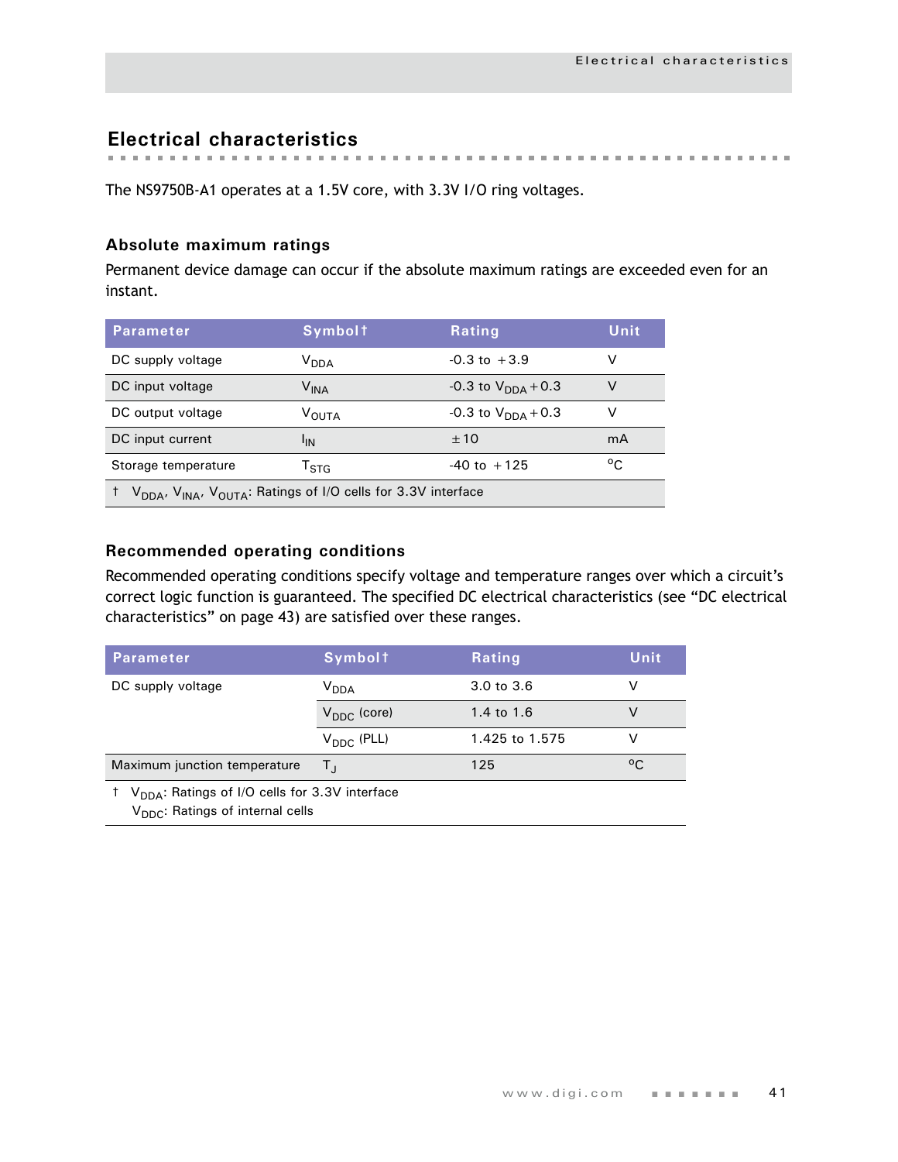**Electrical characteristics**

The NS9750B-A1 operates at a 1.5V core, with 3.3V I/O ring voltages.

### **Absolute maximum ratings**

Permanent device damage can occur if the absolute maximum ratings are exceeded even for an instant.

| <b>Parameter</b>                                                                                  | <b>Symbolt</b>              | <b>Rating</b>                  | Unit         |  |  |
|---------------------------------------------------------------------------------------------------|-----------------------------|--------------------------------|--------------|--|--|
| DC supply voltage                                                                                 | V <sub>DDA</sub>            | $-0.3$ to $+3.9$               | v            |  |  |
| DC input voltage                                                                                  | $\mathsf{V}_{\mathsf{INA}}$ | -0.3 to $V_{\text{DNA}} + 0.3$ | V            |  |  |
| DC output voltage                                                                                 | <b>VOUTA</b>                | $-0.3$ to $V_{DDA}$ + 0.3      | v            |  |  |
| DC input current                                                                                  | 'IN                         | ±10                            | mA           |  |  |
| Storage temperature                                                                               | $\mathsf{T}_{\text{STA}}$   | $-40$ to $+125$                | $^{\circ}$ C |  |  |
| V <sub>DDA</sub> , V <sub>INA</sub> , V <sub>OUTA</sub> : Ratings of I/O cells for 3.3V interface |                             |                                |              |  |  |

## **Recommended operating conditions**

Recommended operating conditions specify voltage and temperature ranges over which a circuit's correct logic function is guaranteed. The specified DC electrical characteristics (see ["DC electrical](#page-46-0)  [characteristics" on page 43\)](#page-46-0) are satisfied over these ranges.

| <b>Parameter</b>                                                                                                        | <b>Symbolt</b>          | <b>Rating</b>  | Unit |  |  |
|-------------------------------------------------------------------------------------------------------------------------|-------------------------|----------------|------|--|--|
| DC supply voltage                                                                                                       | V <sub>DDA</sub>        | 3.0 to 3.6     |      |  |  |
|                                                                                                                         | $V_{\text{DDC}}$ (core) | 1.4 to 1.6     | v    |  |  |
|                                                                                                                         | $V_{\text{DDC}}$ (PLL)  | 1.425 to 1.575 |      |  |  |
| Maximum junction temperature                                                                                            | Τı                      | 125            | °C.  |  |  |
| <sup>†</sup> V <sub>DDA</sub> : Ratings of I/O cells for 3.3V interface<br>V <sub>DDC</sub> : Ratings of internal cells |                         |                |      |  |  |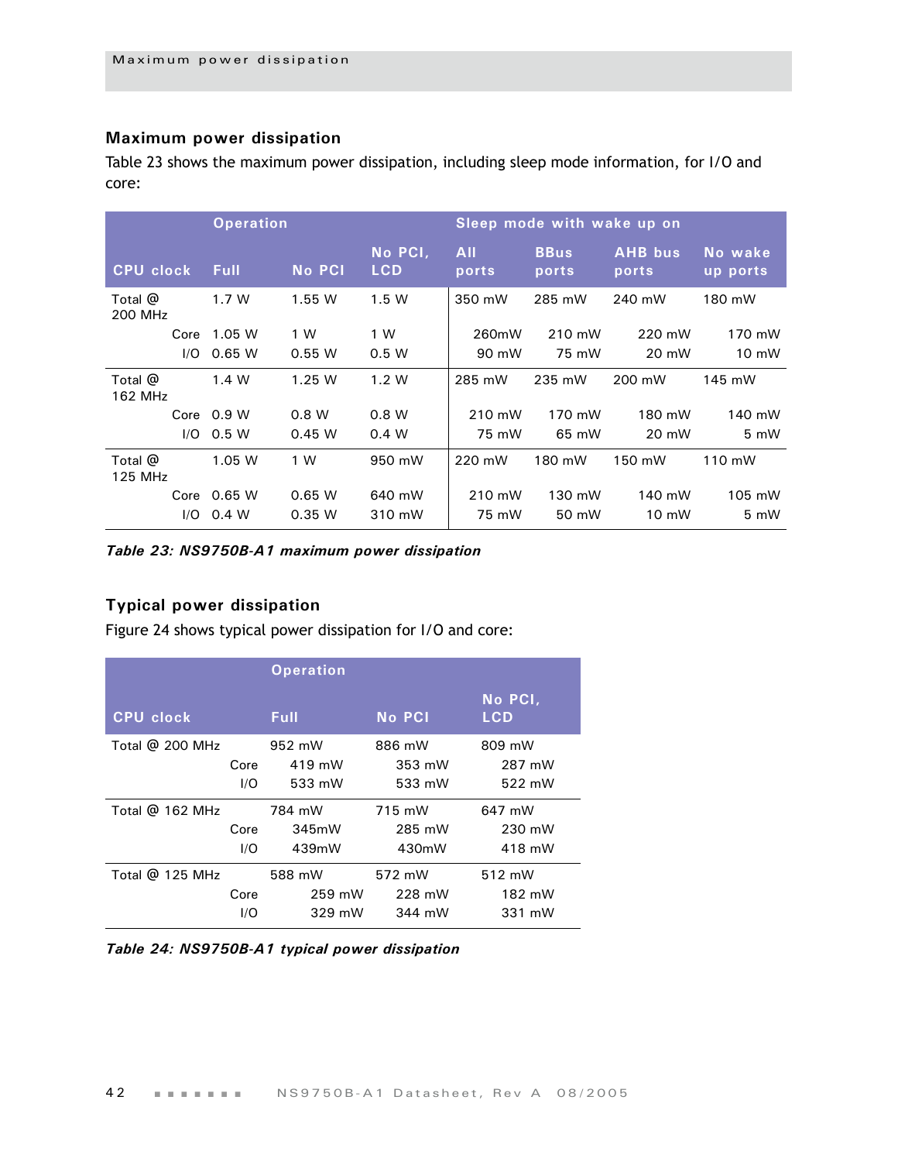#### **Maximum power dissipation**

[Table 23](#page-45-0) shows the maximum power dissipation, including sleep mode information, for I/O and core:

|                    |      | <b>Operation</b> |               |                       | Sleep mode with wake up on |                      |                         |                     |
|--------------------|------|------------------|---------------|-----------------------|----------------------------|----------------------|-------------------------|---------------------|
| <b>CPU clock</b>   |      | <b>Full</b>      | <b>No PCI</b> | No PCI,<br><b>LCD</b> | <b>All</b><br>ports        | <b>BBus</b><br>ports | <b>AHB</b> bus<br>ports | No wake<br>up ports |
| Total @<br>200 MHz |      | 1.7W             | 1.55 W        | 1.5W                  | 350 mW                     | 285 mW               | 240 mW                  | 180 mW              |
|                    | Core | 1.05W            | 1 W           | 1 W                   | 260mW                      | 210 mW               | 220 mW                  | 170 mW              |
|                    | 1/O  | 0.65 W           | 0.55 W        | 0.5 W                 | 90 mW                      | 75 mW                | 20 mW                   | 10 mW               |
| Total @<br>162 MHz |      | 1.4 W            | 1.25W         | 1.2 W                 | 285 mW                     | 235 mW               | 200 mW                  | 145 mW              |
|                    |      | Core $0.9 W$     | 0.8 W         | 0.8 W                 | 210 mW                     | 170 mW               | 180 mW                  | 140 mW              |
|                    | 1/O  | 0.5 W            | 0.45 W        | 0.4 W                 | 75 mW                      | 65 mW                | 20 mW                   | 5 mW                |
| Total @<br>125 MHz |      | 1.05 W           | 1 W           | 950 mW                | 220 mW                     | 180 mW               | 150 mW                  | 110 mW              |
|                    | Core | 0.65 W           | 0.65W         | 640 mW                | 210 mW                     | 130 mW               | 140 mW                  | 105 mW              |
|                    | 1/O  | 0.4 W            | 0.35 W        | 310 mW                | 75 mW                      | 50 mW                | 10 mW                   | 5 mW                |

<span id="page-45-0"></span>*Table 23: NS9750B-A1 maximum power dissipation*

# **Typical power dissipation**

Figure 24 shows typical power dissipation for I/O and core:

|                   |      | <b>Operation</b> |               |                       |
|-------------------|------|------------------|---------------|-----------------------|
| <b>CPU clock</b>  |      | <b>Full</b>      | <b>No PCI</b> | No PCI,<br><b>LCD</b> |
| Total $@$ 200 MHz |      | 952 mW           | 886 mW        | 809 mW                |
|                   | Core | 419 mW           | 353 mW        | 287 mW                |
|                   | I/O  | 533 mW           | 533 mW        | 522 mW                |
| Total @ 162 MHz   |      | 784 mW           | 715 mW        | 647 mW                |
|                   | Core | 345mW            | 285 mW        | 230 mW                |
|                   | I/O  | 439mW            | 430mW         | 418 mW                |
| Total @ 125 MHz   |      | 588 mW           | 572 mW        | 512 mW                |
|                   | Core | 259 mW           | 228 mW        | 182 mW                |
|                   | 1/O  | 329 mW           | 344 mW        | 331 mW                |

*Table 24: NS9750B-A1 typical power dissipation*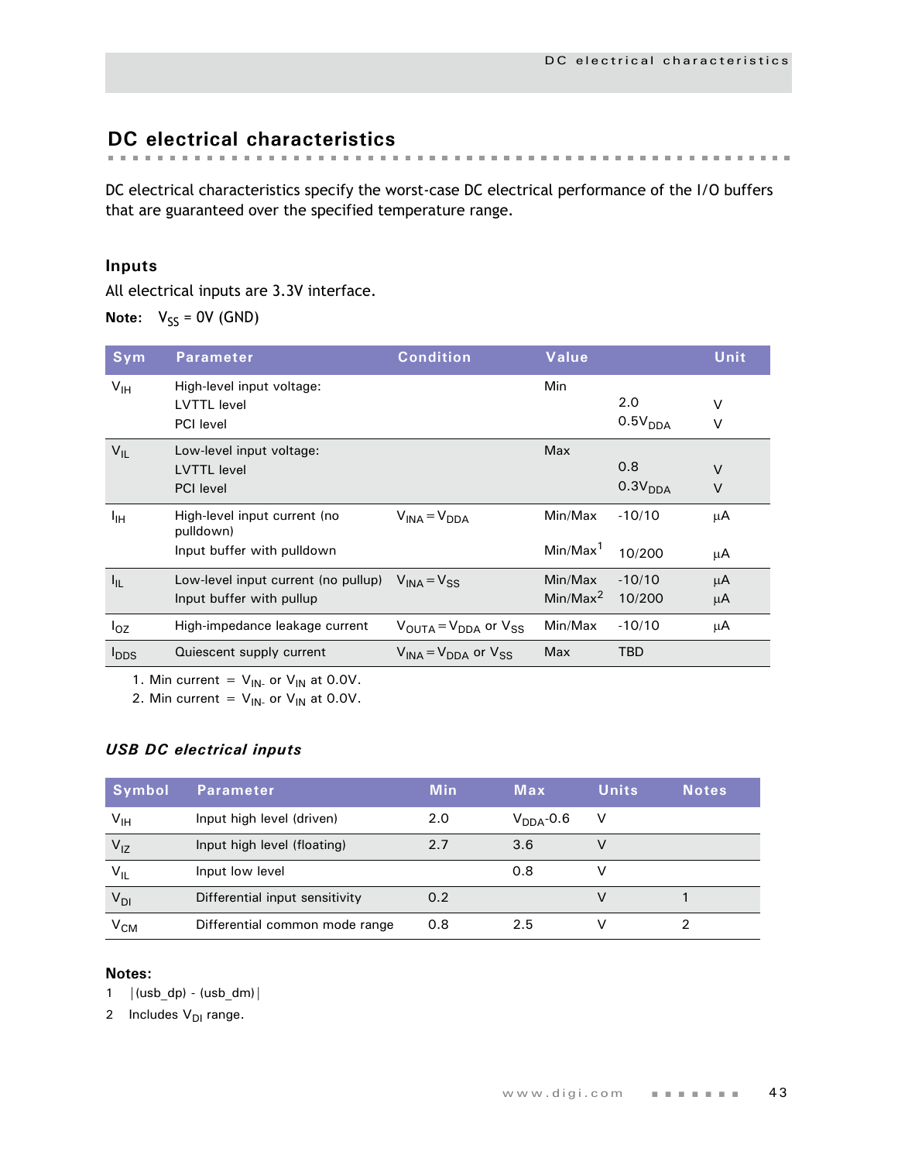# <span id="page-46-0"></span>**DC electrical characteristics**

DC electrical characteristics specify the worst-case DC electrical performance of the I/O buffers that are guaranteed over the specified temperature range.

## **Inputs**

All electrical inputs are 3.3V interface.

**Note:**  $V_{SS} = 0V$  (GND)

| Sym                     | <b>Parameter</b>                                                        | <b>Condition</b>                                      | Value                           |                            | Unit             |
|-------------------------|-------------------------------------------------------------------------|-------------------------------------------------------|---------------------------------|----------------------------|------------------|
| $V_{\text{IH}}$         | High-level input voltage:<br><b>LVTTL</b> level<br><b>PCI</b> level     |                                                       | Min                             | 2.0<br>0.5V <sub>DDA</sub> | $\vee$<br>$\vee$ |
| $V_{IL}$                | Low-level input voltage:<br><b>LVTTL</b> level<br><b>PCI</b> level      |                                                       | Max                             | 0.8<br>0.3V <sub>DDA</sub> | $\vee$<br>$\vee$ |
| Iн                      | High-level input current (no<br>pulldown)<br>Input buffer with pulldown | $V_{INA} = V_{DDA}$                                   | Min/Max<br>Min/Max <sup>1</sup> | $-10/10$<br>10/200         | μA<br>μA         |
| $I_{IL}$                | Low-level input current (no pullup)<br>Input buffer with pullup         | $V_{INA} = V_{SS}$                                    | Min/Max<br>Min/Max <sup>2</sup> | $-10/10$<br>10/200         | μA<br>μA         |
| $I_{OZ}$                | High-impedance leakage current                                          | $V_{\text{OUTA}} = V_{\text{DDA}}$ or $V_{\text{SS}}$ | Min/Max                         | $-10/10$                   | μA               |
| <b>I</b> <sub>DDS</sub> | Quiescent supply current                                                | $V_{INA} = V_{DDA}$ or $V_{SS}$                       | Max                             | <b>TBD</b>                 |                  |

1. Min current =  $V_{IN}$  or  $V_{IN}$  at 0.0V.

2. Min current =  $V_{IN}$  or  $V_{IN}$  at 0.0V.

#### *USB DC electrical inputs*

| Symbol                     | <b>Parameter</b>               | <b>Min</b> | Max                   | <b>Units</b> | Notes. |
|----------------------------|--------------------------------|------------|-----------------------|--------------|--------|
| V <sub>IH</sub>            | Input high level (driven)      | 2.0        | $V_{\text{DDA}}$ -0.6 | V            |        |
| $V_{1Z}$                   | Input high level (floating)    | 2.7        | 3.6                   |              |        |
| $V_{IL}$                   | Input low level                |            | 0.8                   |              |        |
| $V_{DI}$                   | Differential input sensitivity | 0.2        |                       |              |        |
| $\mathsf{v}_{\mathsf{CM}}$ | Differential common mode range | 0.8        | 2.5                   |              |        |

#### **Notes:**

1  $|(usb_dp) - (usb_dm)|$ 

2 Includes  $V_{DI}$  range.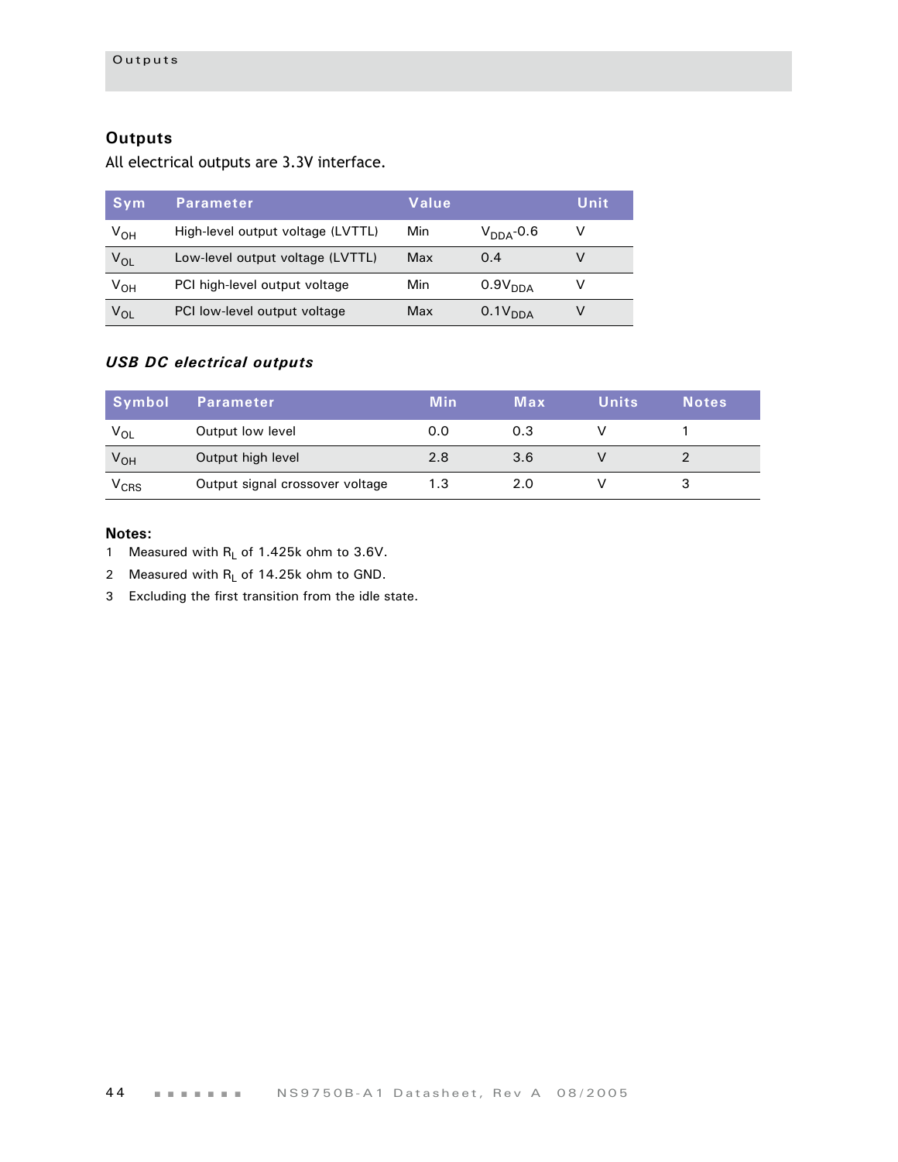## **Outputs**

All electrical outputs are 3.3V interface.

| Sym      | <b>Parameter</b>                  | Value |                     | Unit |
|----------|-----------------------------------|-------|---------------------|------|
| $V_{OH}$ | High-level output voltage (LVTTL) | Min   | $V_{DDA}$ -0.6      | v    |
| $V_{OL}$ | Low-level output voltage (LVTTL)  | Max   | 0.4                 |      |
| $V_{OH}$ | PCI high-level output voltage     | Min   | 0.9V <sub>DDA</sub> |      |
| $V_{OL}$ | PCI low-level output voltage      | Max   | 0.1V <sub>DDA</sub> |      |

### *USB DC electrical outputs*

| Symbol    | <b>Parameter</b>                | <b>Min</b> | Max | <b>Units</b> | <b>Notes</b> |
|-----------|---------------------------------|------------|-----|--------------|--------------|
| $V_{OL}$  | Output low level                | 0.0        | 0.3 |              |              |
| $V_{OH}$  | Output high level               | 2.8        | 3.6 |              |              |
| $V_{CRS}$ | Output signal crossover voltage | 1.3        | 2.0 |              |              |

- 1 Measured with  $R_L$  of 1.425k ohm to 3.6V.
- 2 Measured with  $R_L$  of 14.25k ohm to GND.
- 3 Excluding the first transition from the idle state.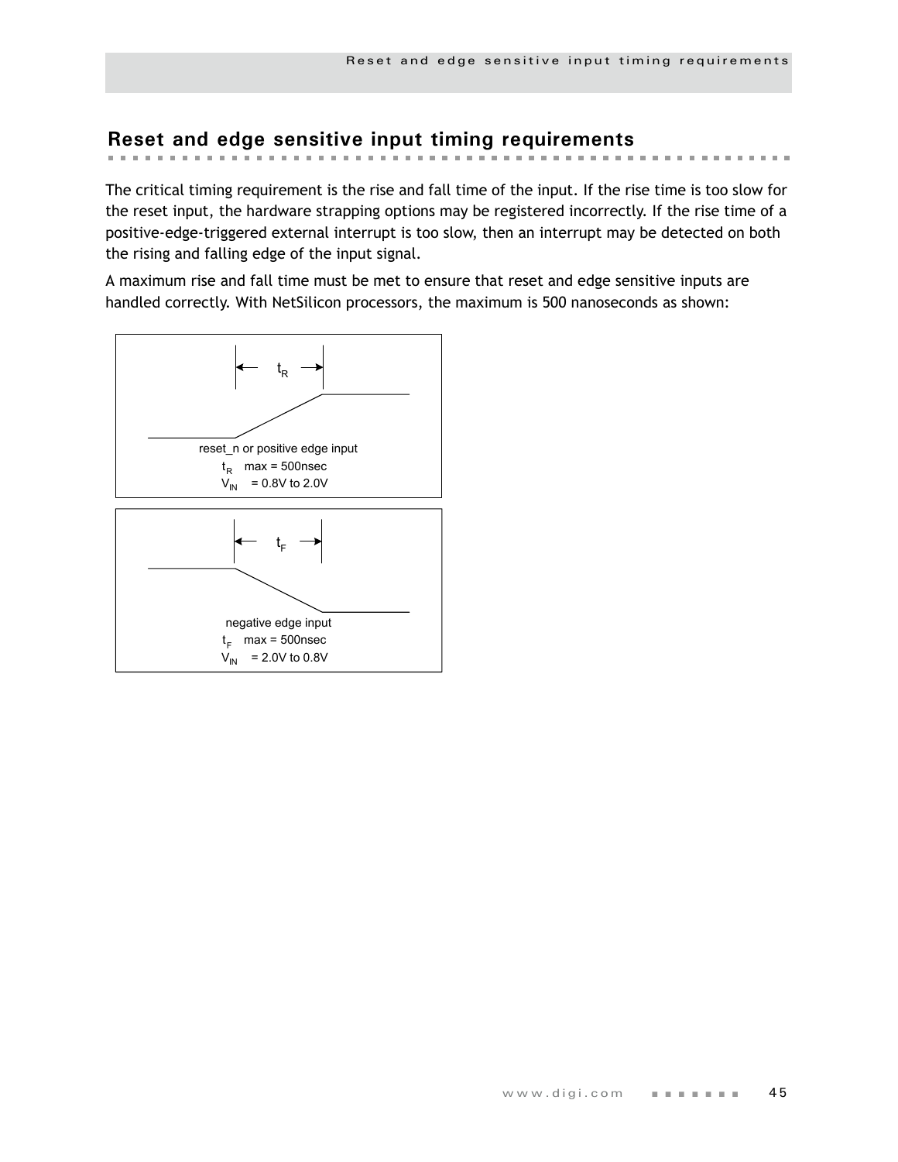# **Reset and edge sensitive input timing requirements**

The critical timing requirement is the rise and fall time of the input. If the rise time is too slow for the reset input, the hardware strapping options may be registered incorrectly. If the rise time of a positive-edge-triggered external interrupt is too slow, then an interrupt may be detected on both the rising and falling edge of the input signal.

A maximum rise and fall time must be met to ensure that reset and edge sensitive inputs are handled correctly. With NetSilicon processors, the maximum is 500 nanoseconds as shown:

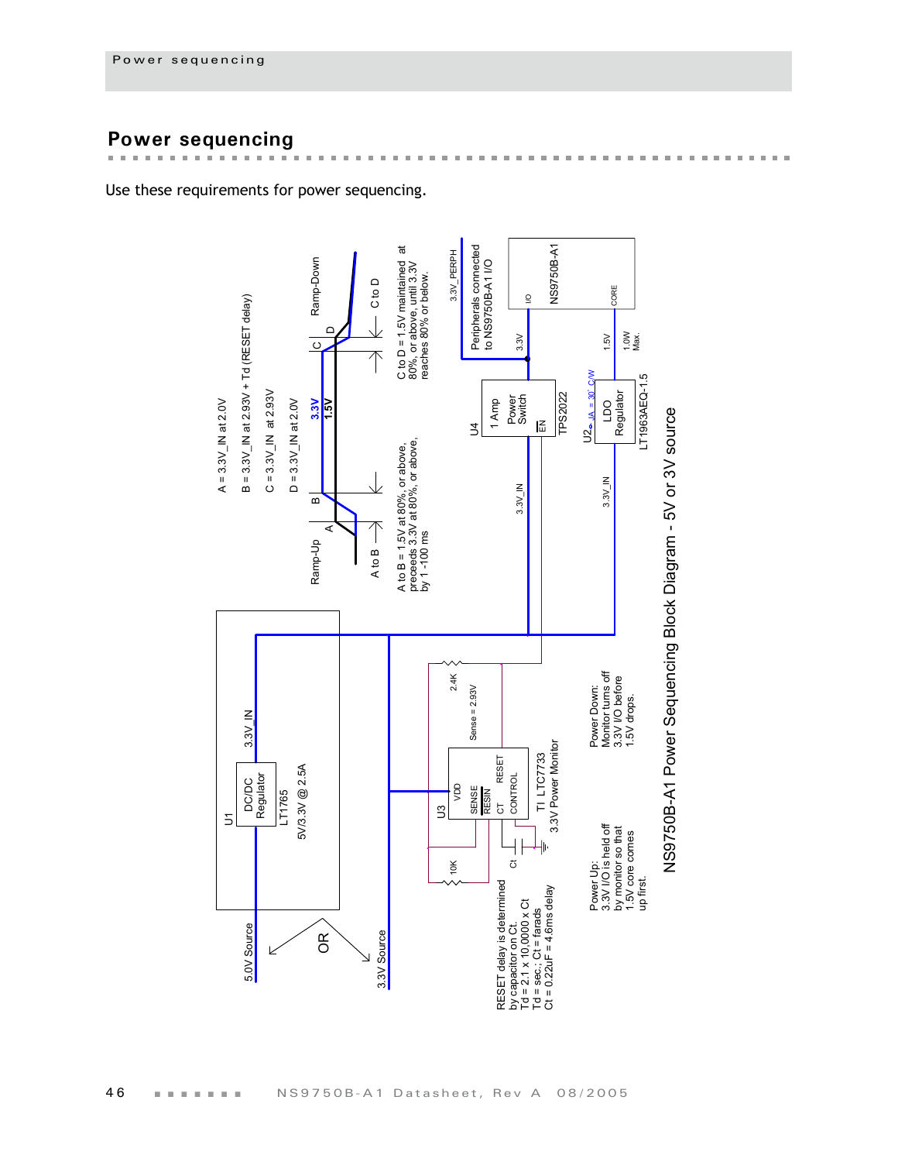# **Power sequencing**

in in ĥ.

Use these requirements for power sequencing.

 $\mathbf{m}$  $\mathbf{r}$ i. i.  $\mathbf{m}$  $\mathbf{m}$  $\mathbb{R}^d$  $\mathbf{m}$  $\mathbf{u}$ 



 $\sim$  $\mathbf{m}$  $\mathbb{R}^d$  $\pm$  $\mathbf{m}$  $\mathbf{m}$  $\mathbb{R}^d$  $\mathbf{m}$  $\mathbb{R}^n$  $\mathbf{B}$  ,  $\mathbf{B}$  $\blacksquare$  . . . . . . . . . . . . . . . . . . . .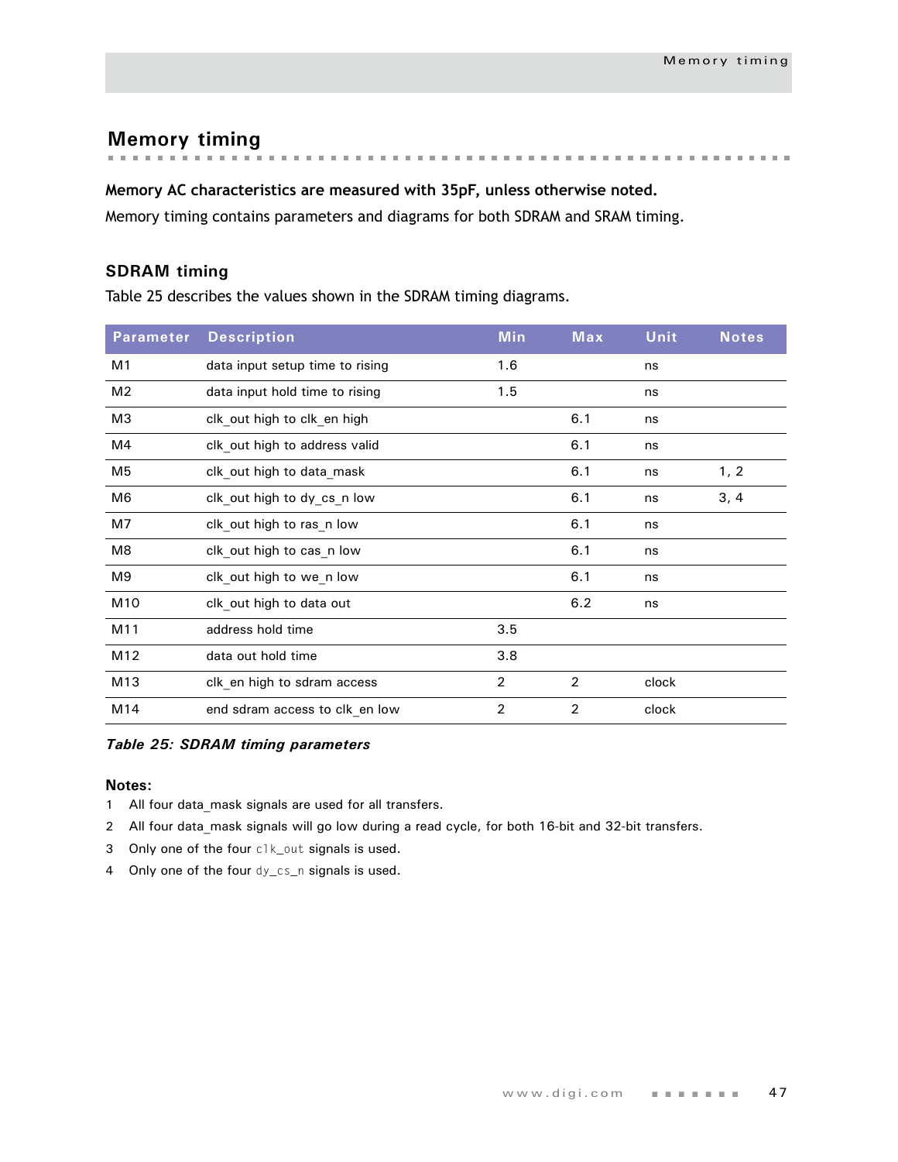**Memory timing**

#### **Memory AC characteristics are measured with 35pF, unless otherwise noted.**

Memory timing contains parameters and diagrams for both SDRAM and SRAM timing.

#### **SDRAM timing**

Table 25 describes the values shown in the SDRAM timing diagrams.

| <b>Parameter</b> | <b>Description</b>              | <b>Min</b>     | <b>Max</b>     | <b>Unit</b> | <b>Notes</b> |
|------------------|---------------------------------|----------------|----------------|-------------|--------------|
| M1               | data input setup time to rising | 1.6            |                | ns          |              |
| M <sub>2</sub>   | data input hold time to rising  | 1.5            |                | ns          |              |
| M3               | clk out high to clk en high     |                | 6.1            | ns          |              |
| M4               | clk_out high to address valid   |                | 6.1            | ns          |              |
| M <sub>5</sub>   | clk_out high to data_mask       |                | 6.1            | ns          | 1, 2         |
| M <sub>6</sub>   | clk out high to dy cs n low     |                | 6.1            | ns          | 3, 4         |
| M7               | clk out high to ras n low       |                | 6.1            | ns          |              |
| M8               | clk out high to cas n low       |                | 6.1            | ns          |              |
| M9               | clk out high to we n low        |                | 6.1            | ns          |              |
| M10              | clk out high to data out        |                | 6.2            | ns          |              |
| M11              | address hold time               | 3.5            |                |             |              |
| M12              | data out hold time              | 3.8            |                |             |              |
| M13              | clk_en high to sdram access     | $\overline{2}$ | $\overline{2}$ | clock       |              |
| M14              | end sdram access to clk_en low  | $\overline{2}$ | 2              | clock       |              |

#### *Table 25: SDRAM timing parameters*

- 1 All four data mask signals are used for all transfers.
- 2 All four data mask signals will go low during a read cycle, for both 16-bit and 32-bit transfers.
- 3 Only one of the four clk\_out signals is used.
- 4 Only one of the four dy\_cs\_n signals is used.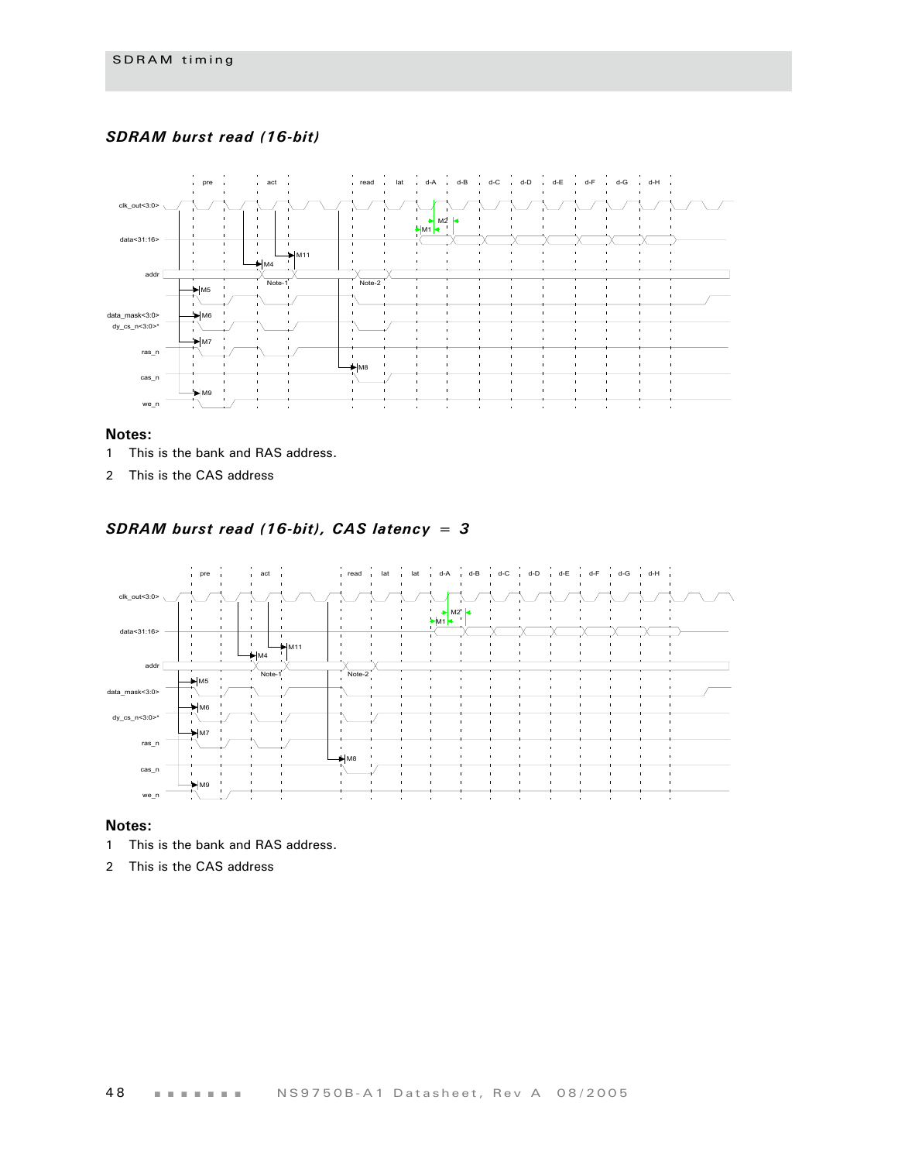#### *SDRAM burst read (16-bit)*



#### **Notes:**

- 1 This is the bank and RAS address.
- 2 This is the CAS address

#### *SDRAM burst read (16-bit), CAS latency = 3*



- 1 This is the bank and RAS address.
- 2 This is the CAS address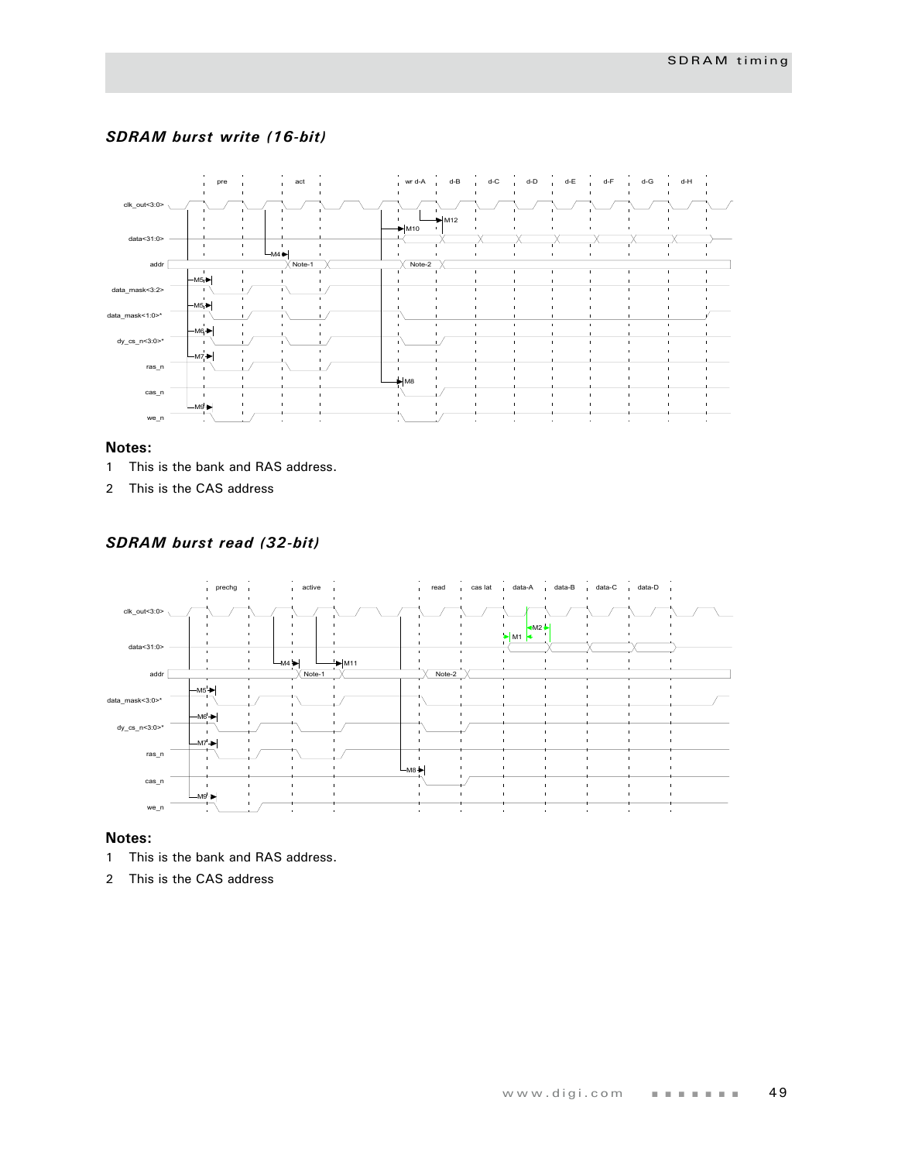#### *SDRAM burst write (16-bit)*



#### **Notes:**

- 1 This is the bank and RAS address.
- 2 This is the CAS address

#### *SDRAM burst read (32-bit)*



- 1 This is the bank and RAS address.
- 2 This is the CAS address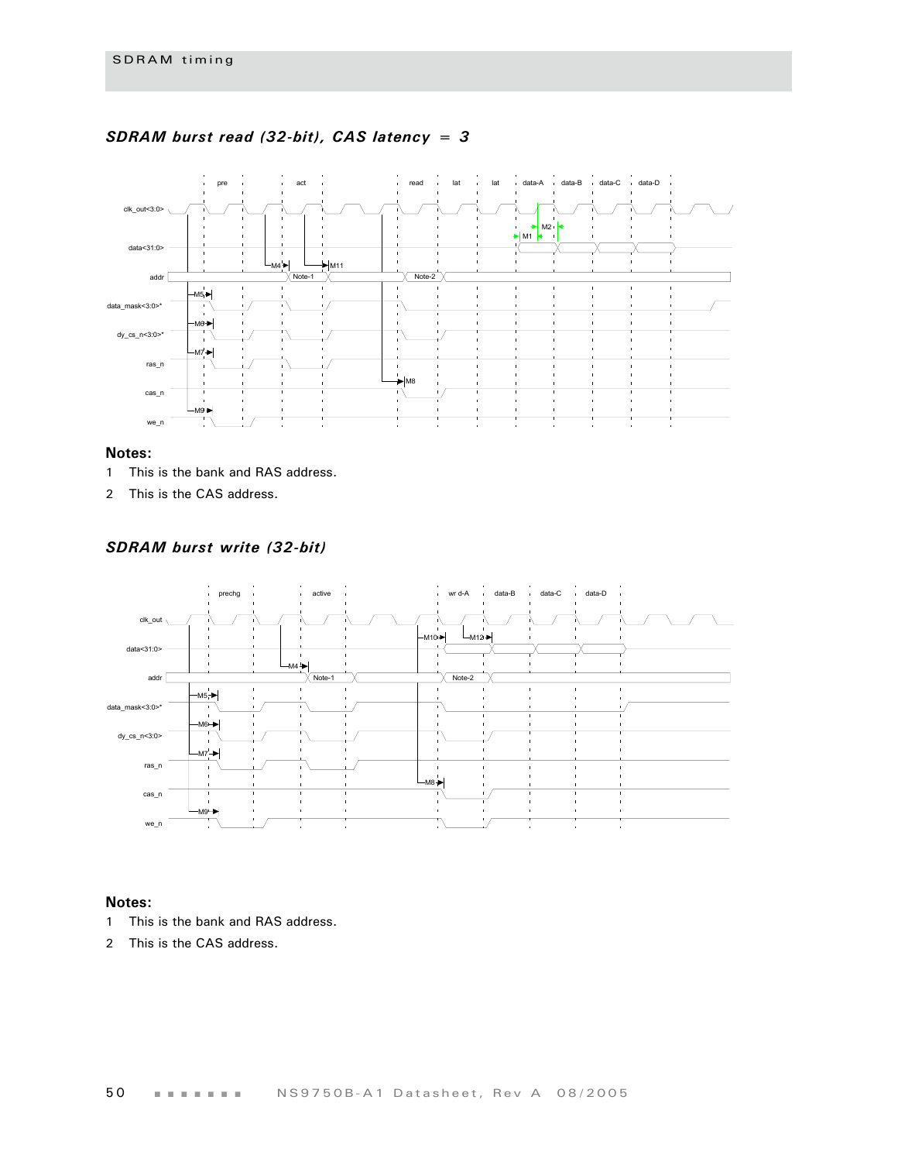

#### *SDRAM burst read (32-bit), CAS latency = 3*

#### **Notes:**

- 1 This is the bank and RAS address.
- 2 This is the CAS address.

#### *SDRAM burst write (32-bit)*



- 1 This is the bank and RAS address.
- 2 This is the CAS address.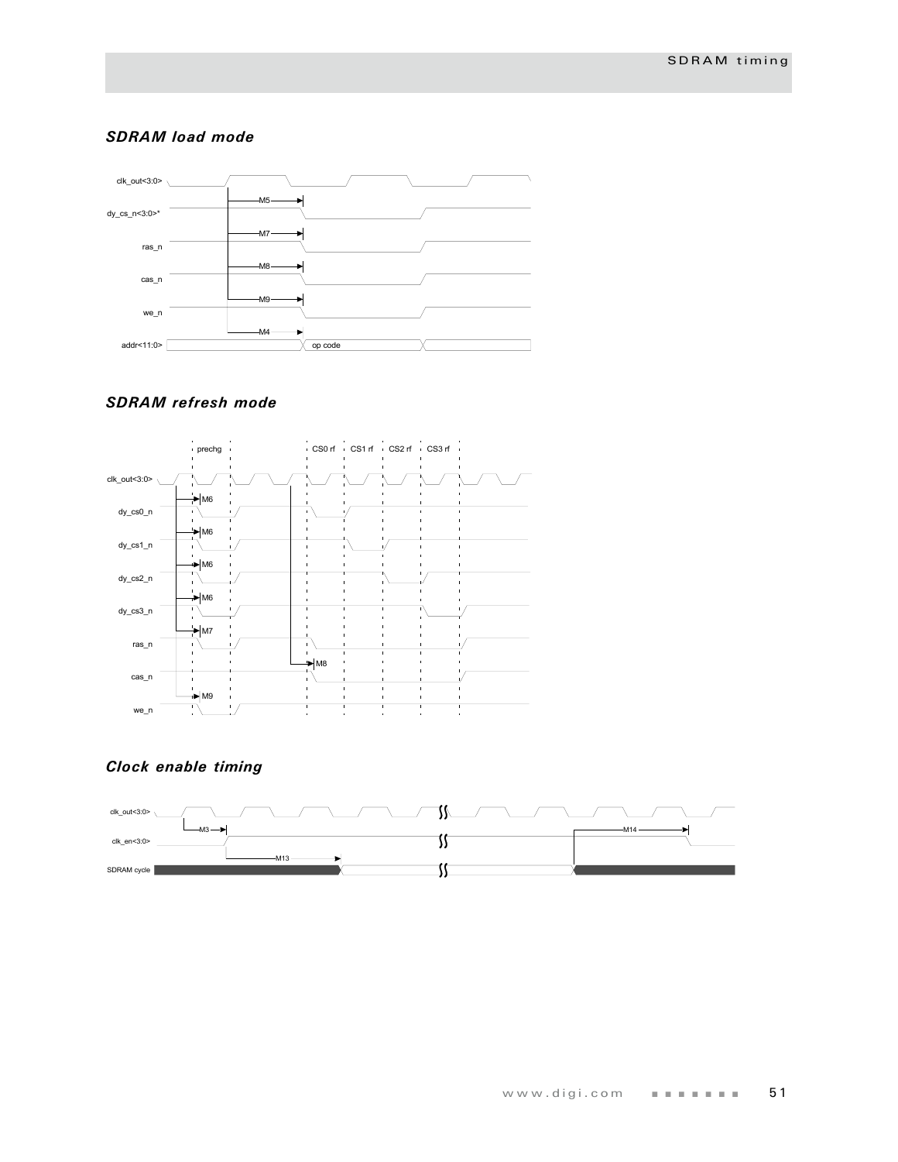#### *SDRAM load mode*



#### *SDRAM refresh mode*



## *Clock enable timing*

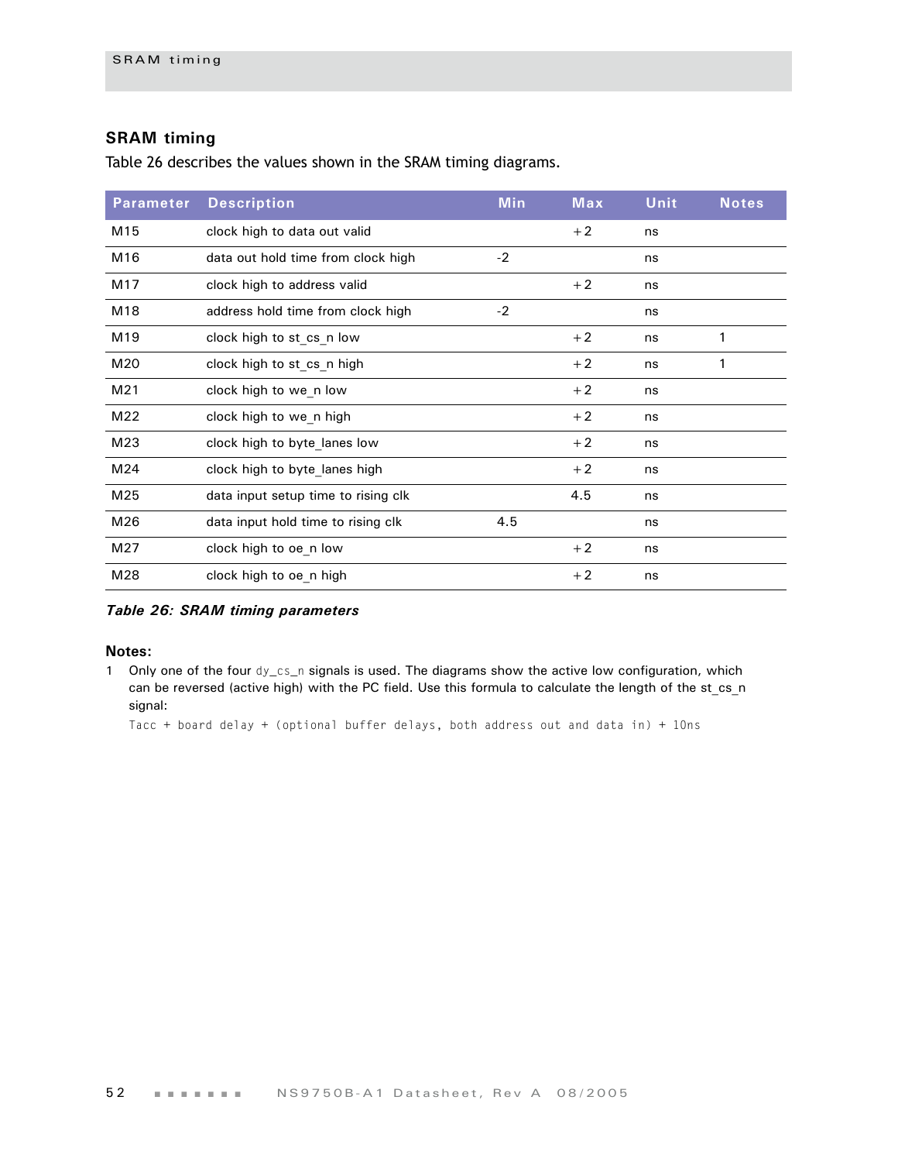### **SRAM timing**

[Table 26](#page-55-0) describes the values shown in the SRAM timing diagrams.

| <b>Parameter</b> | <b>Description</b>                  | <b>Min</b> | <b>Max</b> | <b>Unit</b> | <b>Notes</b> |
|------------------|-------------------------------------|------------|------------|-------------|--------------|
| M15              | clock high to data out valid        |            | $+2$       | ns          |              |
| M16              | data out hold time from clock high  | $-2$       |            | ns          |              |
| M17              | clock high to address valid         |            | $+2$       | ns          |              |
| M18              | address hold time from clock high   | $-2$       |            | ns          |              |
| M19              | clock high to st cs n low           |            | $+2$       | ns          | 1            |
| M20              | clock high to st cs n high          |            | $+2$       | ns          | 1            |
| M21              | clock high to we n low              |            | $+2$       | ns          |              |
| M22              | clock high to we n high             |            | $+2$       | ns          |              |
| M23              | clock high to byte lanes low        |            | $+2$       | ns          |              |
| M24              | clock high to byte lanes high       |            | $+2$       | ns          |              |
| M25              | data input setup time to rising clk |            | 4.5        | ns          |              |
| M26              | data input hold time to rising clk  | 4.5        |            | ns          |              |
| M27              | clock high to oe n low              |            | $+2$       | ns          |              |
| M28              | clock high to oe n high             |            | $+2$       | ns          |              |

<span id="page-55-0"></span>*Table 26: SRAM timing parameters*

#### **Notes:**

1 Only one of the four dy\_cs\_n signals is used. The diagrams show the active low configuration, which can be reversed (active high) with the PC field. Use this formula to calculate the length of the st cs\_n signal:

Tacc + board delay + (optional buffer delays, both address out and data in) + 10ns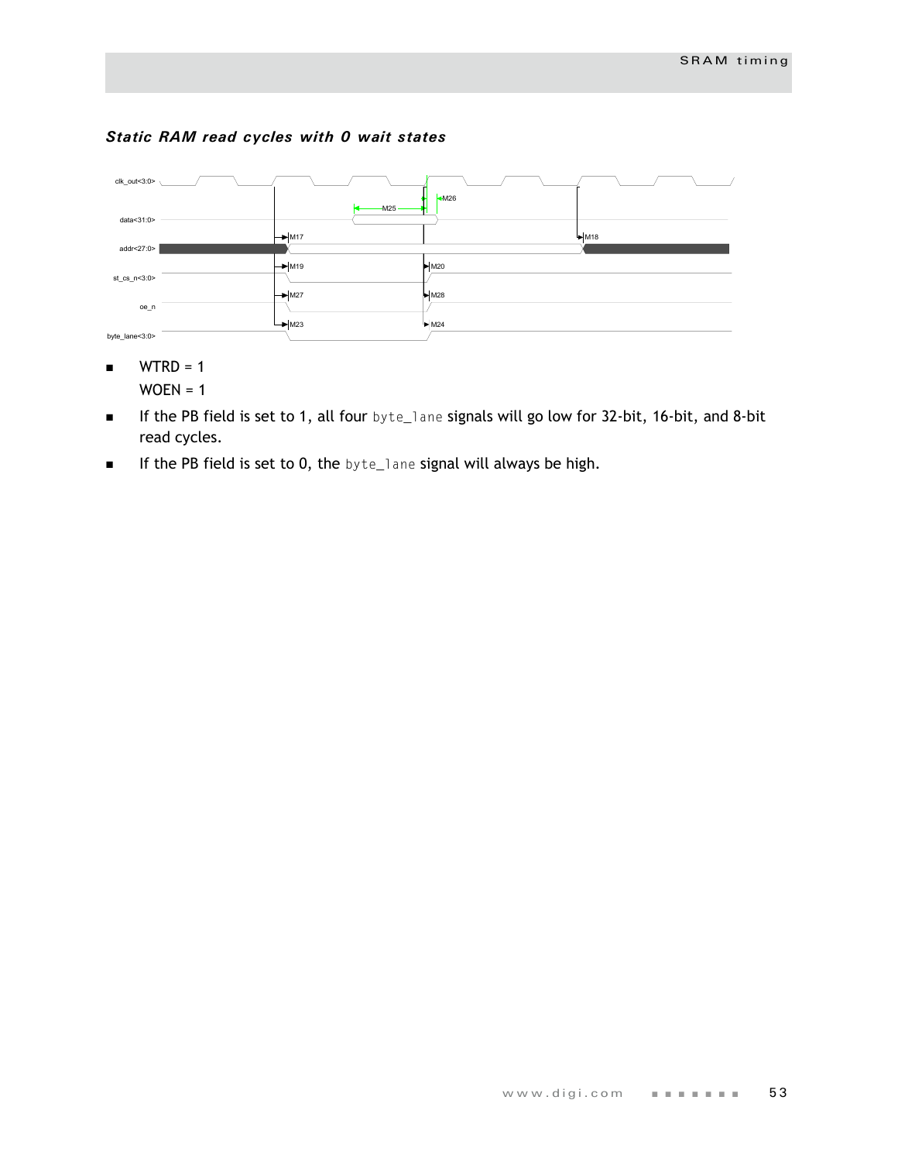#### *Static RAM read cycles with 0 wait states*



- $WTRD = 1$  $WOEN = 1$
- If the PB field is set to 1, all four byte\_lane signals will go low for 32-bit, 16-bit, and 8-bit read cycles.
- **If the PB field is set to 0, the byte\_lane signal will always be high.**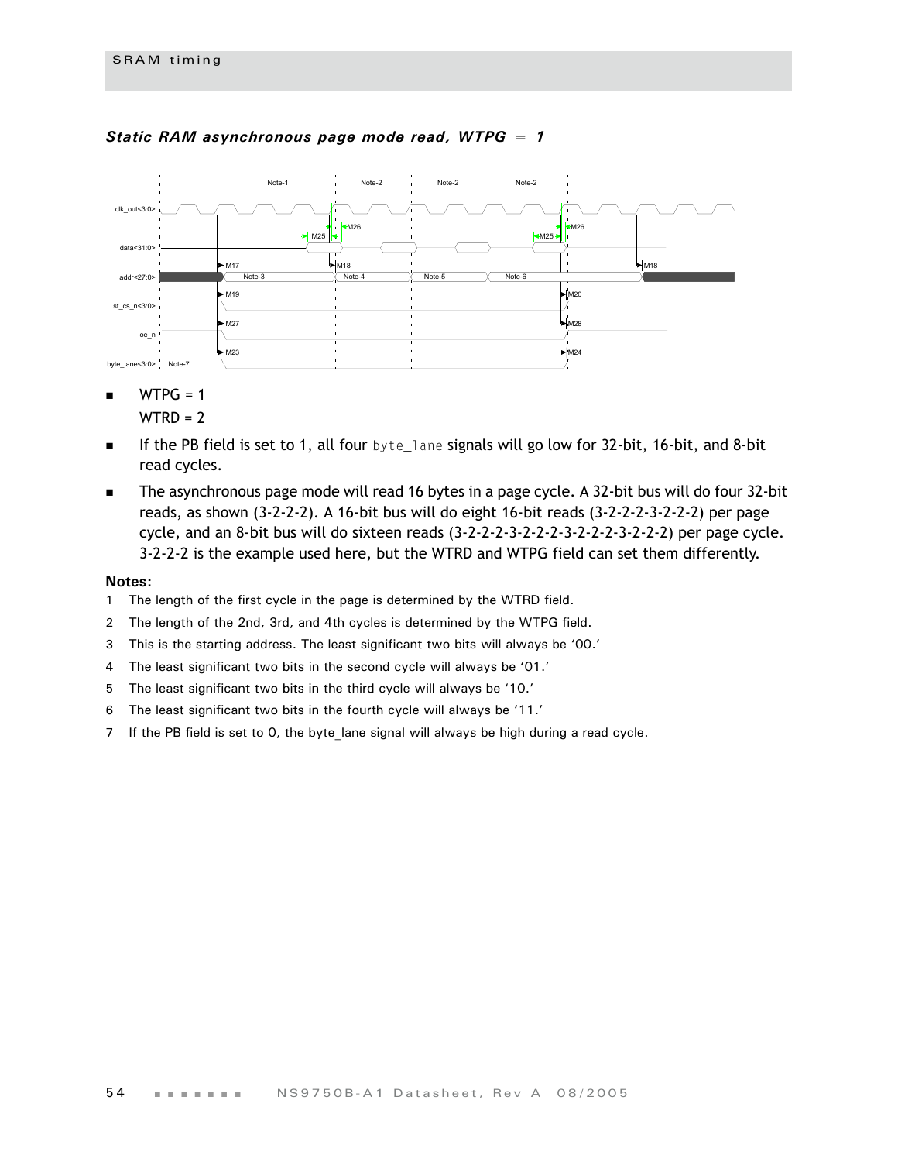

#### *Static RAM asynchronous page mode read, WTPG = 1*

 $WTPG = 1$ 

 $WTRD = 2$ 

- If the PB field is set to 1, all four byte\_lane signals will go low for 32-bit, 16-bit, and 8-bit read cycles.
- The asynchronous page mode will read 16 bytes in a page cycle. A 32-bit bus will do four 32-bit reads, as shown (3-2-2-2). A 16-bit bus will do eight 16-bit reads (3-2-2-2-3-2-2-2) per page cycle, and an 8-bit bus will do sixteen reads (3-2-2-2-3-2-2-2-3-2-2-2-3-2-2-2) per page cycle. 3-2-2-2 is the example used here, but the WTRD and WTPG field can set them differently.

- 1 The length of the first cycle in the page is determined by the WTRD field.
- 2 The length of the 2nd, 3rd, and 4th cycles is determined by the WTPG field.
- 3 This is the starting address. The least significant two bits will always be '00.'
- 4 The least significant two bits in the second cycle will always be '01.'
- 5 The least significant two bits in the third cycle will always be '10.'
- 6 The least significant two bits in the fourth cycle will always be '11.'
- 7 If the PB field is set to 0, the byte\_lane signal will always be high during a read cycle.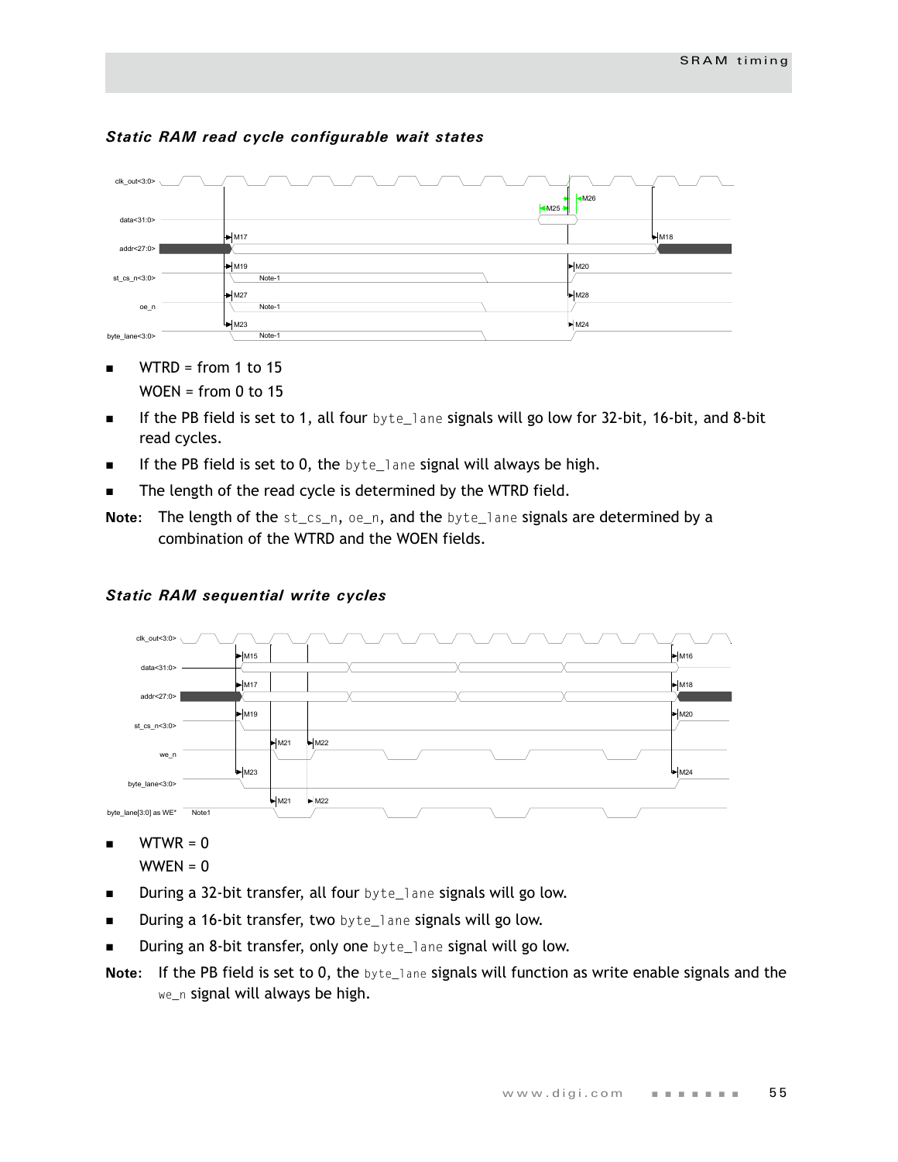

#### *Static RAM read cycle configurable wait states*

- $\blacksquare$  WTRD = from 1 to 15  $WOEN = from 0 to 15$
- If the PB field is set to 1, all four byte\_lane signals will go low for 32-bit, 16-bit, and 8-bit read cycles.
- $\blacksquare$  If the PB field is set to 0, the byte\_lane signal will always be high.
- **The length of the read cycle is determined by the WTRD field.**
- **Note:** The length of the st\_cs\_n, oe\_n, and the byte\_lane signals are determined by a combination of the WTRD and the WOEN fields.



#### *Static RAM sequential write cycles*

 $WTWR = 0$ 

```
WWEN = 0
```
- During a 32-bit transfer, all four byte\_lane signals will go low.
- **During a 16-bit transfer, two** byte\_lane signals will go low.
- During an 8-bit transfer, only one byte\_lane signal will go low.
- **Note:** If the PB field is set to 0, the byte\_lane signals will function as write enable signals and the we\_n signal will always be high.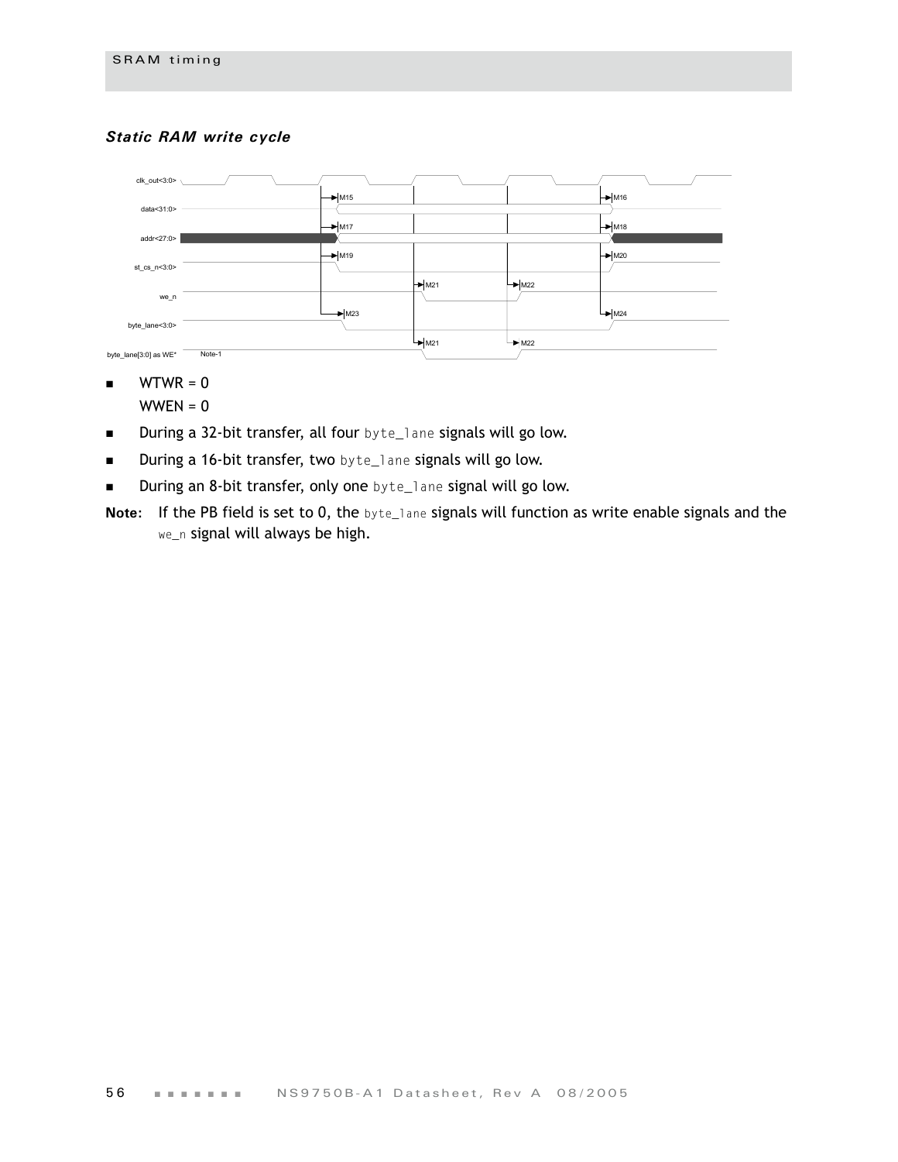#### *Static RAM write cycle*



- $\blacksquare$  WTWR = 0
	- $WWEN = 0$
- **During a 32-bit transfer, all four** byte\_lane signals will go low.
- **During a 16-bit transfer, two** byte\_lane signals will go low.
- During an 8-bit transfer, only one byte\_lane signal will go low.
- **Note:** If the PB field is set to 0, the byte\_lane signals will function as write enable signals and the we\_n signal will always be high.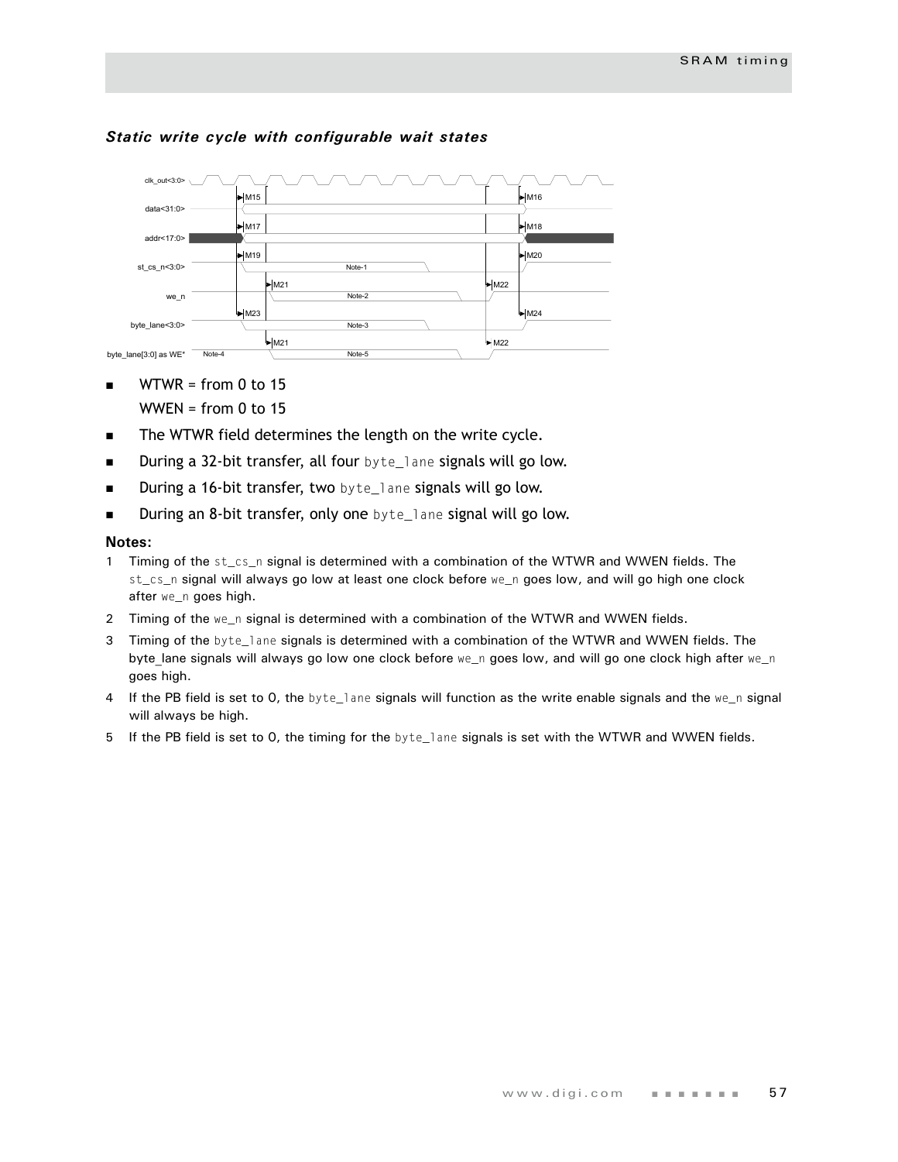

#### *Static write cycle with configurable wait states*

- $\blacksquare$  WTWR = from 0 to 15 WWEN = from  $0$  to 15
- The WTWR field determines the length on the write cycle.
- **During a 32-bit transfer, all four** byte\_lane signals will go low.
- **During a 16-bit transfer, two** byte\_lane signals will go low.
- **During an 8-bit transfer, only one** byte\_lane signal will go low.

- 1 Timing of the st\_cs\_n signal is determined with a combination of the WTWR and WWEN fields. The st\_cs\_n signal will always go low at least one clock before we\_n goes low, and will go high one clock after we\_n goes high.
- 2 Timing of the we\_n signal is determined with a combination of the WTWR and WWEN fields.
- 3 Timing of the byte\_lane signals is determined with a combination of the WTWR and WWEN fields. The byte lane signals will always go low one clock before we\_n goes low, and will go one clock high after we\_n goes high.
- 4 If the PB field is set to 0, the byte\_lane signals will function as the write enable signals and the we\_n signal will always be high.
- 5 If the PB field is set to 0, the timing for the byte\_lane signals is set with the WTWR and WWEN fields.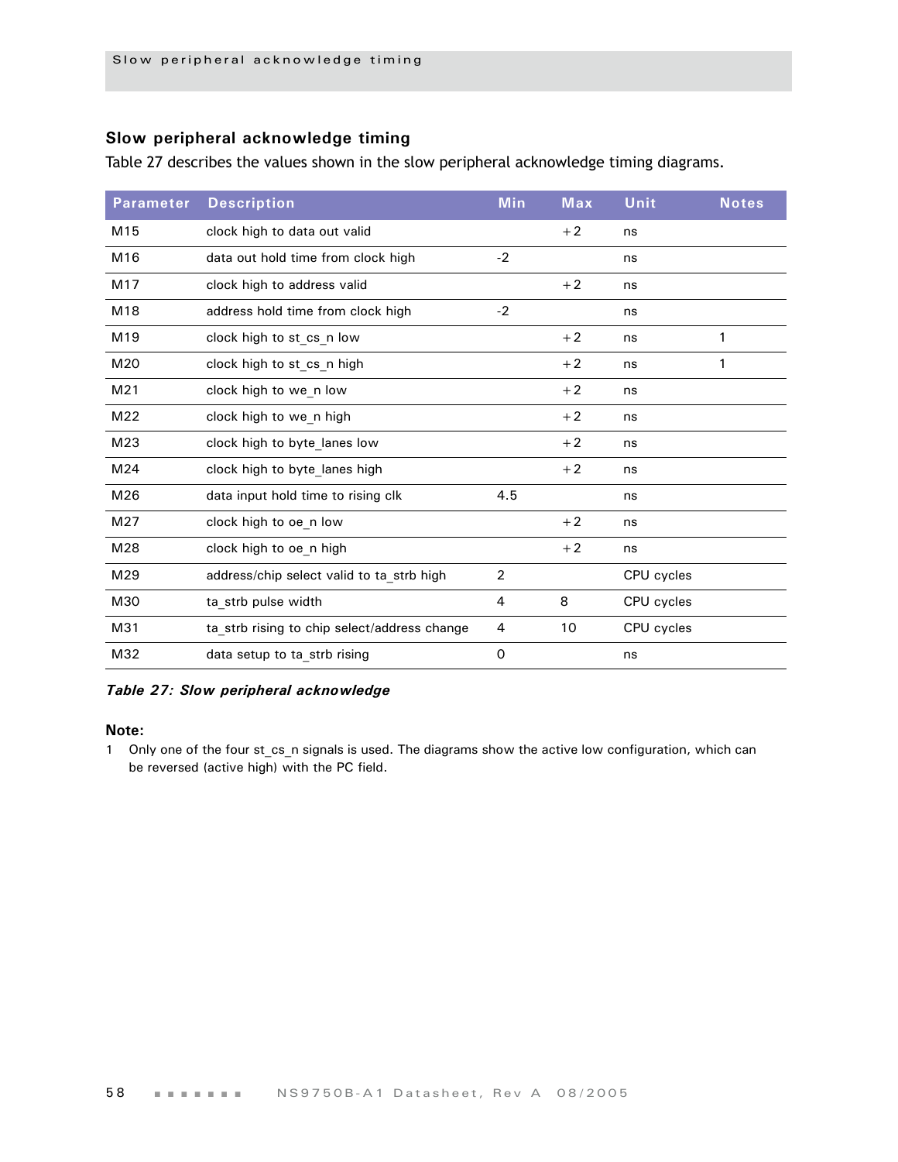### **Slow peripheral acknowledge timing**

Table 27 describes the values shown in the slow peripheral acknowledge timing diagrams.

| <b>Parameter</b> | <b>Description</b>                           | <b>Min</b>     | <b>Max</b> | Unit       | <b>Notes</b> |
|------------------|----------------------------------------------|----------------|------------|------------|--------------|
| M <sub>15</sub>  | clock high to data out valid                 |                | $+2$       | ns         |              |
| M16              | data out hold time from clock high           | $-2$           |            | ns         |              |
| M17              | clock high to address valid                  |                | $+2$       | ns         |              |
| M18              | address hold time from clock high            | $-2$           |            | ns         |              |
| M <sub>19</sub>  | clock high to st cs n low                    |                | $+2$       | ns         | 1            |
| M20              | clock high to st_cs_n high                   |                | $+2$       | ns         | 1            |
| M21              | clock high to we n low                       |                | $+2$       | ns         |              |
| M22              | clock high to we n high                      |                | $+2$       | ns         |              |
| M23              | clock high to byte lanes low                 |                | $+2$       | ns         |              |
| M24              | clock high to byte lanes high                |                | $+2$       | ns         |              |
| M26              | data input hold time to rising clk           | 4.5            |            | ns         |              |
| M27              | clock high to oe n low                       |                | $+2$       | ns         |              |
| M28              | clock high to oe n high                      |                | $+2$       | ns         |              |
| M29              | address/chip select valid to ta_strb high    | $\overline{2}$ |            | CPU cycles |              |
| M30              | ta_strb pulse width                          | 4              | 8          | CPU cycles |              |
| M31              | ta_strb rising to chip select/address change | 4              | 10         | CPU cycles |              |
| M32              | data setup to ta_strb rising                 | $\Omega$       |            | ns         |              |

#### *Table 27: Slow peripheral acknowledge*

#### **Note:**

1 Only one of the four st\_cs\_n signals is used. The diagrams show the active low configuration, which can be reversed (active high) with the PC field.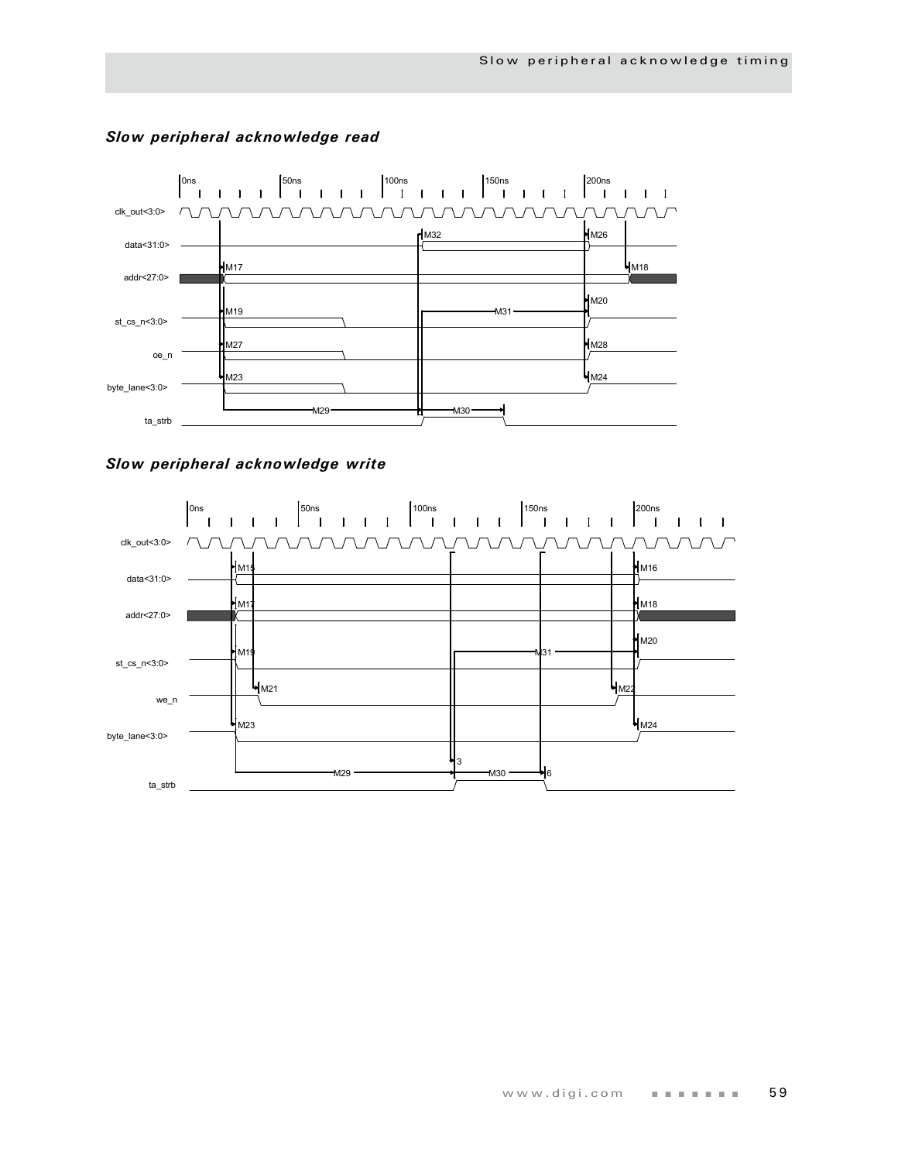

#### *Slow peripheral acknowledge read*

*Slow peripheral acknowledge write*

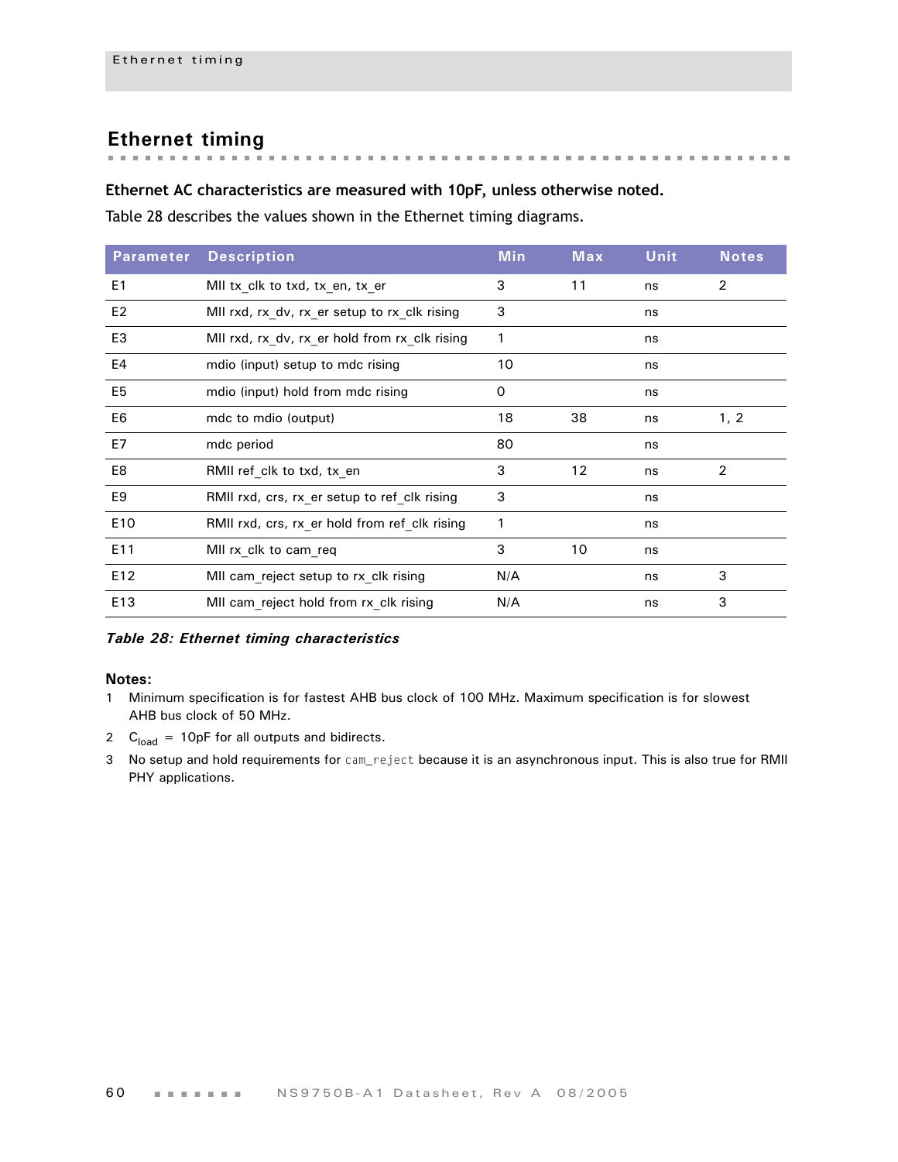# **Ethernet timing**

# **Ethernet AC characteristics are measured with 10pF, unless otherwise noted.**

[Table 28](#page-63-0) describes the values shown in the Ethernet timing diagrams.

| <b>Parameter</b> | <b>Description</b>                            | <b>Min</b> | Max | Unit | <b>Notes</b> |
|------------------|-----------------------------------------------|------------|-----|------|--------------|
| E <sub>1</sub>   | MII tx_clk to txd, tx_en, tx_er               | 3          | 11  | ns   | 2            |
| E <sub>2</sub>   | MII rxd, rx_dv, rx_er setup to rx_clk rising  | 3          |     | ns   |              |
| E3               | MII rxd, rx dv, rx er hold from rx clk rising | 1          |     | ns   |              |
| E4               | mdio (input) setup to mdc rising              | 10         |     | ns   |              |
| E <sub>5</sub>   | mdio (input) hold from mdc rising             | 0          |     | ns   |              |
| E <sub>6</sub>   | mdc to mdio (output)                          | 18         | 38  | ns   | 1, 2         |
| E7               | mdc period                                    | 80         |     | ns   |              |
| E8               | RMII ref_clk to txd, tx_en                    | 3          | 12  | ns   | 2            |
| E <sub>9</sub>   | RMII rxd, crs, rx_er setup to ref_clk rising  | 3          |     | ns   |              |
| E <sub>10</sub>  | RMII rxd, crs, rx er hold from ref clk rising | 1          |     | ns   |              |
| E11              | MII rx clk to cam req                         | 3          | 10  | ns   |              |
| E12              | MII cam reject setup to rx clk rising         | N/A        |     | ns   | 3            |
| E13              | MII cam reject hold from rx clk rising        | N/A        |     | ns   | 3            |

<span id="page-63-0"></span>*Table 28: Ethernet timing characteristics*

- 1 Minimum specification is for fastest AHB bus clock of 100 MHz. Maximum specification is for slowest AHB bus clock of 50 MHz.
- 2  $C<sub>load</sub> = 10pF$  for all outputs and bidirects.
- 3 No setup and hold requirements for cam\_reject because it is an asynchronous input. This is also true for RMII PHY applications.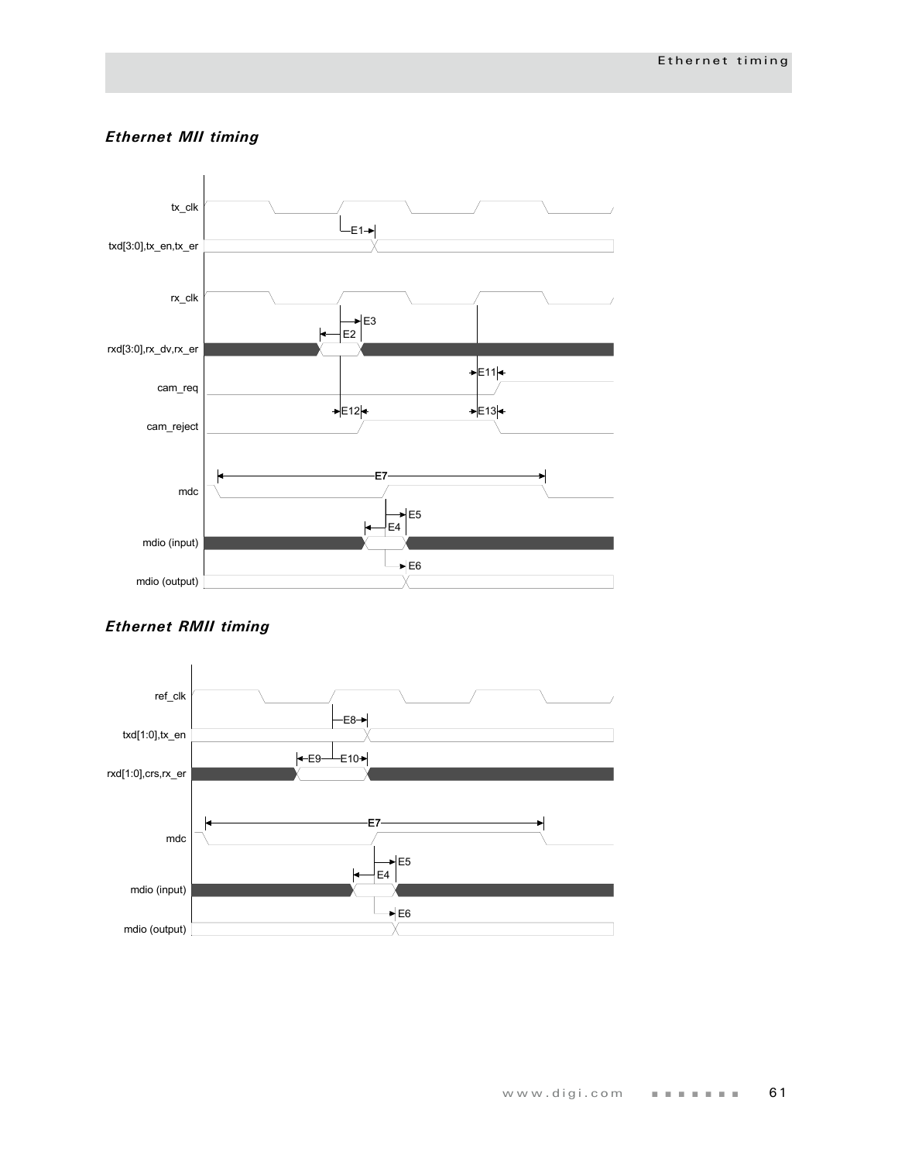### *Ethernet MII timing*



# *Ethernet RMII timing*

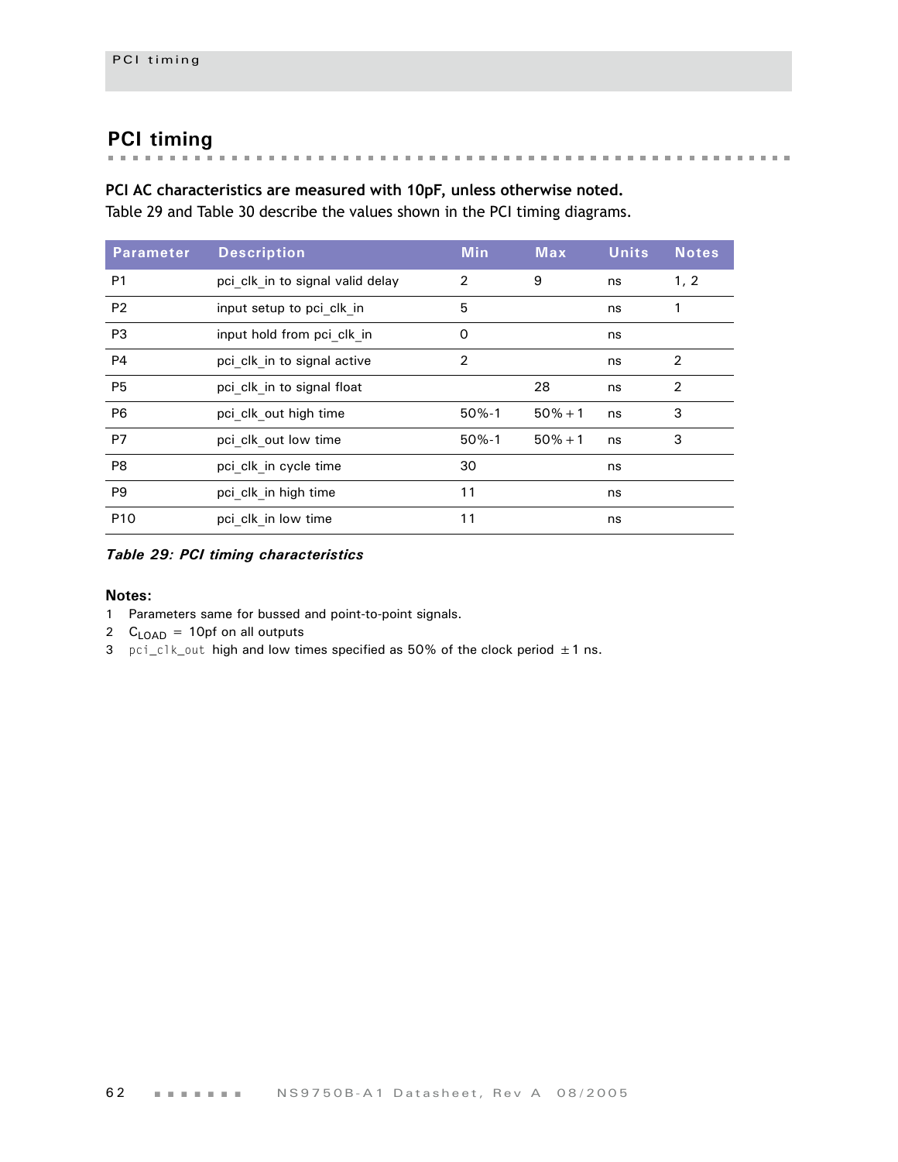# **PCI timing**

### **PCI AC characteristics are measured with 10pF, unless otherwise noted.**

[Table 29](#page-65-0) and [Table 30](#page-66-0) describe the values shown in the PCI timing diagrams.

| <b>Parameter</b> | <b>Description</b>               | <b>Min</b>     | <b>Max</b> | <b>Units</b> | <b>Notes</b>   |
|------------------|----------------------------------|----------------|------------|--------------|----------------|
| P <sub>1</sub>   | pci clk in to signal valid delay | 2              | 9          | ns           | 1, 2           |
| P <sub>2</sub>   | input setup to pci clk in        | 5              |            | ns           | 1              |
| P <sub>3</sub>   | input hold from pci clk in       | 0              |            | ns           |                |
| <b>P4</b>        | pci clk in to signal active      | $\overline{2}$ |            | ns           | 2              |
| <b>P5</b>        | pci clk in to signal float       |                | 28         | ns           | $\overline{2}$ |
| P <sub>6</sub>   | pci clk out high time            | $50% - 1$      | $50% + 1$  | ns           | 3              |
| P7               | pci clk out low time             | $50% - 1$      | $50\% + 1$ | ns           | 3              |
| P <sub>8</sub>   | pci clk in cycle time            | 30             |            | ns           |                |
| P <sub>9</sub>   | pci clk in high time             | 11             |            | ns           |                |
| P <sub>10</sub>  | pci clk in low time              | 11             |            | ns           |                |

<span id="page-65-0"></span>*Table 29: PCI timing characteristics*

- 1 Parameters same for bussed and point-to-point signals.
- 2  $C_{\text{LOAD}}$  = 10pf on all outputs
- 3 pci\_clk\_out high and low times specified as 50% of the clock period  $\pm 1$  ns.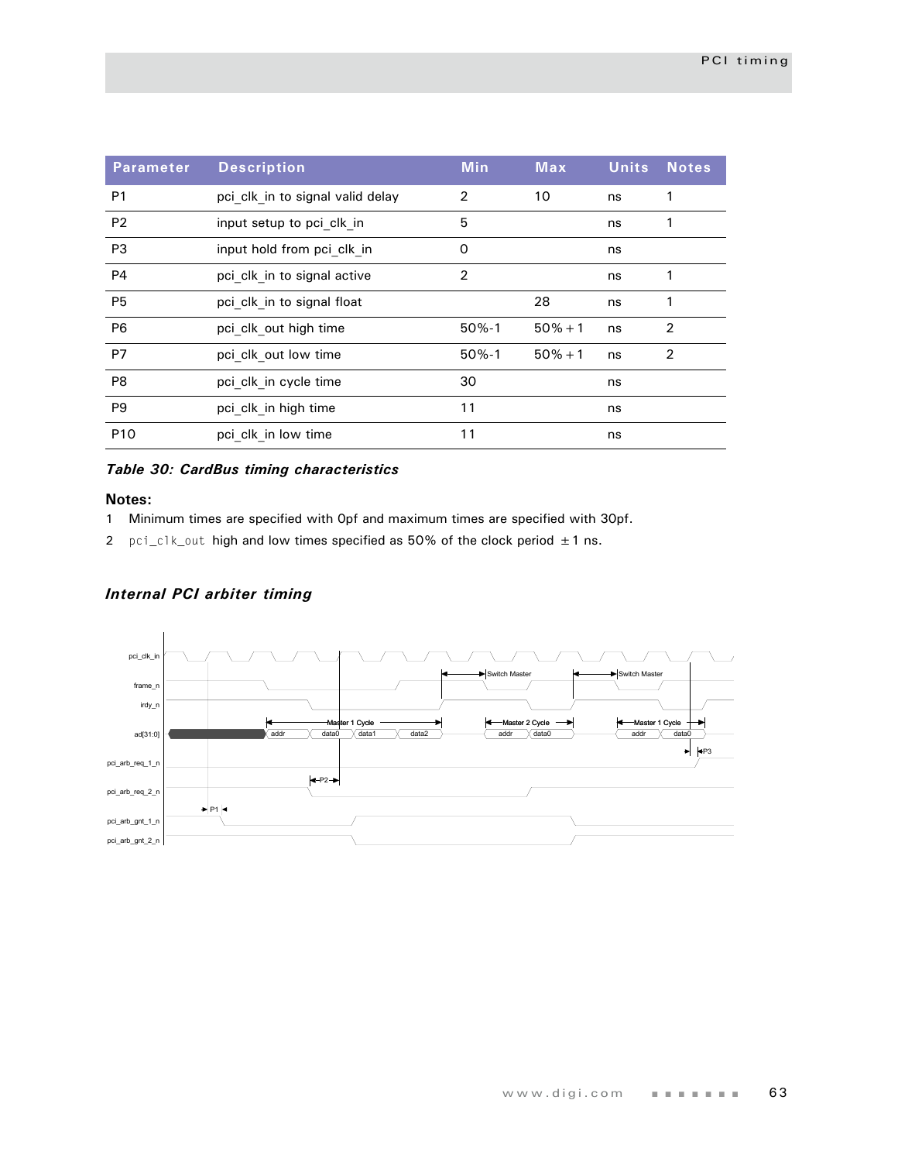| <b>Parameter</b> | <b>Description</b>               | <b>Min</b>     | <b>Max</b> | <b>Units</b> | <b>Notes</b> |
|------------------|----------------------------------|----------------|------------|--------------|--------------|
| P <sub>1</sub>   | pci clk in to signal valid delay | $\overline{2}$ | 10         | ns           | 1            |
| P <sub>2</sub>   | input setup to pci clk in        | 5              |            | ns           | 1            |
| P <sub>3</sub>   | input hold from pci clk in       | 0              |            | ns           |              |
| P <sub>4</sub>   | pci clk in to signal active      | $\overline{2}$ |            | ns           | 1            |
| <b>P5</b>        | pci clk in to signal float       |                | 28         | ns           | 1            |
| P <sub>6</sub>   | pci clk out high time            | $50% - 1$      | $50% + 1$  | ns           | 2            |
| <b>P7</b>        | pci clk out low time             | $50% - 1$      | $50% + 1$  | ns           | 2            |
| P <sub>8</sub>   | pci clk in cycle time            | 30             |            | ns           |              |
| P <sub>9</sub>   | pci clk in high time             | 11             |            | ns           |              |
| P <sub>10</sub>  | pci clk in low time              | 11             |            | ns           |              |

#### <span id="page-66-0"></span>*Table 30: CardBus timing characteristics*

#### **Notes:**

- 1 Minimum times are specified with 0pf and maximum times are specified with 30pf.
- 2 pci\_clk\_out high and low times specified as 50% of the clock period  $\pm 1$  ns.

#### *Internal PCI arbiter timing*

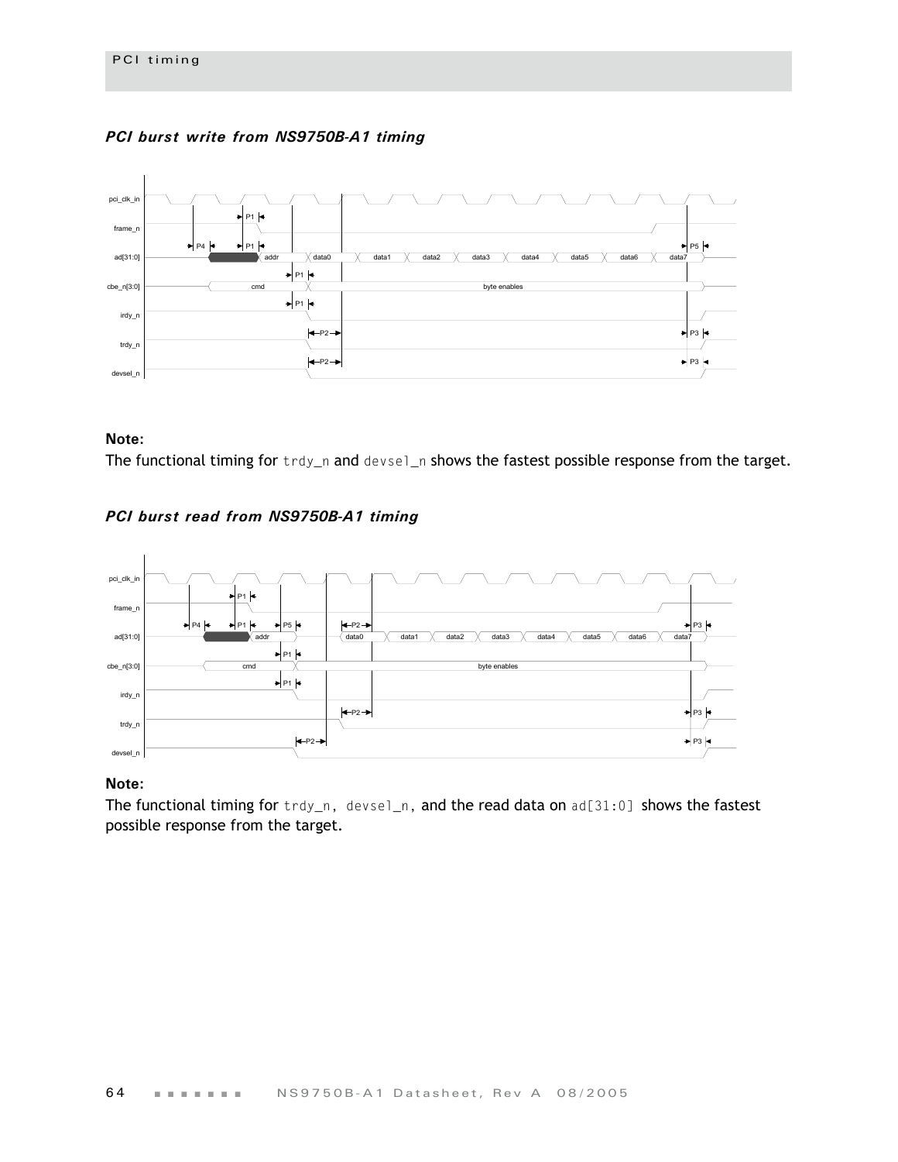#### *PCI burst write from NS9750B-A1 timing*



#### **Note:**

The functional timing for trdy\_n and devsel\_n shows the fastest possible response from the target.

#### *PCI burst read from NS9750B-A1 timing*



#### **Note:**

The functional timing for trdy\_n, devsel\_n, and the read data on ad[31:0] shows the fastest possible response from the target.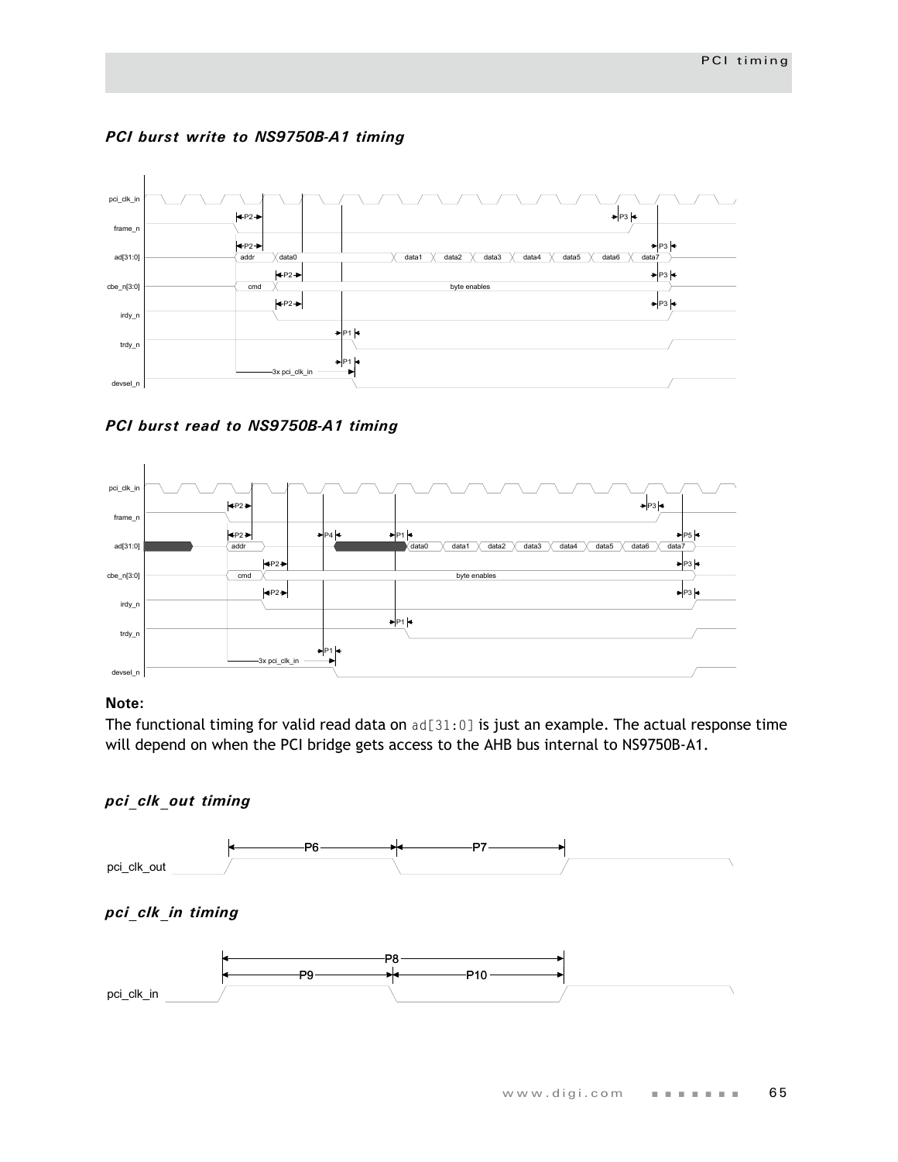



*PCI burst read to NS9750B-A1 timing*



#### **Note:**

The functional timing for valid read data on ad[31:0] is just an example. The actual response time will depend on when the PCI bridge gets access to the AHB bus internal to NS9750B-A1.

#### *pci\_clk\_out timing*

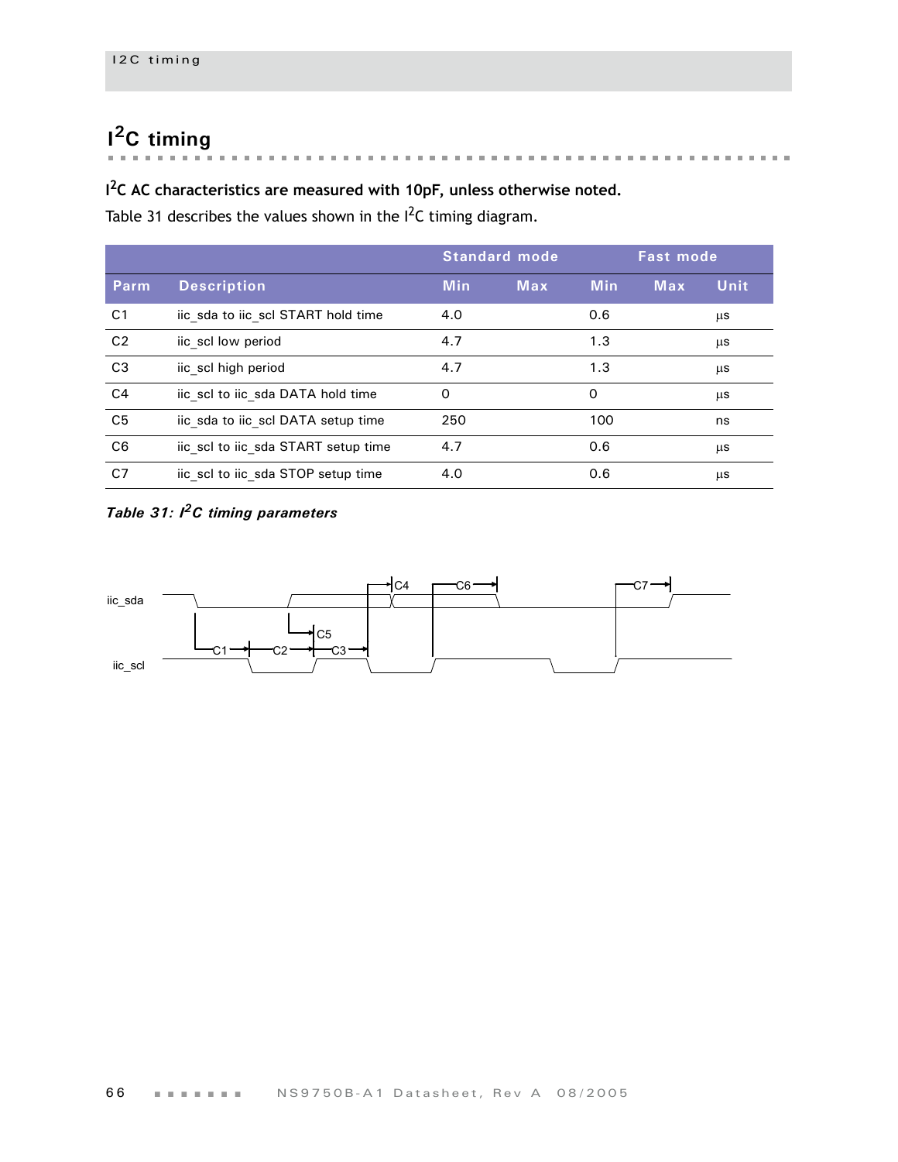# **I 2C timing**

#### **The Committee State**  $\overline{\phantom{a}}$ i. i.  $\bar{a}$  $\sim$  $\mathbf{a}$  , and  $\mathbf{a}$  , and  $\mathbf{a}$  , and  $\mathbf{a}$  , and  $\mathbf{a}$  , and  $\mathbf{a}$  , and  $\mathbf{a}$  $\overline{\phantom{a}}$

## **I 2C AC characteristics are measured with 10pF, unless otherwise noted.**

[Table 31](#page-69-0) describes the values shown in the  $I^2C$  timing diagram.

|                |                                     | <b>Standard mode</b> |            | <b>Fast mode</b> |            |      |
|----------------|-------------------------------------|----------------------|------------|------------------|------------|------|
| Parm           | <b>Description</b>                  | <b>Min</b>           | <b>Max</b> | <b>Min</b>       | <b>Max</b> | Unit |
| C <sub>1</sub> | iic sda to iic scl START hold time  | 4.0                  |            | 0.6              |            | μs   |
| C <sub>2</sub> | iic scl low period                  | 4.7                  |            | 1.3              |            | μs   |
| C <sub>3</sub> | iic scl high period                 | 4.7                  |            | 1.3              |            | μs   |
| C <sub>4</sub> | iic scl to iic sda DATA hold time   | $\Omega$             |            | O                |            | μs   |
| C <sub>5</sub> | iic sda to iic scl DATA setup time  | 250                  |            | 100              |            | ns   |
| C <sub>6</sub> | iic scl to iic sda START setup time | 4.7                  |            | 0.6              |            | μs   |
| C <sub>7</sub> | iic scl to iic sda STOP setup time  | 4.0                  |            | 0.6              |            | μs   |

# <span id="page-69-0"></span>*Table 31: I2C timing parameters*

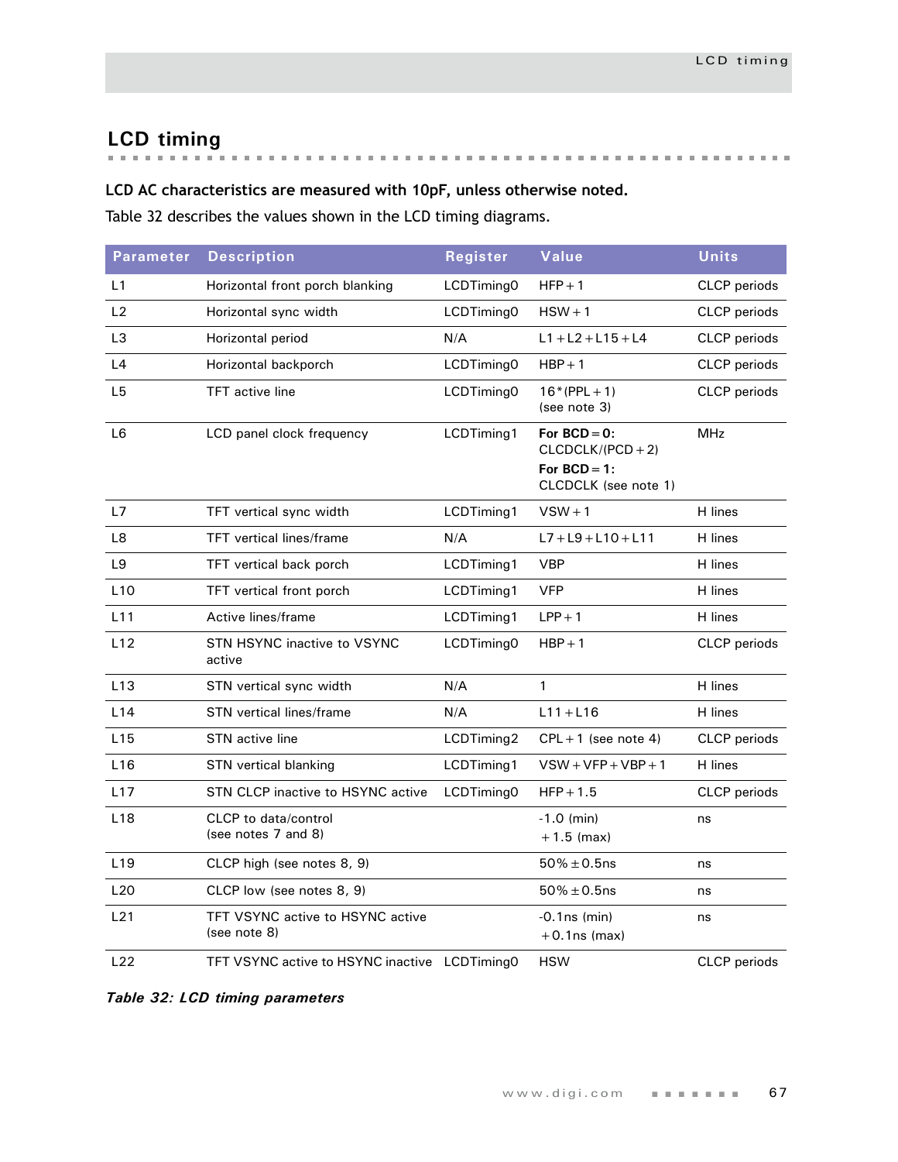# **LCD timing**

# **LCD AC characteristics are measured with 10pF, unless otherwise noted.**

[Table 32](#page-70-0) describes the values shown in the LCD timing diagrams.

| <b>Parameter</b> | <b>Description</b>                                 | Register   | Value                                                                           | <b>Units</b>        |
|------------------|----------------------------------------------------|------------|---------------------------------------------------------------------------------|---------------------|
| L1               | Horizontal front porch blanking                    | LCDTiming0 | $HFP + 1$                                                                       | <b>CLCP</b> periods |
| L2               | Horizontal sync width                              | LCDTiming0 | $HSW + 1$                                                                       | CLCP periods        |
| L <sub>3</sub>   | Horizontal period                                  | N/A        | $L1 + L2 + L15 + L4$                                                            | CLCP periods        |
| L4               | Horizontal backporch                               | LCDTiming0 | $HBP + 1$                                                                       | <b>CLCP</b> periods |
| L <sub>5</sub>   | <b>TFT</b> active line                             | LCDTiming0 | $16*(PPL + 1)$<br>(see note 3)                                                  | <b>CLCP</b> periods |
| L <sub>6</sub>   | LCD panel clock frequency                          | LCDTiming1 | For $BCD = 0$ :<br>$CLCDCLK/(PCD+2)$<br>For $BCD = 1$ :<br>CLCDCLK (see note 1) | <b>MHz</b>          |
| L7               | TFT vertical sync width                            | LCDTiming1 | $VSW + 1$                                                                       | H lines             |
| L8               | <b>TFT</b> vertical lines/frame                    | N/A        | $L7 + L9 + L10 + L11$                                                           | H lines             |
| L <sub>9</sub>   | TFT vertical back porch                            | LCDTiming1 | <b>VBP</b>                                                                      | H lines             |
| L10              | TFT vertical front porch                           | LCDTiming1 | <b>VFP</b>                                                                      | H lines             |
| L11              | Active lines/frame                                 | LCDTiming1 | $LPP + 1$                                                                       | H lines             |
| L12              | <b>STN HSYNC inactive to VSYNC</b><br>active       | LCDTiming0 | $HBP + 1$                                                                       | <b>CLCP</b> periods |
| L13              | STN vertical sync width                            | N/A        | 1                                                                               | H lines             |
| L14              | STN vertical lines/frame                           | N/A        | $L11 + L16$                                                                     | H lines             |
| L15              | STN active line                                    | LCDTiming2 | $CPL + 1$ (see note 4)                                                          | CLCP periods        |
| L16              | STN vertical blanking                              | LCDTiming1 | $VSW+VFP+VBP+1$                                                                 | H lines             |
| L17              | STN CLCP inactive to HSYNC active                  | LCDTiming0 | $HFP + 1.5$                                                                     | <b>CLCP</b> periods |
| L18              | <b>CLCP</b> to data/control<br>(see notes 7 and 8) |            | $-1.0$ (min)<br>$+1.5$ (max)                                                    | ns                  |
| L <sub>19</sub>  | CLCP high (see notes 8, 9)                         |            | $50\% \pm 0.5$ ns                                                               | ns                  |
| L20              | CLCP low (see notes 8, 9)                          |            | $50\% \pm 0.5$ ns                                                               | ns                  |
| L21              | TFT VSYNC active to HSYNC active<br>(see note 8)   |            | $-0.1$ ns (min)<br>$+0.1$ ns (max)                                              | ns                  |
| L22              | TFT VSYNC active to HSYNC inactive LCDTimingO      |            | <b>HSW</b>                                                                      | <b>CLCP</b> periods |

<span id="page-70-0"></span>*Table 32: LCD timing parameters*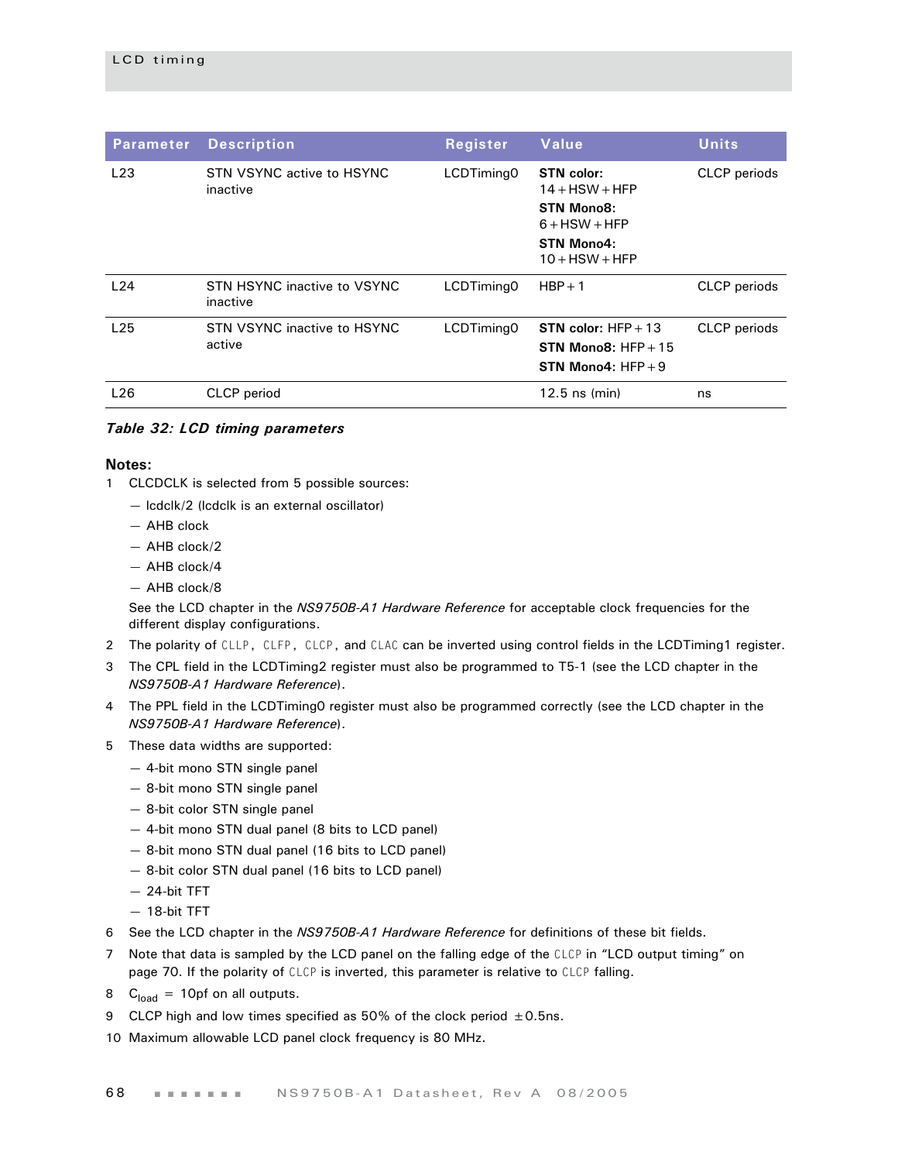| <b>Parameter</b> | <b>Description</b>                      | Register   | Value                                                                                                           | <b>Units</b>        |
|------------------|-----------------------------------------|------------|-----------------------------------------------------------------------------------------------------------------|---------------------|
| L23              | STN VSYNC active to HSYNC<br>inactive   | LCDTiming0 | <b>STN</b> color:<br>$14 + HSW + HFP$<br><b>STN Mono8:</b><br>$6 + HSW + HFP$<br>STN Mono4:<br>$10 +$ HSW + HFP | CLCP periods        |
| L24              | STN HSYNC inactive to VSYNC<br>inactive | LCDTiming0 | $HBP + 1$                                                                                                       | CLCP periods        |
| L25              | STN VSYNC inactive to HSYNC<br>active   | LCDTiming0 | <b>STN</b> color: $HFP + 13$<br>STN Mono8: $HFP + 15$<br>STN Mono4: $HFP + 9$                                   | <b>CLCP</b> periods |
| L26              | CLCP period                             |            | $12.5$ ns (min)                                                                                                 | ns                  |

#### *Table 32: LCD timing parameters*

#### **Notes:**

- 1 CLCDCLK is selected from 5 possible sources:
	- lcdclk/2 (lcdclk is an external oscillator)
	- AHB clock
	- AHB clock/2
	- AHB clock/4
	- AHB clock/8

See the LCD chapter in the *NS9750B-A1 Hardware Reference* for acceptable clock frequencies for the different display configurations.

- 2 The polarity of CLLP, CLFP, CLCP, and CLAC can be inverted using control fields in the LCDTiming1 register.
- 3 The CPL field in the LCDTiming2 register must also be programmed to T5-1 (see the LCD chapter in the *NS9750B-A1 Hardware Reference*).
- 4 The PPL field in the LCDTiming0 register must also be programmed correctly (see the LCD chapter in the *NS9750B-A1 Hardware Reference*).
- 5 These data widths are supported:
	- 4-bit mono STN single panel
	- 8-bit mono STN single panel
	- 8-bit color STN single panel
	- 4-bit mono STN dual panel (8 bits to LCD panel)
	- 8-bit mono STN dual panel (16 bits to LCD panel)
	- 8-bit color STN dual panel (16 bits to LCD panel)
	- 24-bit TFT
	- 18-bit TFT
- 6 See the LCD chapter in the *NS9750B-A1 Hardware Reference* for definitions of these bit fields.
- 7 Note that data is sampled by the LCD panel on the falling edge of the CLCP in "LCD output timing" on page 70. If the polarity of CLCP is inverted, this parameter is relative to CLCP falling.
- 8  $C<sub>load</sub> = 10pf$  on all outputs.
- 9 CLCP high and low times specified as 50% of the clock period  $\pm$  0.5ns.
- 10 Maximum allowable LCD panel clock frequency is 80 MHz.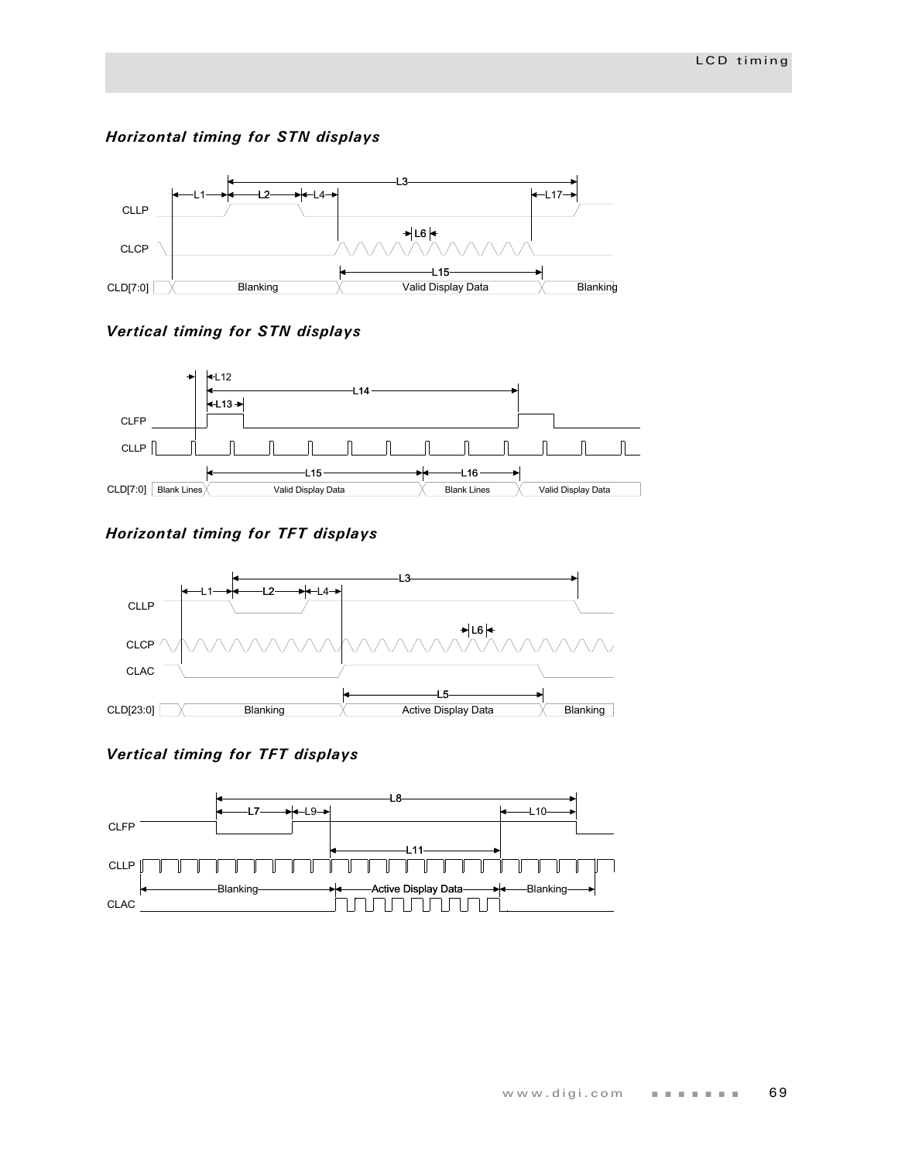#### *Horizontal timing for STN displays*



#### *Vertical timing for STN displays*



#### *Horizontal timing for TFT displays*



### *Vertical timing for TFT displays*

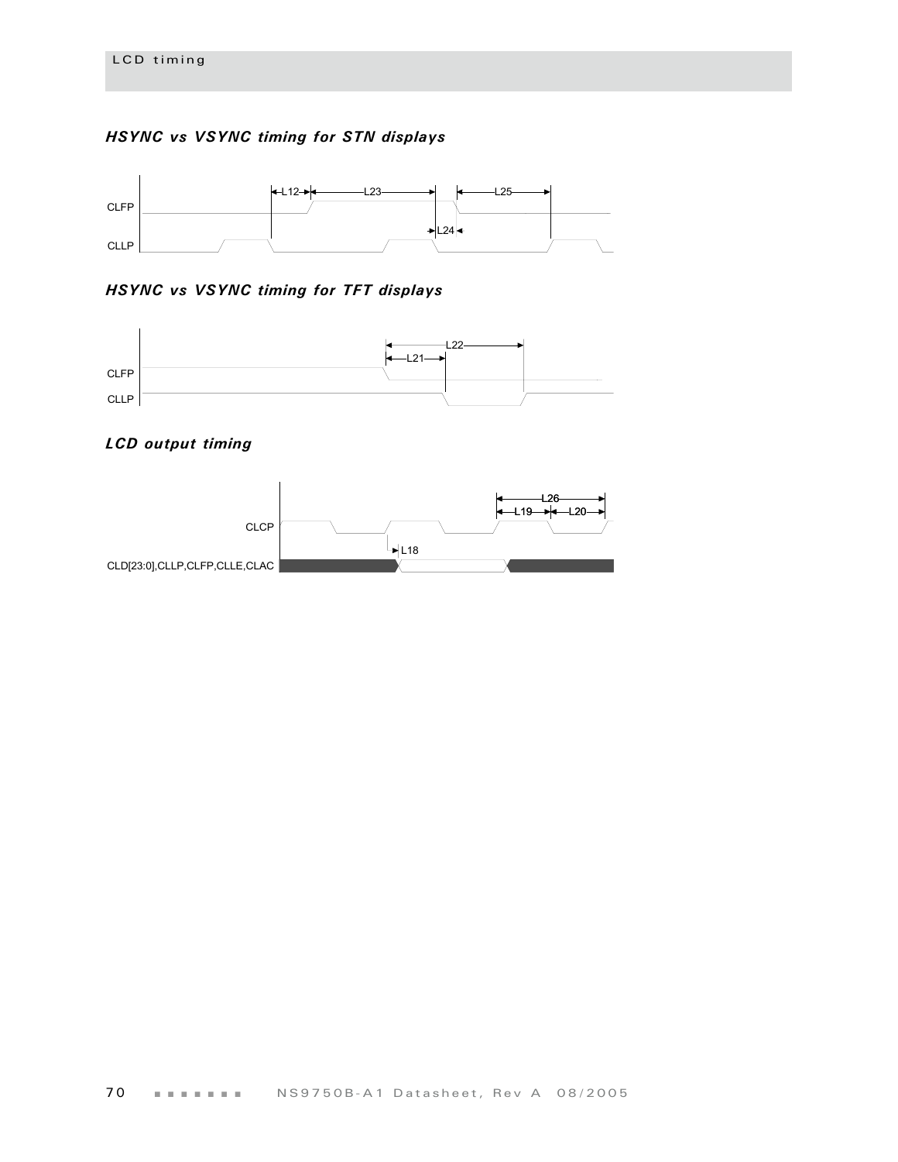#### *HSYNC vs VSYNC timing for STN displays*



#### *HSYNC vs VSYNC timing for TFT displays*



#### *LCD output timing*

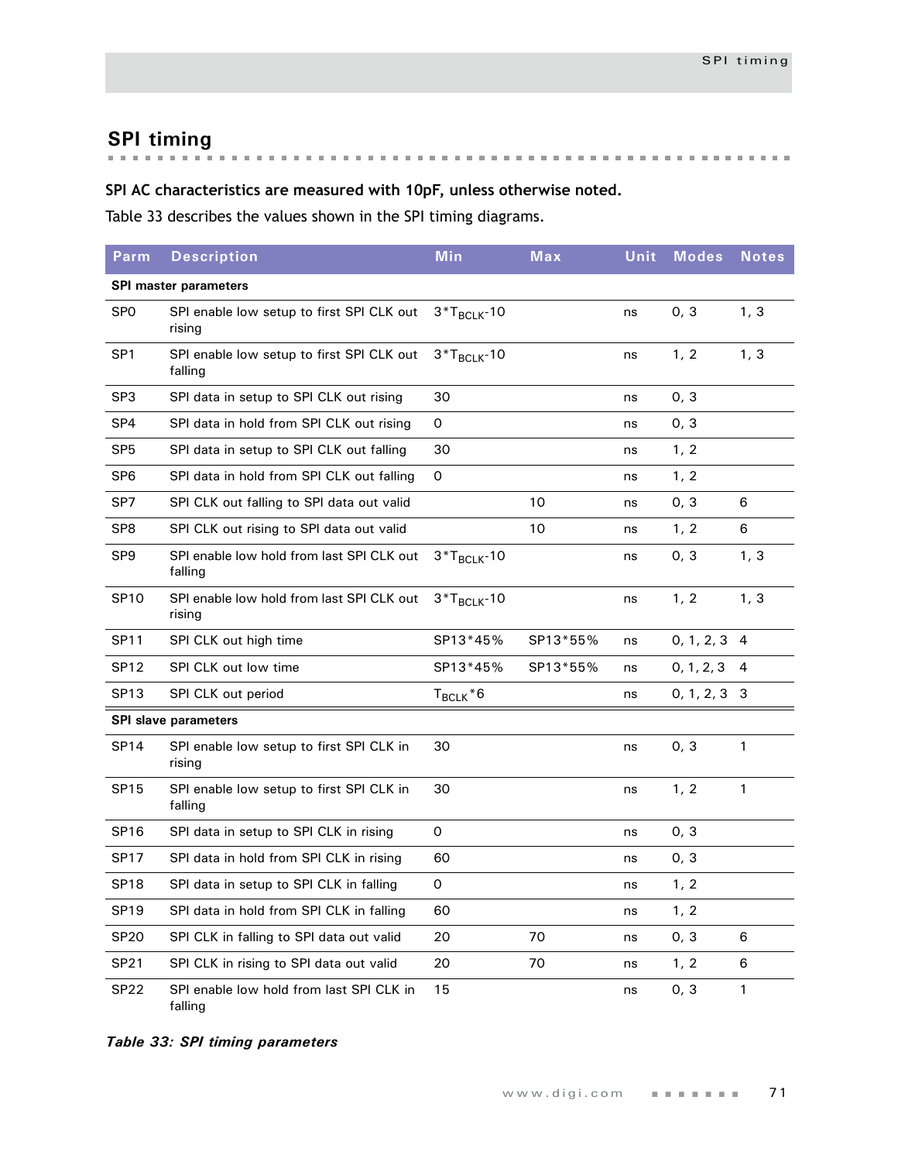**SPI timing**

### **SPI AC characteristics are measured with 10pF, unless otherwise noted.**

[Table 33](#page-74-0) describes the values shown in the SPI timing diagrams.

| Parm             | <b>Description</b>                                   | <b>Min</b>       | Max      | Unit | <b>Modes</b> | <b>Notes</b>   |
|------------------|------------------------------------------------------|------------------|----------|------|--------------|----------------|
|                  | <b>SPI master parameters</b>                         |                  |          |      |              |                |
| <b>SPO</b>       | SPI enable low setup to first SPI CLK out<br>rising  | $3*T_{BCLK}$ -10 |          | ns   | 0, 3         | 1, 3           |
| SP <sub>1</sub>  | SPI enable low setup to first SPI CLK out<br>falling | $3*T_{BCLK}$ -10 |          | ns   | 1, 2         | 1, 3           |
| SP <sub>3</sub>  | SPI data in setup to SPI CLK out rising              | 30               |          | ns   | 0, 3         |                |
| SP <sub>4</sub>  | SPI data in hold from SPI CLK out rising             | 0                |          | ns   | 0, 3         |                |
| SP <sub>5</sub>  | SPI data in setup to SPI CLK out falling             | 30               |          | ns   | 1, 2         |                |
| SP <sub>6</sub>  | SPI data in hold from SPI CLK out falling            | 0                |          | ns   | 1, 2         |                |
| SP7              | SPI CLK out falling to SPI data out valid            |                  | 10       | ns   | 0, 3         | 6              |
| SP <sub>8</sub>  | SPI CLK out rising to SPI data out valid             |                  | 10       | ns   | 1, 2         | 6              |
| SP <sub>9</sub>  | SPI enable low hold from last SPI CLK out<br>falling | $3*T_{BCLK}$ -10 |          | ns   | 0, 3         | 1, 3           |
| <b>SP10</b>      | SPI enable low hold from last SPI CLK out<br>rising  | $3*T_{BCLK}$ -10 |          | ns   | 1, 2         | 1, 3           |
| <b>SP11</b>      | SPI CLK out high time                                | SP13*45%         | SP13*55% | ns   | 0, 1, 2, 3   | $\overline{4}$ |
| <b>SP12</b>      | SPI CLK out low time                                 | SP13*45%         | SP13*55% | ns   | 0, 1, 2, 3   | $\overline{4}$ |
| <b>SP13</b>      | SPI CLK out period                                   | $T_{BCLK}$ *6    |          | ns   | 0, 1, 2, 3   | 3              |
|                  | <b>SPI slave parameters</b>                          |                  |          |      |              |                |
| <b>SP14</b>      | SPI enable low setup to first SPI CLK in<br>rising   | 30               |          | ns   | 0, 3         | 1              |
| <b>SP15</b>      | SPI enable low setup to first SPI CLK in<br>falling  | 30               |          | ns   | 1, 2         | $\mathbf{1}$   |
| <b>SP16</b>      | SPI data in setup to SPI CLK in rising               | 0                |          | ns   | 0, 3         |                |
| <b>SP17</b>      | SPI data in hold from SPI CLK in rising              | 60               |          | ns   | 0, 3         |                |
| SP <sub>18</sub> | SPI data in setup to SPI CLK in falling              | 0                |          | ns   | 1, 2         |                |
| <b>SP19</b>      | SPI data in hold from SPI CLK in falling             | 60               |          | ns   | 1, 2         |                |
| <b>SP20</b>      | SPI CLK in falling to SPI data out valid             | 20               | 70       | ns   | 0, 3         | 6              |
| SP21             | SPI CLK in rising to SPI data out valid              | 20               | 70       | ns   | 1, 2         | 6              |
| <b>SP22</b>      | SPI enable low hold from last SPI CLK in<br>falling  | 15               |          | ns   | 0, 3         | 1              |

<span id="page-74-0"></span>*Table 33: SPI timing parameters*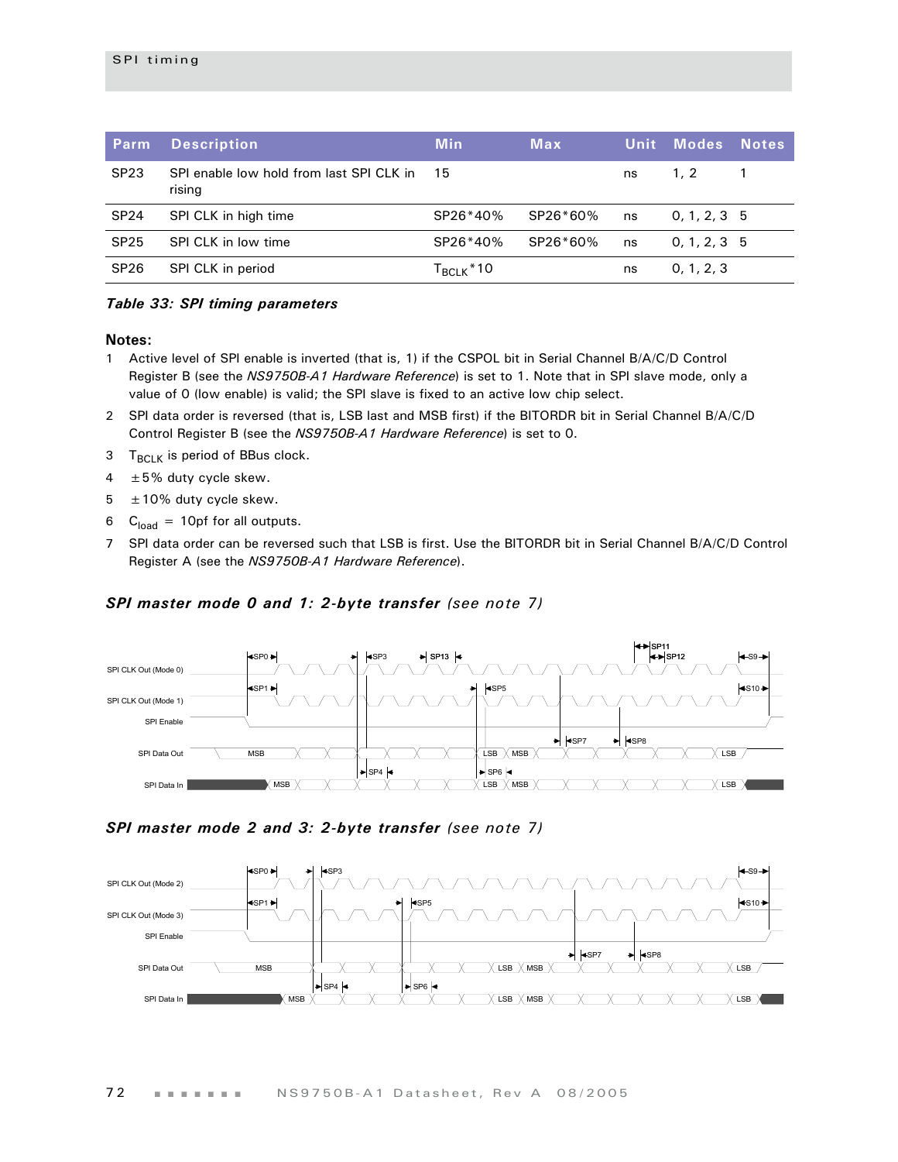| Parm             | <b>Description</b>                                 | <b>Min</b>                        | <b>Max</b> | Unit | <b>Modes</b>  | <b>Notes</b> |
|------------------|----------------------------------------------------|-----------------------------------|------------|------|---------------|--------------|
| SP <sub>23</sub> | SPI enable low hold from last SPI CLK in<br>rising | -15                               |            | ns   | 1.2           |              |
| <b>SP24</b>      | SPI CLK in high time                               | SP26*40%                          | SP26*60%   | ns   | 0, 1, 2, 3, 5 |              |
| <b>SP25</b>      | SPI CLK in low time                                | SP26*40%                          | SP26*60%   | ns   | 0, 1, 2, 3, 5 |              |
| <b>SP26</b>      | SPI CLK in period                                  | ${\mathsf T}_{\mathsf{BCLK}}$ *10 |            | ns   | 0, 1, 2, 3    |              |

#### *Table 33: SPI timing parameters*

#### **Notes:**

- 1 Active level of SPI enable is inverted (that is, 1) if the CSPOL bit in Serial Channel B/A/C/D Control Register B (see the *NS9750B-A1 Hardware Reference*) is set to 1. Note that in SPI slave mode, only a value of 0 (low enable) is valid; the SPI slave is fixed to an active low chip select.
- 2 SPI data order is reversed (that is, LSB last and MSB first) if the BITORDR bit in Serial Channel B/A/C/D Control Register B (see the *NS9750B-A1 Hardware Reference*) is set to 0.
- $3$  T<sub>BCLK</sub> is period of BBus clock.
- $4 \pm 5\%$  duty cycle skew.
- $5 \pm 10\%$  duty cycle skew.
- 6  $C<sub>load</sub> = 10pf for all outputs.$
- 7 SPI data order can be reversed such that LSB is first. Use the BITORDR bit in Serial Channel B/A/C/D Control Register A (see the *NS9750B-A1 Hardware Reference*).

#### *SPI master mode 0 and 1: 2-byte transfer (see note 7)*



#### *SPI master mode 2 and 3: 2-byte transfer (see note 7)*

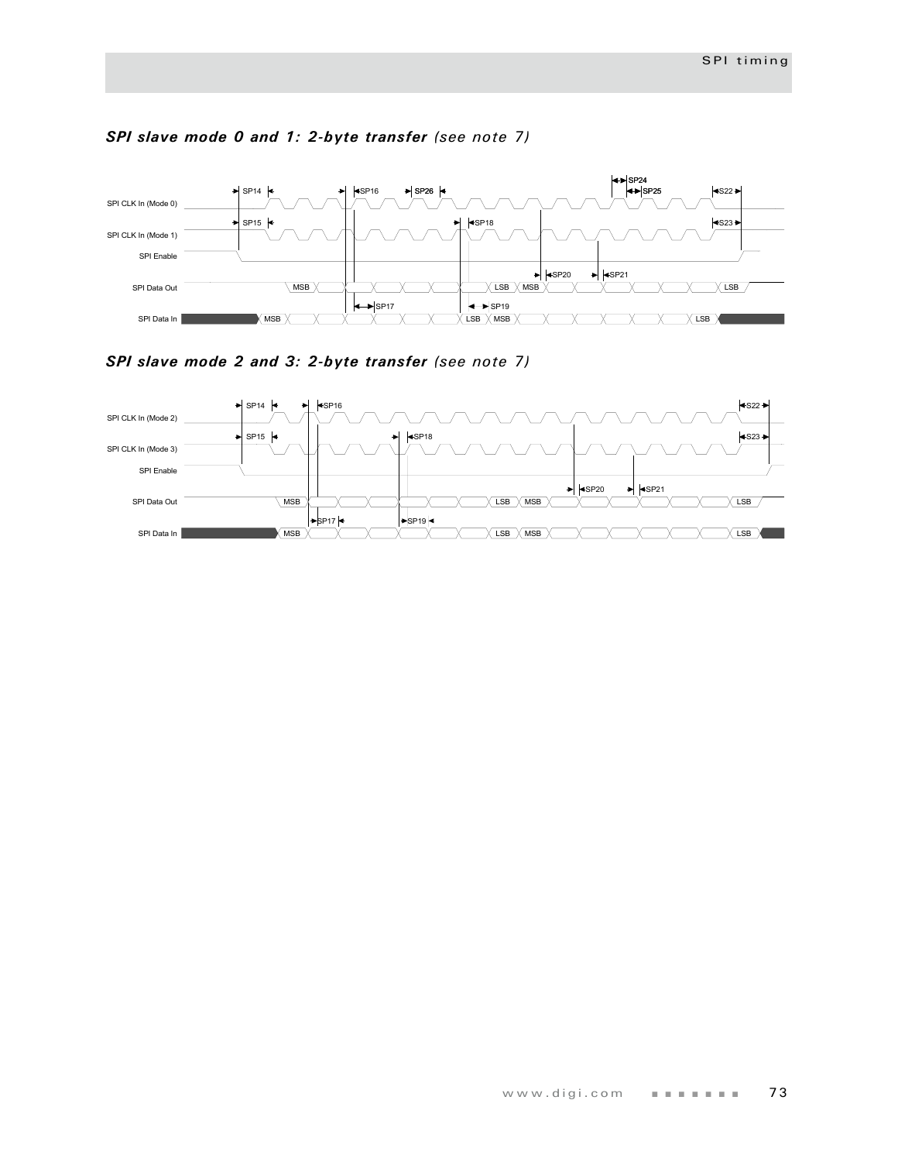

#### *SPI slave mode 0 and 1: 2-byte transfer (see note 7)*

*SPI slave mode 2 and 3: 2-byte transfer (see note 7)*

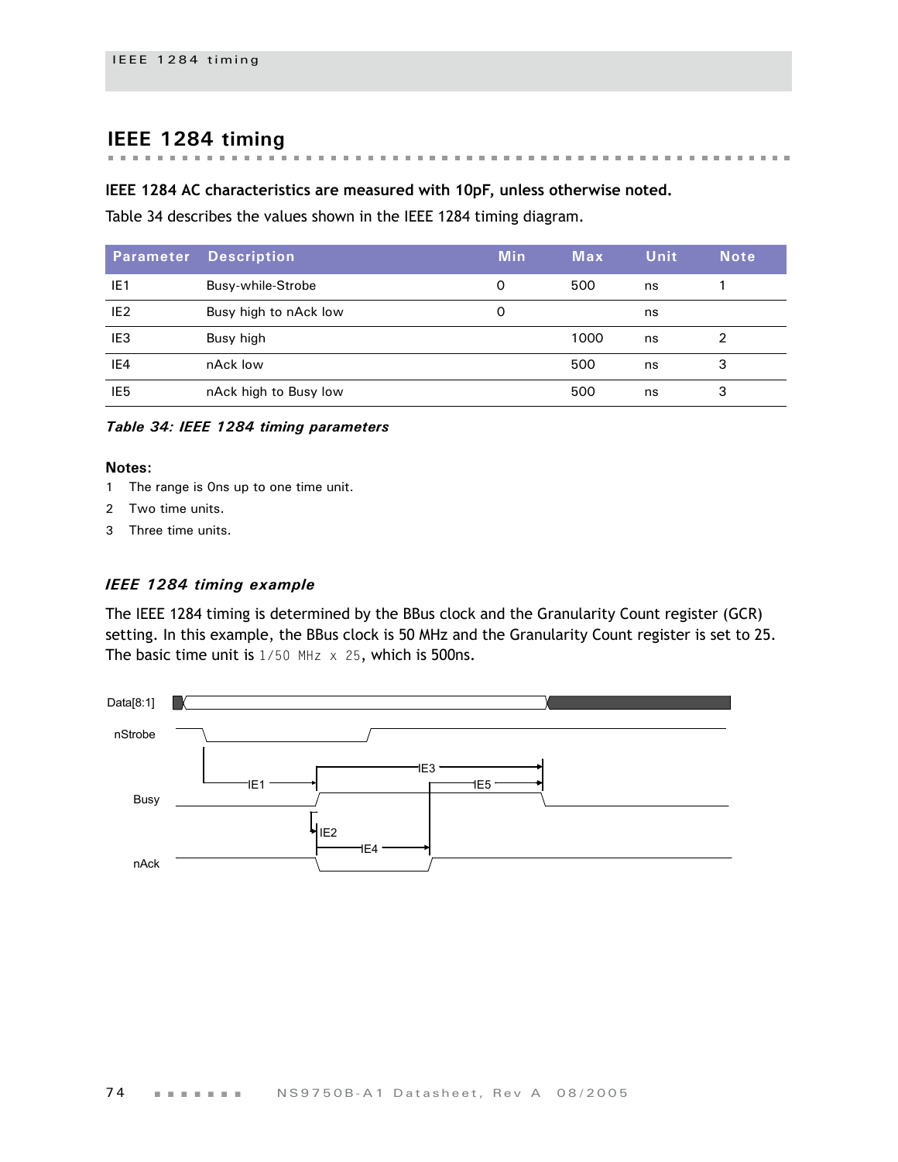#### **IEEE 1284 timing** . . . . . . . . . . . . . . .

#### **IEEE 1284 AC characteristics are measured with 10pF, unless otherwise noted.**

 $\sim$  $\overline{\phantom{a}}$ 

[Table 34](#page-77-0) describes the values shown in the IEEE 1284 timing diagram.

|                 | <b>Parameter Description</b> | <b>Min</b> | <b>Max</b> | Unit | <b>Note</b> |
|-----------------|------------------------------|------------|------------|------|-------------|
| IE <sub>1</sub> | Busy-while-Strobe            | 0          | 500        | ns   |             |
| IE <sub>2</sub> | Busy high to nAck low        | 0          |            | ns   |             |
| IE <sub>3</sub> | Busy high                    |            | 1000       | ns   |             |
| IE4             | nAck low                     |            | 500        | ns   | 3           |
| IE <sub>5</sub> | nAck high to Busy low        |            | 500        | ns   | 3           |

 $\mathbf{m}$  $\sim$  $\mathbf{m}$  $\sim$  $\sim$   $\sim$ 

the first that the first the first that the

<span id="page-77-0"></span>*Table 34: IEEE 1284 timing parameters*

#### **Notes:**

- 1 The range is 0ns up to one time unit.
- 2 Two time units.
- 3 Three time units.

#### *IEEE 1284 timing example*

The IEEE 1284 timing is determined by the BBus clock and the Granularity Count register (GCR) setting. In this example, the BBus clock is 50 MHz and the Granularity Count register is set to 25. The basic time unit is  $1/50$  MHz  $\times$  25, which is 500ns.

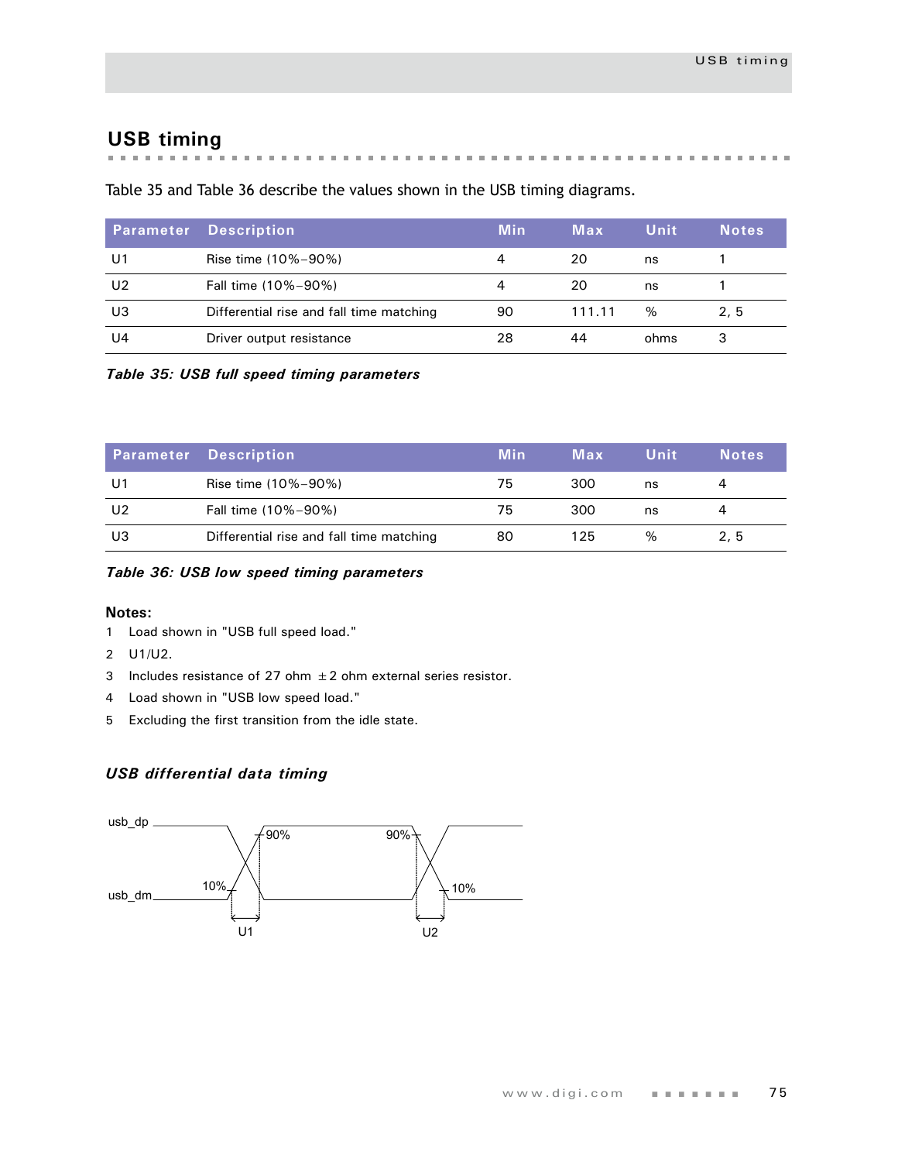## **USB timing**

 $\pm$ the control of  $\mathbf{m}$ 

[Table 35](#page-78-0) and [Table 36](#page-78-1) describe the values shown in the USB timing diagrams.

| <b>Parameter</b> | <b>Description</b>                       | Min | Max    | Unit | <b>Notes</b> |
|------------------|------------------------------------------|-----|--------|------|--------------|
| U1               | Rise time (10%-90%)                      | 4   | 20     | ns   |              |
| U <sub>2</sub>   | Fall time (10%-90%)                      | 4   | 20     | ns   |              |
| U3               | Differential rise and fall time matching | 90  | 111.11 | $\%$ | 2.5          |
| U4               | Driver output resistance                 | 28  | 44     | ohms | 3            |

<span id="page-78-0"></span>*Table 35: USB full speed timing parameters*

|    | <b>Parameter Description</b>             | <b>Min</b> | Max | Unit | <b>Notes</b> |
|----|------------------------------------------|------------|-----|------|--------------|
| U1 | Rise time (10%-90%)                      | 75         | 300 | ns   |              |
| U2 | Fall time (10%-90%)                      | 75         | 300 | ns   |              |
| UЗ | Differential rise and fall time matching | 80         | 125 | $\%$ | 2.5          |

<span id="page-78-1"></span>*Table 36: USB low speed timing parameters*

#### **Notes:**

- 1 Load shown in ["USB full speed load."](#page-79-0)
- 2 U1/U2.
- 3 Includes resistance of 27 ohm  $\pm 2$  ohm external series resistor.
- 4 Load shown in ["USB low speed load."](#page-79-1)
- 5 Excluding the first transition from the idle state.

#### *USB differential data timing*

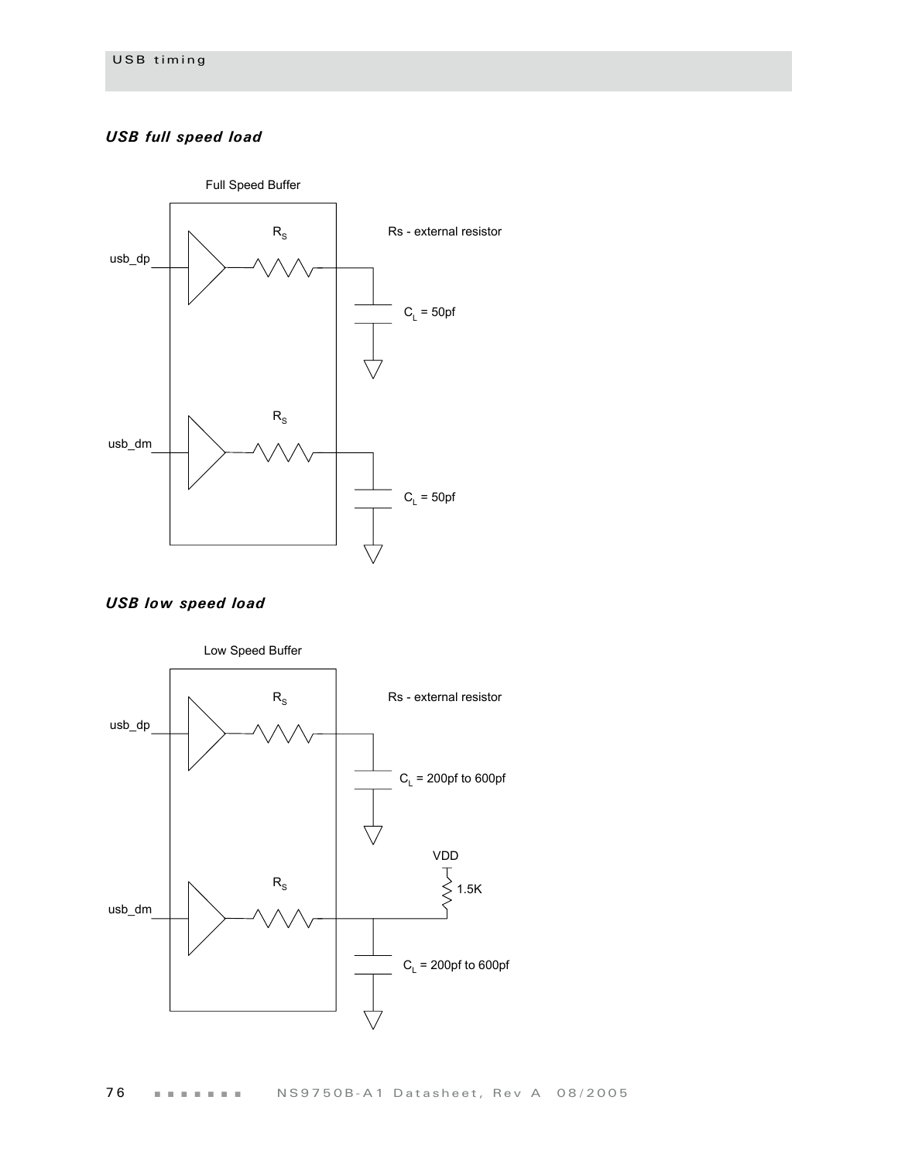#### <span id="page-79-0"></span>*USB full speed load*



<span id="page-79-1"></span>*USB low speed load*

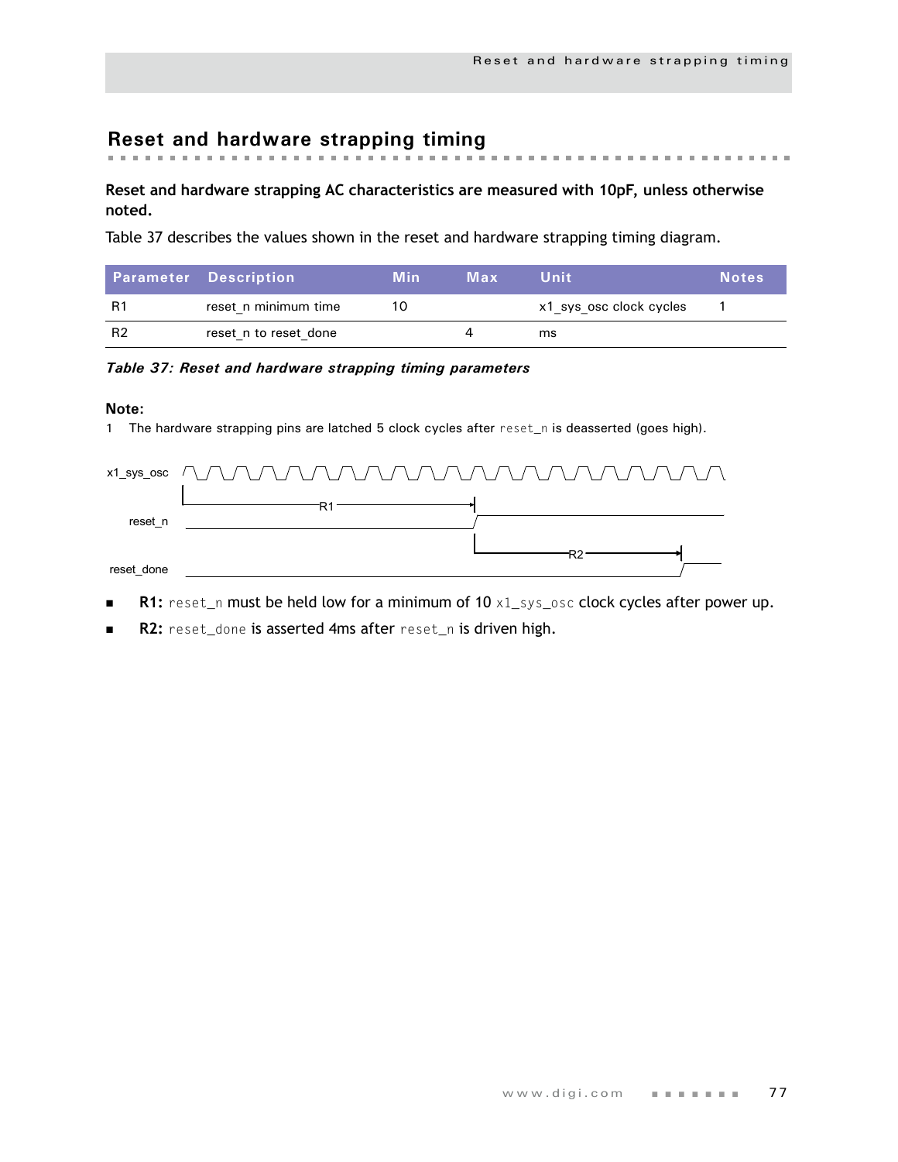# **Reset and hardware strapping timing**

#### **Reset and hardware strapping AC characteristics are measured with 10pF, unless otherwise noted.**

[Table 37](#page-80-0) describes the values shown in the reset and hardware strapping timing diagram.

|           | <b>Parameter Description</b> | <b>Min</b> | Max | Unit                    | <b>Notes</b> |
|-----------|------------------------------|------------|-----|-------------------------|--------------|
| R1        | reset n minimum time         |            |     | x1 sys osc clock cycles |              |
| <b>R2</b> | reset n to reset done        |            |     | ms                      |              |

#### <span id="page-80-0"></span>*Table 37: Reset and hardware strapping timing parameters*

#### **Note:**

1 The hardware strapping pins are latched 5 clock cycles after reset\_n is deasserted (goes high).

|            | x1_sys_osc $\bigcap$ $\bigcap$ $\bigcap$ $\bigcap$ $\bigcap$ $\bigcap$ $\bigcap$ $\bigcap$ $\bigcap$ $\bigcap$ $\bigcap$ $\bigcap$ $\bigcap$ $\bigcap$ $\bigcap$ $\bigcap$ $\bigcap$ $\bigcap$ $\bigcap$ $\bigcap$ $\bigcap$ $\bigcap$ $\bigcap$ $\bigcap$ |
|------------|------------------------------------------------------------------------------------------------------------------------------------------------------------------------------------------------------------------------------------------------------------|
| reset n    |                                                                                                                                                                                                                                                            |
|            |                                                                                                                                                                                                                                                            |
| reset done |                                                                                                                                                                                                                                                            |

- **R1:** reset\_n must be held low for a minimum of 10 x1\_sys\_osc clock cycles after power up.
- **R2:** reset\_done is asserted 4ms after reset\_n is driven high.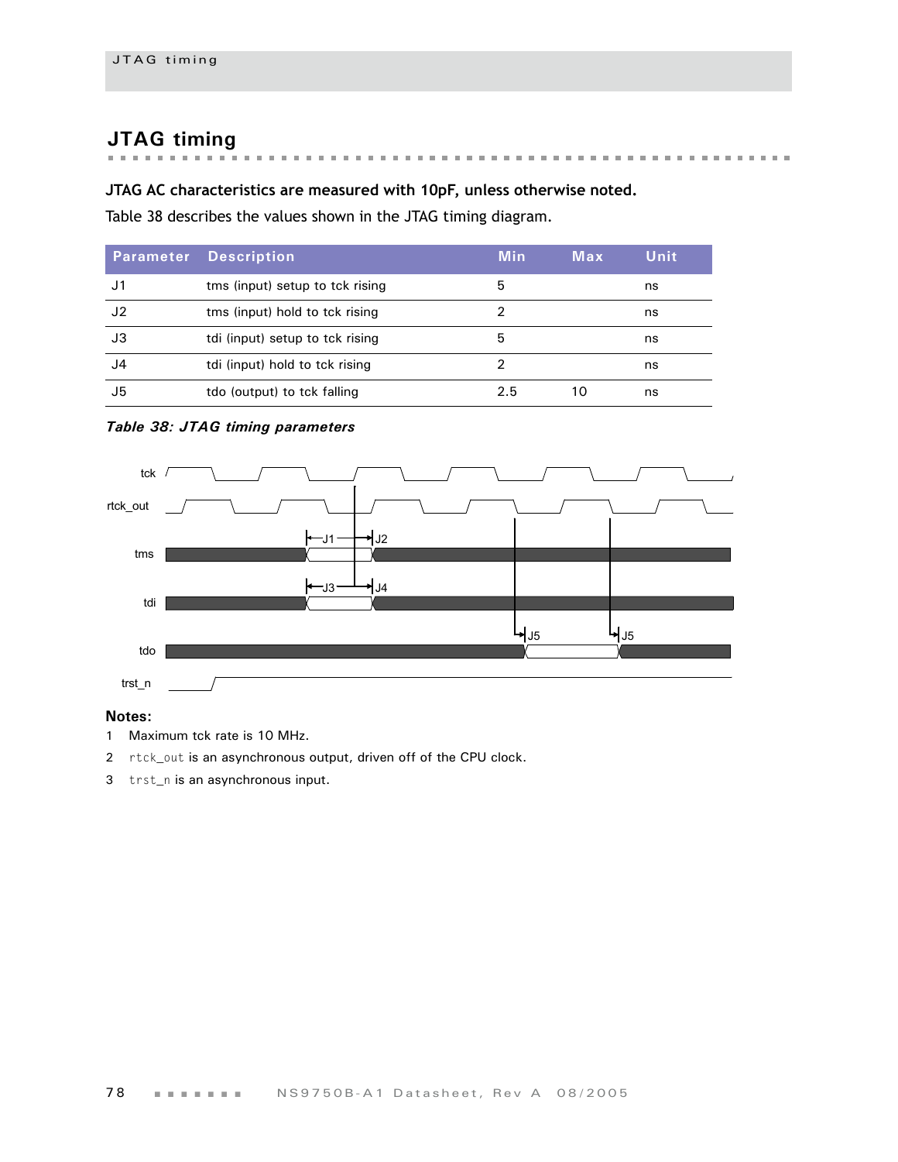# **JTAG timing**

## **JTAG AC characteristics are measured with 10pF, unless otherwise noted.**

[Table 38](#page-81-0) describes the values shown in the JTAG timing diagram.

| <b>Parameter</b> | <b>Description</b>              | <b>Min</b> | Max | Unit |
|------------------|---------------------------------|------------|-----|------|
| J1.              | tms (input) setup to tck rising | 5          |     | ns   |
| J2               | tms (input) hold to tck rising  | າ          |     | ns   |
| J3               | tdi (input) setup to tck rising | 5          |     | ns   |
| J4               | tdi (input) hold to tck rising  | າ          |     | ns   |
| J5               | tdo (output) to tck falling     | 2.5        | 10  | ns   |

#### <span id="page-81-0"></span>*Table 38: JTAG timing parameters*



#### **Notes:**

- 1 Maximum tck rate is 10 MHz.
- 2 rtck\_out is an asynchronous output, driven off of the CPU clock.
- 3 trst\_n is an asynchronous input.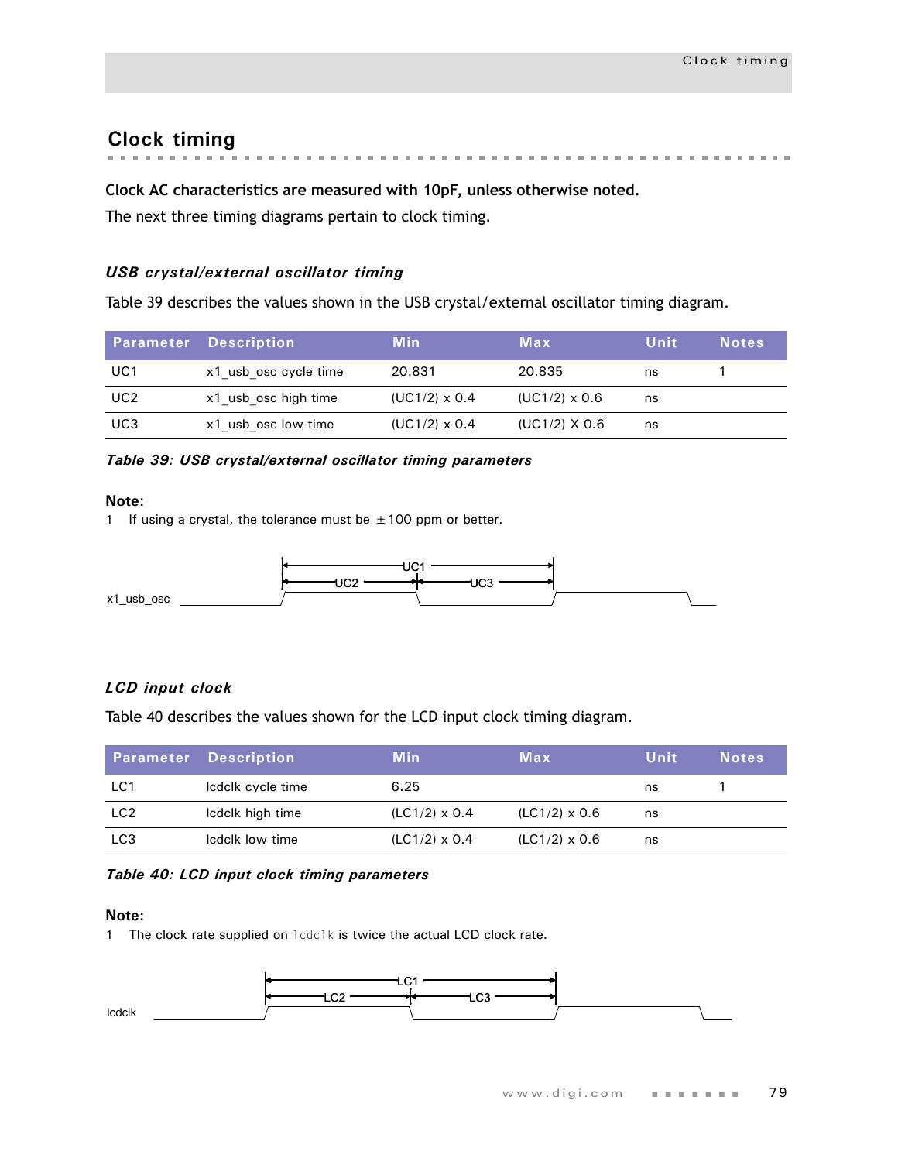# **Clock timing**

#### **Clock AC characteristics are measured with 10pF, unless otherwise noted.**

The next three timing diagrams pertain to clock timing.

#### *USB crystal/external oscillator timing*

[Table 39](#page-82-0) describes the values shown in the USB crystal/external oscillator timing diagram.

|                 | <b>Parameter Description</b> | <b>Min</b>           | Max                  | Unit | <b>Notes</b> |
|-----------------|------------------------------|----------------------|----------------------|------|--------------|
| UC1             | x1 usb osc cycle time        | 20.831               | 20.835               | ns   |              |
| UC <sub>2</sub> | x1 usb osc high time         | $(UC1/2) \times 0.4$ | $(UC1/2) \times 0.6$ | ns   |              |
| UC3             | x1 usb osc low time          | $(UC1/2) \times 0.4$ | $(UC1/2)$ X 0.6      | ns   |              |

#### <span id="page-82-0"></span>*Table 39: USB crystal/external oscillator timing parameters*

**Note:**

1 If using a crystal, the tolerance must be  $\pm$  100 ppm or better.



#### *LCD input clock*

[Table 40](#page-82-1) describes the values shown for the LCD input clock timing diagram.

|                 | <b>Parameter Description</b> | <b>Min</b>           | Max                  | Unit | <b>Notes</b> |
|-----------------|------------------------------|----------------------|----------------------|------|--------------|
| LC1             | Icdclk cycle time            | 6.25                 |                      | ns   |              |
| LC <sub>2</sub> | Icdclk high time             | $(LC1/2) \times 0.4$ | $(LC1/2) \times 0.6$ | ns   |              |
| LC <sub>3</sub> | Icdclk low time              | $(LC1/2) \times 0.4$ | $(LC1/2) \times 0.6$ | ns   |              |

#### <span id="page-82-1"></span>*Table 40: LCD input clock timing parameters*

#### **Note:**

1 The clock rate supplied on lcdclk is twice the actual LCD clock rate.

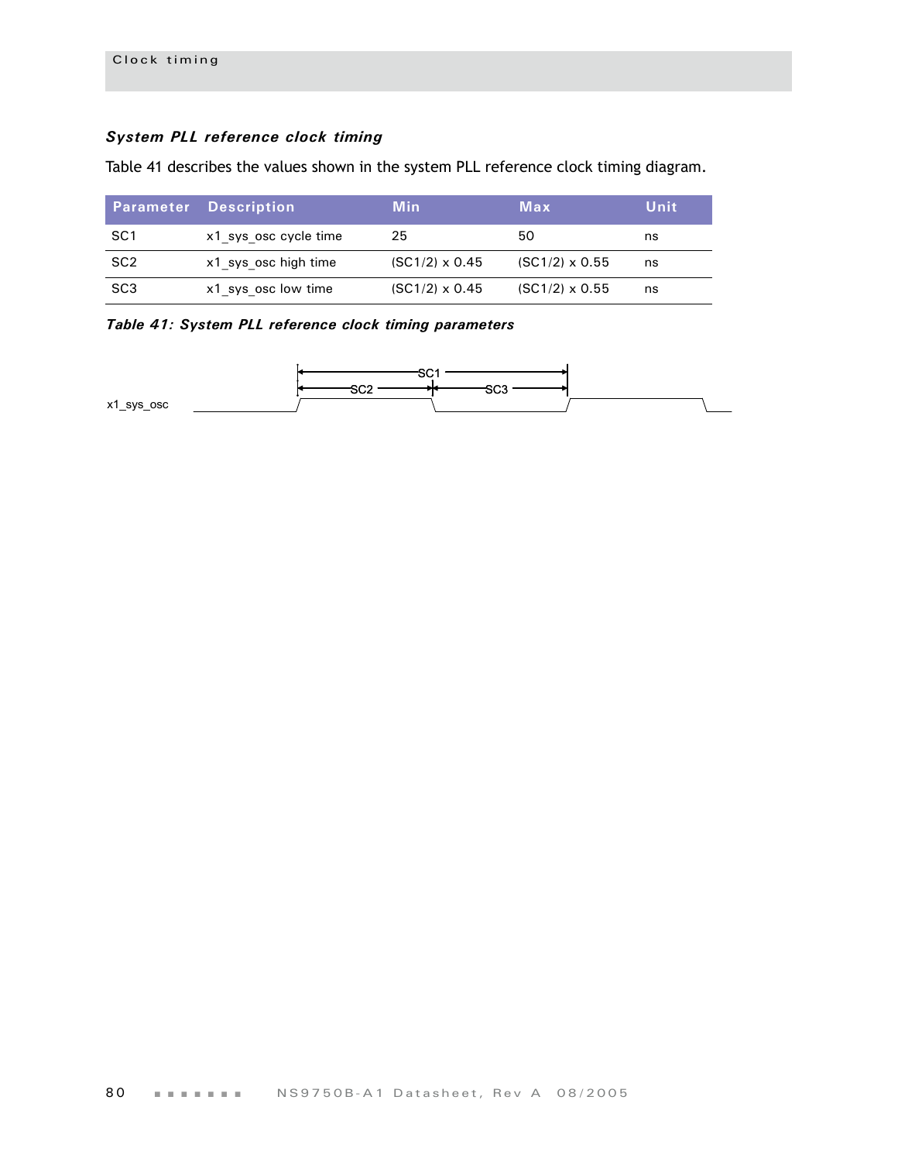#### *System PLL reference clock timing*

Table 41 describes the values shown in the system PLL reference clock timing diagram.

|                 | <b>Parameter Description</b> | Min                   | Max                   | Unit |
|-----------------|------------------------------|-----------------------|-----------------------|------|
| SC <sub>1</sub> | x1 sys osc cycle time        | 25                    | 50                    | ns   |
| SC <sub>2</sub> | x1 sys osc high time         | $(SC1/2) \times 0.45$ | $(SC1/2) \times 0.55$ | ns   |
| SC3             | x1 sys osc low time          | $(SC1/2) \times 0.45$ | $(SC1/2) \times 0.55$ | ns   |

*Table 41: System PLL reference clock timing parameters*

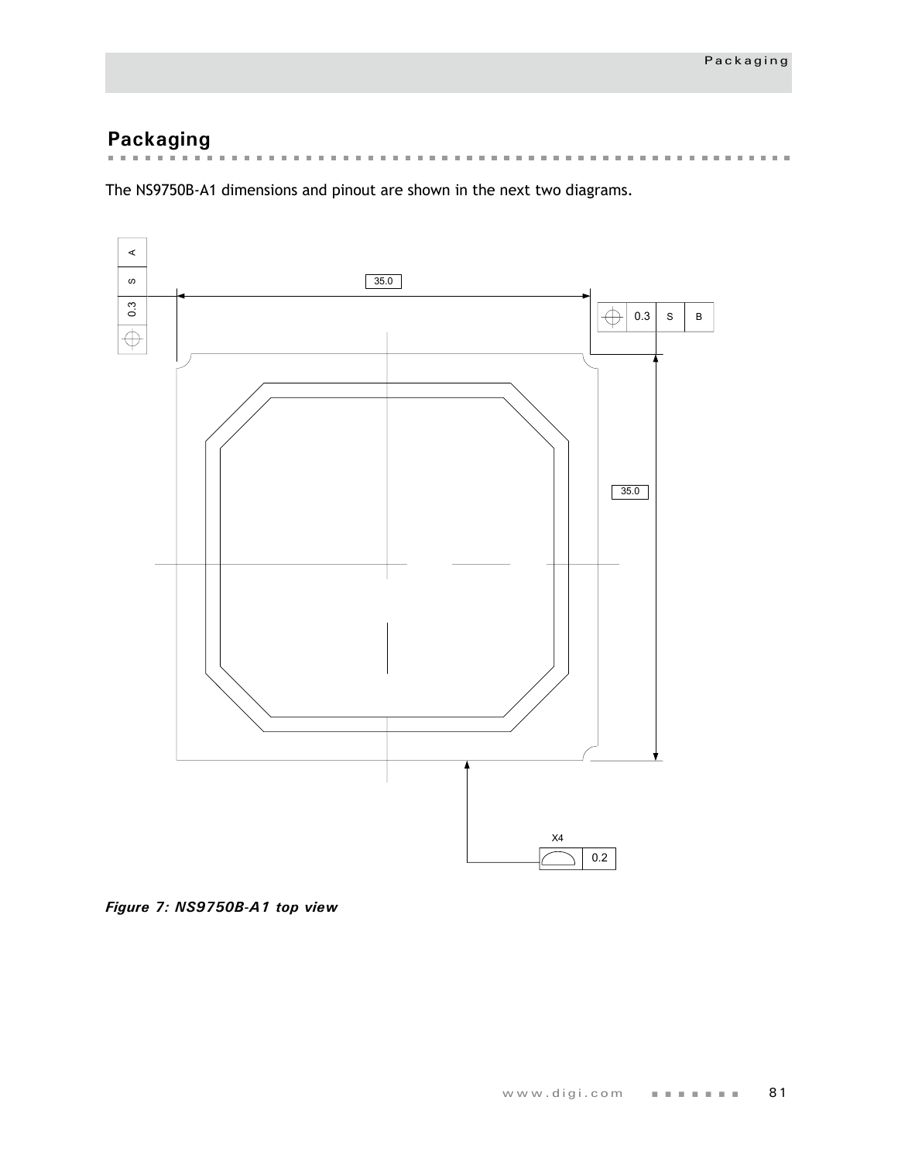# **Packaging**

 $\alpha$  , and  $\alpha$  , and  $\alpha$  , and  $\alpha$  , and  $\alpha$  , and  $\alpha$  , and  $\alpha$  , and  $\alpha$  $\mathbf{m}$  $\mathbf{m}$  $\mathbf{m}$  $\pm$  $\mathcal{M}$  , and  $\mathcal{M}$  , and  $\mathbf{m}$  $\mathbb{R}^n$  $\pm 0$  $\pm$  $\pm$  $\mathbb{R}^n$  $\mathbb{R}^n$ the first term in the first term  $\pm$  $\mathbf{m}$  $\mathbb{R}^n$  $\pm 0$  $\pm$  $\mathbf{m}$ 

The NS9750B-A1 dimensions and pinout are shown in the next two diagrams.



*Figure 7: NS9750B-A1 top view*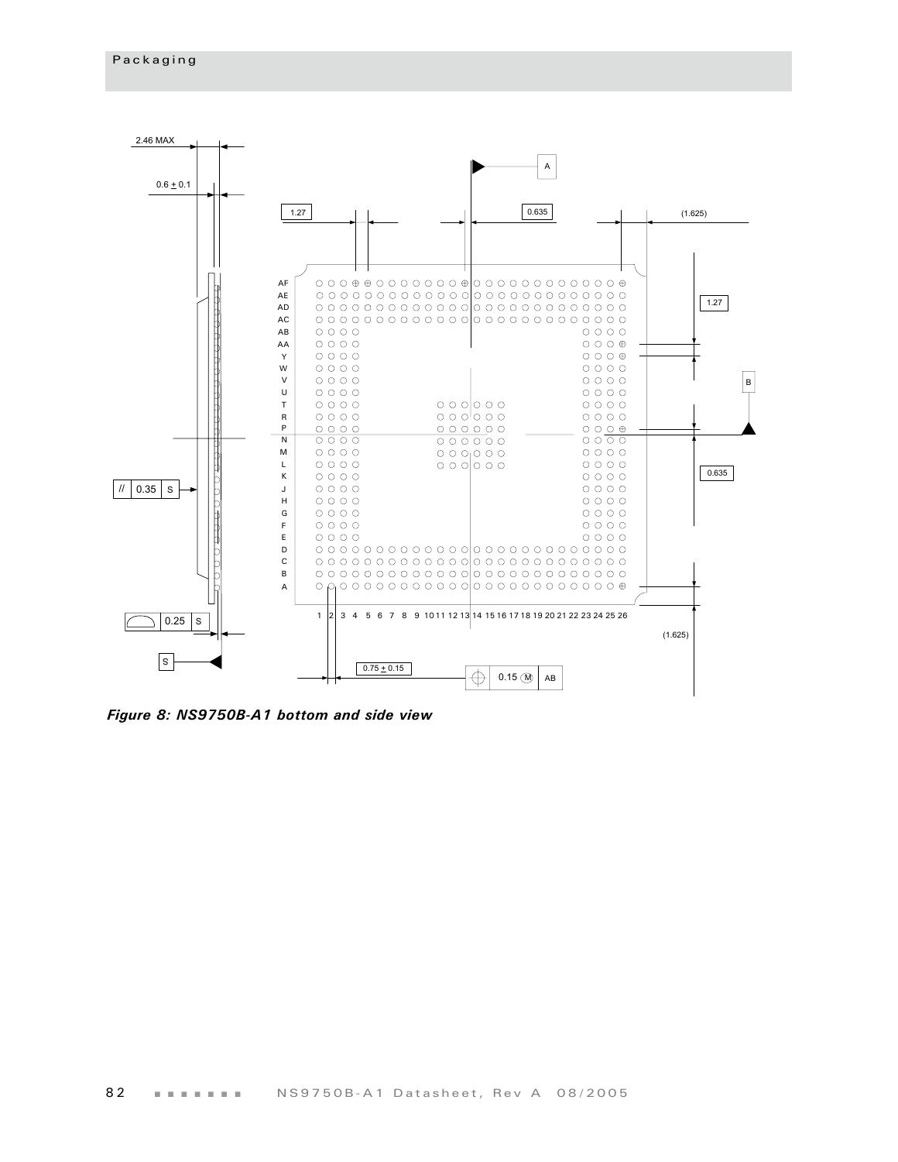

*Figure 8: NS9750B-A1 bottom and side view*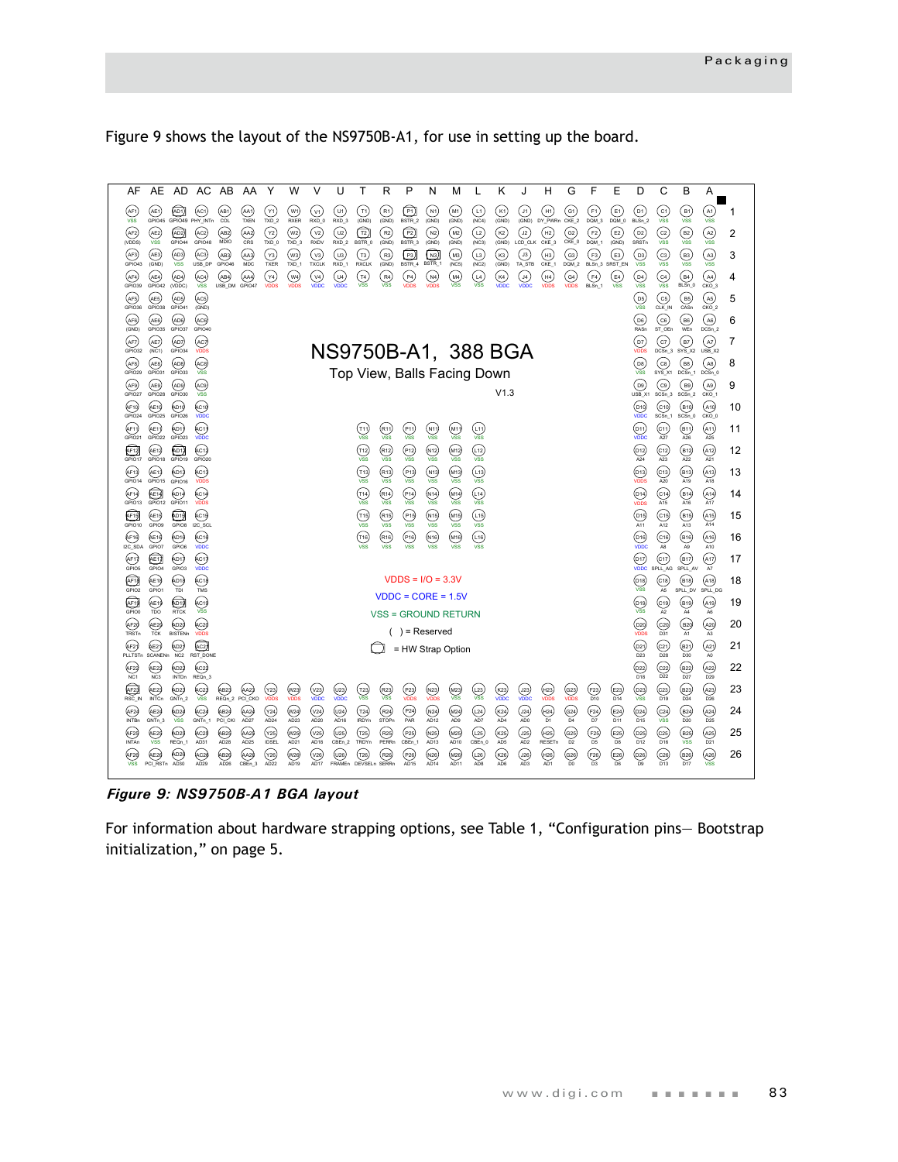Figure 9 shows the layout of the NS9750B-A1, for use in setting up the board.



*Figure 9: NS9750B-A1 BGA layout*

For information about hardware strapping options, see Table 1, "Configuration pins— Bootstrap initialization," on page 5.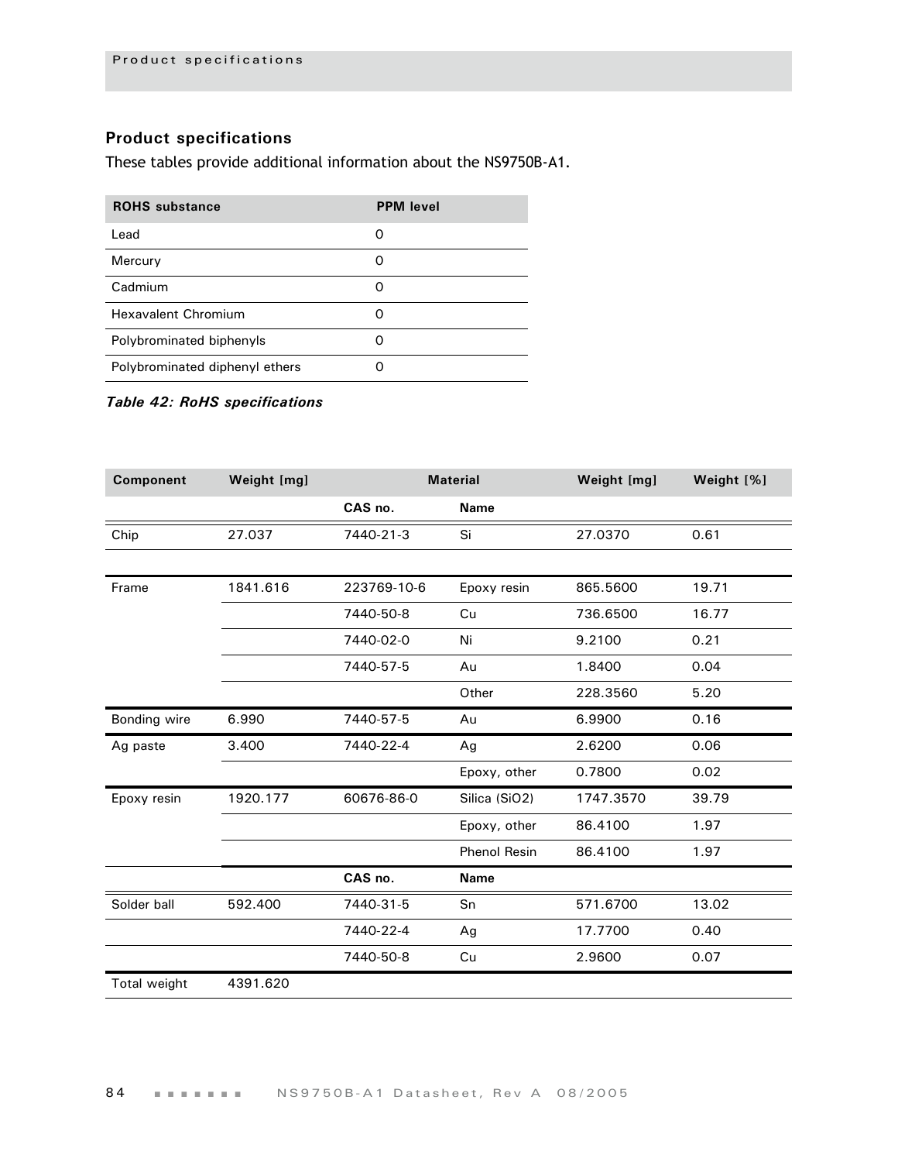#### **Product specifications**

These tables provide additional information about the NS9750B-A1.

| <b>ROHS</b> substance          | <b>PPM</b> level |
|--------------------------------|------------------|
| Lead                           | O                |
| Mercury                        | O                |
| Cadmium                        | O                |
| Hexavalent Chromium            |                  |
| Polybrominated biphenyls       | O                |
| Polybrominated diphenyl ethers |                  |

#### *Table 42: RoHS specifications*

| Component    | Weight [mg] | <b>Material</b> |                     | Weight [mg] | Weight [%] |
|--------------|-------------|-----------------|---------------------|-------------|------------|
|              |             | CAS no.         | <b>Name</b>         |             |            |
| Chip         | 27.037      | 7440-21-3       | Si                  | 27.0370     | 0.61       |
|              |             |                 |                     |             |            |
| Frame        | 1841.616    | 223769-10-6     | Epoxy resin         | 865.5600    | 19.71      |
|              |             | 7440-50-8       | Cu                  | 736.6500    | 16.77      |
|              |             | 7440-02-0       | Ni                  | 9.2100      | 0.21       |
|              |             | 7440-57-5       | Au                  | 1.8400      | 0.04       |
|              |             |                 | Other               | 228.3560    | 5.20       |
| Bonding wire | 6.990       | 7440-57-5       | Au                  | 6.9900      | 0.16       |
| Ag paste     | 3.400       | 7440-22-4       | Ag                  | 2.6200      | 0.06       |
|              |             |                 | Epoxy, other        | 0.7800      | 0.02       |
| Epoxy resin  | 1920.177    | 60676-86-0      | Silica (SiO2)       | 1747.3570   | 39.79      |
|              |             |                 | Epoxy, other        | 86.4100     | 1.97       |
|              |             |                 | <b>Phenol Resin</b> | 86.4100     | 1.97       |
|              |             | CAS no.         | <b>Name</b>         |             |            |
| Solder ball  | 592.400     | 7440-31-5       | Sn                  | 571.6700    | 13.02      |
|              |             | 7440-22-4       | Ag                  | 17.7700     | 0.40       |
|              |             | 7440-50-8       | Cu                  | 2.9600      | 0.07       |
| Total weight | 4391.620    |                 |                     |             |            |